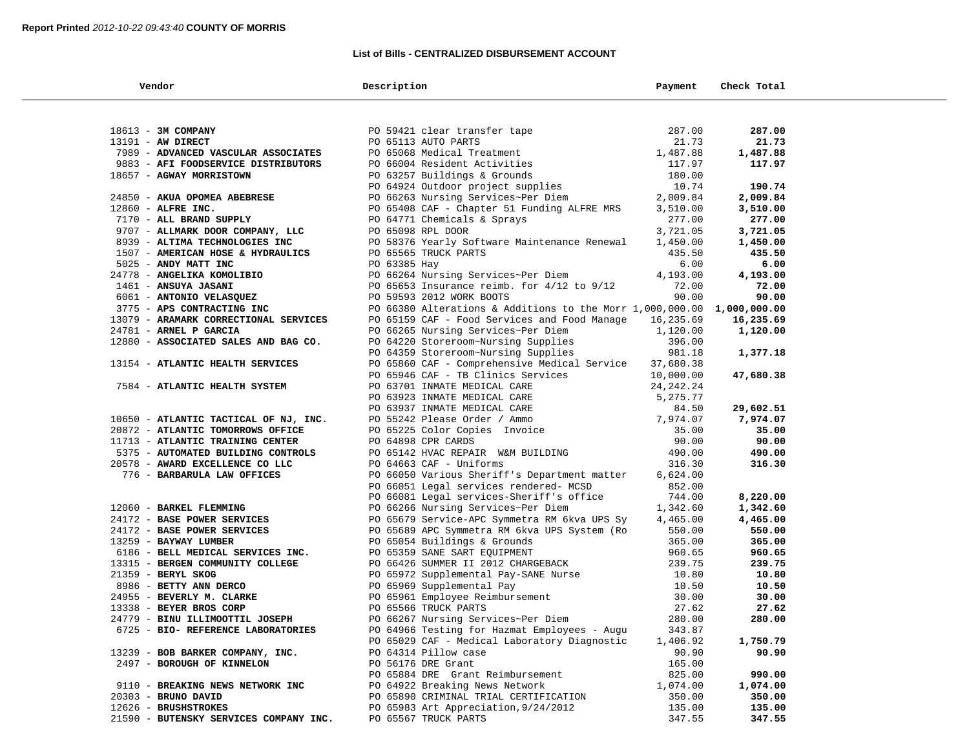### **List of Bills - CENTRALIZED DISBURSEMENT ACCOUNT**

| Vendor                                        | Description                                                                                                        | Payment   | Check Total |  |
|-----------------------------------------------|--------------------------------------------------------------------------------------------------------------------|-----------|-------------|--|
|                                               |                                                                                                                    |           |             |  |
| 18613 - 3M COMPANY                            | PO 59421 clear transfer tape                                                                                       | 287.00    | 287.00      |  |
| 13191 - AW DIRECT                             | PO 65113 AUTO PARTS                                                                                                | 21.73     | 21.73       |  |
| 7989 - ADVANCED VASCULAR ASSOCIATES           | PO 65068 Medical Treatment                                                                                         | 1,487.88  | 1,487.88    |  |
| 9883 - AFI FOODSERVICE DISTRIBUTORS           | PO 66004 Resident Activities                                                                                       | 117.97    | 117.97      |  |
| 18657 - AGWAY MORRISTOWN                      | PO 63257 Buildings & Grounds                                                                                       | 180.00    |             |  |
|                                               | PO 64924 Outdoor project supplies                                                                                  | 10.74     | 190.74      |  |
| 24850 - AKUA OPOMEA ABEBRESE                  | PO 66263 Nursing Services~Per Diem                                                                                 | 2,009.84  |             |  |
|                                               |                                                                                                                    |           | 2,009.84    |  |
| 12860 - ALFRE INC.<br>7170 - ALL BRAND SUPPLY | PO 65408 CAF - Chapter 51 Funding ALFRE MRS                                                                        | 3,510.00  | 3,510.00    |  |
|                                               | PO 64771 Chemicals & Sprays<br>PO 65098 RPL DOOR                                                                   | 277.00    | 277.00      |  |
| 9707 - ALLMARK DOOR COMPANY, LLC              |                                                                                                                    | 3,721.05  | 3,721.05    |  |
| 8939 - ALTIMA TECHNOLOGIES INC                | PO 58376 Yearly Software Maintenance Renewal                                                                       | 1,450.00  | 1,450.00    |  |
| 1507 - AMERICAN HOSE & HYDRAULICS             | PO 65565 TRUCK PARTS                                                                                               | 435.50    | 435.50      |  |
| 5025 - ANDY MATT INC                          | PO 63385 Hay                                                                                                       | 6.00      | 6.00        |  |
| 24778 - ANGELIKA KOMOLIBIO                    | PO 66264 Nursing Services~Per Diem                                                                                 | 4,193.00  | 4,193.00    |  |
| 1461 - ANSUYA JASANI                          | PO 65653 Insurance reimb. for $4/12$ to $9/12$                                                                     | 72.00     | 72.00       |  |
| 6061 - ANTONIO VELASQUEZ                      | PO 59593 2012 WORK BOOTS                                                                                           | 90.00     | 90.00       |  |
| 3775 - APS CONTRACTING INC                    | PO 66380 Alterations & Additions to the Morr 1,000,000.00 1,000,000.00                                             |           |             |  |
| 13079 - ARAMARK CORRECTIONAL SERVICES         | PO 65159 CAF - Food Services and Food Manage                                                                       | 16,235.69 | 16,235.69   |  |
| 24781 - ARNEL P GARCIA                        | PO 66265 Nursing Services~Per Diem                                                                                 | 1,120.00  | 1,120.00    |  |
| 12880 - ASSOCIATED SALES AND BAG CO.          | PO 64220 Storeroom~Nursing Supplies<br>PO 64359 Storeroom~Nursing Supplies                                         | 396.00    |             |  |
|                                               |                                                                                                                    | 981.18    | 1,377.18    |  |
| 13154 - ATLANTIC HEALTH SERVICES              | PO 65860 CAF - Comprehensive Medical Service                                                                       | 37,680.38 |             |  |
|                                               | PO 65946 CAF - TB Clinics Services                                                                                 | 10,000.00 | 47,680.38   |  |
| 7584 - ATLANTIC HEALTH SYSTEM                 | PO 63701 INMATE MEDICAL CARE                                                                                       | 24,242.24 |             |  |
|                                               | PO 63923 INMATE MEDICAL CARE                                                                                       | 5,275.77  |             |  |
|                                               | PO 63937 INMATE MEDICAL CARE                                                                                       | 84.50     | 29,602.51   |  |
| 10650 - ATLANTIC TACTICAL OF NJ, INC.         | PO 55242 Please Order / Ammo                                                                                       | 7,974.07  | 7,974.07    |  |
| 20872 - ATLANTIC TOMORROWS OFFICE             | PO 65225 Color Copies Invoice                                                                                      | 35.00     | 35.00       |  |
| 11713 - ATLANTIC TRAINING CENTER              | PO 64898 CPR CARDS                                                                                                 | 90.00     | 90.00       |  |
| 5375 - AUTOMATED BUILDING CONTROLS            | PO 65142 HVAC REPAIR W&M BUILDING                                                                                  | 490.00    | 490.00      |  |
| 20578 - AWARD EXCELLENCE CO LLC               | PO 64663 CAF - Uniforms                                                                                            | 316.30    | 316.30      |  |
| 776 - BARBARULA LAW OFFICES                   | PO 66050 Various Sheriff's Department matter                                                                       | 6,624.00  |             |  |
|                                               | PO 66051 Legal services rendered- MCSD                                                                             | 852.00    |             |  |
|                                               | PO 66081 Legal services-Sheriff's office                                                                           | 744.00    | 8,220.00    |  |
| 12060 - BARKEL FLEMMING                       | PO 66266 Nursing Services~Per Diem                                                                                 | 1,342.60  | 1,342.60    |  |
| 24172 - BASE POWER SERVICES                   | PO 65679 Service-APC Symmetra RM 6kva UPS Sy                                                                       | 4,465.00  | 4,465.00    |  |
| 24172 - BASE POWER SERVICES                   | PO 65689 APC Symmetra RM 6kva UPS System (Ro                                                                       | 550.00    | 550.00      |  |
| 13259 - BAYWAY LUMBER                         | PO 65054 Buildings & Grounds                                                                                       | 365.00    | 365.00      |  |
| 6186 - BELL MEDICAL SERVICES INC.             | PO 65359 SANE SART EQUIPMENT                                                                                       | 960.65    | 960.65      |  |
| 13315 - BERGEN COMMUNITY COLLEGE              | PO 66426 SUMMER II 2012 CHARGEBACK<br>PO 65972 Supplemental Pay-SANE Nurse<br>PO 65972 Supplemental Pay-SANE Nurse | 239.75    | 239.75      |  |
| 21359 - BERYL SKOG                            |                                                                                                                    | 10.80     | 10.80       |  |
| 8986 - BETTY ANN DERCO                        | PO 65969 Supplemental Pay                                                                                          | 10.50     | 10.50       |  |
| 24955 - BEVERLY M. CLARKE                     |                                                                                                                    | 30.00     | 30.00       |  |
| 13338 - BEYER BROS CORP                       | PO 65961 Employee Reimbursement<br>PO 65566 TRUCK PARTS<br>PO 66267 Nursing Services~Per Diem                      | 27.62     | 27.62       |  |
| 24779 - BINU ILLIMOOTTIL JOSEPH               |                                                                                                                    | 280.00    | 280.00      |  |
| 6725 - BIO- REFERENCE LABORATORIES            | PO 64966 Testing for Hazmat Employees - Augu                                                                       | 343.87    |             |  |
|                                               | PO 65029 CAF - Medical Laboratory Diagnostic                                                                       | 1,406.92  | 1,750.79    |  |
| 13239 - BOB BARKER COMPANY, INC.              | PO 64314 Pillow case                                                                                               | 90.90     | 90.90       |  |
| 2497 - BOROUGH OF KINNELON                    | PO 56176 DRE Grant                                                                                                 | 165.00    |             |  |
|                                               | PO 65884 DRE Grant Reimbursement                                                                                   | 825.00    | 990.00      |  |
| 9110 - BREAKING NEWS NETWORK INC              | PO 64922 Breaking News Network                                                                                     | 1,074.00  | 1,074.00    |  |
| 20303 - BRUNO DAVID                           | PO 65890 CRIMINAL TRIAL CERTIFICATION                                                                              | 350.00    | 350.00      |  |
| 12626 - BRUSHSTROKES                          | PO 65983 Art Appreciation, 9/24/2012                                                                               | 135.00    | 135.00      |  |
| 21590 - BUTENSKY SERVICES COMPANY INC.        | PO 65567 TRUCK PARTS                                                                                               | 347.55    | 347.55      |  |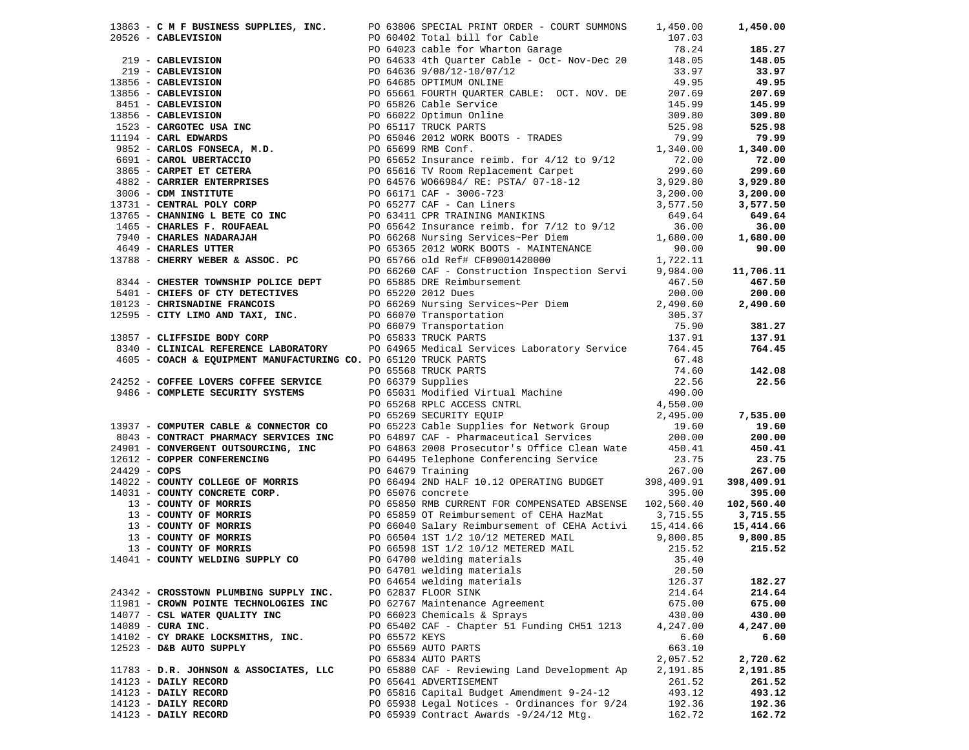|                                        |               | 13863 - C M F BUSINESS SUPPLIES, INC. PO 63806 SPECIAL PRINT ORDER - COURT SUMMONS 1,450.00                                                                                                                                                            |          | 1,450.00  |
|----------------------------------------|---------------|--------------------------------------------------------------------------------------------------------------------------------------------------------------------------------------------------------------------------------------------------------|----------|-----------|
|                                        |               | 1965 - CALEWISTON 2008 2012 World Partic Super Proper SUPACE 2013<br>20526 - CARLEWISTON 2009 (60402 Total Mill for Cable Care Waver Controlling 107, 03<br>2019 - CARLEWISTON 2009 (60402 Total Mill for Cable Cable Care Waver                       |          |           |
|                                        |               |                                                                                                                                                                                                                                                        |          | 185.27    |
|                                        |               |                                                                                                                                                                                                                                                        |          | 148.05    |
|                                        |               |                                                                                                                                                                                                                                                        |          | 33.97     |
|                                        |               |                                                                                                                                                                                                                                                        |          | 49.95     |
|                                        |               |                                                                                                                                                                                                                                                        |          | 207.69    |
|                                        |               |                                                                                                                                                                                                                                                        |          | 145.99    |
|                                        |               |                                                                                                                                                                                                                                                        |          | 309.80    |
|                                        |               |                                                                                                                                                                                                                                                        |          |           |
|                                        |               |                                                                                                                                                                                                                                                        |          | 525.98    |
|                                        |               |                                                                                                                                                                                                                                                        |          | 79.99     |
|                                        |               |                                                                                                                                                                                                                                                        |          | 1,340.00  |
|                                        |               |                                                                                                                                                                                                                                                        |          | 72.00     |
|                                        |               |                                                                                                                                                                                                                                                        |          | 299.60    |
|                                        |               |                                                                                                                                                                                                                                                        |          | 3,929.80  |
|                                        |               |                                                                                                                                                                                                                                                        |          | 3,200.00  |
|                                        |               |                                                                                                                                                                                                                                                        |          | 3,577.50  |
|                                        |               |                                                                                                                                                                                                                                                        |          | 649.64    |
|                                        |               |                                                                                                                                                                                                                                                        |          | 36.00     |
|                                        |               |                                                                                                                                                                                                                                                        |          | 1,680.00  |
|                                        |               |                                                                                                                                                                                                                                                        |          | 90.00     |
|                                        |               |                                                                                                                                                                                                                                                        |          |           |
|                                        |               |                                                                                                                                                                                                                                                        |          |           |
|                                        |               |                                                                                                                                                                                                                                                        |          | 11,706.11 |
|                                        |               |                                                                                                                                                                                                                                                        |          | 467.50    |
|                                        |               |                                                                                                                                                                                                                                                        |          | 200.00    |
|                                        |               |                                                                                                                                                                                                                                                        |          | 2,490.60  |
|                                        |               |                                                                                                                                                                                                                                                        |          |           |
|                                        |               |                                                                                                                                                                                                                                                        |          | 381.27    |
|                                        |               |                                                                                                                                                                                                                                                        |          | 137.91    |
|                                        |               |                                                                                                                                                                                                                                                        |          | 764.45    |
|                                        |               |                                                                                                                                                                                                                                                        |          |           |
|                                        |               |                                                                                                                                                                                                                                                        |          |           |
|                                        |               | 3340 <b>- CLINICAL REFERENCIES LADORATORY</b> PO 64955 Medical Services Laboratory Service 574.45 764.45<br>3460 <b>- COACH &amp; EQUIPMENT MANUFACTURING</b> CO. PO 65166 TRUCK PARTS<br>24252 <b>- COFFEE LOVERS COFFEE SECURITY SYSTEMS</b><br>2425 |          |           |
|                                        |               |                                                                                                                                                                                                                                                        |          |           |
|                                        |               |                                                                                                                                                                                                                                                        |          |           |
|                                        |               |                                                                                                                                                                                                                                                        |          |           |
|                                        |               |                                                                                                                                                                                                                                                        |          |           |
|                                        |               |                                                                                                                                                                                                                                                        |          |           |
|                                        |               |                                                                                                                                                                                                                                                        |          |           |
|                                        |               |                                                                                                                                                                                                                                                        |          |           |
|                                        |               |                                                                                                                                                                                                                                                        |          |           |
|                                        |               |                                                                                                                                                                                                                                                        |          |           |
|                                        |               |                                                                                                                                                                                                                                                        |          |           |
|                                        |               |                                                                                                                                                                                                                                                        |          |           |
|                                        |               |                                                                                                                                                                                                                                                        |          |           |
|                                        |               |                                                                                                                                                                                                                                                        |          |           |
|                                        |               |                                                                                                                                                                                                                                                        |          |           |
|                                        |               |                                                                                                                                                                                                                                                        |          |           |
|                                        |               |                                                                                                                                                                                                                                                        |          |           |
|                                        |               |                                                                                                                                                                                                                                                        |          |           |
|                                        |               |                                                                                                                                                                                                                                                        |          |           |
|                                        |               |                                                                                                                                                                                                                                                        |          |           |
|                                        |               | PO 64654 welding materials                                                                                                                                                                                                                             | 126.37   | 182.27    |
| 24342 - CROSSTOWN PLUMBING SUPPLY INC. |               | PO 62837 FLOOR SINK                                                                                                                                                                                                                                    | 214.64   | 214.64    |
| 11981 - CROWN POINTE TECHNOLOGIES INC  |               | PO 62767 Maintenance Agreement                                                                                                                                                                                                                         | 675.00   | 675.00    |
| 14077 - CSL WATER QUALITY INC          |               | PO 66023 Chemicals & Sprays                                                                                                                                                                                                                            | 430.00   | 430.00    |
| $14089$ - CURA INC.                    |               | PO 65402 CAF - Chapter 51 Funding CH51 1213                                                                                                                                                                                                            | 4,247.00 | 4,247.00  |
| 14102 - CY DRAKE LOCKSMITHS, INC.      | PO 65572 KEYS |                                                                                                                                                                                                                                                        | 6.60     | 6.60      |
| 12523 - D&B AUTO SUPPLY                |               | PO 65569 AUTO PARTS                                                                                                                                                                                                                                    | 663.10   |           |
|                                        |               | PO 65834 AUTO PARTS                                                                                                                                                                                                                                    | 2,057.52 | 2,720.62  |
| 11783 - D.R. JOHNSON & ASSOCIATES, LLC |               | PO 65880 CAF - Reviewing Land Development Ap                                                                                                                                                                                                           | 2,191.85 | 2,191.85  |
|                                        |               |                                                                                                                                                                                                                                                        |          |           |
| 14123 - DAILY RECORD                   |               | PO 65641 ADVERTISEMENT                                                                                                                                                                                                                                 | 261.52   | 261.52    |
| 14123 - DAILY RECORD                   |               | PO 65816 Capital Budget Amendment 9-24-12                                                                                                                                                                                                              | 493.12   | 493.12    |
| 14123 - DAILY RECORD                   |               | PO 65938 Legal Notices - Ordinances for 9/24                                                                                                                                                                                                           | 192.36   | 192.36    |
| 14123 - DAILY RECORD                   |               | PO 65939 Contract Awards -9/24/12 Mtg.                                                                                                                                                                                                                 | 162.72   | 162.72    |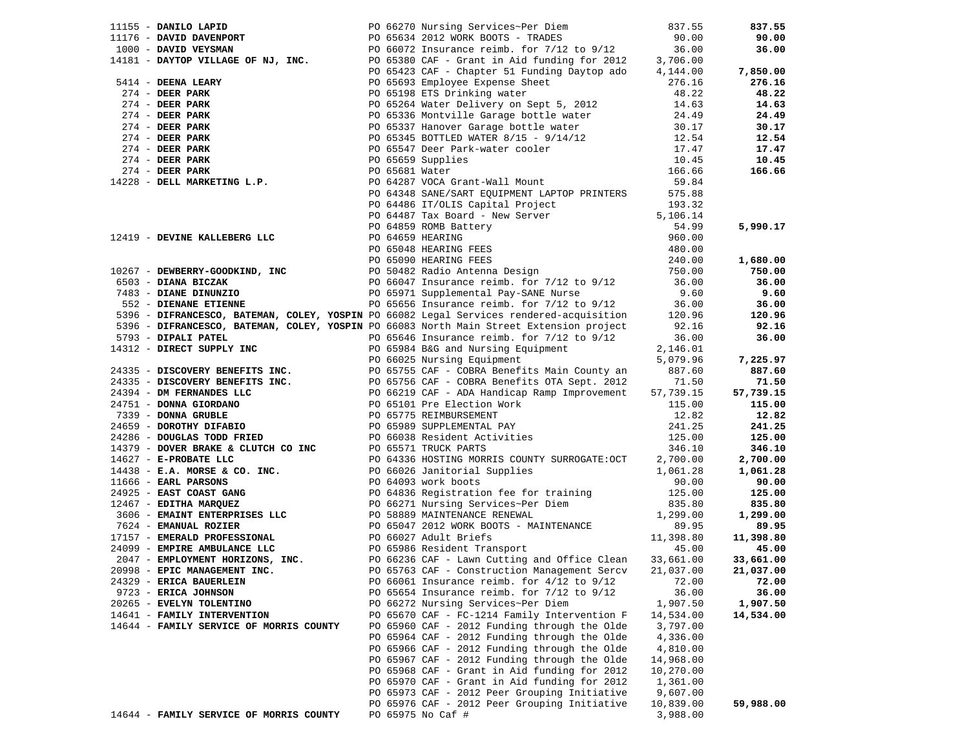|                                         | 11155 - <b>DANILO LAPID</b><br>11176 - <b>DAVID DAVENPORT</b><br>1000 - <b>DAVID VEYSMAN</b><br>1000 - <b>DAVID VEYSMAN</b><br>1000 - <b>DAVID VEYSMAN</b><br>1000 - <b>DAVID VEYSMAN</b><br>1000 - <b>DAVID VEYSMAN</b><br>1000 - <b>DAVID VEYSMAN</b><br>1000 - <b>DAVID VEYSMAN</b><br>100 |           | 837.55    |
|-----------------------------------------|-----------------------------------------------------------------------------------------------------------------------------------------------------------------------------------------------------------------------------------------------------------------------------------------------|-----------|-----------|
|                                         |                                                                                                                                                                                                                                                                                               |           | 90.00     |
|                                         |                                                                                                                                                                                                                                                                                               |           | 36.00     |
|                                         |                                                                                                                                                                                                                                                                                               |           |           |
|                                         |                                                                                                                                                                                                                                                                                               |           | 7,850.00  |
|                                         | 4181 - DATIOF VIENTLE (22 13 14 ARRY 1991)<br>274 - DEER PARK 1991 - PO 65693 Employee Expense Sheet<br>274 - DEER PARK 1991 - PO 65198 ETS Drinking water<br>274 - DEER PARK 1991 - PO 65336 Montville Garage bottle water<br>274 -                                                          |           | 276.16    |
|                                         |                                                                                                                                                                                                                                                                                               |           | 48.22     |
|                                         |                                                                                                                                                                                                                                                                                               |           | 14.63     |
|                                         |                                                                                                                                                                                                                                                                                               |           | 24.49     |
|                                         |                                                                                                                                                                                                                                                                                               |           | 30.17     |
|                                         |                                                                                                                                                                                                                                                                                               |           | 12.54     |
|                                         |                                                                                                                                                                                                                                                                                               |           | 17.47     |
|                                         |                                                                                                                                                                                                                                                                                               |           | 10.45     |
|                                         |                                                                                                                                                                                                                                                                                               |           | 166.66    |
|                                         |                                                                                                                                                                                                                                                                                               |           |           |
|                                         |                                                                                                                                                                                                                                                                                               |           |           |
|                                         |                                                                                                                                                                                                                                                                                               |           |           |
|                                         |                                                                                                                                                                                                                                                                                               |           |           |
|                                         | <b>PO 64487 Tax Board - New Server</b><br>PO 64487 Tax Board - New Server<br>PO 64859 REARING<br>PO 64659 REARING<br>PO 65048 REARING<br>PO 65048 REARING<br>PO 65048 REARING<br>PO 65048 REARING<br>PO 66047 INSERT PEES<br>240.00<br>PO 66047 INSERT                                        |           | 5,990.17  |
|                                         |                                                                                                                                                                                                                                                                                               |           |           |
|                                         |                                                                                                                                                                                                                                                                                               |           |           |
|                                         |                                                                                                                                                                                                                                                                                               |           | 1,680.00  |
|                                         |                                                                                                                                                                                                                                                                                               |           | 750.00    |
|                                         |                                                                                                                                                                                                                                                                                               |           | 36.00     |
|                                         |                                                                                                                                                                                                                                                                                               |           | 9.60      |
|                                         |                                                                                                                                                                                                                                                                                               |           | 36.00     |
|                                         |                                                                                                                                                                                                                                                                                               |           | 120.96    |
|                                         |                                                                                                                                                                                                                                                                                               |           | 92.16     |
|                                         |                                                                                                                                                                                                                                                                                               |           | 36.00     |
|                                         |                                                                                                                                                                                                                                                                                               |           |           |
|                                         |                                                                                                                                                                                                                                                                                               |           | 7,225.97  |
|                                         |                                                                                                                                                                                                                                                                                               |           | 887.60    |
|                                         |                                                                                                                                                                                                                                                                                               |           | 71.50     |
|                                         |                                                                                                                                                                                                                                                                                               |           | 57,739.15 |
|                                         |                                                                                                                                                                                                                                                                                               |           | 115.00    |
|                                         |                                                                                                                                                                                                                                                                                               |           | 12.82     |
|                                         |                                                                                                                                                                                                                                                                                               |           | 241.25    |
|                                         |                                                                                                                                                                                                                                                                                               |           | 125.00    |
|                                         |                                                                                                                                                                                                                                                                                               |           | 346.10    |
|                                         |                                                                                                                                                                                                                                                                                               |           | 2,700.00  |
|                                         |                                                                                                                                                                                                                                                                                               |           | 1,061.28  |
|                                         |                                                                                                                                                                                                                                                                                               |           | 90.00     |
|                                         |                                                                                                                                                                                                                                                                                               |           | 125.00    |
|                                         |                                                                                                                                                                                                                                                                                               |           | 835.80    |
|                                         |                                                                                                                                                                                                                                                                                               |           | 1,299.00  |
|                                         | 1919 - DIPERARTESCO, EATERNAIN COLLEY, YOSPEN PO 66033 NOTCH Main Street Extension project<br>1913 - DIRECT SUPPLIN INC PO 66033 NOTCH Main Street Extension project<br>1923 - DIRECT SUPPLIN INC PO 66033 NOTCH Main Street Ext                                                              |           | 89.95     |
|                                         |                                                                                                                                                                                                                                                                                               |           | 11,398.80 |
|                                         |                                                                                                                                                                                                                                                                                               |           | 45.00     |
|                                         |                                                                                                                                                                                                                                                                                               |           | 33,661.00 |
|                                         | 20998 - EPIC MANAGEMENT INC. 21,037.00 PO 65763 CAF - Construction Management Sercv 21,037.00 21,037.00                                                                                                                                                                                       |           |           |
| 24329 - ERICA BAUERLEIN                 | PO 66061 Insurance reimb. for $4/12$ to $9/12$                                                                                                                                                                                                                                                | 72.00     | 72.00     |
| 9723 - ERICA JOHNSON                    | PO 65654 Insurance reimb. for 7/12 to 9/12                                                                                                                                                                                                                                                    | 36.00     | 36.00     |
| 20265 - EVELYN TOLENTINO                | PO 66272 Nursing Services~Per Diem                                                                                                                                                                                                                                                            | 1,907.50  | 1,907.50  |
| 14641 - FAMILY INTERVENTION             | PO 65670 CAF - FC-1214 Family Intervention F                                                                                                                                                                                                                                                  | 14,534.00 | 14,534.00 |
| 14644 - FAMILY SERVICE OF MORRIS COUNTY | PO 65960 CAF - 2012 Funding through the Olde                                                                                                                                                                                                                                                  | 3,797.00  |           |
|                                         | PO 65964 CAF - 2012 Funding through the Olde                                                                                                                                                                                                                                                  | 4,336.00  |           |
|                                         | PO 65966 CAF - 2012 Funding through the Olde                                                                                                                                                                                                                                                  | 4,810.00  |           |
|                                         | PO 65967 CAF - 2012 Funding through the Olde                                                                                                                                                                                                                                                  | 14,968.00 |           |
|                                         | PO 65968 CAF - Grant in Aid funding for 2012                                                                                                                                                                                                                                                  | 10,270.00 |           |
|                                         | PO 65970 CAF - Grant in Aid funding for 2012                                                                                                                                                                                                                                                  | 1,361.00  |           |
|                                         | PO 65973 CAF - 2012 Peer Grouping Initiative                                                                                                                                                                                                                                                  | 9,607.00  |           |
|                                         | PO 65976 CAF - 2012 Peer Grouping Initiative                                                                                                                                                                                                                                                  | 10,839.00 | 59,988.00 |
| 14644 - FAMILY SERVICE OF MORRIS COUNTY | PO 65975 No Caf #                                                                                                                                                                                                                                                                             | 3,988.00  |           |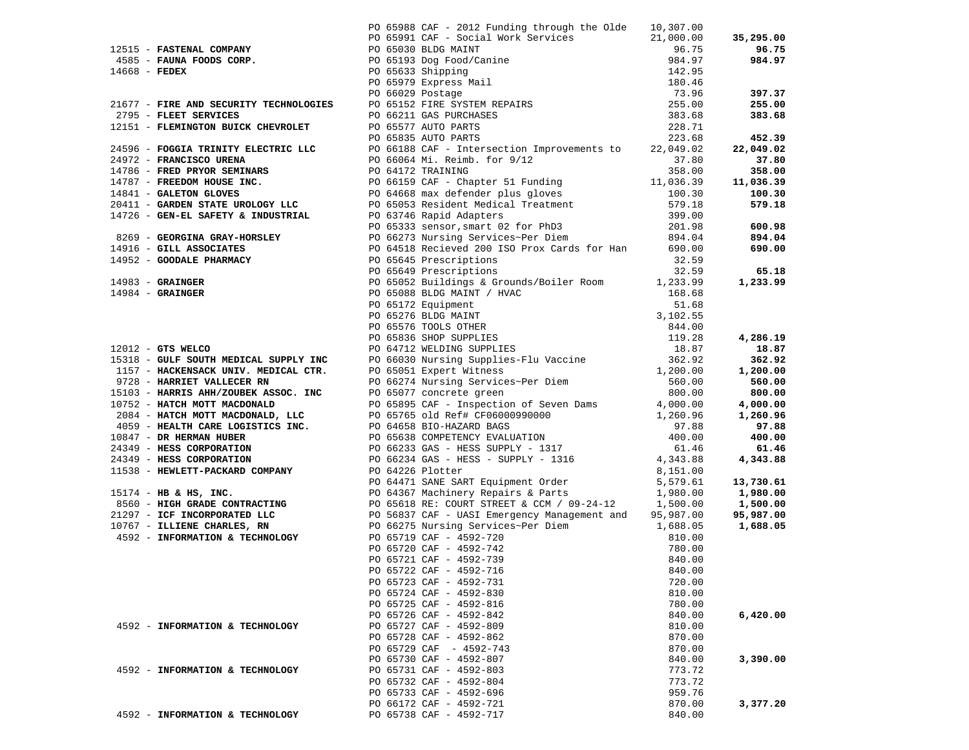|                                 | 1783 - PAPERA COMMUNI - 2016 2019 Project No. 2019 Project Network (Paper 1891)<br>1993 - PROM COMMUNI - 2019 PROJECT NEW PROPERTY AND COMMUNISM COMMUNISM (PROJECT) 1994<br>1994 - PROM COMMUNISM COMMUNISM COMMUNISM (PRODUCT) |        |          |
|---------------------------------|----------------------------------------------------------------------------------------------------------------------------------------------------------------------------------------------------------------------------------|--------|----------|
|                                 | PO 65722 CAF - 4592-716 840.00                                                                                                                                                                                                   |        |          |
|                                 |                                                                                                                                                                                                                                  |        |          |
|                                 | PO 65723 CAF - 4592-731                                                                                                                                                                                                          | 720.00 |          |
|                                 | PO 65724 CAF - 4592-830                                                                                                                                                                                                          | 810.00 |          |
|                                 | PO 65725 CAF - 4592-816                                                                                                                                                                                                          | 780.00 |          |
|                                 | PO 65726 CAF - 4592-842                                                                                                                                                                                                          | 840.00 | 6,420.00 |
| 4592 - INFORMATION & TECHNOLOGY | PO 65727 CAF - 4592-809                                                                                                                                                                                                          | 810.00 |          |
|                                 | PO 65728 CAF - 4592-862                                                                                                                                                                                                          | 870.00 |          |
|                                 | PO 65729 CAF - 4592-743                                                                                                                                                                                                          | 870.00 |          |
|                                 | PO 65730 CAF - 4592-807                                                                                                                                                                                                          | 840.00 | 3,390.00 |
| 4592 - INFORMATION & TECHNOLOGY | PO 65731 CAF - 4592-803                                                                                                                                                                                                          | 773.72 |          |
|                                 | PO 65732 CAF - 4592-804                                                                                                                                                                                                          | 773.72 |          |
|                                 | PO 65733 CAF - 4592-696                                                                                                                                                                                                          | 959.76 |          |
|                                 | PO 66172 CAF - 4592-721                                                                                                                                                                                                          | 870.00 | 3,377.20 |
| 4592 - INFORMATION & TECHNOLOGY | PO 65738 CAF - 4592-717                                                                                                                                                                                                          | 840.00 |          |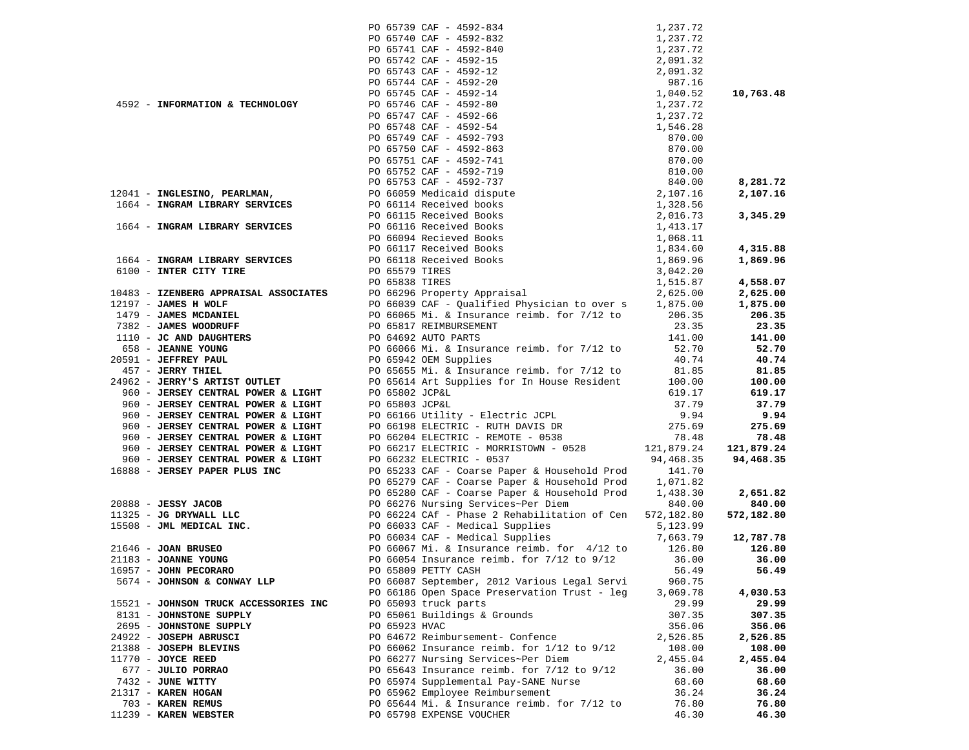|                                       |                | PO 65739 CAF - 4592-834                                                                                                                                                                                                                                                                                                                                                                                          | 1,237.72                 |            |
|---------------------------------------|----------------|------------------------------------------------------------------------------------------------------------------------------------------------------------------------------------------------------------------------------------------------------------------------------------------------------------------------------------------------------------------------------------------------------------------|--------------------------|------------|
|                                       |                | PO 65740 CAF - 4592-832                                                                                                                                                                                                                                                                                                                                                                                          | 1,237.72                 |            |
|                                       |                | PO 65741 CAF - 4592-840                                                                                                                                                                                                                                                                                                                                                                                          | 1,237.72                 |            |
|                                       |                | PO 65742 CAF - 4592-15                                                                                                                                                                                                                                                                                                                                                                                           | 2,091.32                 |            |
|                                       |                | PO 65743 CAF - 4592-12                                                                                                                                                                                                                                                                                                                                                                                           | 2,091.32                 |            |
|                                       |                | PO 65744 CAF - 4592-20                                                                                                                                                                                                                                                                                                                                                                                           | 987.16                   |            |
|                                       |                | PO 65745 CAF - 4592-14                                                                                                                                                                                                                                                                                                                                                                                           | $1,040.52$<br>$1,237.72$ | 10,763.48  |
| 4592 - INFORMATION & TECHNOLOGY       |                |                                                                                                                                                                                                                                                                                                                                                                                                                  |                          |            |
|                                       |                | PO 65746 CAF - 4592-80                                                                                                                                                                                                                                                                                                                                                                                           |                          |            |
|                                       |                | PO 65747 CAF - 4592-66                                                                                                                                                                                                                                                                                                                                                                                           | 1,237.72                 |            |
|                                       |                | PO 65748 CAF - 4592-54                                                                                                                                                                                                                                                                                                                                                                                           | 1,546.28                 |            |
|                                       |                |                                                                                                                                                                                                                                                                                                                                                                                                                  | 870.00                   |            |
|                                       |                |                                                                                                                                                                                                                                                                                                                                                                                                                  | 870.00                   |            |
|                                       |                |                                                                                                                                                                                                                                                                                                                                                                                                                  | 870.00                   |            |
|                                       |                |                                                                                                                                                                                                                                                                                                                                                                                                                  | 810.00                   |            |
|                                       |                |                                                                                                                                                                                                                                                                                                                                                                                                                  | 840.00                   | 8,281.72   |
|                                       |                |                                                                                                                                                                                                                                                                                                                                                                                                                  | 840.00<br>2,107.16       |            |
| 12041 - INGLESINO, PEARLMAN,          |                |                                                                                                                                                                                                                                                                                                                                                                                                                  |                          | 2,107.16   |
| 1664 - INGRAM LIBRARY SERVICES        |                |                                                                                                                                                                                                                                                                                                                                                                                                                  | 1,328.56<br>2,016.73     |            |
|                                       |                |                                                                                                                                                                                                                                                                                                                                                                                                                  |                          | 3,345.29   |
| 1664 - INGRAM LIBRARY SERVICES        |                |                                                                                                                                                                                                                                                                                                                                                                                                                  | 1,413.17<br>1,068.11     |            |
|                                       |                |                                                                                                                                                                                                                                                                                                                                                                                                                  |                          |            |
|                                       |                |                                                                                                                                                                                                                                                                                                                                                                                                                  |                          | 4,315.88   |
| 1664 - INGRAM LIBRARY SERVICES        |                | $\begin{array}{r} \text{1.13} \\ \text{1.24} \\ \text{2.35} \\ \text{2.46} \\ \text{2.57} \\ \text{2.67} \\ \text{2.77} \\ \text{2.77} \\ \text{2.77} \\ \text{2.77} \\ \text{2.77} \\ \text{2.77} \\ \text{2.77} \\ \text{2.77} \\ \text{2.77} \\ \text{2.77} \\ \text{2.77} \\ \text{2.77} \\ \text{2.77} \\ \text{2.77} \\ \text{2.77} \\ \text{2.77} \\ \text{2.77} \\ \text{2.7$<br>PO 66118 Received Books | 1,834.60<br>1,869.96     | 1,869.96   |
| 6100 - INTER CITY TIRE                |                |                                                                                                                                                                                                                                                                                                                                                                                                                  | 3,042.20                 |            |
|                                       | PO 65579 TIRES |                                                                                                                                                                                                                                                                                                                                                                                                                  |                          |            |
|                                       | PO 65838 TIRES |                                                                                                                                                                                                                                                                                                                                                                                                                  | 1,515.87                 | 4,558.07   |
| 10483 - IZENBERG APPRAISAL ASSOCIATES |                | PO 66296 Property Appraisal                                                                                                                                                                                                                                                                                                                                                                                      | 2,625.00                 | 2,625.00   |
| 12197 - JAMES H WOLF                  |                | PO 66039 CAF - Qualified Physician to over s                                                                                                                                                                                                                                                                                                                                                                     | 1,875.00                 | 1,875.00   |
| 1479 - JAMES MCDANIEL                 |                | PO 66065 Mi. & Insurance reimb. for 7/12 to                                                                                                                                                                                                                                                                                                                                                                      | 206.35                   | 206.35     |
| 7382 - JAMES WOODRUFF                 |                | PO 65817 REIMBURSEMENT                                                                                                                                                                                                                                                                                                                                                                                           | 23.35                    | 23.35      |
| 1110 - JC AND DAUGHTERS               |                | PO 64692 AUTO PARTS                                                                                                                                                                                                                                                                                                                                                                                              | 141.00                   | 141.00     |
| 658 - JEANNE YOUNG                    |                | PO 66066 Mi. & Insurance reimb. for 7/12 to                                                                                                                                                                                                                                                                                                                                                                      | 52.70                    | 52.70      |
| 20591 - JEFFREY PAUL                  |                |                                                                                                                                                                                                                                                                                                                                                                                                                  | 40.74                    | 40.74      |
|                                       |                | PO 65942 OEM Supplies                                                                                                                                                                                                                                                                                                                                                                                            |                          |            |
| 457 - JERRY THIEL                     |                | PO 65655 Mi. & Insurance reimb. for 7/12 to                                                                                                                                                                                                                                                                                                                                                                      | 81.85                    | 81.85      |
| 24962 - JERRY'S ARTIST OUTLET         |                | PO 65614 Art Supplies for In House Resident                                                                                                                                                                                                                                                                                                                                                                      | 100.00                   | 100.00     |
| 960 - JERSEY CENTRAL POWER & LIGHT    | PO 65802 JCP&L |                                                                                                                                                                                                                                                                                                                                                                                                                  | 619.17                   | 619.17     |
| 960 - JERSEY CENTRAL POWER & LIGHT    | PO 65803 JCP&L |                                                                                                                                                                                                                                                                                                                                                                                                                  | 37.79                    | 37.79      |
| 960 - JERSEY CENTRAL POWER & LIGHT    |                | PO 66166 Utility - Electric JCPL                                                                                                                                                                                                                                                                                                                                                                                 | 9.94                     | 9.94       |
| 960 - JERSEY CENTRAL POWER & LIGHT    |                | PO 66198 ELECTRIC - RUTH DAVIS DR                                                                                                                                                                                                                                                                                                                                                                                | 275.69                   | 275.69     |
| 960 - JERSEY CENTRAL POWER & LIGHT    |                | PO 66204 ELECTRIC - REMOTE - 0538                                                                                                                                                                                                                                                                                                                                                                                | 78.48                    | 78.48      |
| 960 - JERSEY CENTRAL POWER & LIGHT    |                | PO 66217 ELECTRIC - MORRISTOWN - 0528 121,879.24                                                                                                                                                                                                                                                                                                                                                                 |                          | 121,879.24 |
| 960 - JERSEY CENTRAL POWER & LIGHT    |                |                                                                                                                                                                                                                                                                                                                                                                                                                  |                          |            |
|                                       |                | PO 66232 ELECTRIC - 0537                                                                                                                                                                                                                                                                                                                                                                                         | 94,468.35                | 94,468.35  |
| 16888 - JERSEY PAPER PLUS INC         |                | PO 65233 CAF - Coarse Paper & Household Prod                                                                                                                                                                                                                                                                                                                                                                     | 141.70                   |            |
|                                       |                | PO 65279 CAF - Coarse Paper & Household Prod                                                                                                                                                                                                                                                                                                                                                                     | 1,071.82                 |            |
|                                       |                | PO 65280 CAF - Coarse Paper & Household Prod                                                                                                                                                                                                                                                                                                                                                                     | 1,438.30                 | 2,651.82   |
| $20888 - JESSY JACOB$                 |                | PO 66276 Nursing Services~Per Diem                                                                                                                                                                                                                                                                                                                                                                               | 840.00                   | 840.00     |
| 11325 - JG DRYWALL LLC                |                | PO 66224 CAf - Phase 2 Rehabilitation of Cen                                                                                                                                                                                                                                                                                                                                                                     | 572,182.80               | 572,182.80 |
| 15508 - JML MEDICAL INC.              |                | PO 66033 CAF - Medical Supplies                                                                                                                                                                                                                                                                                                                                                                                  | 5,123.99                 |            |
|                                       |                | PO 66034 CAF - Medical Supplies                                                                                                                                                                                                                                                                                                                                                                                  | 7,663.79                 | 12,787.78  |
| $21646$ - JOAN BRUSEO                 |                | PO 66067 Mi. & Insurance reimb. for 4/12 to<br>PO 66054 Insurance reimb. for 7/12 to 9/12                                                                                                                                                                                                                                                                                                                        | 126.80                   | 126.80     |
| 21183 - JOANNE YOUNG                  |                |                                                                                                                                                                                                                                                                                                                                                                                                                  | 36.00                    | 36.00      |
|                                       |                |                                                                                                                                                                                                                                                                                                                                                                                                                  |                          |            |
| 16957 - JOHN PECORARO                 |                | PO 65809 PETTY CASH                                                                                                                                                                                                                                                                                                                                                                                              | 56.49                    | 56.49      |
| 5674 - JOHNSON & CONWAY LLP           |                | PO 66087 September, 2012 Various Legal Servi                                                                                                                                                                                                                                                                                                                                                                     | 960.75                   |            |
|                                       |                | PO 66186 Open Space Preservation Trust - leg                                                                                                                                                                                                                                                                                                                                                                     | 3,069.78                 | 4,030.53   |
| 15521 - JOHNSON TRUCK ACCESSORIES INC |                | PO 65093 truck parts                                                                                                                                                                                                                                                                                                                                                                                             | 29.99                    | 29.99      |
| 8131 - JOHNSTONE SUPPLY               |                | PO 65061 Buildings & Grounds                                                                                                                                                                                                                                                                                                                                                                                     | 307.35                   | 307.35     |
| 2695 - JOHNSTONE SUPPLY               | PO 65923 HVAC  |                                                                                                                                                                                                                                                                                                                                                                                                                  | 356.06                   | 356.06     |
| 24922 - JOSEPH ABRUSCI                |                | PO 64672 Reimbursement- Confence                                                                                                                                                                                                                                                                                                                                                                                 | 2,526.85                 | 2,526.85   |
| 21388 - JOSEPH BLEVINS                |                | PO 66062 Insurance reimb. for $1/12$ to $9/12$                                                                                                                                                                                                                                                                                                                                                                   | 108.00                   | 108.00     |
| $11770$ - JOYCE REED                  |                | PO 66277 Nursing Services~Per Diem                                                                                                                                                                                                                                                                                                                                                                               | 2,455.04                 | 2,455.04   |
|                                       |                |                                                                                                                                                                                                                                                                                                                                                                                                                  |                          |            |
| 677 - JULIO PORRAO                    |                | PO 65643 Insurance reimb. for $7/12$ to $9/12$                                                                                                                                                                                                                                                                                                                                                                   | 36.00                    | 36.00      |
| 7432 - JUNE WITTY                     |                | PO 65974 Supplemental Pay-SANE Nurse                                                                                                                                                                                                                                                                                                                                                                             | 68.60                    | 68.60      |
| 21317 - KAREN HOGAN                   |                | PO 65962 Employee Reimbursement                                                                                                                                                                                                                                                                                                                                                                                  | 36.24                    | 36.24      |
| 703 - KAREN REMUS                     |                | PO 65644 Mi. & Insurance reimb. for 7/12 to                                                                                                                                                                                                                                                                                                                                                                      | 76.80                    | 76.80      |
| 11239 - KAREN WEBSTER                 |                | PO 65798 EXPENSE VOUCHER                                                                                                                                                                                                                                                                                                                                                                                         | 46.30                    | 46.30      |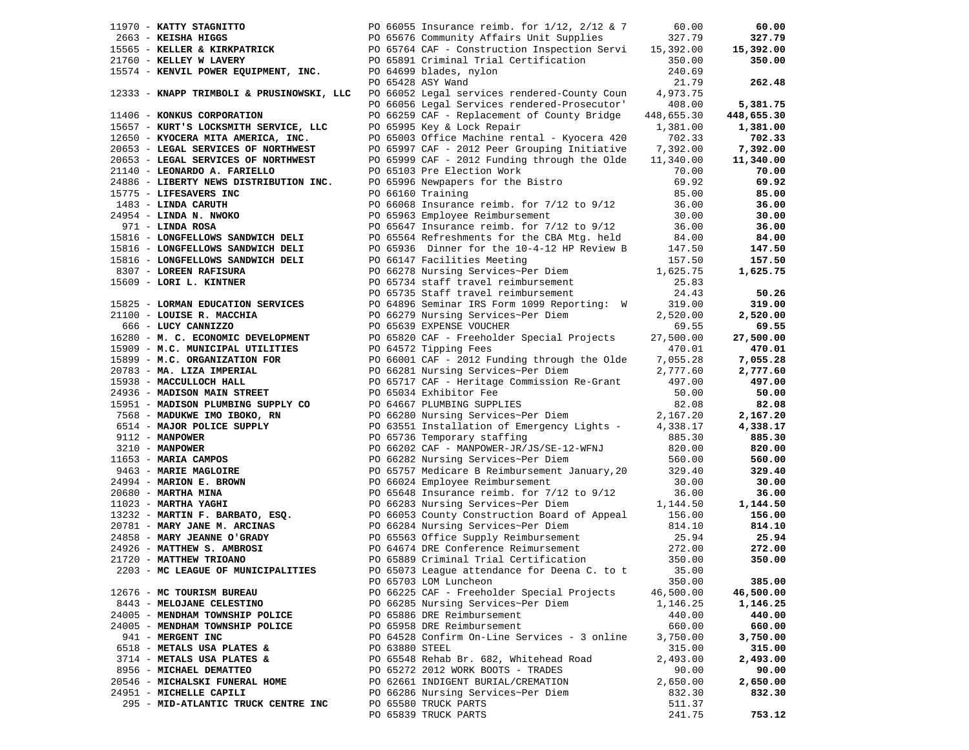| 11970 - KATTY STAGNITTO                                      |                | PO 66055 Insurance reimb. for $1/12$ , $2/12$ & 7                                                                                                                                                                                                                                 | 60.00      | 60.00      |
|--------------------------------------------------------------|----------------|-----------------------------------------------------------------------------------------------------------------------------------------------------------------------------------------------------------------------------------------------------------------------------------|------------|------------|
| 2663 - KEISHA HIGGS                                          |                | PO 65676 Community Affairs Unit Supplies                                                                                                                                                                                                                                          | 327.79     | 327.79     |
|                                                              |                | 15565 - KELLER & KIRKPATRICK 65764 CAF - Construction Inspection Servi                                                                                                                                                                                                            | 15,392.00  | 15,392.00  |
| 21760 - KELLEY W LAVERY                                      |                | PO 65891 Criminal Trial Certification                                                                                                                                                                                                                                             | 350.00     | 350.00     |
| 15574 - KENVIL POWER EQUIPMENT, INC.                         |                | PO 64699 blades, nylon                                                                                                                                                                                                                                                            | 240.69     |            |
|                                                              |                | PO 65428 ASY Wand                                                                                                                                                                                                                                                                 | 21.79      | 262.48     |
| 12333 - KNAPP TRIMBOLI & PRUSINOWSKI, LLC                    |                | PO 66052 Legal services rendered-County Coun                                                                                                                                                                                                                                      | 4,973.75   |            |
|                                                              |                | PO 66056 Legal Services rendered-Prosecutor'                                                                                                                                                                                                                                      | 408.00     | 5,381.75   |
| 11406 - KONKUS CORPORATION                                   |                | PO 66259 CAF - Replacement of County Bridge                                                                                                                                                                                                                                       | 448,655.30 | 448,655.30 |
| 15657 - KURT'S LOCKSMITH SERVICE, LLC                        |                | PO 65995 Key & Lock Repair                                                                                                                                                                                                                                                        | 1,381.00   | 1,381.00   |
| 12650 - KYOCERA MITA AMERICA, INC.                           |                | PO 65003 Office Machine rental - Kyocera 420                                                                                                                                                                                                                                      | 702.33     | 702.33     |
| 20653 - LEGAL SERVICES OF NORTHWEST                          |                | PO 65997 CAF - 2012 Peer Grouping Initiative                                                                                                                                                                                                                                      | 7,392.00   | 7,392.00   |
| 20653 - LEGAL SERVICES OF NORTHWEST                          |                | PO 65999 CAF - 2012 Funding through the Olde                                                                                                                                                                                                                                      | 11,340.00  | 11,340.00  |
| 21140 - LEONARDO A. FARIELLO                                 |                | PO 65103 Pre Election Work                                                                                                                                                                                                                                                        | 70.00      | 70.00      |
| 24886 - LIBERTY NEWS DISTRIBUTION INC.                       |                | PO 65996 Newpapers for the Bistro                                                                                                                                                                                                                                                 | 69.92      | 69.92      |
| 15775 - LIFESAVERS INC                                       |                | PO 66160 Training                                                                                                                                                                                                                                                                 | 85.00      | 85.00      |
| 1483 - LINDA CARUTH                                          |                | PO 66068 Insurance reimb. for $7/12$ to $9/12$                                                                                                                                                                                                                                    | 36.00      | 36.00      |
| 24954 - LINDA N. NWOKO                                       |                | PO 65963 Employee Reimbursement                                                                                                                                                                                                                                                   | 30.00      | 30.00      |
| 971 - LINDA ROSA                                             |                | PO 65647 Insurance reimb. for $7/12$ to $9/12$                                                                                                                                                                                                                                    | 36.00      | 36.00      |
| 15816 - LONGFELLOWS SANDWICH DELI                            |                | PO 65564 Refreshments for the CBA Mtg. held                                                                                                                                                                                                                                       | 84.00      | 84.00      |
| 15816 - LONGFELLOWS SANDWICH DELI                            |                | PO 65936 Dinner for the 10-4-12 HP Review B                                                                                                                                                                                                                                       | 147.50     | 147.50     |
| 15816 - LONGFELLOWS SANDWICH DELI                            |                | PO 66147 Facilities Meeting                                                                                                                                                                                                                                                       | 157.50     | 157.50     |
| 8307 - LOREEN RAFISURA                                       |                | PO 66278 Nursing Services~Per Diem                                                                                                                                                                                                                                                | 1,625.75   | 1,625.75   |
| 15609 - LORI L. KINTNER                                      |                |                                                                                                                                                                                                                                                                                   | 25.83      |            |
|                                                              |                | PO 65734 staff travel reimbursement<br>PO 65735 Staff travel reimbursement                                                                                                                                                                                                        | 24.43      | 50.26      |
| 15825 - LORMAN EDUCATION SERVICES                            |                | PO 64896 Seminar IRS Form 1099 Reporting: W                                                                                                                                                                                                                                       | 319.00     | 319.00     |
| 21100 - LOUISE R. MACCHIA                                    |                | PO 66279 Nursing Services~Per Diem                                                                                                                                                                                                                                                | 2,520.00   | 2,520.00   |
| 666 - LUCY CANNIZZO                                          |                | PO 65639 EXPENSE VOUCHER                                                                                                                                                                                                                                                          | 69.55      | 69.55      |
| 16280 - M. C. ECONOMIC DEVELOPMENT                           |                | PO 65820 CAF - Freeholder Special Projects                                                                                                                                                                                                                                        | 27,500.00  | 27,500.00  |
| 15909 - M.C. MUNICIPAL UTILITIES                             |                | PO 64572 Tipping Fees                                                                                                                                                                                                                                                             | 470.01     | 470.01     |
| 15899 - M.C. ORGANIZATION FOR                                |                | PO 66001 CAF - 2012 Funding through the Olde                                                                                                                                                                                                                                      | 7,055.28   | 7,055.28   |
| 20783 - MA. LIZA IMPERIAL                                    |                | PO 66281 Nursing Services~Per Diem                                                                                                                                                                                                                                                | 2,777.60   | 2,777.60   |
| 15938 - MACCULLOCH HALL                                      |                | PO 65717 CAF - Heritage Commission Re-Grant                                                                                                                                                                                                                                       | 497.00     | 497.00     |
| 24936 - MADISON MAIN STREET                                  |                | PO 65034 Exhibitor Fee                                                                                                                                                                                                                                                            | 50.00      | 50.00      |
| 15951 - MADISON PLUMBING SUPPLY CO                           |                | PO 64667 PLUMBING SUPPLIES                                                                                                                                                                                                                                                        | 82.08      | 82.08      |
| 7568 - MADUKWE IMO IBOKO, RN                                 |                | PO 66280 Nursing Services~Per Diem                                                                                                                                                                                                                                                | 2,167.20   | 2,167.20   |
| 6514 - MAJOR POLICE SUPPLY                                   |                | PO 63551 Installation of Emergency Lights - 4,338.17                                                                                                                                                                                                                              |            | 4,338.17   |
|                                                              |                | 9112 - MANPOWER<br>1653 - MARIA CAMPOS<br>1653 - MARIA CAMPOS<br>1653 - MARIA CAMPOS<br>1653 - MARIE MAGLOIRE<br>1653 - MARIE MAGLOIRE<br>1653 - MARIE MAGLOIRE<br>1653 - MARIE MAGLOIRE<br>166282 Nursing Services~Per Diem<br>1663 - MARIE MAG                                  | 885.30     | 885.30     |
|                                                              |                |                                                                                                                                                                                                                                                                                   | 820.00     | 820.00     |
|                                                              |                |                                                                                                                                                                                                                                                                                   | 560.00     | 560.00     |
|                                                              |                |                                                                                                                                                                                                                                                                                   | 329.40     | 329.40     |
|                                                              |                |                                                                                                                                                                                                                                                                                   |            | 30.00      |
|                                                              |                |                                                                                                                                                                                                                                                                                   |            | 36.00      |
|                                                              |                |                                                                                                                                                                                                                                                                                   |            | 1,144.50   |
|                                                              |                | 24994 <b>MARION E. BROWN</b><br>200680 <b>MARION E. BROWN</b><br>200680 <b>MARTHA MINA</b><br>200680 <b>MARTHA MINA</b><br>200680 <b>MARTHA MINA</b><br>200680 <b>MARTHA MINA</b><br>20066024 Employee Reimbursement<br>200680 <b>MARTHA MINA</b><br>20066024 Employee Reimbursem |            | 156.00     |
| 20781 - MARY JANE M. ARCINAS                                 |                | PO 66284 Nursing Services~Per Diem                                                                                                                                                                                                                                                | 814.10     | 814.10     |
| 24858 - MARY JEANNE O'GRADY                                  |                |                                                                                                                                                                                                                                                                                   | 25.94      | 25.94      |
| 24926 - MATTHEW S. AMBROSI                                   |                | PO 65563 Office Supply Reimbursement<br>PO 64674 DRE Conference Reimursement                                                                                                                                                                                                      | 272.00     | 272.00     |
| 21720 - MATTHEW TRIOANO                                      |                | PO 65889 Criminal Trial Certification                                                                                                                                                                                                                                             | 350.00     | 350.00     |
| 2203 - MC LEAGUE OF MUNICIPALITIES                           |                | PO 65073 League attendance for Deena C. to t 35.00                                                                                                                                                                                                                                |            |            |
|                                                              |                | PO 65703 LOM Luncheon                                                                                                                                                                                                                                                             | 350.00     | 385.00     |
|                                                              |                | PO 66225 CAF - Freeholder Special Projects                                                                                                                                                                                                                                        | 46,500.00  | 46,500.00  |
| 12676 - MC TOURISM BUREAU                                    |                |                                                                                                                                                                                                                                                                                   |            |            |
| 8443 - MELOJANE CELESTINO<br>24005 - MENDHAM TOWNSHIP POLICE |                | PO 66285 Nursing Services~Per Diem<br>PO 65886 DRE Reimbursement                                                                                                                                                                                                                  | 1,146.25   | 1,146.25   |
|                                                              |                |                                                                                                                                                                                                                                                                                   | 440.00     | 440.00     |
| 24005 - MENDHAM TOWNSHIP POLICE                              |                | PO 65958 DRE Reimbursement                                                                                                                                                                                                                                                        | 660.00     | 660.00     |
| 941 - MERGENT INC                                            |                | PO 64528 Confirm On-Line Services - 3 online                                                                                                                                                                                                                                      | 3,750.00   | 3,750.00   |
| 6518 - METALS USA PLATES &                                   | PO 63880 STEEL |                                                                                                                                                                                                                                                                                   | 315.00     | 315.00     |
| 3714 - METALS USA PLATES &                                   |                | PO 65548 Rehab Br. 682, Whitehead Road                                                                                                                                                                                                                                            | 2,493.00   | 2,493.00   |
| 8956 - MICHAEL DEMATTEO                                      |                | PO 65272 2012 WORK BOOTS - TRADES                                                                                                                                                                                                                                                 | 90.00      | 90.00      |
| 20546 - MICHALSKI FUNERAL HOME                               |                | PO 62661 INDIGENT BURIAL/CREMATION                                                                                                                                                                                                                                                | 2,650.00   | 2,650.00   |
| 24951 - MICHELLE CAPILI                                      |                | PO 66286 Nursing Services~Per Diem                                                                                                                                                                                                                                                | 832.30     | 832.30     |
| 295 - MID-ATLANTIC TRUCK CENTRE INC                          |                | PO 65580 TRUCK PARTS                                                                                                                                                                                                                                                              | 511.37     |            |
|                                                              |                | PO 65839 TRUCK PARTS                                                                                                                                                                                                                                                              | 241.75     | 753.12     |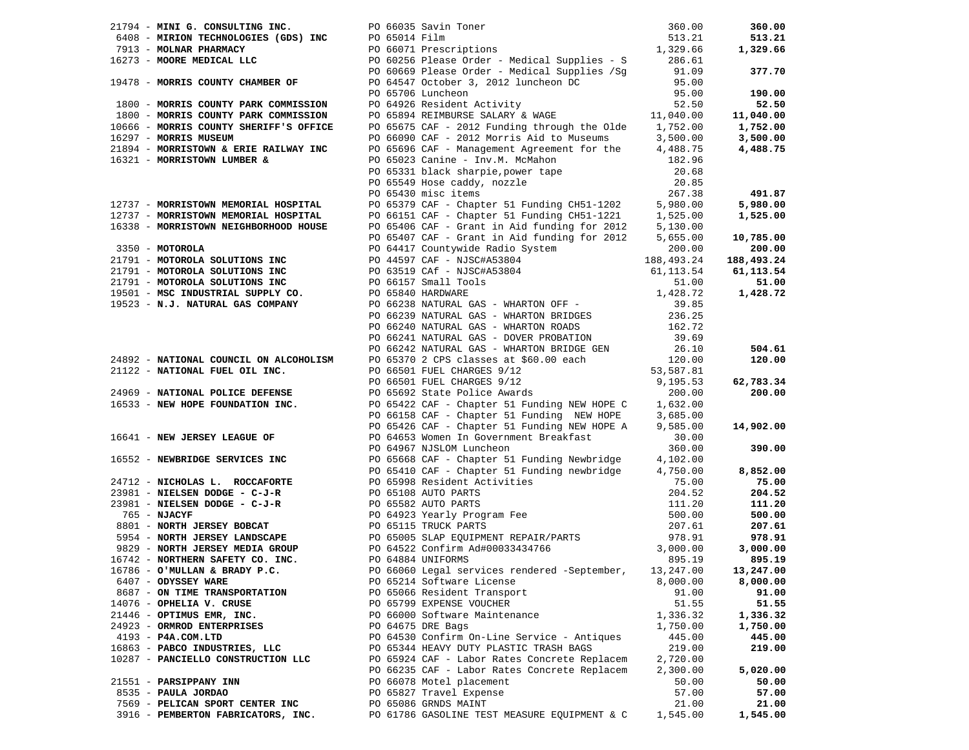|                                        | 21794 - MINI G. CONSULTING INC.<br>6408 - MIRION TECHNOLOGIES (GDS) INC $P0 66035$ Savin Toner<br>7913 - MOLNAR PHARMACY $P0 66035$ Savin Toner<br>7913 - MOLNAR PHARMACY $P0 66071$ Prescriptions<br>7913 - MORE MEDICAL LLC $P0 602$                 |          | 360.00    |
|----------------------------------------|--------------------------------------------------------------------------------------------------------------------------------------------------------------------------------------------------------------------------------------------------------|----------|-----------|
|                                        |                                                                                                                                                                                                                                                        |          | 513.21    |
|                                        |                                                                                                                                                                                                                                                        |          | 1,329.66  |
|                                        |                                                                                                                                                                                                                                                        |          |           |
|                                        |                                                                                                                                                                                                                                                        |          | 377.70    |
|                                        |                                                                                                                                                                                                                                                        |          |           |
|                                        |                                                                                                                                                                                                                                                        |          | 190.00    |
|                                        |                                                                                                                                                                                                                                                        |          | 52.50     |
|                                        |                                                                                                                                                                                                                                                        |          | 11,040.00 |
| 10666 - MORRIS COUNTY SHERIFF'S OFFICE | PO 65675 CAF - 2012 Funding through the Olde $1,752.00$                                                                                                                                                                                                |          | 1,752.00  |
| 16297 - MORRIS MUSEUM                  |                                                                                                                                                                                                                                                        |          | 3,500.00  |
| 21894 - MORRISTOWN & ERIE RAILWAY INC  | PO 66090 CAF - 2012 Morris Aid to Museums $3,500.00$<br>PO 65696 CAF - Management Agreement for the $4,488.75$                                                                                                                                         |          | 4,488.75  |
| 16321 - MORRISTOWN LUMBER &            |                                                                                                                                                                                                                                                        |          |           |
|                                        |                                                                                                                                                                                                                                                        |          |           |
|                                        |                                                                                                                                                                                                                                                        |          |           |
|                                        |                                                                                                                                                                                                                                                        |          | 491.87    |
|                                        | PO 65020 CAF - Management Agreement Iof Che<br>PO 65023 Canie - Inv.M. McMahon<br>PO 65023 Canie - Inv.M. McMahon<br>PO 65331 black sharpie, power tape<br>20.68<br>PO 65549 Hose caddy, nozzle<br>20.85<br>PO 65406 CAF - Chapter 51 Fundin           |          |           |
|                                        |                                                                                                                                                                                                                                                        |          |           |
|                                        |                                                                                                                                                                                                                                                        |          |           |
|                                        |                                                                                                                                                                                                                                                        |          |           |
|                                        |                                                                                                                                                                                                                                                        |          |           |
|                                        |                                                                                                                                                                                                                                                        |          |           |
|                                        |                                                                                                                                                                                                                                                        |          |           |
|                                        |                                                                                                                                                                                                                                                        |          |           |
|                                        |                                                                                                                                                                                                                                                        |          |           |
|                                        |                                                                                                                                                                                                                                                        |          |           |
|                                        |                                                                                                                                                                                                                                                        |          |           |
|                                        |                                                                                                                                                                                                                                                        |          |           |
|                                        |                                                                                                                                                                                                                                                        |          |           |
|                                        |                                                                                                                                                                                                                                                        |          |           |
|                                        |                                                                                                                                                                                                                                                        |          |           |
|                                        |                                                                                                                                                                                                                                                        |          |           |
|                                        |                                                                                                                                                                                                                                                        |          |           |
|                                        |                                                                                                                                                                                                                                                        |          |           |
|                                        |                                                                                                                                                                                                                                                        |          |           |
|                                        |                                                                                                                                                                                                                                                        |          |           |
|                                        |                                                                                                                                                                                                                                                        |          |           |
|                                        |                                                                                                                                                                                                                                                        |          |           |
|                                        |                                                                                                                                                                                                                                                        |          |           |
|                                        |                                                                                                                                                                                                                                                        |          |           |
|                                        |                                                                                                                                                                                                                                                        |          |           |
|                                        |                                                                                                                                                                                                                                                        |          |           |
|                                        |                                                                                                                                                                                                                                                        |          |           |
|                                        |                                                                                                                                                                                                                                                        |          |           |
|                                        |                                                                                                                                                                                                                                                        |          |           |
|                                        | 1977? <b>MORRISTOM MEGINIAL MORPTAL</b><br>1977? <b>MORRISTOM MEGINIAL MORPTAL</b><br>1978/23 <b>MORRISTOM MEGINIAL MORPTAL</b><br>1978/1981 MELLIGAT CONTINUES (1979-1100)<br>1983-1981 MORRISTOM MEGINIAL MORRISTOM DIGITS (1983)<br>1983-1981 MORRI |          |           |
|                                        |                                                                                                                                                                                                                                                        |          |           |
|                                        |                                                                                                                                                                                                                                                        |          |           |
|                                        |                                                                                                                                                                                                                                                        |          |           |
|                                        |                                                                                                                                                                                                                                                        |          |           |
| 6407 - ODYSSEY WARE                    | PO 65214 Software License                                                                                                                                                                                                                              | 8,000.00 | 8,000.00  |
| 8687 - ON TIME TRANSPORTATION          | PO 65066 Resident Transport                                                                                                                                                                                                                            | 91.00    | 91.00     |
| 14076 - OPHELIA V. CRUSE               | PO 65799 EXPENSE VOUCHER                                                                                                                                                                                                                               | 51.55    | 51.55     |
| 21446 - OPTIMUS EMR, INC.              | PO 66000 Software Maintenance                                                                                                                                                                                                                          | 1,336.32 | 1,336.32  |
| 24923 - ORMROD ENTERPRISES             | PO 64675 DRE Bags                                                                                                                                                                                                                                      | 1,750.00 | 1,750.00  |
| 4193 - P4A.COM.LTD                     | PO 64530 Confirm On-Line Service - Antiques                                                                                                                                                                                                            | 445.00   | 445.00    |
| 16863 - PABCO INDUSTRIES, LLC          | PO 65344 HEAVY DUTY PLASTIC TRASH BAGS                                                                                                                                                                                                                 | 219.00   | 219.00    |
| 10287 - PANCIELLO CONSTRUCTION LLC     | PO 65924 CAF - Labor Rates Concrete Replacem                                                                                                                                                                                                           | 2,720.00 |           |
|                                        | PO 66235 CAF - Labor Rates Concrete Replacem                                                                                                                                                                                                           | 2,300.00 | 5,020.00  |
| 21551 - PARSIPPANY INN                 | PO 66078 Motel placement                                                                                                                                                                                                                               | 50.00    | 50.00     |
| 8535 - PAULA JORDAO                    | PO 65827 Travel Expense                                                                                                                                                                                                                                | 57.00    | 57.00     |
| 7569 - PELICAN SPORT CENTER INC        | PO 65086 GRNDS MAINT                                                                                                                                                                                                                                   | 21.00    | 21.00     |
| 3916 - PEMBERTON FABRICATORS, INC.     | PO 61786 GASOLINE TEST MEASURE EQUIPMENT & C                                                                                                                                                                                                           | 1,545.00 | 1,545.00  |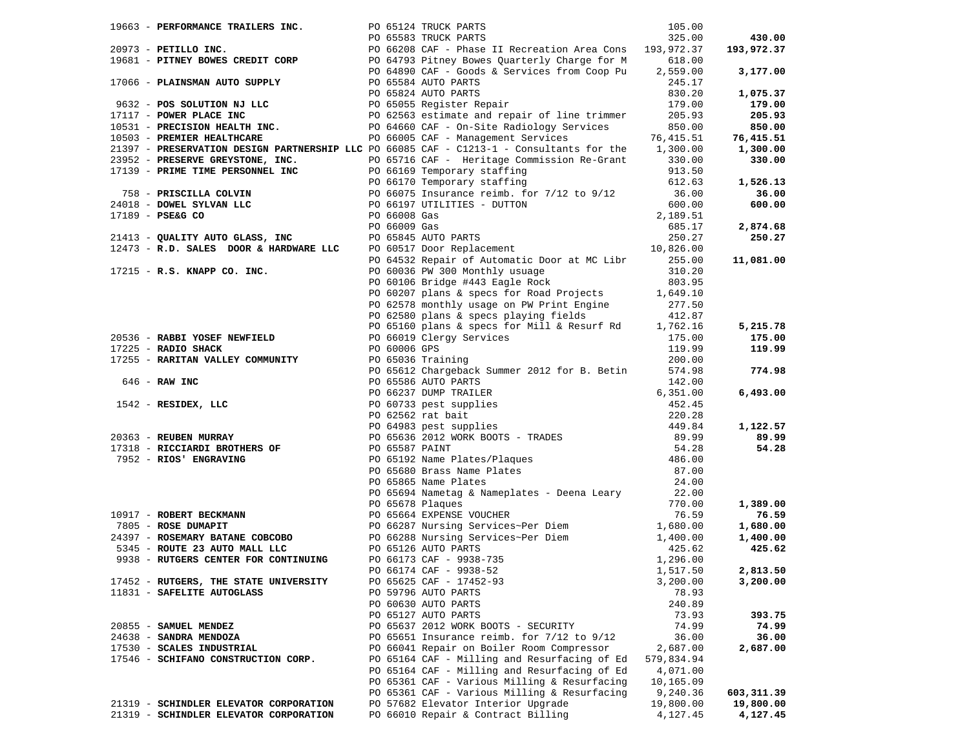| 19663 - PERFORMANCE TRAILERS INC.                 |  | PO 65124 TRUCK PARTS                                                                                                                                                                                                                                                                    | 105.00     |                    |
|---------------------------------------------------|--|-----------------------------------------------------------------------------------------------------------------------------------------------------------------------------------------------------------------------------------------------------------------------------------------|------------|--------------------|
|                                                   |  |                                                                                                                                                                                                                                                                                         |            | 430.00             |
|                                                   |  | 1968 - PERILLO INC.<br>20973 - PETILLO INC.<br>20973 - PETILLO INC.<br>20973 - PETILLO INC.<br>20973 - PETILLO INC.<br>2006 - PLAINSMAN AUTO SUPPLY<br>2006 - PLAINSMAN AUTO SUPPLY<br>2006 - PLAINSMAN AUTO SUPPLY<br>2006 - PLAINSMAN AUTO S                                          |            | 193,972.37         |
|                                                   |  |                                                                                                                                                                                                                                                                                         |            |                    |
|                                                   |  |                                                                                                                                                                                                                                                                                         |            | 3,177.00           |
|                                                   |  |                                                                                                                                                                                                                                                                                         |            |                    |
|                                                   |  |                                                                                                                                                                                                                                                                                         |            | 1,075.37           |
|                                                   |  |                                                                                                                                                                                                                                                                                         |            | 179.00             |
|                                                   |  |                                                                                                                                                                                                                                                                                         |            | 205.93             |
|                                                   |  |                                                                                                                                                                                                                                                                                         |            | 850.00             |
|                                                   |  |                                                                                                                                                                                                                                                                                         |            | 76,415.51          |
|                                                   |  |                                                                                                                                                                                                                                                                                         |            |                    |
|                                                   |  | 21397 - PRESERVATION DESIGN PARTNERSHIP LLC PO 66085 CAF - C1213-1 - Consultants for the 1,300.00                                                                                                                                                                                       |            | 1,300.00           |
|                                                   |  |                                                                                                                                                                                                                                                                                         |            | 330.00             |
|                                                   |  |                                                                                                                                                                                                                                                                                         |            |                    |
|                                                   |  |                                                                                                                                                                                                                                                                                         |            | 1,526.13           |
|                                                   |  |                                                                                                                                                                                                                                                                                         |            | 36.00              |
|                                                   |  |                                                                                                                                                                                                                                                                                         |            | 600.00             |
|                                                   |  | 21397 - PRESERVATION DESIGN PARTNERSHIP LLC PO 6608 CAF - CI213-1 - Consultants for the 1,300.00<br>23952 - PRESERVE GREWSTONE, INC. PO 65716 CRF - Heritage Commission Re-Grant 330.00<br>24018 - DONEL SILVAN LLC PO 66019 GREM                                                       |            |                    |
|                                                   |  |                                                                                                                                                                                                                                                                                         |            | 2,874.68           |
|                                                   |  |                                                                                                                                                                                                                                                                                         |            | 250.27             |
|                                                   |  |                                                                                                                                                                                                                                                                                         |            |                    |
|                                                   |  | PO 64532 Repair of Automatic Door at MC Libr 255.00                                                                                                                                                                                                                                     |            | 11,081.00          |
| 17215 - R.S. KNAPP CO. INC.                       |  |                                                                                                                                                                                                                                                                                         | 310.20     |                    |
|                                                   |  | PO 60036 PW 300 Monthly usuage<br>PO 60106 Bridge #443 Eagle Rock                                                                                                                                                                                                                       | 803.95     |                    |
|                                                   |  | PO 60207 plans & specs for Road Projects 1,649.10                                                                                                                                                                                                                                       |            |                    |
|                                                   |  |                                                                                                                                                                                                                                                                                         |            |                    |
|                                                   |  | PO 62578 monthly usage on PW Print Engine 277.50                                                                                                                                                                                                                                        |            |                    |
|                                                   |  | PO 62580 plans & specs playing fields                                                                                                                                                                                                                                                   | 412.87     |                    |
|                                                   |  | PO 65160 plans & specs for Mill & Resurf Rd 1,762.16                                                                                                                                                                                                                                    |            | 5,215.78           |
|                                                   |  |                                                                                                                                                                                                                                                                                         |            | 175.00             |
|                                                   |  |                                                                                                                                                                                                                                                                                         |            | 119.99             |
|                                                   |  |                                                                                                                                                                                                                                                                                         |            |                    |
|                                                   |  | 90536 - <b>RABBI YOSEF NEWFIELD</b><br>17225 - <b>RADIO SHACK</b><br>17225 - <b>RARITAN VALLEY COMMUNITY</b><br>17255 - <b>RARITAN VALLEY COMMUNITY</b><br>1890.0006 GPS<br>17316 - <b>RAW INC</b><br>1842 - <b>RESIDEX, LLC</b><br>1842 - <b>RESIDEX, LLC</b><br>1842 - <b>RESIDEX</b> |            | 774.98             |
|                                                   |  |                                                                                                                                                                                                                                                                                         |            |                    |
|                                                   |  |                                                                                                                                                                                                                                                                                         |            | 6,493.00           |
|                                                   |  |                                                                                                                                                                                                                                                                                         |            |                    |
|                                                   |  |                                                                                                                                                                                                                                                                                         |            |                    |
|                                                   |  |                                                                                                                                                                                                                                                                                         |            | 1,122.57           |
|                                                   |  |                                                                                                                                                                                                                                                                                         |            | 89.99              |
|                                                   |  |                                                                                                                                                                                                                                                                                         |            | 54.28              |
|                                                   |  |                                                                                                                                                                                                                                                                                         |            |                    |
|                                                   |  |                                                                                                                                                                                                                                                                                         |            |                    |
|                                                   |  |                                                                                                                                                                                                                                                                                         |            |                    |
|                                                   |  | PO 65694 Nametag & Nameplates - Deena Leary                                                                                                                                                                                                                                             |            |                    |
|                                                   |  |                                                                                                                                                                                                                                                                                         |            | 1,389.00           |
|                                                   |  |                                                                                                                                                                                                                                                                                         |            | 76.59              |
| 10917 - ROBERT BECKMANN<br>7805 - ROSE DUMAPIT    |  |                                                                                                                                                                                                                                                                                         |            | 1,680.00           |
| 24397 - ROSEMARY BATANE COBCOBO                   |  |                                                                                                                                                                                                                                                                                         |            |                    |
| 5345 - ROUTE 23 AUTO MALL LLC PO 65126 AUTO PARTS |  |                                                                                                                                                                                                                                                                                         |            | 1,400.00<br>425.62 |
|                                                   |  |                                                                                                                                                                                                                                                                                         |            |                    |
| 9938 - RUTGERS CENTER FOR CONTINUING              |  |                                                                                                                                                                                                                                                                                         |            |                    |
|                                                   |  |                                                                                                                                                                                                                                                                                         |            | 2,813.50           |
| 17452 - RUTGERS, THE STATE UNIVERSITY             |  |                                                                                                                                                                                                                                                                                         |            | 3,200.00           |
| 11831 - SAFELITE AUTOGLASS                        |  | PO 59796 AUTO PARTS                                                                                                                                                                                                                                                                     | 78.93      |                    |
|                                                   |  | PO 60630 AUTO PARTS                                                                                                                                                                                                                                                                     | 240.89     |                    |
|                                                   |  | PO 65127 AUTO PARTS                                                                                                                                                                                                                                                                     | 73.93      | 393.75             |
| 20855 - SAMUEL MENDEZ                             |  | PO 65637 2012 WORK BOOTS - SECURITY                                                                                                                                                                                                                                                     | 74.99      | 74.99              |
| 24638 - SANDRA MENDOZA                            |  | PO 65651 Insurance reimb. for 7/12 to 9/12                                                                                                                                                                                                                                              | 36.00      | 36.00              |
| 17530 - SCALES INDUSTRIAL                         |  | PO 66041 Repair on Boiler Room Compressor                                                                                                                                                                                                                                               | 2,687.00   | 2,687.00           |
| 17546 - SCHIFANO CONSTRUCTION CORP.               |  | PO 65164 CAF - Milling and Resurfacing of Ed                                                                                                                                                                                                                                            | 579,834.94 |                    |
|                                                   |  | PO 65164 CAF - Milling and Resurfacing of Ed                                                                                                                                                                                                                                            | 4,071.00   |                    |
|                                                   |  | PO 65361 CAF - Various Milling & Resurfacing                                                                                                                                                                                                                                            | 10,165.09  |                    |
|                                                   |  | PO 65361 CAF - Various Milling & Resurfacing                                                                                                                                                                                                                                            | 9,240.36   | 603,311.39         |
| 21319 - SCHINDLER ELEVATOR CORPORATION            |  | PO 57682 Elevator Interior Upgrade                                                                                                                                                                                                                                                      | 19,800.00  | 19,800.00          |
| 21319 - SCHINDLER ELEVATOR CORPORATION            |  | PO 66010 Repair & Contract Billing                                                                                                                                                                                                                                                      | 4,127.45   | 4,127.45           |
|                                                   |  |                                                                                                                                                                                                                                                                                         |            |                    |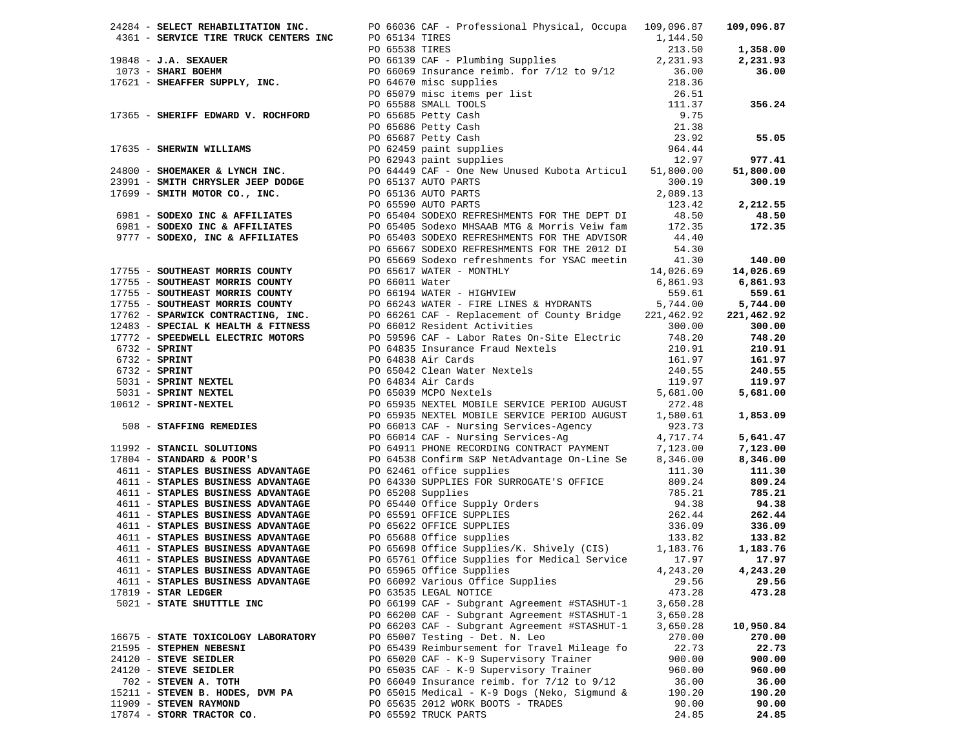|                                     | 2011 - SILECT EMERICAN MICHAEL (2013) ATO 123 (1912) ATO 123 (1922) 1922) - 102 (1923) - 102 (1923) - 102 (1923) - 102 (1923) - 102 (1923) - 102 (1923) - 102 (1923) - 102 (1923) - 102 (1923) - 102 (1923) - 102 (1923) - 10 |          |           |
|-------------------------------------|-------------------------------------------------------------------------------------------------------------------------------------------------------------------------------------------------------------------------------|----------|-----------|
|                                     |                                                                                                                                                                                                                               |          |           |
|                                     |                                                                                                                                                                                                                               |          |           |
|                                     |                                                                                                                                                                                                                               |          |           |
|                                     |                                                                                                                                                                                                                               |          |           |
|                                     |                                                                                                                                                                                                                               |          |           |
|                                     |                                                                                                                                                                                                                               |          |           |
|                                     |                                                                                                                                                                                                                               |          |           |
|                                     |                                                                                                                                                                                                                               |          |           |
|                                     |                                                                                                                                                                                                                               |          |           |
|                                     |                                                                                                                                                                                                                               |          |           |
|                                     |                                                                                                                                                                                                                               |          |           |
|                                     |                                                                                                                                                                                                                               |          |           |
|                                     |                                                                                                                                                                                                                               |          |           |
|                                     |                                                                                                                                                                                                                               |          |           |
|                                     |                                                                                                                                                                                                                               |          |           |
|                                     |                                                                                                                                                                                                                               |          |           |
|                                     |                                                                                                                                                                                                                               |          |           |
|                                     |                                                                                                                                                                                                                               |          |           |
|                                     |                                                                                                                                                                                                                               |          |           |
|                                     |                                                                                                                                                                                                                               |          |           |
|                                     |                                                                                                                                                                                                                               |          |           |
|                                     |                                                                                                                                                                                                                               |          |           |
|                                     |                                                                                                                                                                                                                               |          |           |
|                                     |                                                                                                                                                                                                                               |          |           |
|                                     |                                                                                                                                                                                                                               |          |           |
|                                     |                                                                                                                                                                                                                               |          |           |
|                                     |                                                                                                                                                                                                                               |          |           |
|                                     |                                                                                                                                                                                                                               |          |           |
|                                     |                                                                                                                                                                                                                               |          |           |
|                                     |                                                                                                                                                                                                                               |          |           |
|                                     |                                                                                                                                                                                                                               |          |           |
|                                     |                                                                                                                                                                                                                               |          |           |
|                                     |                                                                                                                                                                                                                               |          |           |
|                                     |                                                                                                                                                                                                                               |          |           |
|                                     |                                                                                                                                                                                                                               |          |           |
|                                     |                                                                                                                                                                                                                               |          |           |
|                                     |                                                                                                                                                                                                                               |          |           |
|                                     |                                                                                                                                                                                                                               |          |           |
|                                     |                                                                                                                                                                                                                               |          |           |
|                                     |                                                                                                                                                                                                                               |          |           |
|                                     |                                                                                                                                                                                                                               |          |           |
|                                     |                                                                                                                                                                                                                               |          |           |
|                                     |                                                                                                                                                                                                                               |          |           |
|                                     |                                                                                                                                                                                                                               |          |           |
|                                     |                                                                                                                                                                                                                               |          |           |
|                                     |                                                                                                                                                                                                                               |          |           |
|                                     |                                                                                                                                                                                                                               |          |           |
|                                     |                                                                                                                                                                                                                               |          |           |
|                                     |                                                                                                                                                                                                                               |          |           |
|                                     |                                                                                                                                                                                                                               |          |           |
|                                     |                                                                                                                                                                                                                               |          |           |
|                                     |                                                                                                                                                                                                                               |          |           |
| 4611 - STAPLES BUSINESS ADVANTAGE   | PO 65761 Office Supplies for Medical Service 17.97                                                                                                                                                                            |          | 17.97     |
| 4611 - STAPLES BUSINESS ADVANTAGE   | PO 65965 Office Supplies                                                                                                                                                                                                      | 4,243.20 | 4,243.20  |
| 4611 - STAPLES BUSINESS ADVANTAGE   | PO 66092 Various Office Supplies                                                                                                                                                                                              | 29.56    | 29.56     |
| $17819$ - STAR LEDGER               | PO 63535 LEGAL NOTICE                                                                                                                                                                                                         | 473.28   | 473.28    |
|                                     |                                                                                                                                                                                                                               |          |           |
| 5021 - STATE SHUTTTLE INC           | PO 66199 CAF - Subgrant Agreement #STASHUT-1                                                                                                                                                                                  | 3,650.28 |           |
|                                     | PO 66200 CAF - Subgrant Agreement #STASHUT-1                                                                                                                                                                                  | 3,650.28 |           |
|                                     | PO 66203 CAF - Subgrant Agreement #STASHUT-1                                                                                                                                                                                  | 3,650.28 | 10,950.84 |
| 16675 - STATE TOXICOLOGY LABORATORY | PO 65007 Testing - Det. N. Leo                                                                                                                                                                                                | 270.00   | 270.00    |
| 21595 - STEPHEN NEBESNI             | PO 65439 Reimbursement for Travel Mileage fo                                                                                                                                                                                  | 22.73    | 22.73     |
| 24120 - STEVE SEIDLER               | PO 65020 CAF - K-9 Supervisory Trainer                                                                                                                                                                                        | 900.00   | 900.00    |
| 24120 - STEVE SEIDLER               | PO 65035 CAF - K-9 Supervisory Trainer                                                                                                                                                                                        | 960.00   | 960.00    |
| 702 - STEVEN A. TOTH                | PO 66049 Insurance reimb. for $7/12$ to $9/12$                                                                                                                                                                                | 36.00    | 36.00     |
|                                     |                                                                                                                                                                                                                               |          |           |
| 15211 - STEVEN B. HODES, DVM PA     | PO 65015 Medical - K-9 Dogs (Neko, Sigmund &                                                                                                                                                                                  | 190.20   | 190.20    |
| 11909 - STEVEN RAYMOND              | PO 65635 2012 WORK BOOTS - TRADES                                                                                                                                                                                             | 90.00    | 90.00     |
| 17874 - STORR TRACTOR CO.           | PO 65592 TRUCK PARTS                                                                                                                                                                                                          | 24.85    | 24.85     |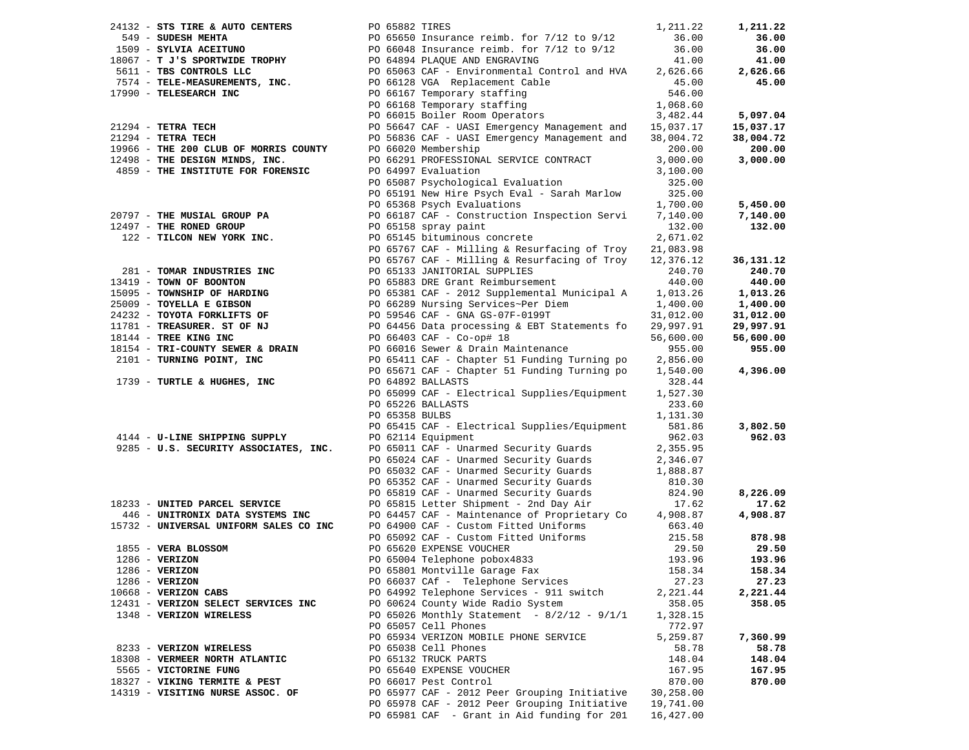| 24132 - STS TIRE & AUTO CENTERS        |  | PO 65882 TIRES                                                         | 1,211.22  | 1,211.22  |
|----------------------------------------|--|------------------------------------------------------------------------|-----------|-----------|
| 549 - SUDESH MEHTA                     |  | PO 65650 Insurance reimb. for $7/12$ to $9/12$                         | 36.00     | 36.00     |
| 1509 - SYLVIA ACEITUNO                 |  | PO 65650 INSULANCE LORD.<br>PO 66048 INSULANCE TEIMS. For 7/12 to 9/12 | 36.00     | 36.00     |
| 18067 - T J'S SPORTWIDE TROPHY         |  | PO 64894 PLAQUE AND ENGRAVING                                          | 41.00     | 41.00     |
| 5611 - TBS CONTROLS LLC                |  | PO 65063 CAF - Environmental Control and HVA                           | 2,626.66  | 2,626.66  |
| 7574 - TELE-MEASUREMENTS, INC.         |  | PO 66128 VGA Replacement Cable                                         | 45.00     | 45.00     |
| 17990 - TELESEARCH INC                 |  | PO 66167 Temporary staffing                                            | 546.00    |           |
|                                        |  | PO 66168 Temporary staffing                                            | 1,068.60  |           |
|                                        |  | PO 66015 Boiler Room Operators                                         | 3,482.44  | 5,097.04  |
| $21294$ - TETRA TECH                   |  | PO 56647 CAF - UASI Emergency Management and                           | 15,037.17 | 15,037.17 |
| $21294$ - TETRA TECH                   |  | PO 56836 CAF - UASI Emergency Management and                           | 38,004.72 | 38,004.72 |
| 19966 - THE 200 CLUB OF MORRIS COUNTY  |  | PO 66020 Membership                                                    | 200.00    | 200.00    |
| 12498 - THE DESIGN MINDS, INC.         |  | PO 66291 PROFESSIONAL SERVICE CONTRACT                                 | 3,000.00  | 3,000.00  |
| 4859 - THE INSTITUTE FOR FORENSIC      |  | PO 64997 Evaluation                                                    | 3,100.00  |           |
|                                        |  | PO 65087 Psychological Evaluation                                      | 325.00    |           |
|                                        |  | PO 65191 New Hire Psych Eval - Sarah Marlow                            | 325.00    |           |
|                                        |  | PO 65368 Psych Evaluations                                             | 1,700.00  | 5,450.00  |
| 20797 - THE MUSIAL GROUP PA            |  | PO 66187 CAF - Construction Inspection Servi                           | 7,140.00  | 7,140.00  |
| 12497 - THE RONED GROUP                |  | PO 65158 spray paint                                                   | 132.00    | 132.00    |
| 122 - TILCON NEW YORK INC.             |  | PO 65145 bituminous concrete                                           | 2,671.02  |           |
|                                        |  | PO 65767 CAF - Milling & Resurfacing of Troy                           | 21,083.98 |           |
|                                        |  | PO 65767 CAF - Milling & Resurfacing of Troy                           | 12,376.12 | 36,131.12 |
| 281 - TOMAR INDUSTRIES INC             |  | PO 65133 JANITORIAL SUPPLIES                                           | 240.70    | 240.70    |
| 13419 - TOWN OF BOONTON                |  | PO 65883 DRE Grant Reimbursement                                       | 440.00    | 440.00    |
| 15095 - TOWNSHIP OF HARDING            |  | PO 65381 CAF - 2012 Supplemental Municipal A                           | 1,013.26  | 1,013.26  |
| 25009 - TOYELLA E GIBSON               |  | PO 66289 Nursing Services~Per Diem                                     | 1,400.00  | 1,400.00  |
| 24232 - TOYOTA FORKLIFTS OF            |  | PO 59546 CAF - GNA GS-07F-0199T                                        | 31,012.00 | 31,012.00 |
| 11781 - TREASURER. ST OF NJ            |  | PO 64456 Data processing & EBT Statements fo                           | 29,997.91 | 29,997.91 |
| 18144 - TREE KING INC                  |  | PO 66403 CAF - Co-op# 18                                               | 56,600.00 | 56,600.00 |
| 18154 - TRI-COUNTY SEWER & DRAIN       |  | PO 66016 Sewer & Drain Maintenance                                     | 955.00    | 955.00    |
| 2101 - TURNING POINT, INC              |  | PO 65411 CAF - Chapter 51 Funding Turning po                           | 2,856.00  |           |
|                                        |  | PO 65671 CAF - Chapter 51 Funding Turning po                           | 1,540.00  | 4,396.00  |
| 1739 - TURTLE & HUGHES, INC            |  | PO 64892 BALLASTS                                                      | 328.44    |           |
|                                        |  | PO 65099 CAF - Electrical Supplies/Equipment                           | 1,527.30  |           |
|                                        |  | PO 65226 BALLASTS                                                      | 233.60    |           |
|                                        |  | PO 65358 BULBS                                                         | 1,131.30  |           |
|                                        |  | PO 65415 CAF - Electrical Supplies/Equipment                           | 581.86    | 3,802.50  |
| 4144 - U-LINE SHIPPING SUPPLY          |  | PO 62114 Equipment                                                     | 962.03    | 962.03    |
| 9285 - U.S. SECURITY ASSOCIATES, INC.  |  | PO 65011 CAF - Unarmed Security Guards                                 | 2,355.95  |           |
|                                        |  | PO 65024 CAF - Unarmed Security Guards                                 | 2,346.07  |           |
|                                        |  | PO 65032 CAF - Unarmed Security Guards                                 | 1,888.87  |           |
|                                        |  | PO 65352 CAF - Unarmed Security Guards                                 | 810.30    |           |
|                                        |  | PO 65819 CAF - Unarmed Security Guards                                 | 824.90    | 8,226.09  |
| 18233 - UNITED PARCEL SERVICE          |  | PO 65815 Letter Shipment - 2nd Day Air                                 | 17.62     | 17.62     |
| 446 - UNITRONIX DATA SYSTEMS INC       |  | PO 64457 CAF - Maintenance of Proprietary Co                           | 4,908.87  | 4,908.87  |
| 15732 - UNIVERSAL UNIFORM SALES CO INC |  | PO 64900 CAF - Custom Fitted Uniforms                                  | 663.40    |           |
|                                        |  | PO 65092 CAF - Custom Fitted Uniforms                                  | 215.58    | 878.98    |
| 1855 - VERA BLOSSOM                    |  | PO 65620 EXPENSE VOUCHER                                               | 29.50     | 29.50     |
| $1286$ - VERIZON                       |  | PO 65004 Telephone pobox4833                                           | 193.96    | 193.96    |
| $1286 - VERIZON$                       |  | PO 65801 Montville Garage Fax                                          | 158.34    | 158.34    |
| $1286 - VERIZON$                       |  | PO 66037 CAf - Telephone Services                                      | 27.23     | 27.23     |
| $10668$ - VERIZON CABS                 |  | PO 64992 Telephone Services - 911 switch                               | 2,221.44  | 2,221.44  |
| 12431 - VERIZON SELECT SERVICES INC    |  | PO 60624 County Wide Radio System                                      | 358.05    | 358.05    |
| 1348 - VERIZON WIRELESS                |  | PO 65026 Monthly Statement - $8/2/12$ - $9/1/1$                        | 1,328.15  |           |
|                                        |  | PO 65057 Cell Phones                                                   | 772.97    |           |
|                                        |  | PO 65934 VERIZON MOBILE PHONE SERVICE                                  |           |           |
|                                        |  |                                                                        | 5,259.87  | 7,360.99  |
| 8233 - VERIZON WIRELESS                |  | PO 65038 Cell Phones                                                   | 58.78     | 58.78     |
| 18308 - VERMEER NORTH ATLANTIC         |  | PO 65132 TRUCK PARTS                                                   | 148.04    | 148.04    |
| 5565 - VICTORINE FUNG                  |  | PO 65640 EXPENSE VOUCHER                                               | 167.95    | 167.95    |
| 18327 - VIKING TERMITE & PEST          |  | PO 66017 Pest Control                                                  | 870.00    | 870.00    |
| 14319 - VISITING NURSE ASSOC. OF       |  | PO 65977 CAF - 2012 Peer Grouping Initiative                           | 30,258.00 |           |
|                                        |  | PO 65978 CAF - 2012 Peer Grouping Initiative                           | 19,741.00 |           |
|                                        |  | PO 65981 CAF - Grant in Aid funding for 201                            | 16,427.00 |           |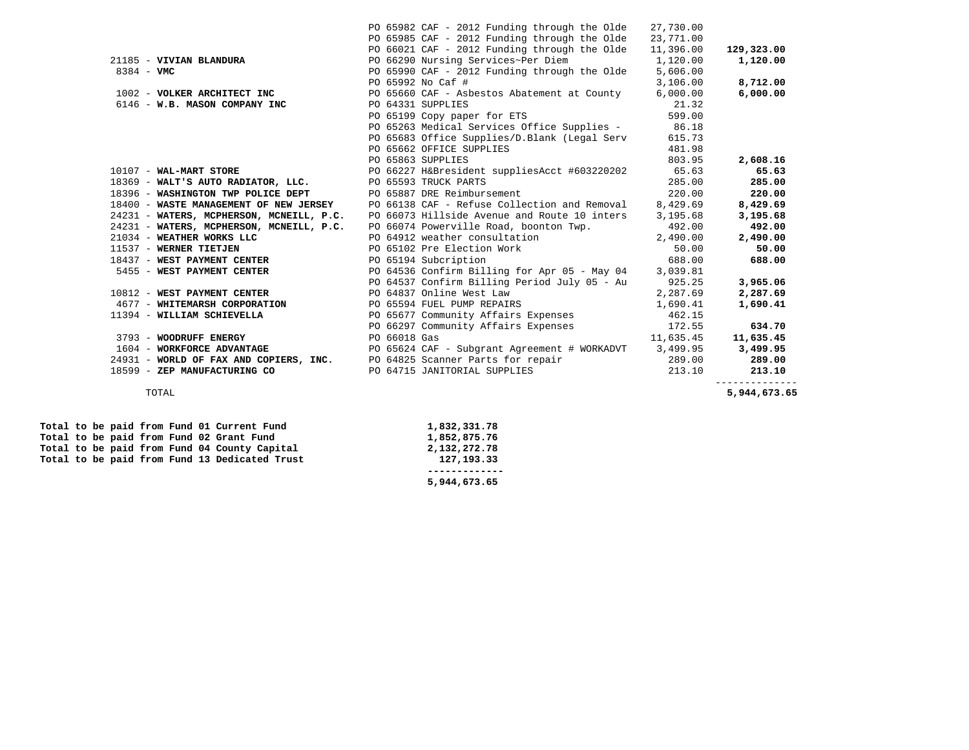|                                          | PO 65982 CAF - 2012 Funding through the Olde                             | 27,730.00 |                |
|------------------------------------------|--------------------------------------------------------------------------|-----------|----------------|
|                                          | PO 65985 CAF - 2012 Funding through the Olde                             | 23,771.00 |                |
|                                          | PO 66021 CAF - 2012 Funding through the Olde                             | 11,396.00 | 129,323.00     |
| 21185 - VIVIAN BLANDURA                  | PO 66290 Nursing Services~Per Diem                                       | 1,120.00  | 1,120.00       |
| $8384 - VMC$                             | PO 65990 CAF - 2012 Funding through the Olde                             | 5,606.00  |                |
|                                          | PO 65992 No Caf #                                                        | 3,106.00  | 8,712.00       |
| 1002 - VOLKER ARCHITECT INC              | PO 65660 CAF - Asbestos Abatement at County                              | 6,000.00  | 6,000.00       |
| 6146 - W.B. MASON COMPANY INC            | PO 64331 SUPPLIES                                                        | 21.32     |                |
|                                          | PO 65199 Copy paper for ETS                                              | 599.00    |                |
|                                          | PO 65263 Medical Services Office Supplies - 86.18                        |           |                |
|                                          | PO 65683 Office Supplies/D.Blank (Legal Serv                             | 615.73    |                |
|                                          | PO 65662 OFFICE SUPPLIES                                                 | 481.98    |                |
|                                          | PO 65863 SUPPLIES                                                        | 803.95    | 2,608.16       |
| 10107 - WAL-MART STORE                   | PO 66227 H&Bresident suppliesAcct #603220202                             | 65.63     | 65.63          |
| 18369 - WALT'S AUTO RADIATOR, LLC.       | PO 65593 TRUCK PARTS                                                     | 285.00    | 285.00         |
| 18396 - WASHINGTON TWP POLICE DEPT       | PO 65887 DRE Reimbursement                                               | 220.00    | 220.00         |
| 18400 - WASTE MANAGEMENT OF NEW JERSEY   | PO 66138 CAF - Refuse Collection and Removal                             | 8,429.69  | 8,429.69       |
| 24231 - WATERS, MCPHERSON, MCNEILL, P.C. | PO 66073 Hillside Avenue and Route 10 inters 3,195.68                    |           | 3,195.68       |
| 24231 - WATERS, MCPHERSON, MCNEILL, P.C. | PO 66074 Powerville Road, boonton Twp.                                   | 492.00    | 492.00         |
| 21034 - WEATHER WORKS LLC                | PO 64912 weather consultation 2,490.00                                   |           | 2,490.00       |
| 11537 - WERNER TIETJEN                   | PO 65102 Pre Election Work                                               | 50.00     | 50.00          |
| 18437 - WEST PAYMENT CENTER              | PO 65194 Subcription                                                     | 688.00    | 688.00         |
| 5455 - WEST PAYMENT CENTER               | PO 64536 Confirm Billing for Apr 05 - May 04 3,039.81                    |           |                |
|                                          | PO 64537 Confirm Billing Period July 05 - Au 925.25                      |           | 3,965.06       |
| 10812 - WEST PAYMENT CENTER              | PO 64837 Online West Law                                                 | 2,287.69  | 2,287.69       |
| 4677 - WHITEMARSH CORPORATION            | PO 65594 FUEL PUMP REPAIRS                                               | 1,690.41  | 1,690.41       |
| 11394 - WILLIAM SCHIEVELLA               | PO 65677 Community Affairs Expenses                                      | 462.15    |                |
|                                          | PO 66297 Community Affairs Expenses 172.55                               |           | 634.70         |
| 3793 - WOODRUFF ENERGY                   | PO 66018 Gas                                                             | 11,635.45 | 11,635.45      |
| 1604 - WORKFORCE ADVANTAGE               | PO 65624 CAF - Subgrant Agreement # WORKADVT 3,499.95                    |           | 3,499.95       |
|                                          | 24931 - WORLD OF FAX AND COPIERS, INC. PO 64825 Scanner Parts for repair | 289.00    | 289.00         |
| 18599 - ZEP MANUFACTURING CO             | PO 64715 JANITORIAL SUPPLIES                                             | 213.10    | 213.10         |
|                                          |                                                                          |           | -------------- |

5,944,673.65 TOTAL **5,944,673.65** 

|  |  |  | Total to be paid from Fund 01 Current Fund    | 1,832,331.78 |
|--|--|--|-----------------------------------------------|--------------|
|  |  |  | Total to be paid from Fund 02 Grant Fund      | 1,852,875.76 |
|  |  |  | Total to be paid from Fund 04 County Capital  | 2,132,272.78 |
|  |  |  | Total to be paid from Fund 13 Dedicated Trust | 127, 193, 33 |
|  |  |  |                                               |              |
|  |  |  |                                               | 5,944,673.65 |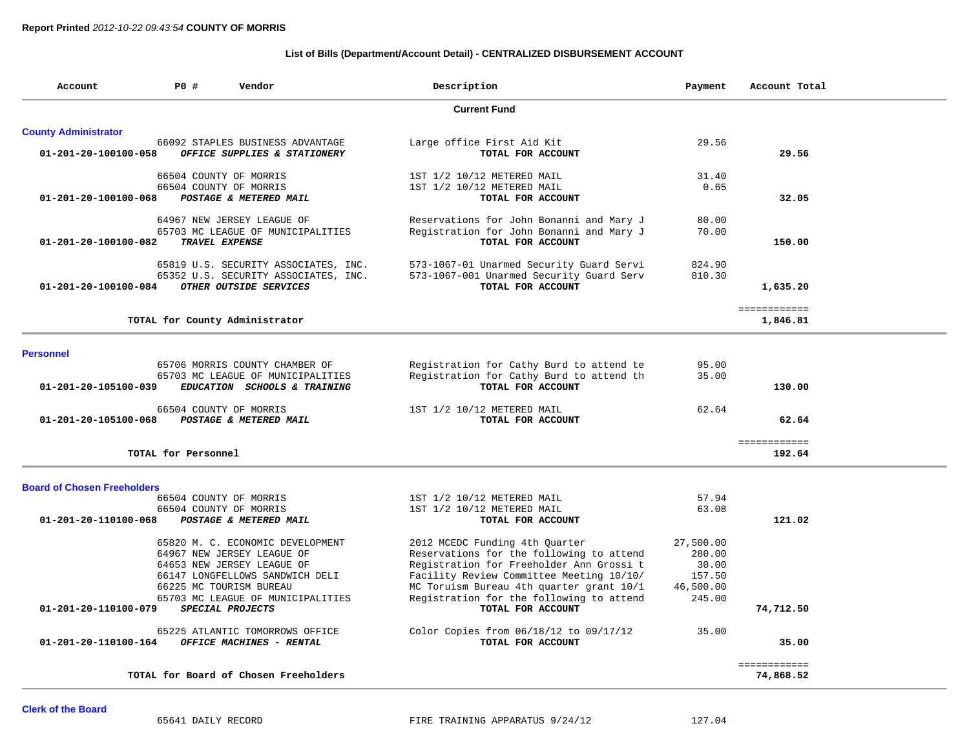## **List of Bills (Department/Account Detail) - CENTRALIZED DISBURSEMENT ACCOUNT**

| Account                            | P0 #                | Vendor                                                              | Description                                                                          | Payment             | Account Total             |
|------------------------------------|---------------------|---------------------------------------------------------------------|--------------------------------------------------------------------------------------|---------------------|---------------------------|
|                                    |                     |                                                                     | <b>Current Fund</b>                                                                  |                     |                           |
| <b>County Administrator</b>        |                     |                                                                     |                                                                                      |                     |                           |
| 01-201-20-100100-058               |                     | 66092 STAPLES BUSINESS ADVANTAGE<br>OFFICE SUPPLIES & STATIONERY    | Large office First Aid Kit<br>TOTAL FOR ACCOUNT                                      | 29.56               | 29.56                     |
|                                    |                     | 66504 COUNTY OF MORRIS<br>66504 COUNTY OF MORRIS                    | 1ST 1/2 10/12 METERED MAIL<br>1ST 1/2 10/12 METERED MAIL                             | 31.40<br>0.65       |                           |
| 01-201-20-100100-068               |                     | POSTAGE & METERED MAIL                                              | TOTAL FOR ACCOUNT                                                                    |                     | 32.05                     |
|                                    |                     | 64967 NEW JERSEY LEAGUE OF<br>65703 MC LEAGUE OF MUNICIPALITIES     | Reservations for John Bonanni and Mary J<br>Registration for John Bonanni and Mary J | 80.00<br>70.00      |                           |
| 01-201-20-100100-082               |                     | TRAVEL EXPENSE                                                      | TOTAL FOR ACCOUNT                                                                    |                     | 150.00                    |
|                                    |                     | 65819 U.S. SECURITY ASSOCIATES, INC.                                | 573-1067-01 Unarmed Security Guard Servi                                             | 824.90              |                           |
| 01-201-20-100100-084               |                     | 65352 U.S. SECURITY ASSOCIATES, INC.<br>OTHER OUTSIDE SERVICES      | 573-1067-001 Unarmed Security Guard Serv<br>TOTAL FOR ACCOUNT                        | 810.30              | 1,635.20                  |
|                                    |                     | TOTAL for County Administrator                                      |                                                                                      |                     | ============<br>1,846.81  |
|                                    |                     |                                                                     |                                                                                      |                     |                           |
| <b>Personnel</b>                   |                     |                                                                     |                                                                                      |                     |                           |
|                                    |                     | 65706 MORRIS COUNTY CHAMBER OF<br>65703 MC LEAGUE OF MUNICIPALITIES | Registration for Cathy Burd to attend te<br>Registration for Cathy Burd to attend th | 95.00<br>35.00      |                           |
| 01-201-20-105100-039               |                     | EDUCATION SCHOOLS & TRAINING                                        | TOTAL FOR ACCOUNT                                                                    |                     | 130.00                    |
| $01 - 201 - 20 - 105100 - 068$     |                     | 66504 COUNTY OF MORRIS<br>POSTAGE & METERED MAIL                    | 1ST 1/2 10/12 METERED MAIL<br>TOTAL FOR ACCOUNT                                      | 62.64               | 62.64                     |
|                                    | TOTAL for Personnel |                                                                     |                                                                                      |                     | ============<br>192.64    |
| <b>Board of Chosen Freeholders</b> |                     |                                                                     |                                                                                      |                     |                           |
|                                    |                     | 66504 COUNTY OF MORRIS                                              | 1ST 1/2 10/12 METERED MAIL                                                           | 57.94               |                           |
| 01-201-20-110100-068               |                     | 66504 COUNTY OF MORRIS<br>POSTAGE & METERED MAIL                    | 1ST 1/2 10/12 METERED MAIL<br>TOTAL FOR ACCOUNT                                      | 63.08               | 121.02                    |
|                                    |                     |                                                                     |                                                                                      |                     |                           |
|                                    |                     | 65820 M. C. ECONOMIC DEVELOPMENT                                    | 2012 MCEDC Funding 4th Ouarter                                                       | 27,500.00           |                           |
|                                    |                     | 64967 NEW JERSEY LEAGUE OF                                          | Reservations for the following to attend                                             | 280.00              |                           |
|                                    |                     | 64653 NEW JERSEY LEAGUE OF                                          | Registration for Freeholder Ann Grossi t                                             | 30.00               |                           |
|                                    |                     | 66147 LONGFELLOWS SANDWICH DELI                                     | Facility Review Committee Meeting 10/10/                                             | 157.50              |                           |
|                                    |                     | 66225 MC TOURISM BUREAU<br>65703 MC LEAGUE OF MUNICIPALITIES        | MC Toruism Bureau 4th quarter grant 10/1<br>Registration for the following to attend | 46,500.00<br>245.00 |                           |
| 01-201-20-110100-079               |                     | SPECIAL PROJECTS                                                    | TOTAL FOR ACCOUNT                                                                    |                     | 74,712.50                 |
| 01-201-20-110100-164               |                     | 65225 ATLANTIC TOMORROWS OFFICE<br>OFFICE MACHINES - RENTAL         | Color Copies from 06/18/12 to 09/17/12<br>TOTAL FOR ACCOUNT                          | 35.00               | 35.00                     |
|                                    |                     |                                                                     |                                                                                      |                     |                           |
|                                    |                     | TOTAL for Board of Chosen Freeholders                               |                                                                                      |                     | ============<br>74,868.52 |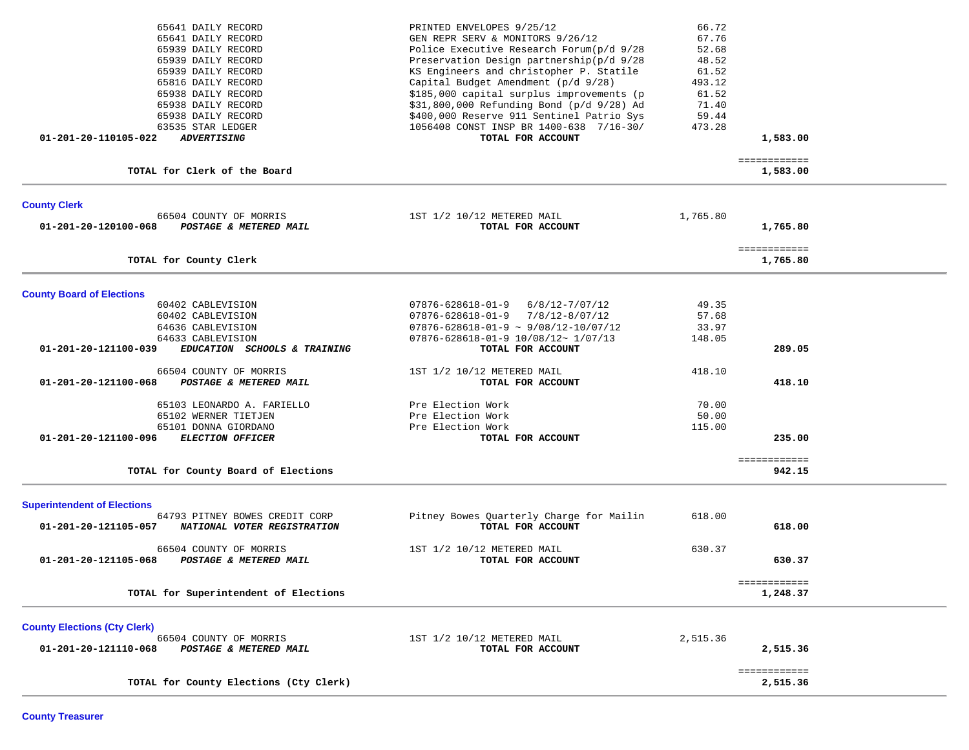| 65641 DAILY RECORD<br>65641 DAILY RECORD<br>65939 DAILY RECORD<br>65939 DAILY RECORD<br>65939 DAILY RECORD<br>65816 DAILY RECORD<br>65938 DAILY RECORD<br>65938 DAILY RECORD<br>65938 DAILY RECORD<br>63535 STAR LEDGER<br>01-201-20-110105-022<br><b>ADVERTISING</b> | PRINTED ENVELOPES 9/25/12<br>GEN REPR SERV & MONITORS 9/26/12<br>Police Executive Research Forum(p/d 9/28<br>Preservation Design partnership(p/d 9/28<br>KS Engineers and christopher P. Statile<br>Capital Budget Amendment (p/d 9/28)<br>\$185,000 capital surplus improvements (p<br>\$31,800,000 Refunding Bond (p/d 9/28) Ad<br>\$400,000 Reserve 911 Sentinel Patrio Sys<br>1056408 CONST INSP BR 1400-638 7/16-30/<br>TOTAL FOR ACCOUNT | 66.72<br>67.76<br>52.68<br>48.52<br>61.52<br>493.12<br>61.52<br>71.40<br>59.44<br>473.28 | 1,583.00<br>============ |  |
|-----------------------------------------------------------------------------------------------------------------------------------------------------------------------------------------------------------------------------------------------------------------------|------------------------------------------------------------------------------------------------------------------------------------------------------------------------------------------------------------------------------------------------------------------------------------------------------------------------------------------------------------------------------------------------------------------------------------------------|------------------------------------------------------------------------------------------|--------------------------|--|
| TOTAL for Clerk of the Board                                                                                                                                                                                                                                          |                                                                                                                                                                                                                                                                                                                                                                                                                                                |                                                                                          | 1,583.00                 |  |
| <b>County Clerk</b><br>66504 COUNTY OF MORRIS<br>01-201-20-120100-068<br>POSTAGE & METERED MAIL                                                                                                                                                                       | 1ST 1/2 10/12 METERED MAIL<br>TOTAL FOR ACCOUNT                                                                                                                                                                                                                                                                                                                                                                                                | 1,765.80                                                                                 | 1,765.80<br>============ |  |
| TOTAL for County Clerk                                                                                                                                                                                                                                                |                                                                                                                                                                                                                                                                                                                                                                                                                                                |                                                                                          | 1,765.80                 |  |
| <b>County Board of Elections</b>                                                                                                                                                                                                                                      |                                                                                                                                                                                                                                                                                                                                                                                                                                                |                                                                                          |                          |  |
| 60402 CABLEVISION                                                                                                                                                                                                                                                     | 07876-628618-01-9<br>$6/8/12 - 7/07/12$                                                                                                                                                                                                                                                                                                                                                                                                        | 49.35                                                                                    |                          |  |
| 60402 CABLEVISION                                                                                                                                                                                                                                                     | $07876 - 628618 - 01 - 9$ $7/8/12 - 8/07/12$                                                                                                                                                                                                                                                                                                                                                                                                   | 57.68                                                                                    |                          |  |
| 64636 CABLEVISION                                                                                                                                                                                                                                                     | $07876 - 628618 - 01 - 9 \sim 9/08/12 - 10/07/12$                                                                                                                                                                                                                                                                                                                                                                                              | 33.97                                                                                    |                          |  |
| 64633 CABLEVISION                                                                                                                                                                                                                                                     | 07876-628618-01-9 10/08/12~ 1/07/13                                                                                                                                                                                                                                                                                                                                                                                                            | 148.05                                                                                   |                          |  |
| 01-201-20-121100-039<br>EDUCATION SCHOOLS & TRAINING                                                                                                                                                                                                                  | TOTAL FOR ACCOUNT                                                                                                                                                                                                                                                                                                                                                                                                                              |                                                                                          | 289.05                   |  |
| 66504 COUNTY OF MORRIS                                                                                                                                                                                                                                                | 1ST 1/2 10/12 METERED MAIL                                                                                                                                                                                                                                                                                                                                                                                                                     | 418.10                                                                                   |                          |  |
| POSTAGE & METERED MAIL<br>01-201-20-121100-068                                                                                                                                                                                                                        | TOTAL FOR ACCOUNT                                                                                                                                                                                                                                                                                                                                                                                                                              |                                                                                          | 418.10                   |  |
|                                                                                                                                                                                                                                                                       |                                                                                                                                                                                                                                                                                                                                                                                                                                                |                                                                                          |                          |  |
|                                                                                                                                                                                                                                                                       |                                                                                                                                                                                                                                                                                                                                                                                                                                                | 70.00                                                                                    |                          |  |
| 65103 LEONARDO A. FARIELLO                                                                                                                                                                                                                                            | Pre Election Work                                                                                                                                                                                                                                                                                                                                                                                                                              |                                                                                          |                          |  |
| 65102 WERNER TIETJEN                                                                                                                                                                                                                                                  | Pre Election Work                                                                                                                                                                                                                                                                                                                                                                                                                              | 50.00                                                                                    |                          |  |
| 65101 DONNA GIORDANO                                                                                                                                                                                                                                                  | Pre Election Work                                                                                                                                                                                                                                                                                                                                                                                                                              | 115.00                                                                                   |                          |  |
| <b>ELECTION OFFICER</b><br>01-201-20-121100-096                                                                                                                                                                                                                       | TOTAL FOR ACCOUNT                                                                                                                                                                                                                                                                                                                                                                                                                              |                                                                                          | 235.00                   |  |
|                                                                                                                                                                                                                                                                       |                                                                                                                                                                                                                                                                                                                                                                                                                                                |                                                                                          | ============             |  |
| TOTAL for County Board of Elections                                                                                                                                                                                                                                   |                                                                                                                                                                                                                                                                                                                                                                                                                                                |                                                                                          | 942.15                   |  |
| <b>Superintendent of Elections</b>                                                                                                                                                                                                                                    |                                                                                                                                                                                                                                                                                                                                                                                                                                                |                                                                                          |                          |  |
| 64793 PITNEY BOWES CREDIT CORP                                                                                                                                                                                                                                        | Pitney Bowes Quarterly Charge for Mailin                                                                                                                                                                                                                                                                                                                                                                                                       | 618.00                                                                                   |                          |  |
| 01-201-20-121105-057<br>NATIONAL VOTER REGISTRATION                                                                                                                                                                                                                   | TOTAL FOR ACCOUNT                                                                                                                                                                                                                                                                                                                                                                                                                              |                                                                                          | 618.00                   |  |
| 66504 COUNTY OF MORRIS                                                                                                                                                                                                                                                | 1ST 1/2 10/12 METERED MAIL                                                                                                                                                                                                                                                                                                                                                                                                                     | 630.37                                                                                   |                          |  |
| 01-201-20-121105-068<br>POSTAGE & METERED MAIL                                                                                                                                                                                                                        | TOTAL FOR ACCOUNT                                                                                                                                                                                                                                                                                                                                                                                                                              |                                                                                          | 630.37                   |  |
| TOTAL for Superintendent of Elections                                                                                                                                                                                                                                 |                                                                                                                                                                                                                                                                                                                                                                                                                                                |                                                                                          | ============<br>1,248.37 |  |
|                                                                                                                                                                                                                                                                       |                                                                                                                                                                                                                                                                                                                                                                                                                                                |                                                                                          |                          |  |
| <b>County Elections (Cty Clerk)</b>                                                                                                                                                                                                                                   |                                                                                                                                                                                                                                                                                                                                                                                                                                                | 2,515.36                                                                                 |                          |  |
| 66504 COUNTY OF MORRIS<br>01-201-20-121110-068<br>POSTAGE & METERED MAIL                                                                                                                                                                                              | 1ST 1/2 10/12 METERED MAIL<br>TOTAL FOR ACCOUNT                                                                                                                                                                                                                                                                                                                                                                                                |                                                                                          | 2,515.36                 |  |
|                                                                                                                                                                                                                                                                       |                                                                                                                                                                                                                                                                                                                                                                                                                                                |                                                                                          |                          |  |
|                                                                                                                                                                                                                                                                       |                                                                                                                                                                                                                                                                                                                                                                                                                                                |                                                                                          | ============             |  |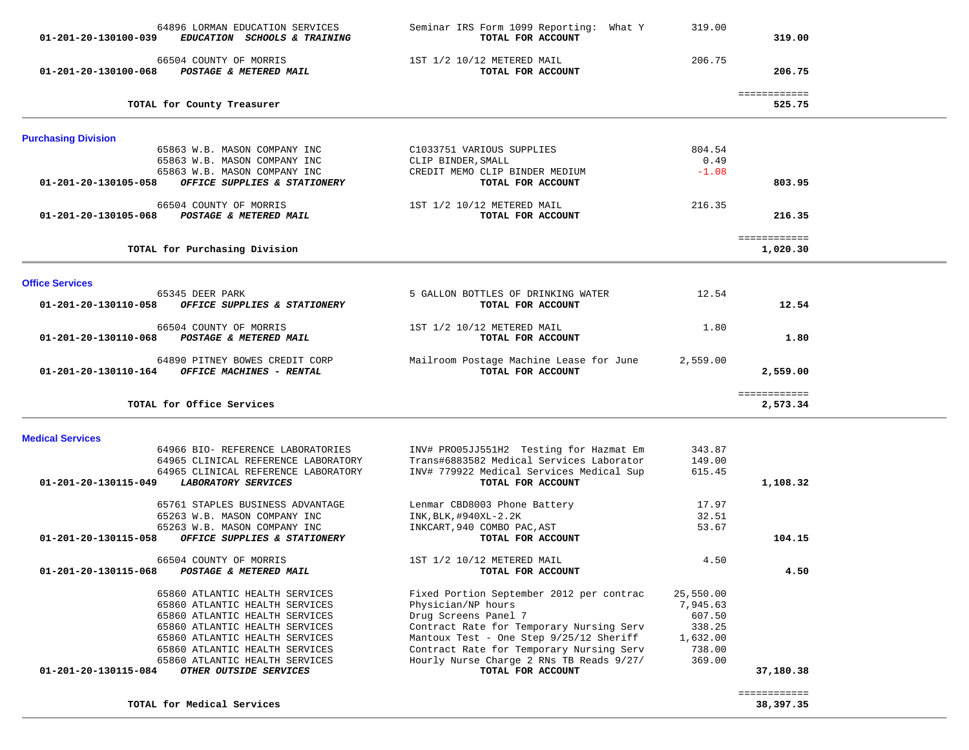| 64896 LORMAN EDUCATION SERVICES<br>01-201-20-130100-039<br>EDUCATION SCHOOLS & TRAINING | Seminar IRS Form 1099 Reporting: What Y<br>TOTAL FOR ACCOUNT | 319.00    | 319.00                 |  |
|-----------------------------------------------------------------------------------------|--------------------------------------------------------------|-----------|------------------------|--|
| 66504 COUNTY OF MORRIS<br>01-201-20-130100-068<br>POSTAGE & METERED MAIL                | 1ST 1/2 10/12 METERED MAIL<br>TOTAL FOR ACCOUNT              | 206.75    | 206.75                 |  |
| TOTAL for County Treasurer                                                              |                                                              |           | ============<br>525.75 |  |
| <b>Purchasing Division</b>                                                              |                                                              |           |                        |  |
| 65863 W.B. MASON COMPANY INC                                                            | C1033751 VARIOUS SUPPLIES                                    | 804.54    |                        |  |
| 65863 W.B. MASON COMPANY INC                                                            | CLIP BINDER, SMALL                                           | 0.49      |                        |  |
| 65863 W.B. MASON COMPANY INC                                                            | CREDIT MEMO CLIP BINDER MEDIUM                               | $-1.08$   |                        |  |
| OFFICE SUPPLIES & STATIONERY<br>01-201-20-130105-058                                    | TOTAL FOR ACCOUNT                                            |           | 803.95                 |  |
| 66504 COUNTY OF MORRIS                                                                  | 1ST 1/2 10/12 METERED MAIL                                   | 216.35    |                        |  |
| 01-201-20-130105-068<br>POSTAGE & METERED MAIL                                          | TOTAL FOR ACCOUNT                                            |           | 216.35                 |  |
|                                                                                         |                                                              |           |                        |  |
|                                                                                         |                                                              |           | ============           |  |
| TOTAL for Purchasing Division                                                           |                                                              |           | 1,020.30               |  |
|                                                                                         |                                                              |           |                        |  |
| <b>Office Services</b><br>65345 DEER PARK                                               | 5 GALLON BOTTLES OF DRINKING WATER                           | 12.54     |                        |  |
| 01-201-20-130110-058<br>OFFICE SUPPLIES & STATIONERY                                    | TOTAL FOR ACCOUNT                                            |           | 12.54                  |  |
|                                                                                         |                                                              |           |                        |  |
| 66504 COUNTY OF MORRIS                                                                  | 1ST 1/2 10/12 METERED MAIL                                   | 1.80      |                        |  |
| 01-201-20-130110-068 POSTAGE & METERED MAIL                                             | TOTAL FOR ACCOUNT                                            |           | 1.80                   |  |
|                                                                                         |                                                              |           |                        |  |
| 64890 PITNEY BOWES CREDIT CORP<br>01-201-20-130110-164 OFFICE MACHINES - RENTAL         | Mailroom Postage Machine Lease for June<br>TOTAL FOR ACCOUNT | 2,559.00  | 2,559.00               |  |
|                                                                                         |                                                              |           |                        |  |
|                                                                                         |                                                              |           | ============           |  |
| TOTAL for Office Services                                                               |                                                              |           | 2,573.34               |  |
| <b>Medical Services</b>                                                                 |                                                              |           |                        |  |
| 64966 BIO- REFERENCE LABORATORIES                                                       | INV# PRO05JJ551H2 Testing for Hazmat Em                      | 343.87    |                        |  |
| 64965 CLINICAL REFERENCE LABORATORY                                                     | Trans#6883582 Medical Services Laborator                     | 149.00    |                        |  |
| 64965 CLINICAL REFERENCE LABORATORY                                                     | INV# 779922 Medical Services Medical Sup                     | 615.45    |                        |  |
| 01-201-20-130115-049<br>LABORATORY SERVICES                                             | TOTAL FOR ACCOUNT                                            |           | 1,108.32               |  |
| 65761 STAPLES BUSINESS ADVANTAGE                                                        |                                                              | 17.97     |                        |  |
| 65263 W.B. MASON COMPANY INC                                                            | Lenmar CBD8003 Phone Battery<br>INK, BLK, #940XL-2.2K        | 32.51     |                        |  |
| 65263 W.B. MASON COMPANY INC                                                            | INKCART, 940 COMBO PAC, AST                                  | 53.67     |                        |  |
| 01-201-20-130115-058<br>OFFICE SUPPLIES & STATIONERY                                    | TOTAL FOR ACCOUNT                                            |           | 104.15                 |  |
|                                                                                         |                                                              |           |                        |  |
| 66504 COUNTY OF MORRIS                                                                  | 1ST 1/2 10/12 METERED MAIL                                   | 4.50      |                        |  |
| 01-201-20-130115-068<br>POSTAGE & METERED MAIL                                          | TOTAL FOR ACCOUNT                                            |           | 4.50                   |  |
| 65860 ATLANTIC HEALTH SERVICES                                                          | Fixed Portion September 2012 per contrac                     | 25,550.00 |                        |  |
| 65860 ATLANTIC HEALTH SERVICES                                                          | Physician/NP hours                                           | 7,945.63  |                        |  |
| 65860 ATLANTIC HEALTH SERVICES                                                          | Drug Screens Panel 7                                         | 607.50    |                        |  |
| 65860 ATLANTIC HEALTH SERVICES                                                          | Contract Rate for Temporary Nursing Serv                     | 338.25    |                        |  |
| 65860 ATLANTIC HEALTH SERVICES                                                          | Mantoux Test - One Step 9/25/12 Sheriff                      | 1,632.00  |                        |  |
| 65860 ATLANTIC HEALTH SERVICES                                                          | Contract Rate for Temporary Nursing Serv                     | 738.00    |                        |  |
| 65860 ATLANTIC HEALTH SERVICES                                                          | Hourly Nurse Charge 2 RNs TB Reads 9/27/                     | 369.00    |                        |  |
| 01-201-20-130115-084<br>OTHER OUTSIDE SERVICES                                          | TOTAL FOR ACCOUNT                                            |           | 37,180.38              |  |
|                                                                                         |                                                              |           | ============           |  |
| TOTAL for Medical Services                                                              |                                                              |           | 38,397.35              |  |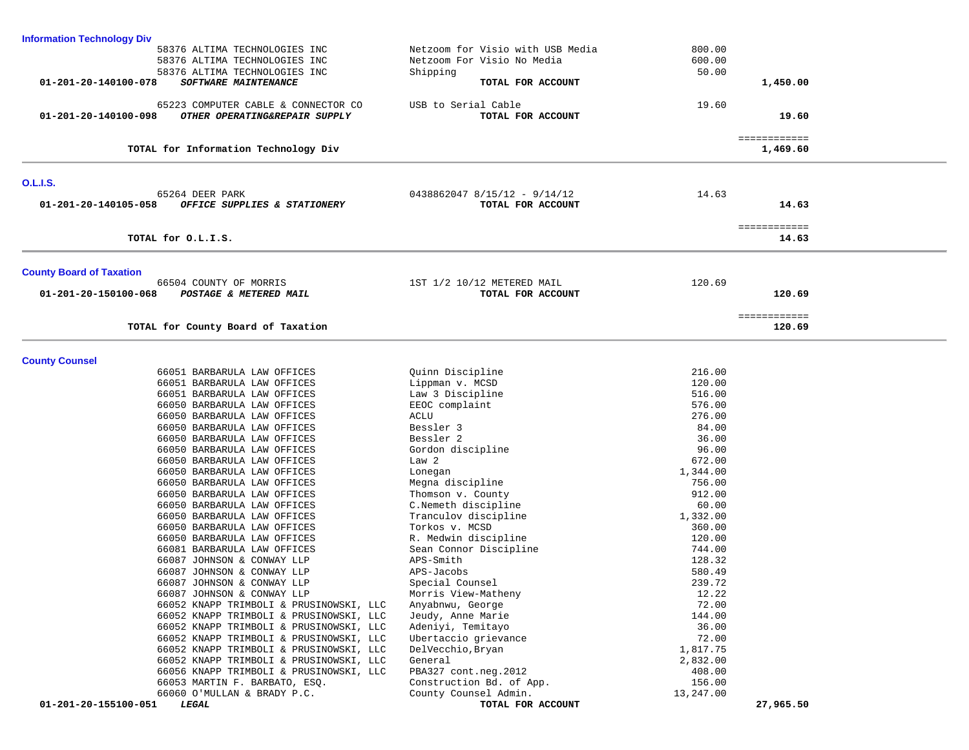| <b>Information Technology Div</b>                     |                                                         |           |                          |  |
|-------------------------------------------------------|---------------------------------------------------------|-----------|--------------------------|--|
| 58376 ALTIMA TECHNOLOGIES INC                         | Netzoom for Visio with USB Media                        | 800.00    |                          |  |
| 58376 ALTIMA TECHNOLOGIES INC                         | Netzoom For Visio No Media                              | 600.00    |                          |  |
| 58376 ALTIMA TECHNOLOGIES INC                         | Shipping                                                | 50.00     |                          |  |
| 01-201-20-140100-078<br>SOFTWARE MAINTENANCE          | TOTAL FOR ACCOUNT                                       |           | 1,450.00                 |  |
|                                                       |                                                         |           |                          |  |
| 65223 COMPUTER CABLE & CONNECTOR CO                   | USB to Serial Cable                                     | 19.60     |                          |  |
| 01-201-20-140100-098<br>OTHER OPERATING&REPAIR SUPPLY | TOTAL FOR ACCOUNT                                       |           | 19.60                    |  |
|                                                       |                                                         |           |                          |  |
| TOTAL for Information Technology Div                  |                                                         |           | ============<br>1,469.60 |  |
|                                                       |                                                         |           |                          |  |
|                                                       |                                                         |           |                          |  |
| <b>O.L.I.S.</b><br>65264 DEER PARK                    |                                                         |           |                          |  |
| OFFICE SUPPLIES & STATIONERY<br>01-201-20-140105-058  | $0438862047$ $8/15/12$ - $9/14/12$<br>TOTAL FOR ACCOUNT | 14.63     | 14.63                    |  |
|                                                       |                                                         |           |                          |  |
|                                                       |                                                         |           | ============             |  |
| TOTAL for O.L.I.S.                                    |                                                         |           | 14.63                    |  |
|                                                       |                                                         |           |                          |  |
| <b>County Board of Taxation</b>                       |                                                         |           |                          |  |
| 66504 COUNTY OF MORRIS                                | 1ST 1/2 10/12 METERED MAIL                              | 120.69    |                          |  |
| 01-201-20-150100-068<br>POSTAGE & METERED MAIL        | TOTAL FOR ACCOUNT                                       |           | 120.69                   |  |
|                                                       |                                                         |           |                          |  |
|                                                       |                                                         |           | ============             |  |
| TOTAL for County Board of Taxation                    |                                                         |           | 120.69                   |  |
|                                                       |                                                         |           |                          |  |
|                                                       |                                                         |           |                          |  |
| <b>County Counsel</b>                                 |                                                         |           |                          |  |
| 66051 BARBARULA LAW OFFICES                           | Quinn Discipline                                        | 216.00    |                          |  |
| 66051 BARBARULA LAW OFFICES                           | Lippman v. MCSD                                         | 120.00    |                          |  |
| 66051 BARBARULA LAW OFFICES                           | Law 3 Discipline                                        | 516.00    |                          |  |
| 66050 BARBARULA LAW OFFICES                           | EEOC complaint                                          | 576.00    |                          |  |
| 66050 BARBARULA LAW OFFICES                           | ACLU                                                    | 276.00    |                          |  |
| 66050 BARBARULA LAW OFFICES                           | Bessler 3                                               | 84.00     |                          |  |
| 66050 BARBARULA LAW OFFICES                           | Bessler 2                                               | 36.00     |                          |  |
| 66050 BARBARULA LAW OFFICES                           | Gordon discipline                                       | 96.00     |                          |  |
| 66050 BARBARULA LAW OFFICES                           | Law <sub>2</sub>                                        | 672.00    |                          |  |
| 66050 BARBARULA LAW OFFICES                           | Lonegan                                                 | 1,344.00  |                          |  |
| 66050 BARBARULA LAW OFFICES                           | Megna discipline                                        | 756.00    |                          |  |
| 66050 BARBARULA LAW OFFICES                           | Thomson v. County                                       | 912.00    |                          |  |
| 66050 BARBARULA LAW OFFICES                           | C.Nemeth discipline                                     | 60.00     |                          |  |
| 66050 BARBARULA LAW OFFICES                           | Tranculov discipline                                    | 1,332.00  |                          |  |
| 66050 BARBARULA LAW OFFICES                           | Torkos v. MCSD                                          | 360.00    |                          |  |
| 66050 BARBARULA LAW OFFICES                           | R. Medwin discipline                                    | 120.00    |                          |  |
| 66081 BARBARULA LAW OFFICES                           | Sean Connor Discipline                                  | 744.00    |                          |  |
| 66087 JOHNSON & CONWAY LLP                            | APS-Smith                                               | 128.32    |                          |  |
| 66087 JOHNSON & CONWAY LLP                            | APS-Jacobs                                              | 580.49    |                          |  |
| 66087 JOHNSON & CONWAY LLP                            | Special Counsel                                         | 239.72    |                          |  |
| 66087 JOHNSON & CONWAY LLP                            | Morris View-Matheny                                     | 12.22     |                          |  |
| 66052 KNAPP TRIMBOLI & PRUSINOWSKI, LLC               | Anyabnwu, George                                        | 72.00     |                          |  |
| 66052 KNAPP TRIMBOLI & PRUSINOWSKI, LLC               | Jeudy, Anne Marie                                       | 144.00    |                          |  |
| 66052 KNAPP TRIMBOLI & PRUSINOWSKI, LLC               | Adeniyi, Temitayo                                       | 36.00     |                          |  |
| 66052 KNAPP TRIMBOLI & PRUSINOWSKI, LLC               | Ubertaccio grievance                                    | 72.00     |                          |  |
| 66052 KNAPP TRIMBOLI & PRUSINOWSKI, LLC               | DelVecchio, Bryan                                       | 1,817.75  |                          |  |
| 66052 KNAPP TRIMBOLI & PRUSINOWSKI, LLC               | General                                                 | 2,832.00  |                          |  |
| 66056 KNAPP TRIMBOLI & PRUSINOWSKI, LLC               | PBA327 cont.neg.2012                                    | 408.00    |                          |  |
| 66053 MARTIN F. BARBATO, ESQ.                         | Construction Bd. of App.                                | 156.00    |                          |  |
| 66060 O'MULLAN & BRADY P.C.                           | County Counsel Admin.                                   | 13,247.00 |                          |  |
| 01-201-20-155100-051<br><i><b>LEGAL</b></i>           | TOTAL FOR ACCOUNT                                       |           | 27,965.50                |  |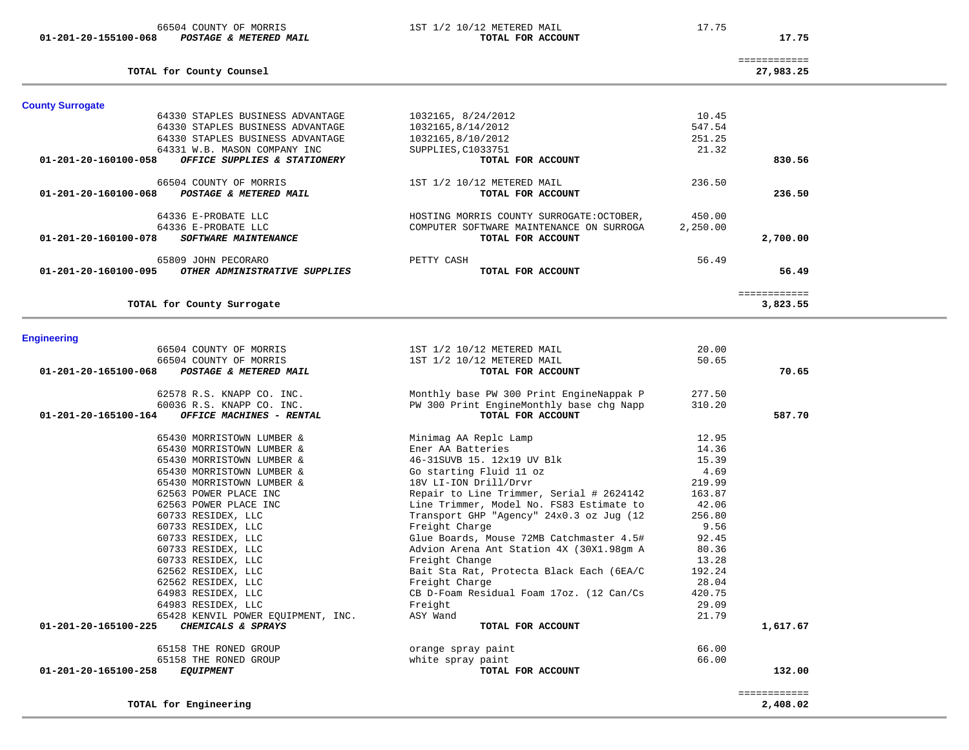| <b>Engineering</b>                                                            |                                                               |        |              |
|-------------------------------------------------------------------------------|---------------------------------------------------------------|--------|--------------|
| 66504 COUNTY OF MORRIS                                                        | 1ST 1/2 10/12 METERED MAIL                                    | 20.00  |              |
| 66504 COUNTY OF MORRIS                                                        | 1ST 1/2 10/12 METERED MAIL                                    | 50.65  |              |
| 01-201-20-165100-068<br>POSTAGE & METERED MAIL                                | TOTAL FOR ACCOUNT                                             |        | 70.65        |
| 62578 R.S. KNAPP CO. INC.                                                     | Monthly base PW 300 Print EngineNappak P                      | 277.50 |              |
| 60036 R.S. KNAPP CO. INC.<br>01-201-20-165100-164<br>OFFICE MACHINES - RENTAL | PW 300 Print EngineMonthly base chg Napp<br>TOTAL FOR ACCOUNT | 310.20 | 587.70       |
|                                                                               |                                                               |        |              |
| 65430 MORRISTOWN LUMBER &                                                     | Minimag AA Replc Lamp                                         | 12.95  |              |
| 65430 MORRISTOWN LUMBER &                                                     | Ener AA Batteries                                             | 14.36  |              |
| 65430 MORRISTOWN LUMBER &                                                     | 46-31SUVB 15. 12x19 UV Blk                                    | 15.39  |              |
| 65430 MORRISTOWN LUMBER &                                                     | Go starting Fluid 11 oz                                       | 4.69   |              |
| 65430 MORRISTOWN LUMBER &                                                     | 18V LI-ION Drill/Drvr                                         | 219.99 |              |
| 62563 POWER PLACE INC                                                         | Repair to Line Trimmer, Serial # 2624142                      | 163.87 |              |
| 62563 POWER PLACE INC                                                         | Line Trimmer, Model No. FS83 Estimate to                      | 42.06  |              |
| 60733 RESIDEX, LLC                                                            | Transport GHP "Agency" 24x0.3 oz Jug (12                      | 256.80 |              |
| 60733 RESIDEX, LLC                                                            | Freight Charge                                                | 9.56   |              |
| 60733 RESIDEX, LLC                                                            | Glue Boards, Mouse 72MB Catchmaster 4.5#                      | 92.45  |              |
| 60733 RESIDEX, LLC                                                            | Advion Arena Ant Station 4X (30X1.98qm A                      | 80.36  |              |
| 60733 RESIDEX, LLC                                                            | Freight Change                                                | 13.28  |              |
| 62562 RESIDEX, LLC                                                            | Bait Sta Rat, Protecta Black Each (6EA/C                      | 192.24 |              |
| 62562 RESIDEX, LLC                                                            | Freight Charge                                                | 28.04  |              |
| 64983 RESIDEX, LLC                                                            | CB D-Foam Residual Foam 17oz. (12 Can/Cs                      | 420.75 |              |
| 64983 RESIDEX, LLC                                                            | Freight                                                       | 29.09  |              |
| 65428 KENVIL POWER EQUIPMENT, INC.                                            | ASY Wand                                                      | 21.79  |              |
| 01-201-20-165100-225<br>CHEMICALS & SPRAYS                                    | TOTAL FOR ACCOUNT                                             |        | 1,617.67     |
| 65158 THE RONED GROUP                                                         | orange spray paint                                            | 66.00  |              |
| 65158 THE RONED GROUP                                                         | white spray paint                                             | 66.00  |              |
| 01-201-20-165100-258<br><i>EQUIPMENT</i>                                      | TOTAL FOR ACCOUNT                                             |        | 132.00       |
|                                                                               |                                                               |        | ============ |
| TOTAL for Engineering                                                         |                                                               |        | 2,408.02     |

|  | Englasseing |  |  |  |
|--|-------------|--|--|--|

**County Surrogate** 

|                                | TOTAL for County Surrogate       |                                           |          | 3,823.55 |
|--------------------------------|----------------------------------|-------------------------------------------|----------|----------|
| $01 - 201 - 20 - 160100 - 095$ | OTHER ADMINISTRATIVE SUPPLIES    | TOTAL FOR ACCOUNT                         |          | 56.49    |
|                                |                                  |                                           |          |          |
|                                | 65809 JOHN PECORARO              | PETTY CASH                                | 56.49    |          |
| $01 - 201 - 20 - 160100 - 078$ | <b>SOFTWARE MAINTENANCE</b>      | TOTAL FOR ACCOUNT                         |          | 2,700.00 |
|                                | 64336 E-PROBATE LLC              | COMPUTER SOFTWARE MAINTENANCE ON SURROGA  | 2,250.00 |          |
|                                | 64336 E-PROBATE LLC              | HOSTING MORRIS COUNTY SURROGATE: OCTOBER, | 450.00   |          |
|                                |                                  |                                           |          |          |
| 01-201-20-160100-068           | POSTAGE & METERED MAIL           | TOTAL FOR ACCOUNT                         |          | 236.50   |
|                                | 66504 COUNTY OF MORRIS           | 1ST 1/2 10/12 METERED MAIL                | 236.50   |          |
| $01 - 201 - 20 - 160100 - 058$ | OFFICE SUPPLIES & STATIONERY     | TOTAL FOR ACCOUNT                         |          | 830.56   |
|                                | 64331 W.B. MASON COMPANY INC     | SUPPLIES, C1033751                        | 21.32    |          |
|                                | 64330 STAPLES BUSINESS ADVANTAGE | 1032165,8/10/2012                         | 251.25   |          |
|                                | 64330 STAPLES BUSINESS ADVANTAGE | 1032165,8/14/2012                         | 547.54   |          |
|                                | 64330 STAPLES BUSINESS ADVANTAGE | 1032165, 8/24/2012                        | 10.45    |          |

| TOTAL for County Counsel | 27,983.25 |
|--------------------------|-----------|
|--------------------------|-----------|

27,983.25

============

17.75

 **01-201-20-155100-068** *POSTAGE & METERED MAIL* **TOTAL FOR ACCOUNT 17.75**

66504 COUNTY OF MORRIS 1ST 1/2 10/12 METERED MAIL 17.75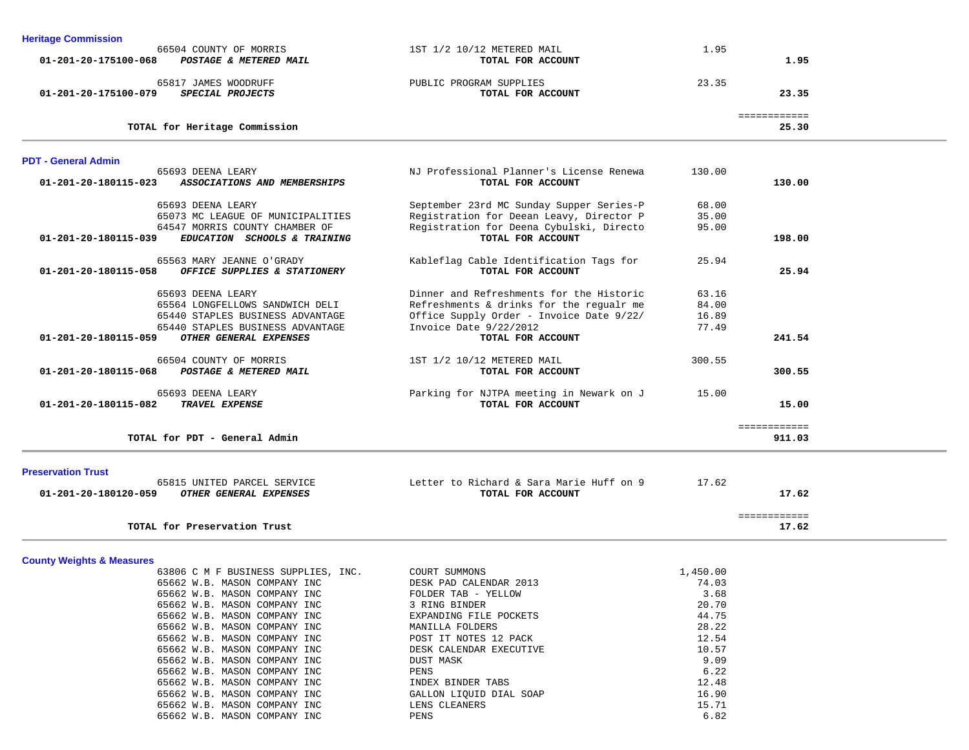| <b>Heritage Commission</b>                           |                                          |          |                       |  |
|------------------------------------------------------|------------------------------------------|----------|-----------------------|--|
| 66504 COUNTY OF MORRIS                               | 1ST 1/2 10/12 METERED MAIL               | 1.95     |                       |  |
| 01-201-20-175100-068<br>POSTAGE & METERED MAIL       | TOTAL FOR ACCOUNT                        |          | 1.95                  |  |
| 65817 JAMES WOODRUFF                                 | PUBLIC PROGRAM SUPPLIES                  | 23.35    |                       |  |
| SPECIAL PROJECTS<br>01-201-20-175100-079             | TOTAL FOR ACCOUNT                        |          | 23.35                 |  |
|                                                      |                                          |          |                       |  |
| TOTAL for Heritage Commission                        |                                          |          | ============<br>25.30 |  |
|                                                      |                                          |          |                       |  |
| <b>PDT - General Admin</b>                           |                                          |          |                       |  |
| 65693 DEENA LEARY                                    | NJ Professional Planner's License Renewa | 130.00   |                       |  |
| 01-201-20-180115-023<br>ASSOCIATIONS AND MEMBERSHIPS | TOTAL FOR ACCOUNT                        |          | 130.00                |  |
| 65693 DEENA LEARY                                    | September 23rd MC Sunday Supper Series-P | 68.00    |                       |  |
| 65073 MC LEAGUE OF MUNICIPALITIES                    | Registration for Deean Leavy, Director P | 35.00    |                       |  |
| 64547 MORRIS COUNTY CHAMBER OF                       | Registration for Deena Cybulski, Directo | 95.00    |                       |  |
| 01-201-20-180115-039<br>EDUCATION SCHOOLS & TRAINING | TOTAL FOR ACCOUNT                        |          | 198.00                |  |
|                                                      |                                          |          |                       |  |
| 65563 MARY JEANNE O'GRADY                            | Kableflag Cable Identification Tags for  | 25.94    |                       |  |
| 01-201-20-180115-058<br>OFFICE SUPPLIES & STATIONERY | TOTAL FOR ACCOUNT                        |          | 25.94                 |  |
|                                                      |                                          |          |                       |  |
| 65693 DEENA LEARY                                    | Dinner and Refreshments for the Historic | 63.16    |                       |  |
| 65564 LONGFELLOWS SANDWICH DELI                      | Refreshments & drinks for the regualr me | 84.00    |                       |  |
| 65440 STAPLES BUSINESS ADVANTAGE                     | Office Supply Order - Invoice Date 9/22/ | 16.89    |                       |  |
| 65440 STAPLES BUSINESS ADVANTAGE                     | Invoice Date 9/22/2012                   | 77.49    |                       |  |
| 01-201-20-180115-059<br>OTHER GENERAL EXPENSES       | TOTAL FOR ACCOUNT                        |          | 241.54                |  |
| 66504 COUNTY OF MORRIS                               | 1ST 1/2 10/12 METERED MAIL               | 300.55   |                       |  |
| 01-201-20-180115-068<br>POSTAGE & METERED MAIL       | TOTAL FOR ACCOUNT                        |          | 300.55                |  |
|                                                      |                                          |          |                       |  |
| 65693 DEENA LEARY                                    | Parking for NJTPA meeting in Newark on J | 15.00    |                       |  |
| 01-201-20-180115-082<br>TRAVEL EXPENSE               | TOTAL FOR ACCOUNT                        |          | 15.00                 |  |
|                                                      |                                          |          | ============          |  |
| TOTAL for PDT - General Admin                        |                                          |          | 911.03                |  |
|                                                      |                                          |          |                       |  |
| <b>Preservation Trust</b>                            |                                          |          |                       |  |
| 65815 UNITED PARCEL SERVICE                          | Letter to Richard & Sara Marie Huff on 9 | 17.62    |                       |  |
| 01-201-20-180120-059<br>OTHER GENERAL EXPENSES       | TOTAL FOR ACCOUNT                        |          | 17.62                 |  |
|                                                      |                                          |          |                       |  |
|                                                      |                                          |          | ============          |  |
| TOTAL for Preservation Trust                         |                                          |          | 17.62                 |  |
|                                                      |                                          |          |                       |  |
| <b>County Weights &amp; Measures</b>                 |                                          |          |                       |  |
| 63806 C M F BUSINESS SUPPLIES, INC.                  | COURT SUMMONS                            | 1,450.00 |                       |  |
| 65662 W.B. MASON COMPANY INC                         | DESK PAD CALENDAR 2013                   | 74.03    |                       |  |
| 65662 W.B. MASON COMPANY INC                         | FOLDER TAB - YELLOW                      | 3.68     |                       |  |
| 65662 W.B. MASON COMPANY INC                         | 3 RING BINDER                            | 20.70    |                       |  |
| 65662 W.B. MASON COMPANY INC                         | EXPANDING FILE POCKETS                   | 44.75    |                       |  |
| 65662 W.B. MASON COMPANY INC                         | MANILLA FOLDERS                          | 28.22    |                       |  |
| 65662 W.B. MASON COMPANY INC                         | POST IT NOTES 12 PACK                    | 12.54    |                       |  |
| 65662 W.B. MASON COMPANY INC                         | DESK CALENDAR EXECUTIVE                  | 10.57    |                       |  |
| 65662 W.B. MASON COMPANY INC                         | <b>DUST MASK</b>                         | 9.09     |                       |  |

65662 W.B. MASON COMPANY INC GALLON LIQUID DIAL SOAP 16.90

 $6.22$ 

12.48

 $15.71$ <br> $6.82$ 

65662 W.B. MASON COMPANY INC PENS

65662 W.B. MASON COMPANY INC PENS

65662 W.B. MASON COMPANY INC **INDEX BINDER TABS** 

65662 W.B. MASON COMPANY INC LENS CLEANERS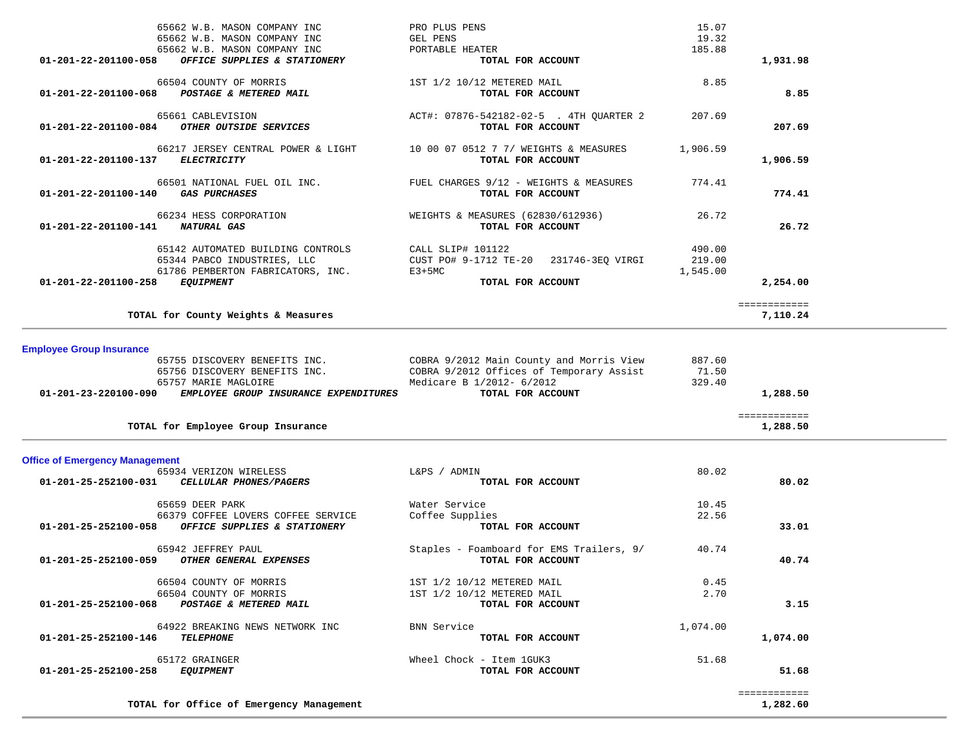| 65662 W.B. MASON COMPANY INC<br>65662 W.B. MASON COMPANY INC<br>65662 W.B. MASON COMPANY INC<br>$01 - 201 - 22 - 201100 - 058$<br>OFFICE SUPPLIES & STATIONERY                             | PRO PLUS PENS<br>GEL PENS<br>PORTABLE HEATER<br>TOTAL FOR ACCOUNT                                                                      | 15.07<br>19.32<br>185.88     | 1,931.98                 |  |
|--------------------------------------------------------------------------------------------------------------------------------------------------------------------------------------------|----------------------------------------------------------------------------------------------------------------------------------------|------------------------------|--------------------------|--|
| 66504 COUNTY OF MORRIS<br>POSTAGE & METERED MAIL<br>$01 - 201 - 22 - 201100 - 068$                                                                                                         | 1ST 1/2 10/12 METERED MAIL<br>TOTAL FOR ACCOUNT                                                                                        | 8.85                         | 8.85                     |  |
| 65661 CABLEVISION<br>OTHER OUTSIDE SERVICES<br>01-201-22-201100-084                                                                                                                        | ACT#: 07876-542182-02-5 . 4TH QUARTER 2<br>TOTAL FOR ACCOUNT                                                                           | 207.69                       | 207.69                   |  |
| 66217 JERSEY CENTRAL POWER & LIGHT<br><b>ELECTRICITY</b><br>01-201-22-201100-137                                                                                                           | 10 00 07 0512 7 7/ WEIGHTS & MEASURES<br>TOTAL FOR ACCOUNT                                                                             | 1,906.59                     | 1,906.59                 |  |
| 66501 NATIONAL FUEL OIL INC.<br><b>GAS PURCHASES</b><br>01-201-22-201100-140                                                                                                               | FUEL CHARGES 9/12 - WEIGHTS & MEASURES<br>TOTAL FOR ACCOUNT                                                                            | 774.41                       | 774.41                   |  |
| 66234 HESS CORPORATION<br>01-201-22-201100-141<br>NATURAL GAS                                                                                                                              | WEIGHTS & MEASURES (62830/612936)<br>TOTAL FOR ACCOUNT                                                                                 | 26.72                        | 26.72                    |  |
| 65142 AUTOMATED BUILDING CONTROLS<br>65344 PABCO INDUSTRIES, LLC<br>61786 PEMBERTON FABRICATORS, INC.<br>01-201-22-201100-258<br><i>EQUIPMENT</i>                                          | CALL SLIP# 101122<br>CUST PO# 9-1712 TE-20 231746-3EQ VIRGI<br>$E3+5MC$<br>TOTAL FOR ACCOUNT                                           | 490.00<br>219.00<br>1,545.00 | 2,254.00                 |  |
| TOTAL for County Weights & Measures                                                                                                                                                        |                                                                                                                                        |                              | ============<br>7,110.24 |  |
| <b>Employee Group Insurance</b><br>65755 DISCOVERY BENEFITS INC.<br>65756 DISCOVERY BENEFITS INC.<br>65757 MARIE MAGLOIRE<br>01-201-23-220100-090<br>EMPLOYEE GROUP INSURANCE EXPENDITURES | COBRA 9/2012 Main County and Morris View<br>COBRA 9/2012 Offices of Temporary Assist<br>Medicare B 1/2012- 6/2012<br>TOTAL FOR ACCOUNT | 887.60<br>71.50<br>329.40    | 1,288.50                 |  |
| TOTAL for Employee Group Insurance                                                                                                                                                         |                                                                                                                                        |                              | ============<br>1,288.50 |  |
| <b>Office of Emergency Management</b><br>65934 VERIZON WIRELESS<br>01-201-25-252100-031<br>CELLULAR PHONES/PAGERS                                                                          | L&PS / ADMIN<br>TOTAL FOR ACCOUNT<br>Water Service                                                                                     | 80.02                        | 80.02                    |  |
| 65659 DEER PARK<br>66379 COFFEE LOVERS COFFEE SERVICE<br>01-201-25-252100-058<br>OFFICE SUPPLIES & STATIONERY                                                                              | Coffee Supplies<br>TOTAL FOR ACCOUNT                                                                                                   | 10.45<br>22.56               | 33.01                    |  |
| 65942 JEFFREY PAUL<br>OTHER GENERAL EXPENSES<br>01-201-25-252100-059                                                                                                                       | Staples - Foamboard for EMS Trailers, 9/<br>TOTAL FOR ACCOUNT                                                                          | 40.74                        | 40.74                    |  |
| 66504 COUNTY OF MORRIS<br>66504 COUNTY OF MORRIS<br>POSTAGE & METERED MAIL<br>01-201-25-252100-068                                                                                         | 1ST 1/2 10/12 METERED MAIL<br>1ST 1/2 10/12 METERED MAIL<br>TOTAL FOR ACCOUNT                                                          | 0.45<br>2.70                 | 3.15                     |  |
| 64922 BREAKING NEWS NETWORK INC<br><b>TELEPHONE</b><br>01-201-25-252100-146                                                                                                                | <b>BNN Service</b><br>TOTAL FOR ACCOUNT                                                                                                | 1,074.00                     | 1,074.00                 |  |
| 65172 GRAINGER<br>01-201-25-252100-258<br><i>EQUIPMENT</i>                                                                                                                                 | Wheel Chock - Item 1GUK3<br>TOTAL FOR ACCOUNT                                                                                          | 51.68                        | 51.68                    |  |
| TOTAL for Office of Emergency Management                                                                                                                                                   |                                                                                                                                        |                              | ============<br>1,282.60 |  |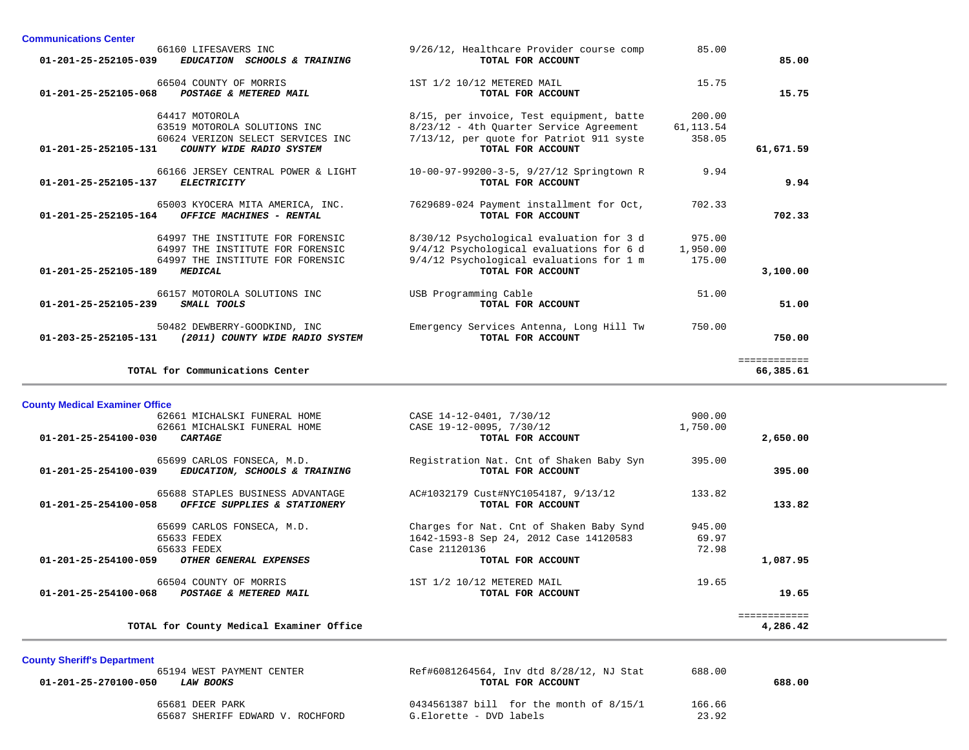| 66160 LIFESAVERS INC<br>01-201-25-252105-039                             | EDUCATION SCHOOLS & TRAINING                                                                             | 9/26/12, Healthcare Provider course comp<br>TOTAL FOR ACCOUNT                                                                                         | 85.00                          | 85.00                     |
|--------------------------------------------------------------------------|----------------------------------------------------------------------------------------------------------|-------------------------------------------------------------------------------------------------------------------------------------------------------|--------------------------------|---------------------------|
| 66504 COUNTY OF MORRIS<br>01-201-25-252105-068<br>POSTAGE & METERED MAIL |                                                                                                          | 1ST 1/2 10/12 METERED MAIL<br>TOTAL FOR ACCOUNT                                                                                                       | 15.75                          | 15.75                     |
| 64417 MOTOROLA<br>63519 MOTOROLA SOLUTIONS INC<br>01-201-25-252105-131   | 60624 VERIZON SELECT SERVICES INC<br>COUNTY WIDE RADIO SYSTEM                                            | 8/15, per invoice, Test equipment, batte<br>8/23/12 - 4th Ouarter Service Agreement<br>7/13/12, per quote for Patriot 911 syste<br>TOTAL FOR ACCOUNT  | 200.00<br>61, 113.54<br>358.05 | 61,671.59                 |
| $01 - 201 - 25 - 252105 - 137$<br><b>ELECTRICITY</b>                     | 66166 JERSEY CENTRAL POWER & LIGHT                                                                       | 10-00-97-99200-3-5, 9/27/12 Springtown R<br>TOTAL FOR ACCOUNT                                                                                         | 9.94                           | 9.94                      |
| 01-201-25-252105-164                                                     | 65003 KYOCERA MITA AMERICA, INC.<br>OFFICE MACHINES - RENTAL                                             | 7629689-024 Payment installment for Oct,<br>TOTAL FOR ACCOUNT                                                                                         | 702.33                         | 702.33                    |
| 01-201-25-252105-189<br><b>MEDICAL</b>                                   | 64997 THE INSTITUTE FOR FORENSIC<br>64997 THE INSTITUTE FOR FORENSIC<br>64997 THE INSTITUTE FOR FORENSIC | 8/30/12 Psychological evaluation for 3 d<br>9/4/12 Psychological evaluations for 6 d<br>9/4/12 Psychological evaluations for 1 m<br>TOTAL FOR ACCOUNT | 975.00<br>1,950.00<br>175.00   | 3,100.00                  |
| 66157 MOTOROLA SOLUTIONS INC<br>01-201-25-252105-239<br>SMALL TOOLS      |                                                                                                          | USB Programming Cable<br>TOTAL FOR ACCOUNT                                                                                                            | 51.00                          | 51.00                     |
| 50482 DEWBERRY-GOODKIND, INC<br>$01 - 203 - 25 - 252105 - 131$           | (2011) COUNTY WIDE RADIO SYSTEM                                                                          | Emergency Services Antenna, Long Hill Tw<br>TOTAL FOR ACCOUNT                                                                                         | 750.00                         | 750.00                    |
| TOTAL for Communications Center                                          |                                                                                                          |                                                                                                                                                       |                                | ============<br>66,385.61 |

**County Medical Examiner Office** CASE 14-12-0401, 7/30/12 900.00 62661 MICHALSKI FUNERAL HOME CASE 19-12-0095, 7/30/12 1,750.00  **01-201-25-254100-030** *CARTAGE* **TOTAL FOR ACCOUNT 2,650.00** 65699 CARLOS FONSECA, M.D. Registration Nat. Cnt of Shaken Baby Syn 395.00<br> **EDUCATION, SCHOOLS & TRAINING** TOTAL FOR ACCOUNT  **01-201-25-254100-039** *EDUCATION, SCHOOLS & TRAINING* **TOTAL FOR ACCOUNT 395.00** 65688 STAPLES BUSINESS ADVANTAGE AC#1032179 Cust#NYC1054187, 9/13/12 133.82  **01-201-25-254100-058** *OFFICE SUPPLIES & STATIONERY* **TOTAL FOR ACCOUNT 133.82** 65699 CARLOS FONSECA, M.D. Charges for Nat. Cnt of Shaken Baby Synd 945.00 65633 FEDEX 1642-1593-8 Sep 24, 2012 Case 14120583 69.97 65633 FEDEX Case 21120136 72.98  **01-201-25-254100-059** *OTHER GENERAL EXPENSES* **TOTAL FOR ACCOUNT 1,087.95** 66504 COUNTY OF MORRIS 19.65 1ST 1/2 10/12 METERED MAIL 19.65  **01-201-25-254100-068** *POSTAGE & METERED MAIL* **TOTAL FOR ACCOUNT 19.65** ============ TOTAL for County Medical Examiner Office **4,286.42** 

#### **County Sheriff's Department**

**Communications Center** 

| 65194 WEST PAYMENT CENTER                | Ref#6081264564, Inv dtd 8/28/12, NJ Stat | 688.00 |        |
|------------------------------------------|------------------------------------------|--------|--------|
| 01-201-25-270100-050<br><i>LAW BOOKS</i> | TOTAL FOR ACCOUNT                        |        | 688.00 |
| 65681 DEER PARK                          | 0434561387 bill for the month of 8/15/1  | 166.66 |        |
| 65687 SHERIFF EDWARD V. ROCHFORD         | G.Elorette - DVD labels                  | 23.92  |        |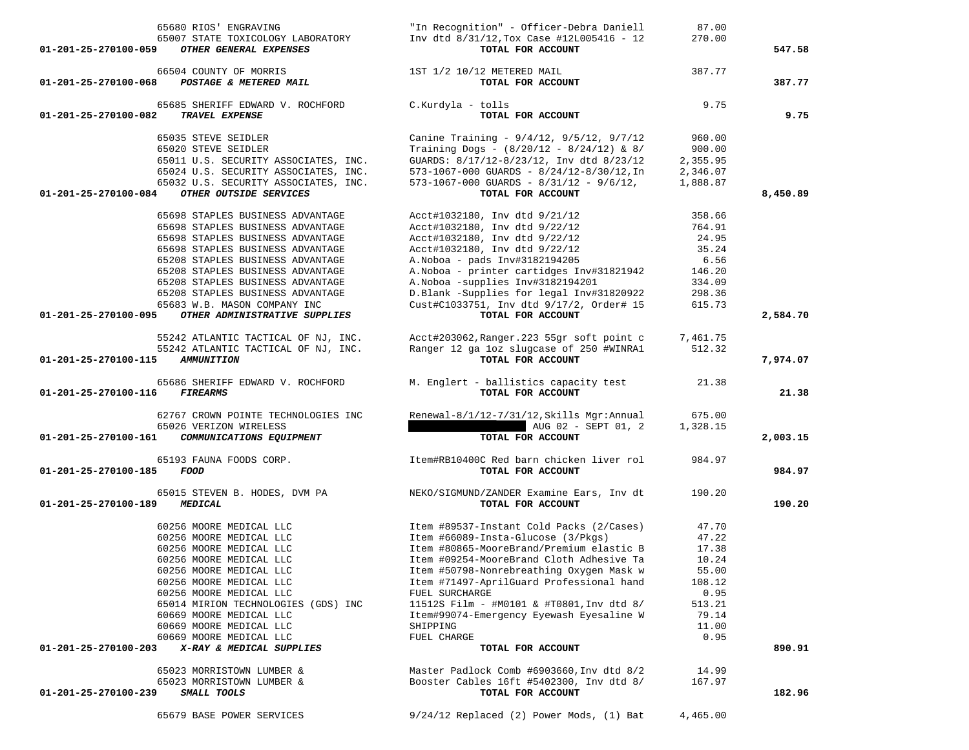| 65035 STEVE SEIDLER<br>65020 STEVE SEIDLER<br>65011 U.S. SECURITY ASSOCIATES, INC. | Canine Training - 9/4/12, 9/5/12, 9/7/12<br>Training Dogs - $(8/20/12 - 8/24/12)$ & 8/<br>GUARDS: 8/17/12-8/23/12, Inv dtd 8/23/12 | 960.00<br>900.00<br>2,355.95 |          |
|------------------------------------------------------------------------------------|------------------------------------------------------------------------------------------------------------------------------------|------------------------------|----------|
| 65024 U.S. SECURITY ASSOCIATES, INC.<br>65032 U.S. SECURITY ASSOCIATES, INC.       | 573-1067-000 GUARDS - 8/24/12-8/30/12, In<br>$573 - 1067 - 000$ GUARDS - $8/31/12$ - $9/6/12$ ,                                    | 2,346.07<br>1,888.87         |          |
| 01-201-25-270100-084<br>OTHER OUTSIDE SERVICES                                     | TOTAL FOR ACCOUNT                                                                                                                  |                              | 8,450.89 |
| 65698 STAPLES BUSINESS ADVANTAGE                                                   | Acct#1032180, Inv dtd 9/21/12                                                                                                      | 358.66                       |          |
| 65698 STAPLES BUSINESS ADVANTAGE                                                   | Acct#1032180, Inv dtd 9/22/12                                                                                                      | 764.91                       |          |
| 65698 STAPLES BUSINESS ADVANTAGE                                                   | Acct#1032180, Inv dtd 9/22/12                                                                                                      | 24.95                        |          |
| 65698 STAPLES BUSINESS ADVANTAGE                                                   | Acct#1032180, Inv dtd 9/22/12                                                                                                      | 35.24                        |          |
| 65208 STAPLES BUSINESS ADVANTAGE                                                   | A. Noboa - pads Inv#3182194205                                                                                                     | 6.56                         |          |
| 65208 STAPLES BUSINESS ADVANTAGE<br>65208 STAPLES BUSINESS ADVANTAGE               | A. Noboa - printer cartidges Inv#31821942<br>A. Noboa - supplies Inv#3182194201                                                    | 146.20<br>334.09             |          |
| 65208 STAPLES BUSINESS ADVANTAGE                                                   | D.Blank -Supplies for legal Inv#31820922                                                                                           | 298.36                       |          |
| 65683 W.B. MASON COMPANY INC                                                       | Cust#C1033751, Inv dtd 9/17/2, Order# 15                                                                                           | 615.73                       |          |
| OTHER ADMINISTRATIVE SUPPLIES<br>01-201-25-270100-095                              | TOTAL FOR ACCOUNT                                                                                                                  |                              | 2,584.70 |
|                                                                                    |                                                                                                                                    |                              |          |
| 55242 ATLANTIC TACTICAL OF NJ, INC.                                                | Acct#203062, Ranger. 223 55gr soft point c                                                                                         | 7,461.75                     |          |
| 55242 ATLANTIC TACTICAL OF NJ, INC.                                                | Ranger 12 ga loz slugcase of 250 #WINRA1                                                                                           | 512.32                       |          |
| 01-201-25-270100-115<br><b>AMMUNITION</b>                                          | TOTAL FOR ACCOUNT                                                                                                                  |                              | 7,974.07 |
| 65686 SHERIFF EDWARD V. ROCHFORD                                                   | M. Englert - ballistics capacity test                                                                                              | 21.38                        |          |
| <b>FIREARMS</b><br>01-201-25-270100-116                                            | TOTAL FOR ACCOUNT                                                                                                                  |                              | 21.38    |
| 62767 CROWN POINTE TECHNOLOGIES INC                                                | Renewal-8/1/12-7/31/12, Skills Mgr: Annual                                                                                         | 675.00                       |          |
| 65026 VERIZON WIRELESS                                                             | AUG 02 - SEPT 01, 2                                                                                                                | 1,328.15                     |          |
| 01-201-25-270100-161<br>COMMUNICATIONS EQUIPMENT                                   | TOTAL FOR ACCOUNT                                                                                                                  |                              | 2,003.15 |
| 65193 FAUNA FOODS CORP.<br>01-201-25-270100-185<br>FOOD                            | Item#RB10400C Red barn chicken liver rol<br>TOTAL FOR ACCOUNT                                                                      | 984.97                       | 984.97   |
| 65015 STEVEN B. HODES, DVM PA                                                      | NEKO/SIGMUND/ZANDER Examine Ears, Inv dt                                                                                           | 190.20                       |          |
| 01-201-25-270100-189<br><b>MEDICAL</b>                                             | TOTAL FOR ACCOUNT                                                                                                                  |                              | 190.20   |
| 60256 MOORE MEDICAL LLC                                                            | Item #89537-Instant Cold Packs (2/Cases)                                                                                           | 47.70                        |          |
| 60256 MOORE MEDICAL LLC                                                            | Item #66089-Insta-Glucose (3/Pkgs)                                                                                                 | 47.22                        |          |
| 60256 MOORE MEDICAL LLC                                                            | Item #80865-MooreBrand/Premium elastic B                                                                                           | 17.38                        |          |
| 60256 MOORE MEDICAL LLC                                                            | Item #09254-MooreBrand Cloth Adhesive Ta                                                                                           | 10.24                        |          |
| 60256 MOORE MEDICAL LLC                                                            | Item #50798-Nonrebreathing Oxygen Mask w                                                                                           | 55.00                        |          |
| 60256 MOORE MEDICAL LLC                                                            | Item #71497-AprilGuard Professional hand                                                                                           | 108.12                       |          |
| 60256 MOORE MEDICAL LLC                                                            | FUEL SURCHARGE                                                                                                                     | 0.95                         |          |
| 65014 MIRION TECHNOLOGIES (GDS) INC                                                | 11512S Film - #M0101 & #T0801, Inv dtd 8/                                                                                          | 513.21                       |          |
| 60669 MOORE MEDICAL LLC                                                            | Item#99074-Emergency Eyewash Eyesaline W<br>SHIPPING                                                                               | 79.14<br>11.00               |          |
| 60669 MOORE MEDICAL LLC<br>60669 MOORE MEDICAL LLC                                 | FUEL CHARGE                                                                                                                        | 0.95                         |          |
| X-RAY & MEDICAL SUPPLIES<br>01-201-25-270100-203                                   | TOTAL FOR ACCOUNT                                                                                                                  |                              | 890.91   |
| 65023 MORRISTOWN LUMBER &                                                          | Master Padlock Comb #6903660, Inv dtd 8/2                                                                                          | 14.99                        |          |
| 65023 MORRISTOWN LUMBER &                                                          | Booster Cables 16ft #5402300, Inv dtd 8/                                                                                           | 167.97                       |          |
| 01-201-25-270100-239<br>SMALL TOOLS                                                | TOTAL FOR ACCOUNT                                                                                                                  |                              | 182.96   |
| 65679 BASE POWER SERVICES                                                          | 9/24/12 Replaced (2) Power Mods, (1) Bat                                                                                           | 4,465.00                     |          |

| "In Recognition" - Officer-Debra Daniell<br>Inv dtd $8/31/12$ , Tox Case #12L005416 - 12<br>TOTAL FOR ACCOUNT | 87.00<br>270.00                                                                                                   | 547.58 |
|---------------------------------------------------------------------------------------------------------------|-------------------------------------------------------------------------------------------------------------------|--------|
| 1ST 1/2 10/12 METERED MAIL                                                                                    | 387.77                                                                                                            | 387.77 |
|                                                                                                               | 65007 STATE TOXICOLOGY LABORATORY<br><i>OTHER GENERAL EXPENSES</i><br>POSTAGE & METERED MAIL<br>TOTAL FOR ACCOUNT |        |

01-201-25-270100-082 *TRAVEL EXPENSE* 

65685 SHERIFF EDWARD V. ROCHFORD C.Kurdyla - tolls 9.75

9.75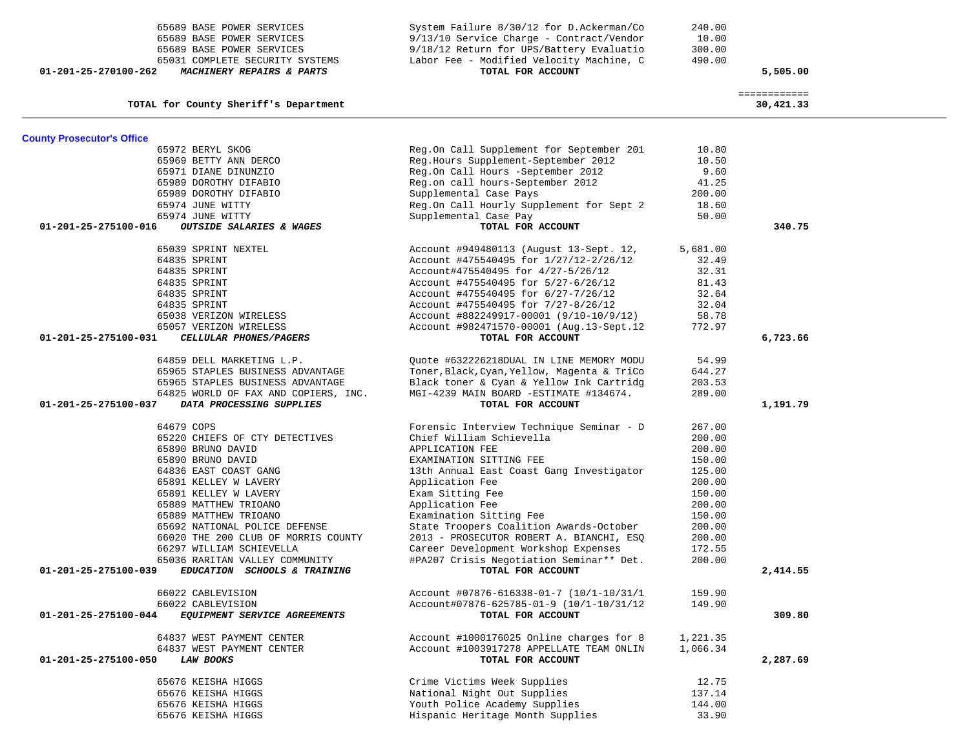|                                   | 65689 BASE POWER SERVICES<br>65689 BASE POWER SERVICES<br>65031 COMPLETE SECURITY SYSTEMS | $9/13/10$ Service Charge - Contract/Vendor<br>9/18/12 Return for UPS/Battery Evaluatio<br>Labor Fee - Modified Velocity Machine, C | 10.00<br>300.00<br>490.00 |                           |  |
|-----------------------------------|-------------------------------------------------------------------------------------------|------------------------------------------------------------------------------------------------------------------------------------|---------------------------|---------------------------|--|
| 01-201-25-270100-262              | MACHINERY REPAIRS & PARTS                                                                 | TOTAL FOR ACCOUNT                                                                                                                  |                           | 5,505.00                  |  |
|                                   | TOTAL for County Sheriff's Department                                                     |                                                                                                                                    |                           | ============<br>30,421.33 |  |
| <b>County Prosecutor's Office</b> |                                                                                           |                                                                                                                                    |                           |                           |  |
|                                   | 65972 BERYL SKOG                                                                          | Reg.On Call Supplement for September 201                                                                                           | 10.80                     |                           |  |
|                                   | 65969 BETTY ANN DERCO                                                                     | Reg.Hours Supplement-September 2012                                                                                                | 10.50                     |                           |  |
|                                   | 65971 DIANE DINUNZIO                                                                      | Reg.On Call Hours -September 2012                                                                                                  | 9.60                      |                           |  |
|                                   | 65989 DOROTHY DIFABIO                                                                     | Reg.on call hours-September 2012                                                                                                   | 41.25                     |                           |  |
|                                   | 65989 DOROTHY DIFABIO                                                                     | Supplemental Case Pays                                                                                                             | 200.00                    |                           |  |
|                                   | 65974 JUNE WITTY                                                                          | Reg.On Call Hourly Supplement for Sept 2                                                                                           | 18.60                     |                           |  |
|                                   | 65974 JUNE WITTY                                                                          | Supplemental Case Pay                                                                                                              | 50.00                     |                           |  |
| 01-201-25-275100-016              | OUTSIDE SALARIES & WAGES                                                                  | TOTAL FOR ACCOUNT                                                                                                                  |                           | 340.75                    |  |
|                                   | 65039 SPRINT NEXTEL                                                                       | Account #949480113 (August 13-Sept. 12,                                                                                            | 5,681.00                  |                           |  |
|                                   | 64835 SPRINT                                                                              | Account #475540495 for 1/27/12-2/26/12                                                                                             | 32.49                     |                           |  |
|                                   | 64835 SPRINT                                                                              | Account#475540495 for 4/27-5/26/12                                                                                                 | 32.31                     |                           |  |
|                                   | 64835 SPRINT                                                                              | Account #475540495 for 5/27-6/26/12                                                                                                | 81.43                     |                           |  |
|                                   | 64835 SPRINT                                                                              | Account #475540495 for 6/27-7/26/12                                                                                                | 32.64                     |                           |  |
|                                   | 64835 SPRINT                                                                              | Account #475540495 for 7/27-8/26/12                                                                                                | 32.04                     |                           |  |
|                                   | 65038 VERIZON WIRELESS                                                                    | Account #882249917-00001 (9/10-10/9/12)                                                                                            | 58.78                     |                           |  |
|                                   | 65057 VERIZON WIRELESS                                                                    | Account #982471570-00001 (Aug.13-Sept.12                                                                                           | 772.97                    |                           |  |
| $01 - 201 - 25 - 275100 - 031$    | CELLULAR PHONES/PAGERS                                                                    | TOTAL FOR ACCOUNT                                                                                                                  |                           | 6,723.66                  |  |
|                                   | 64859 DELL MARKETING L.P.                                                                 | Ouote #632226218DUAL IN LINE MEMORY MODU                                                                                           | 54.99                     |                           |  |
|                                   | 65965 STAPLES BUSINESS ADVANTAGE                                                          | Toner, Black, Cyan, Yellow, Magenta & TriCo                                                                                        | 644.27                    |                           |  |
|                                   | 65965 STAPLES BUSINESS ADVANTAGE                                                          | Black toner & Cyan & Yellow Ink Cartridg                                                                                           | 203.53                    |                           |  |
|                                   | 64825 WORLD OF FAX AND COPIERS, INC.                                                      | MGI-4239 MAIN BOARD -ESTIMATE #134674.                                                                                             | 289.00                    |                           |  |
| 01-201-25-275100-037              | DATA PROCESSING SUPPLIES                                                                  | TOTAL FOR ACCOUNT                                                                                                                  |                           | 1,191.79                  |  |
|                                   | 64679 COPS                                                                                | Forensic Interview Technique Seminar - D                                                                                           | 267.00                    |                           |  |
|                                   | 65220 CHIEFS OF CTY DETECTIVES                                                            | Chief William Schievella                                                                                                           | 200.00                    |                           |  |
|                                   | 65890 BRUNO DAVID                                                                         | APPLICATION FEE                                                                                                                    | 200.00                    |                           |  |
|                                   | 65890 BRUNO DAVID                                                                         | EXAMINATION SITTING FEE                                                                                                            | 150.00                    |                           |  |
|                                   | 64836 EAST COAST GANG                                                                     | 13th Annual East Coast Gang Investigator                                                                                           | 125.00                    |                           |  |
|                                   | 65891 KELLEY W LAVERY                                                                     | Application Fee                                                                                                                    | 200.00                    |                           |  |
|                                   | 65891 KELLEY W LAVERY                                                                     | Exam Sitting Fee                                                                                                                   | 150.00                    |                           |  |
|                                   | 65889 MATTHEW TRIOANO                                                                     | Application Fee                                                                                                                    | 200.00                    |                           |  |
|                                   | 65889 MATTHEW TRIOANO                                                                     | Examination Sitting Fee                                                                                                            | 150.00                    |                           |  |
|                                   | 65692 NATIONAL POLICE DEFENSE                                                             | State Troopers Coalition Awards-October                                                                                            | 200.00                    |                           |  |
|                                   | 66020 THE 200 CLUB OF MORRIS COUNTY                                                       | 2013 - PROSECUTOR ROBERT A. BIANCHI, ESQ                                                                                           | 200.00                    |                           |  |
|                                   | 66297 WILLIAM SCHIEVELLA                                                                  | Career Development Workshop Expenses                                                                                               | 172.55                    |                           |  |
|                                   | 65036 RARITAN VALLEY COMMUNITY                                                            | #PA207 Crisis Negotiation Seminar** Det.                                                                                           | 200.00                    |                           |  |
| 01-201-25-275100-039              | EDUCATION SCHOOLS & TRAINING                                                              | TOTAL FOR ACCOUNT                                                                                                                  |                           | 2,414.55                  |  |
|                                   | 66022 CABLEVISION                                                                         | Account #07876-616338-01-7 (10/1-10/31/1                                                                                           | 159.90                    |                           |  |
|                                   | 66022 CABLEVISION                                                                         | Account#07876-625785-01-9 (10/1-10/31/12                                                                                           | 149.90                    |                           |  |
| 01-201-25-275100-044              | EQUIPMENT SERVICE AGREEMENTS                                                              | TOTAL FOR ACCOUNT                                                                                                                  |                           | 309.80                    |  |
|                                   | 64837 WEST PAYMENT CENTER                                                                 | Account #1000176025 Online charges for 8                                                                                           | 1,221.35                  |                           |  |
|                                   | 64837 WEST PAYMENT CENTER                                                                 | Account #1003917278 APPELLATE TEAM ONLIN                                                                                           | 1,066.34                  |                           |  |
| 01-201-25-275100-050              | <b>LAW BOOKS</b>                                                                          | TOTAL FOR ACCOUNT                                                                                                                  |                           | 2,287.69                  |  |
|                                   | 65676 KEISHA HIGGS                                                                        | Crime Victims Week Supplies                                                                                                        | 12.75                     |                           |  |
|                                   | 65676 KEISHA HIGGS                                                                        | National Night Out Supplies                                                                                                        | 137.14                    |                           |  |
|                                   | 65676 KEISHA HIGGS                                                                        | Youth Police Academy Supplies                                                                                                      | 144.00                    |                           |  |
|                                   | 65676 KEISHA HIGGS                                                                        | Hispanic Heritage Month Supplies                                                                                                   | 33.90                     |                           |  |
|                                   |                                                                                           |                                                                                                                                    |                           |                           |  |

65689 BASE POWER SERVICES System Failure 8/30/12 for D.Ackerman/Co 240.00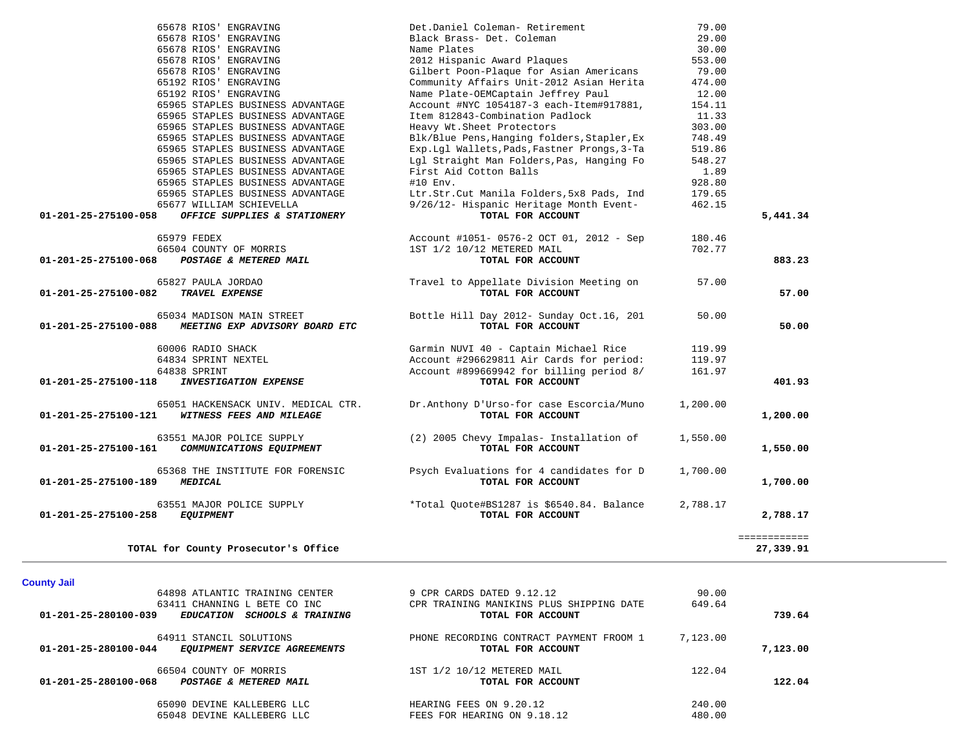|                                | 65678 RIOS' ENGRAVING                | Det.Daniel Coleman- Retirement              | 79.00    |              |
|--------------------------------|--------------------------------------|---------------------------------------------|----------|--------------|
|                                | 65678 RIOS' ENGRAVING                | Black Brass- Det. Coleman                   | 29.00    |              |
|                                | 65678 RIOS' ENGRAVING                | Name Plates                                 | 30.00    |              |
|                                | 65678 RIOS' ENGRAVING                | 2012 Hispanic Award Plaques                 | 553.00   |              |
|                                | 65678 RIOS' ENGRAVING                | Gilbert Poon-Plaque for Asian Americans     | 79.00    |              |
|                                | 65192 RIOS' ENGRAVING                | Community Affairs Unit-2012 Asian Herita    | 474.00   |              |
|                                | 65192 RIOS' ENGRAVING                | Name Plate-OEMCaptain Jeffrey Paul          | 12.00    |              |
|                                | 65965 STAPLES BUSINESS ADVANTAGE     | Account #NYC 1054187-3 each-Item#917881,    | 154.11   |              |
|                                | 65965 STAPLES BUSINESS ADVANTAGE     | Item 812843-Combination Padlock             | 11.33    |              |
|                                | 65965 STAPLES BUSINESS ADVANTAGE     | Heavy Wt. Sheet Protectors                  | 303.00   |              |
|                                | 65965 STAPLES BUSINESS ADVANTAGE     | Blk/Blue Pens, Hanging folders, Stapler, Ex | 748.49   |              |
|                                | 65965 STAPLES BUSINESS ADVANTAGE     | Exp.Lgl Wallets, Pads, Fastner Prongs, 3-Ta | 519.86   |              |
|                                | 65965 STAPLES BUSINESS ADVANTAGE     | Lgl Straight Man Folders, Pas, Hanging Fo   | 548.27   |              |
|                                | 65965 STAPLES BUSINESS ADVANTAGE     | First Aid Cotton Balls                      | 1.89     |              |
|                                | 65965 STAPLES BUSINESS ADVANTAGE     | $#10$ Env.                                  | 928.80   |              |
|                                | 65965 STAPLES BUSINESS ADVANTAGE     | Ltr.Str.Cut Manila Folders, 5x8 Pads, Ind   | 179.65   |              |
|                                | 65677 WILLIAM SCHIEVELLA             | 9/26/12- Hispanic Heritage Month Event-     | 462.15   |              |
| 01-201-25-275100-058           | OFFICE SUPPLIES & STATIONERY         | TOTAL FOR ACCOUNT                           |          | 5,441.34     |
|                                |                                      |                                             |          |              |
|                                | 65979 FEDEX                          | Account #1051- 0576-2 OCT 01, 2012 - Sep    | 180.46   |              |
|                                | 66504 COUNTY OF MORRIS               | 1ST 1/2 10/12 METERED MAIL                  | 702.77   |              |
| 01-201-25-275100-068           | POSTAGE & METERED MAIL               | TOTAL FOR ACCOUNT                           |          | 883.23       |
|                                |                                      |                                             |          |              |
|                                | 65827 PAULA JORDAO                   | Travel to Appellate Division Meeting on     | 57.00    |              |
| 01-201-25-275100-082           | TRAVEL EXPENSE                       | TOTAL FOR ACCOUNT                           |          | 57.00        |
|                                |                                      |                                             |          |              |
|                                | 65034 MADISON MAIN STREET            | Bottle Hill Day 2012- Sunday Oct.16, 201    | 50.00    |              |
| 01-201-25-275100-088           | MEETING EXP ADVISORY BOARD ETC       | TOTAL FOR ACCOUNT                           |          | 50.00        |
|                                |                                      |                                             |          |              |
|                                | 60006 RADIO SHACK                    | Garmin NUVI 40 - Captain Michael Rice       | 119.99   |              |
|                                | 64834 SPRINT NEXTEL                  | Account #296629811 Air Cards for period:    | 119.97   |              |
|                                | 64838 SPRINT                         | Account #899669942 for billing period 8/    | 161.97   |              |
| 01-201-25-275100-118           | <b>INVESTIGATION EXPENSE</b>         | TOTAL FOR ACCOUNT                           |          | 401.93       |
|                                |                                      |                                             |          |              |
|                                |                                      |                                             |          |              |
| $01 - 201 - 25 - 275100 - 121$ | 65051 HACKENSACK UNIV. MEDICAL CTR.  | Dr.Anthony D'Urso-for case Escorcia/Muno    | 1,200.00 |              |
|                                | WITNESS FEES AND MILEAGE             | TOTAL FOR ACCOUNT                           |          | 1,200.00     |
|                                |                                      |                                             |          |              |
|                                | 63551 MAJOR POLICE SUPPLY            | (2) 2005 Chevy Impalas- Installation of     | 1,550.00 |              |
| 01-201-25-275100-161           | COMMUNICATIONS EQUIPMENT             | TOTAL FOR ACCOUNT                           |          | 1,550.00     |
|                                |                                      |                                             |          |              |
|                                | 65368 THE INSTITUTE FOR FORENSIC     | Psych Evaluations for 4 candidates for D    | 1,700.00 |              |
| 01-201-25-275100-189           | <b>MEDICAL</b>                       | TOTAL FOR ACCOUNT                           |          | 1,700.00     |
|                                |                                      |                                             |          |              |
|                                | 63551 MAJOR POLICE SUPPLY            | *Total Quote#BS1287 is \$6540.84. Balance   | 2,788.17 |              |
| 01-201-25-275100-258           | <b>EQUIPMENT</b>                     | TOTAL FOR ACCOUNT                           |          | 2,788.17     |
|                                |                                      |                                             |          |              |
|                                |                                      |                                             |          | ============ |
|                                | TOTAL for County Prosecutor's Office |                                             |          | 27,339.91    |

# **County Jail**

|                      | 64898 ATLANTIC TRAINING CENTER | 9 CPR CARDS DATED 9.12.12                | 90.00    |          |  |
|----------------------|--------------------------------|------------------------------------------|----------|----------|--|
|                      | 63411 CHANNING L BETE CO INC   | CPR TRAINING MANIKINS PLUS SHIPPING DATE | 649.64   |          |  |
| 01-201-25-280100-039 | EDUCATION SCHOOLS & TRAINING   | TOTAL FOR ACCOUNT                        |          | 739.64   |  |
|                      | 64911 STANCIL SOLUTIONS        | PHONE RECORDING CONTRACT PAYMENT FROOM 1 | 7,123.00 |          |  |
| 01-201-25-280100-044 | EQUIPMENT SERVICE AGREEMENTS   | TOTAL FOR ACCOUNT                        |          | 7,123.00 |  |
|                      | 66504 COUNTY OF MORRIS         | 1ST 1/2 10/12 METERED MAIL               | 122.04   |          |  |
| 01-201-25-280100-068 | POSTAGE & METERED MAIL         | TOTAL FOR ACCOUNT                        |          | 122.04   |  |
|                      | 65090 DEVINE KALLEBERG LLC     | HEARING FEES ON 9.20.12                  | 240.00   |          |  |
|                      | 65048 DEVINE KALLEBERG LLC     | FEES FOR HEARING ON 9.18.12              | 480.00   |          |  |
|                      |                                |                                          |          |          |  |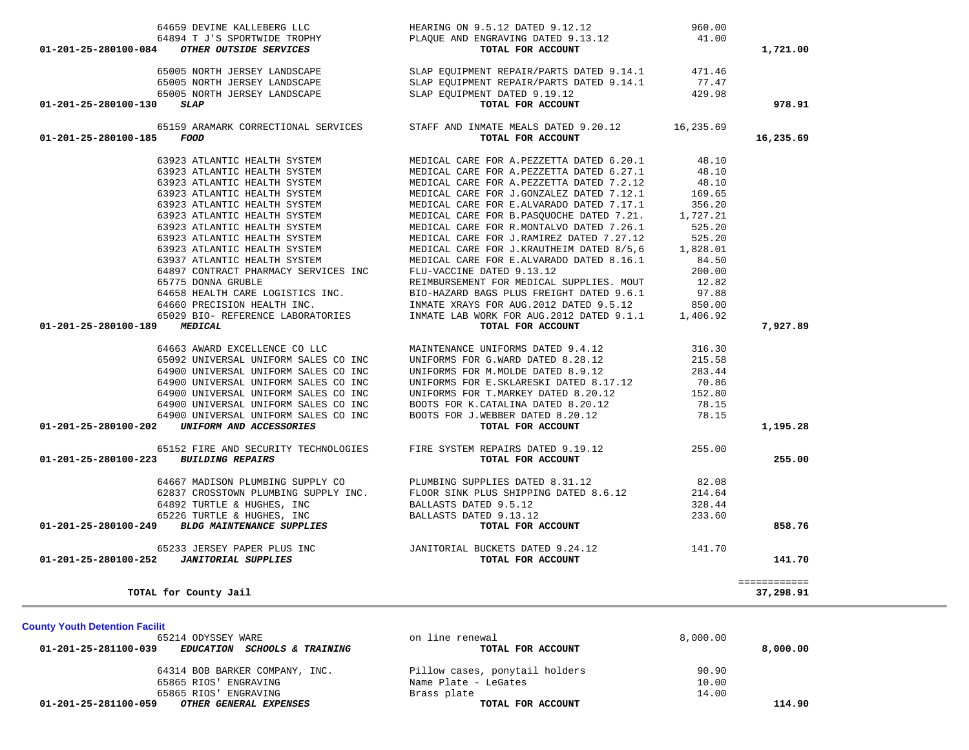| 65865 RIOS' ENGRAVING<br>65865 RIOS' ENGRAVING<br><b>01-201-25-281100-059</b> OTHER GENERAL EXPENSES                                                                                                                                                                                                                                                                                                                 | TOTAL FOR ACCOUNT                                                                                                                                                                                                                          |                 | 114.90       |
|----------------------------------------------------------------------------------------------------------------------------------------------------------------------------------------------------------------------------------------------------------------------------------------------------------------------------------------------------------------------------------------------------------------------|--------------------------------------------------------------------------------------------------------------------------------------------------------------------------------------------------------------------------------------------|-----------------|--------------|
|                                                                                                                                                                                                                                                                                                                                                                                                                      |                                                                                                                                                                                                                                            |                 |              |
|                                                                                                                                                                                                                                                                                                                                                                                                                      |                                                                                                                                                                                                                                            | 14.00           |              |
|                                                                                                                                                                                                                                                                                                                                                                                                                      | 64314 BOB BARKER COMPANY, INC.<br>65865 RIOS' ENGRAVING Name Plate - LeGates<br>65865 RIOS' ENGRAVING STATES Name Plate - LeGates<br>2006 - A CHILID STATES                                                                                | 10.00           |              |
|                                                                                                                                                                                                                                                                                                                                                                                                                      |                                                                                                                                                                                                                                            | 90.90           |              |
| EDUCATION SCHOOLS & TRAINING<br>01-201-25-281100-039                                                                                                                                                                                                                                                                                                                                                                 | TOTAL FOR ACCOUNT                                                                                                                                                                                                                          |                 | 8,000.00     |
| 65214 ODYSSEY WARE                                                                                                                                                                                                                                                                                                                                                                                                   | on line renewal                                                                                                                                                                                                                            | 8,000.00        |              |
| <b>County Youth Detention Facilit</b>                                                                                                                                                                                                                                                                                                                                                                                |                                                                                                                                                                                                                                            |                 |              |
|                                                                                                                                                                                                                                                                                                                                                                                                                      |                                                                                                                                                                                                                                            |                 |              |
| TOTAL for County Jail                                                                                                                                                                                                                                                                                                                                                                                                |                                                                                                                                                                                                                                            |                 | 37,298.91    |
|                                                                                                                                                                                                                                                                                                                                                                                                                      |                                                                                                                                                                                                                                            |                 | ============ |
| 01-201-25-280100-252 JANITORIAL SUPPLIES                                                                                                                                                                                                                                                                                                                                                                             | TOTAL FOR ACCOUNT                                                                                                                                                                                                                          |                 | 141.70       |
|                                                                                                                                                                                                                                                                                                                                                                                                                      |                                                                                                                                                                                                                                            |                 |              |
|                                                                                                                                                                                                                                                                                                                                                                                                                      |                                                                                                                                                                                                                                            |                 |              |
| $\begin{tabular}{lllllllllllll} 64667 &\texttt{MADISON PLUMBING SUPPLY CO} & & \texttt{PLUMBING SUPPLIES DATED 8.31.12} \\ 62837 & \texttt{CROSSTOWN PLUMBING SUPPLY INC} & & \texttt{FLOOR SINK PLUS SHIPPING DATED 8.6.12} \\ 64892 & \texttt{TURTLE & HUGHES, INC} & \texttt{BALLASTS DATED 9.5.12} \\ 65226 & \texttt{TURTLE & HUGHES, INC} & \texttt{BALLASTS DATED 9.13.12} \\ 01-201-25-280100-249 & \texttt$ |                                                                                                                                                                                                                                            |                 | 858.76       |
|                                                                                                                                                                                                                                                                                                                                                                                                                      |                                                                                                                                                                                                                                            | 233.60          |              |
|                                                                                                                                                                                                                                                                                                                                                                                                                      |                                                                                                                                                                                                                                            | 328.44          |              |
|                                                                                                                                                                                                                                                                                                                                                                                                                      |                                                                                                                                                                                                                                            | 82.08<br>214.64 |              |
|                                                                                                                                                                                                                                                                                                                                                                                                                      |                                                                                                                                                                                                                                            |                 |              |
| 01-201-25-280100-223<br><b>BUILDING REPAIRS</b>                                                                                                                                                                                                                                                                                                                                                                      | TOTAL FOR ACCOUNT                                                                                                                                                                                                                          |                 | 255.00       |
| 65152 FIRE AND SECURITY TECHNOLOGIES                                                                                                                                                                                                                                                                                                                                                                                 | FIRE SYSTEM REPAIRS DATED 9.19.12                                                                                                                                                                                                          | 255.00          |              |
|                                                                                                                                                                                                                                                                                                                                                                                                                      |                                                                                                                                                                                                                                            |                 |              |
| 01-201-25-280100-202 UNIFORM AND ACCESSORIES                                                                                                                                                                                                                                                                                                                                                                         | TOTAL FOR ACCOUNT                                                                                                                                                                                                                          |                 | 1,195.28     |
| 64900 UNIVERSAL UNIFORM SALES CO INC                                                                                                                                                                                                                                                                                                                                                                                 | BOOTS FOR J.WEBBER DATED 8.20.12                                                                                                                                                                                                           | 78.15           |              |
| 64900 UNIVERSAL UNIFORM SALES CO INC                                                                                                                                                                                                                                                                                                                                                                                 | BOOTS FOR K.CATALINA DATED 8.20.12                                                                                                                                                                                                         | 78.15           |              |
| 64900 UNIVERSAL UNIFORM SALES CO INC                                                                                                                                                                                                                                                                                                                                                                                 | UNIFORMS FOR T.MARKEY DATED 8.20.12                                                                                                                                                                                                        | 152.80          |              |
| 64900 UNIVERSAL UNIFORM SALES CO INC                                                                                                                                                                                                                                                                                                                                                                                 | UNIFORMS FOR E.SKLARESKI DATED 8.17.12                                                                                                                                                                                                     | 70.86           |              |
| 64900 UNIVERSAL UNIFORM SALES CO INC                                                                                                                                                                                                                                                                                                                                                                                 | UNIFORMS FOR M.MOLDE DATED 8.9.12                                                                                                                                                                                                          | 283.44          |              |
| 65092 UNIVERSAL UNIFORM SALES CO INC                                                                                                                                                                                                                                                                                                                                                                                 | UNIFORMS FOR G.WARD DATED 8.28.12                                                                                                                                                                                                          | 215.58          |              |
| 64663 AWARD EXCELLENCE CO LLC                                                                                                                                                                                                                                                                                                                                                                                        | MAINTENANCE UNIFORMS DATED 9.4.12                                                                                                                                                                                                          | 316.30          |              |
| <b>MEDICAL</b><br>01-201-25-280100-189                                                                                                                                                                                                                                                                                                                                                                               | TOTAL FOR ACCOUNT                                                                                                                                                                                                                          |                 | 7,927.89     |
|                                                                                                                                                                                                                                                                                                                                                                                                                      |                                                                                                                                                                                                                                            | 1,406.92        |              |
|                                                                                                                                                                                                                                                                                                                                                                                                                      | 63775 DONNA GROBLE<br>64658 HEALTH CARE LOGISTICS INC.<br>64660 PRECISION HEALTH INC.<br>1810-HAZARD BAGS PLUS FREIGHT DATED 9.6.1<br>1820-1820 BIO-REFERENCE LABORATORIES<br>1820-19 BIO-REFERENCE LABORATORIES<br>1820-19 INMATE LAB WOR | 850.00          |              |
|                                                                                                                                                                                                                                                                                                                                                                                                                      |                                                                                                                                                                                                                                            |                 |              |
|                                                                                                                                                                                                                                                                                                                                                                                                                      |                                                                                                                                                                                                                                            |                 |              |
|                                                                                                                                                                                                                                                                                                                                                                                                                      |                                                                                                                                                                                                                                            |                 |              |
|                                                                                                                                                                                                                                                                                                                                                                                                                      |                                                                                                                                                                                                                                            |                 |              |
|                                                                                                                                                                                                                                                                                                                                                                                                                      |                                                                                                                                                                                                                                            |                 |              |
|                                                                                                                                                                                                                                                                                                                                                                                                                      |                                                                                                                                                                                                                                            |                 |              |
|                                                                                                                                                                                                                                                                                                                                                                                                                      |                                                                                                                                                                                                                                            |                 |              |
|                                                                                                                                                                                                                                                                                                                                                                                                                      |                                                                                                                                                                                                                                            |                 |              |
|                                                                                                                                                                                                                                                                                                                                                                                                                      |                                                                                                                                                                                                                                            |                 |              |
|                                                                                                                                                                                                                                                                                                                                                                                                                      |                                                                                                                                                                                                                                            |                 |              |
|                                                                                                                                                                                                                                                                                                                                                                                                                      |                                                                                                                                                                                                                                            |                 |              |
|                                                                                                                                                                                                                                                                                                                                                                                                                      |                                                                                                                                                                                                                                            |                 |              |

64659 DEVINE KALLEBERG LLC HEARING ON 9.5.12 DATED 9.12.12 960.00

65005 NORTH JERSEY LANDSCAPE SLAP EQUIPMENT REPAIR/PARTS DATED 9.14.1 471.46 65005 NORTH JERSEY LANDSCAPE SLAP EQUIPMENT REPAIR/PARTS DATED 9.14.1 77.47 65005 NORTH JERSEY LANDSCAPE SLAP EQUIPMENT DATED 9.19.12 429.98  **01-201-25-280100-130** *SLAP* **TOTAL FOR ACCOUNT 978.91**

 65159 ARAMARK CORRECTIONAL SERVICES STAFF AND INMATE MEALS DATED 9.20.12 16,235.69  **01-201-25-280100-185** *FOOD* **TOTAL FOR ACCOUNT 16,235.69**

63923 ATLANTIC HEALTH SYSTEM MEDICAL CARE FOR A.PEZZETTA DATED 6.20.1 48.10

63923 ATLANTIC HEALTH SYSTEM MEDICAL CARE FOR A.PEZZETTA DATED 6.27.1<br>63923 ATLANTIC HEALTH SYSTEM MEDICAL CARE FOR A.PEZZETTA DATED 7.2.12

 **01-201-25-280100-084** *OTHER OUTSIDE SERVICES* **TOTAL FOR ACCOUNT 1,721.00**

64894 T J'S SPORTWIDE TROPHY PLAQUE AND ENGRAVING DATED 9.13.12

41.00

48.10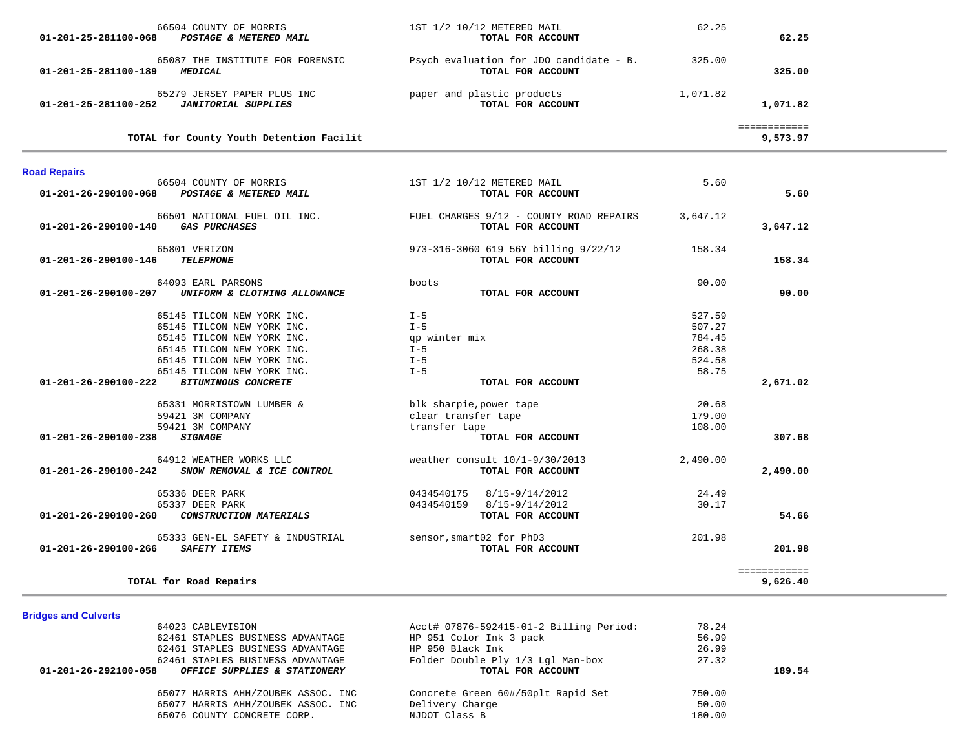| 66504 COUNTY OF MORRIS<br>POSTAGE & METERED MAIL<br>01-201-25-281100-068                                                                                                                                                               | 1ST 1/2 10/12 METERED MAIL<br>TOTAL FOR ACCOUNT                                           | 62.25                                                   | 62.25                    |
|----------------------------------------------------------------------------------------------------------------------------------------------------------------------------------------------------------------------------------------|-------------------------------------------------------------------------------------------|---------------------------------------------------------|--------------------------|
| 65087 THE INSTITUTE FOR FORENSIC<br><b>MEDICAL</b><br>01-201-25-281100-189                                                                                                                                                             | Psych evaluation for JDO candidate - B.<br>TOTAL FOR ACCOUNT                              | 325.00                                                  | 325.00                   |
| 65279 JERSEY PAPER PLUS INC<br><b>JANITORIAL SUPPLIES</b><br>01-201-25-281100-252                                                                                                                                                      | paper and plastic products<br>TOTAL FOR ACCOUNT                                           | 1,071.82                                                | 1,071.82                 |
| TOTAL for County Youth Detention Facilit                                                                                                                                                                                               |                                                                                           |                                                         | ============<br>9,573.97 |
| <b>Road Repairs</b>                                                                                                                                                                                                                    |                                                                                           |                                                         |                          |
| 66504 COUNTY OF MORRIS<br>POSTAGE & METERED MAIL<br>01-201-26-290100-068                                                                                                                                                               | 1ST 1/2 10/12 METERED MAIL<br>TOTAL FOR ACCOUNT                                           | 5.60                                                    | 5.60                     |
| 66501 NATIONAL FUEL OIL INC.<br><b>GAS PURCHASES</b><br>01-201-26-290100-140                                                                                                                                                           | FUEL CHARGES 9/12 - COUNTY ROAD REPAIRS<br>TOTAL FOR ACCOUNT                              | 3,647.12                                                | 3,647.12                 |
| 65801 VERIZON<br>01-201-26-290100-146<br><b>TELEPHONE</b>                                                                                                                                                                              | 973-316-3060 619 56Y billing 9/22/12<br>TOTAL FOR ACCOUNT                                 | 158.34                                                  | 158.34                   |
| 64093 EARL PARSONS<br>01-201-26-290100-207<br>UNIFORM & CLOTHING ALLOWANCE                                                                                                                                                             | boots<br>TOTAL FOR ACCOUNT                                                                | 90.00                                                   | 90.00                    |
| 65145 TILCON NEW YORK INC.<br>65145 TILCON NEW YORK INC.<br>65145 TILCON NEW YORK INC.<br>65145 TILCON NEW YORK INC.<br>65145 TILCON NEW YORK INC.<br>65145 TILCON NEW YORK INC.<br><b>BITUMINOUS CONCRETE</b><br>01-201-26-290100-222 | $I - 5$<br>$I - 5$<br>qp winter mix<br>$I - 5$<br>$I - 5$<br>$I - 5$<br>TOTAL FOR ACCOUNT | 527.59<br>507.27<br>784.45<br>268.38<br>524.58<br>58.75 | 2,671.02                 |
| 65331 MORRISTOWN LUMBER &<br>59421 3M COMPANY<br>59421 3M COMPANY                                                                                                                                                                      | blk sharpie, power tape<br>clear transfer tape<br>transfer tape                           | 20.68<br>179.00<br>108.00                               |                          |
| 01-201-26-290100-238<br><b>SIGNAGE</b><br>64912 WEATHER WORKS LLC<br>SNOW REMOVAL & ICE CONTROL<br>01-201-26-290100-242                                                                                                                | TOTAL FOR ACCOUNT<br>weather consult $10/1-9/30/2013$<br>TOTAL FOR ACCOUNT                | 2,490.00                                                | 307.68<br>2,490.00       |
| 65336 DEER PARK<br>65337 DEER PARK<br>$01 - 201 - 26 - 290100 - 260$<br>CONSTRUCTION MATERIALS                                                                                                                                         | 0434540175  8/15-9/14/2012<br>0434540159 8/15-9/14/2012<br>TOTAL FOR ACCOUNT              | 24.49<br>30.17                                          | 54.66                    |
| 65333 GEN-EL SAFETY & INDUSTRIAL<br><b>SAFETY ITEMS</b><br>01-201-26-290100-266                                                                                                                                                        | sensor, smart02 for PhD3<br>TOTAL FOR ACCOUNT                                             | 201.98                                                  | 201.98                   |
| TOTAL for Road Repairs                                                                                                                                                                                                                 |                                                                                           |                                                         | ============<br>9,626.40 |

# **Bridges and Culverts**

| 64023 CABLEVISION                                    | Acct# 07876-592415-01-2 Billing Period: | 78.24  |        |
|------------------------------------------------------|-----------------------------------------|--------|--------|
| 62461 STAPLES BUSINESS ADVANTAGE                     | HP 951 Color Ink 3 pack                 | 56.99  |        |
| 62461 STAPLES BUSINESS ADVANTAGE                     | HP 950 Black Ink                        | 26.99  |        |
| 62461 STAPLES BUSINESS ADVANTAGE                     | Folder Double Ply 1/3 Lgl Man-box       | 27.32  |        |
| 01-201-26-292100-058<br>OFFICE SUPPLIES & STATIONERY | TOTAL FOR ACCOUNT                       |        | 189.54 |
| 65077 HARRIS AHH/ZOUBEK ASSOC. INC                   | Concrete Green 60#/50plt Rapid Set      | 750.00 |        |
| 65077 HARRIS AHH/ZOUBEK ASSOC. INC                   | Delivery Charge                         | 50.00  |        |
| 65076 COUNTY CONCRETE CORP.                          | NJDOT Class B                           | 180.00 |        |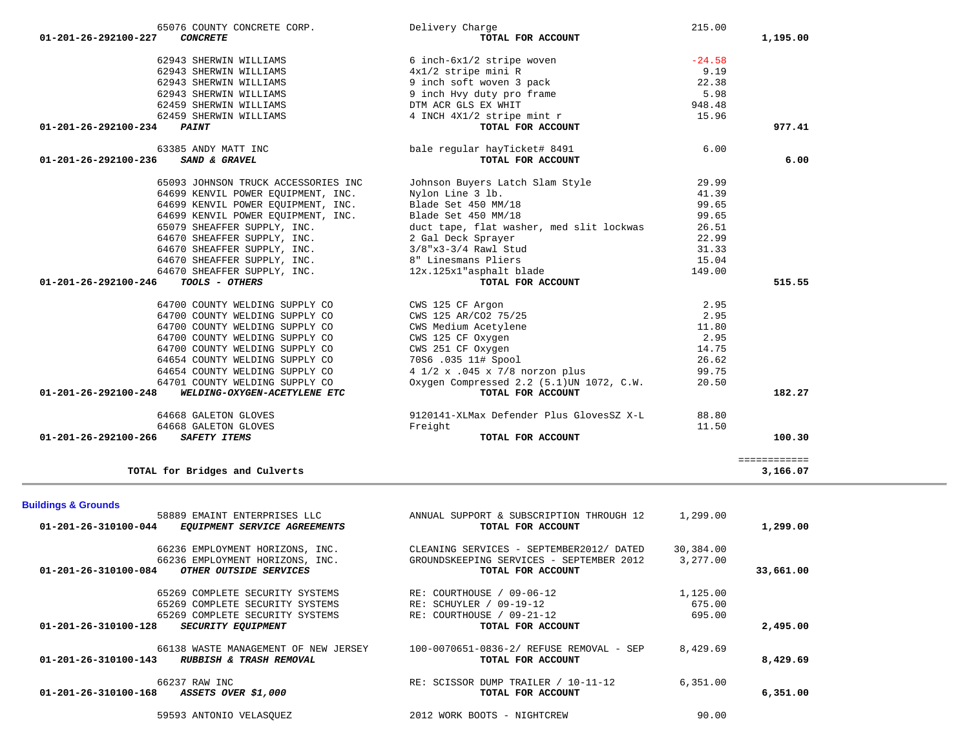| 01-201-26-310100-084           | 66236 EMPLOYMENT HORIZONS, INC.<br>66236 EMPLOYMENT HORIZONS, INC.<br>OTHER OUTSIDE SERVICES |                | CLEANING SERVICES - SEPTEMBER2012/ DATED<br>GROUNDSKEEPING SERVICES - SEPTEMBER 2012<br>TOTAL FOR ACCOUNT | 30,384.00<br>3,277,00 | 33,661.00 |
|--------------------------------|----------------------------------------------------------------------------------------------|----------------|-----------------------------------------------------------------------------------------------------------|-----------------------|-----------|
|                                |                                                                                              |                |                                                                                                           |                       |           |
|                                | 65269 COMPLETE SECURITY SYSTEMS                                                              | RE: COURTHOUSE | $09 - 06 - 12$                                                                                            | 1,125.00              |           |
|                                | 65269 COMPLETE SECURITY SYSTEMS                                                              |                | RE: SCHUYLER / 09-19-12                                                                                   | 675.00                |           |
|                                | 65269 COMPLETE SECURITY SYSTEMS                                                              | RE: COURTHOUSE | 09-21-12                                                                                                  | 695.00                |           |
| 01-201-26-310100-128           | <b>SECURITY EQUIPMENT</b>                                                                    |                | TOTAL FOR ACCOUNT                                                                                         |                       | 2,495.00  |
|                                | 66138 WASTE MANAGEMENT OF NEW JERSEY                                                         |                | 100-0070651-0836-2/ REFUSE REMOVAL - SEP                                                                  | 8,429.69              |           |
| $01 - 201 - 26 - 310100 - 143$ | RUBBISH & TRASH REMOVAL                                                                      |                | TOTAL FOR ACCOUNT                                                                                         |                       | 8,429.69  |
| 66237 RAW INC                  |                                                                                              |                | RE: SCISSOR DUMP TRAILER / 10-11-12                                                                       | 6,351.00              |           |
| 01-201-26-310100-168           | ASSETS OVER \$1,000                                                                          |                | TOTAL FOR ACCOUNT                                                                                         |                       | 6,351.00  |
|                                | 59593 ANTONIO VELASOUEZ                                                                      |                | 2012 WORK BOOTS - NIGHTCREW                                                                               | 90.00                 |           |

| UTUJT WUULLI WELDLING DUFFILL WU                               | T I/Z A . 0TJ A //0 HOLZON PIUS           | <u>ل ، ، ر ر</u> |          |
|----------------------------------------------------------------|-------------------------------------------|------------------|----------|
| 64701 COUNTY WELDING SUPPLY CO                                 | Oxygen Compressed 2.2 (5.1) UN 1072, C.W. | 20.50            |          |
| $01 - 201 - 26 - 292100 - 248$<br>WELDING-OXYGEN-ACETYLENE ETC | TOTAL FOR ACCOUNT                         |                  | 182.27   |
| 64668 GALETON GLOVES                                           | 9120141-XLMax Defender Plus GlovesSZ X-L  | 88.80            |          |
| 64668 GALETON GLOVES                                           | Freight                                   | 11.50            |          |
| 01-201-26-292100-266<br><i>SAFETY ITEMS</i>                    | TOTAL FOR ACCOUNT                         |                  | 100.30   |
|                                                                |                                           |                  |          |
| TOTAL for Bridges and Culverts                                 |                                           |                  | 3,166.07 |
|                                                                |                                           |                  |          |
| <b>Buildings &amp; Grounds</b>                                 |                                           |                  |          |
| 58889 EMAINT ENTERPRISES LLC                                   | ANNUAL SUPPORT & SUBSCRIPTION THROUGH 12  | 1,299.00         |          |
| $01 - 201 - 26 - 310100 - 044$<br>EQUIPMENT SERVICE AGREEMENTS | TOTAL FOR ACCOUNT                         |                  | 1,299.00 |
| 66236 EMPLOYMENT HORIZONS, INC.                                | CLEANING SERVICES - SEPTEMBER2012/ DATED  | 30,384.00        |          |

| 65076 COUNTY CONCRETE CORP.                                                                                                                                                    | Delivery Charge                                                                       | 215.00   |          |
|--------------------------------------------------------------------------------------------------------------------------------------------------------------------------------|---------------------------------------------------------------------------------------|----------|----------|
| 01-201-26-292100-227<br><b>CONCRETE</b>                                                                                                                                        | TOTAL FOR ACCOUNT                                                                     |          | 1,195.00 |
| 62943 SHERWIN WILLIAMS                                                                                                                                                         | 6 inch-6x1/2 stripe woven                                                             | $-24.58$ |          |
| 62943 SHERWIN WILLIAMS                                                                                                                                                         | $4x1/2$ stripe mini R<br>9 inch soft woven 3 pack                                     | 9.19     |          |
| 62943 SHERWIN WILLIAMS                                                                                                                                                         |                                                                                       | 22.38    |          |
| 62943 SHERWIN WILLIAMS                                                                                                                                                         | 9 inch Hvy duty pro frame                                                             | 5.98     |          |
| 62459 SHERWIN WILLIAMS                                                                                                                                                         | DTM ACR GLS EX WHIT                                                                   | 948.48   |          |
| 62459 SHERWIN WILLIAMS                                                                                                                                                         | 4 INCH 4X1/2 stripe mint r                                                            | 15.96    |          |
| <b>PAINT</b><br>01-201-26-292100-234                                                                                                                                           | TOTAL FOR ACCOUNT                                                                     |          | 977.41   |
| 63385 ANDY MATT INC                                                                                                                                                            | bale regular hayTicket# 8491                                                          | 6.00     |          |
| SAND & GRAVEL<br>01-201-26-292100-236                                                                                                                                          | TOTAL FOR ACCOUNT                                                                     |          | 6.00     |
| 65093 JOHNSON TRUCK ACCESSORIES INC                                                                                                                                            | Johnson Buyers Latch Slam Style                                                       | 29.99    |          |
| 64699 KENVIL POWER EOUIPMENT, INC.                                                                                                                                             | Nylon Line 3 lb.                                                                      | 41.39    |          |
| 64699 KENVIL POWER EQUIPMENT, INC.                                                                                                                                             | Blade Set 450 MM/18                                                                   | 99.65    |          |
| 64699 KENVIL POWER EOUIPMENT, INC.                                                                                                                                             | Blade Set 450 MM/18                                                                   | 99.65    |          |
| 65079 SHEAFFER SUPPLY, INC.<br>64670 SHEAFFER SUPPLY, INC.<br>64670 SHEAFFER SUPPLY, INC.<br>64670 SHEAFFER SUPPLY, INC.<br>64670 SHEAFFER SUPPLY, INC.<br>8" Linesmans Pliers | duct tape, flat washer, med slit lockwas                                              | 26.51    |          |
|                                                                                                                                                                                |                                                                                       | 22.99    |          |
|                                                                                                                                                                                | $3/8$ "x $3-3/4$ Rawl Stud                                                            | 31.33    |          |
|                                                                                                                                                                                |                                                                                       | 15.04    |          |
| 64670 SHEAFFER SUPPLY, INC.                                                                                                                                                    | 12x.125x1"asphalt blade                                                               | 149.00   |          |
| 01-201-26-292100-246<br>TOOLS - OTHERS                                                                                                                                         | TOTAL FOR ACCOUNT                                                                     |          | 515.55   |
| 64700 COUNTY WELDING SUPPLY CO                                                                                                                                                 | JWS 125 CF Argon<br>CWS 125 AR/CO2 75/25<br>CWS Medium Acetylene<br>CIC 125 CF Oxygen | 2.95     |          |
| 64700 COUNTY WELDING SUPPLY CO                                                                                                                                                 |                                                                                       | 2.95     |          |
| 64700 COUNTY WELDING SUPPLY CO                                                                                                                                                 |                                                                                       | 11.80    |          |
| 64700 COUNTY WELDING SUPPLY CO                                                                                                                                                 |                                                                                       | 2.95     |          |
| 64700 COUNTY WELDING SUPPLY CO                                                                                                                                                 |                                                                                       | 14.75    |          |
| 64654 COUNTY WELDING SUPPLY CO                                                                                                                                                 | 70S6 .035 11# Spool                                                                   | 26.62    |          |
| 64654 COUNTY WELDING SUPPLY CO                                                                                                                                                 | 4 1/2 x .045 x 7/8 norzon plus                                                        | 99.75    |          |
| 64701 COUNTY WELDING SUPPLY CO                                                                                                                                                 | Oxygen Compressed 2.2 (5.1) UN 1072, C.W.                                             | 20.50    |          |
| 01-201-26-292100-248<br>WELDING-OXYGEN-ACETYLENE ETC                                                                                                                           | TOTAL FOR ACCOUNT                                                                     |          | 182.27   |
|                                                                                                                                                                                | 9120141-XLMax Defender Plus GlovesSZ X-L                                              | 88.80    |          |
| 64668 GALETON GLOVES                                                                                                                                                           |                                                                                       |          |          |
| 64668 GALETON GLOVES                                                                                                                                                           | Freight                                                                               | 11.50    |          |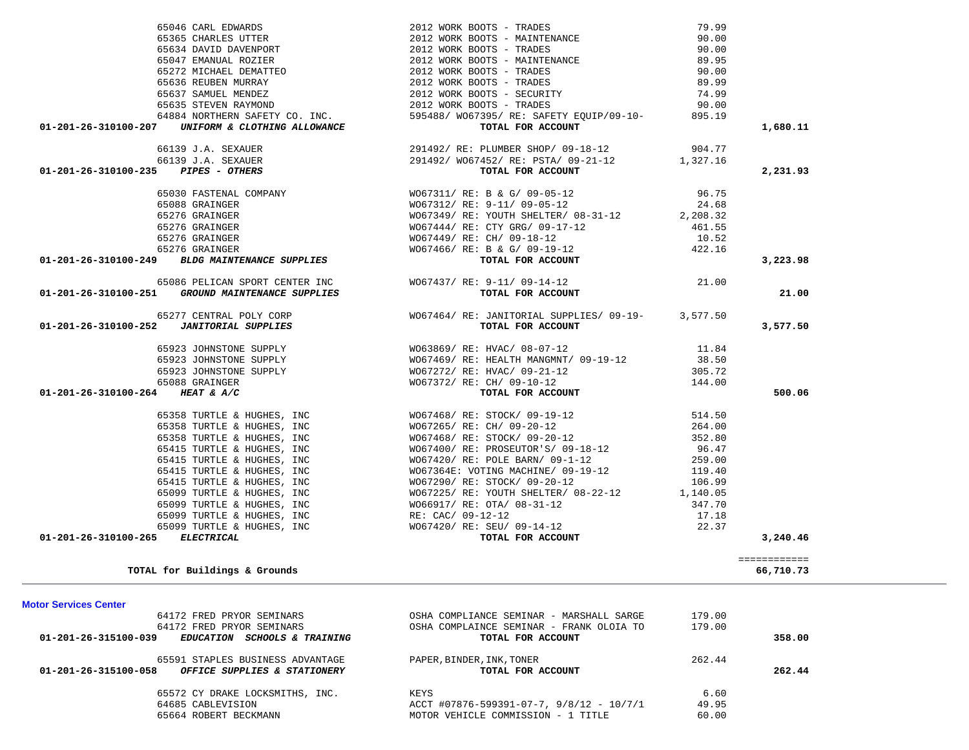| 64172 FRED PRYOR SEMINARS                                       | OSHA COMPLIANCE SEMINAR - MARSHALL SARGE   | 179.00 |        |
|-----------------------------------------------------------------|--------------------------------------------|--------|--------|
| 64172 FRED PRYOR SEMINARS                                       | OSHA COMPLAINCE SEMINAR - FRANK OLOIA TO   | 179.00 |        |
| $01 - 201 - 26 - 315100 - 039$<br>EDUCATION SCHOOLS & TRAINING  | TOTAL FOR ACCOUNT                          |        | 358.00 |
| 65591 STAPLES BUSINESS ADVANTAGE                                | PAPER, BINDER, INK, TONER                  | 262.44 |        |
| 01-201-26-315100-058<br><i>OFFICE SUPPLIES &amp; STATIONERY</i> | TOTAL FOR ACCOUNT                          |        | 262.44 |
| 65572 CY DRAKE LOCKSMITHS, INC.                                 | KEYS                                       | 6.60   |        |
| 64685 CABLEVISION                                               | $ACCT$ #07876-599391-07-7, 9/8/12 - 10/7/1 | 49.95  |        |
| 65664 ROBERT BECKMANN                                           | MOTOR VEHICLE COMMISSION - 1 TITLE         | 60.00  |        |

 **01-201-26-310100-265** *ELECTRICAL* **TOTAL FOR ACCOUNT 3,240.46**

**TOTAL for Buildings & Grounds 66,710.73**

============

# **Motor Services Center**

| 65088 GRAINGER                                   | WO67312/ RE: 9-11/ 09-05-12                                                            | 24.68  |          |
|--------------------------------------------------|----------------------------------------------------------------------------------------|--------|----------|
| 65276 GRAINGER                                   | WO67349/RE: YOUTH SHELTER/08-31-12 2,208.32                                            |        |          |
| 65276 GRAINGER                                   | WO67444/ RE: CTY GRG/ 09-17-12 461.55                                                  |        |          |
| 65276 GRAINGER                                   | WO67449/ RE: CH/ 09-18-12                                                              | 10.52  |          |
| 65276 GRAINGER                                   | WO67466/ RE: B & G/ 09-19-12 422.16                                                    |        |          |
| 01-201-26-310100-249 BLDG MAINTENANCE SUPPLIES   | TOTAL FOR ACCOUNT                                                                      |        | 3,223.98 |
|                                                  | 65086 PELICAN SPORT CENTER INC W067437/RE: 9-11/09-14-12                               | 21.00  |          |
| 01-201-26-310100-251 GROUND MAINTENANCE SUPPLIES | TOTAL FOR ACCOUNT                                                                      |        | 21.00    |
|                                                  | 65277 CENTRAL POLY CORP 65277 CENTRAL POLY CORP 65277 CENTRAL RUPPLIES/ 09-19-3,577.50 |        |          |
|                                                  | TOTAL FOR ACCOUNT                                                                      |        | 3,577.50 |
|                                                  |                                                                                        |        |          |
|                                                  |                                                                                        |        |          |
|                                                  | 65923 JOHNSTONE SUPPLY WO67272/ RE: HVAC/ 09-21-12                                     | 305.72 |          |
| 65088 GRAINGER                                   | WO67372/ RE: CH/ 09-10-12 144.00                                                       |        |          |
| 01-201-26-310100-264 HEAT & A/C                  | TOTAL FOR ACCOUNT                                                                      |        | 500.06   |
|                                                  | 65358 TURTLE & HUGHES, INC 667468/RE: STOCK/09-19-12                                   | 514.50 |          |
|                                                  | 65358 TURTLE & HUGHES, INC WO67265/ RE: CH/ 09-20-12                                   | 264.00 |          |
|                                                  | 65358 TURTLE & HUGHES, INC WO67468/RE: STOCK/09-20-12                                  | 352.80 |          |
|                                                  | 65415 TURTLE & HUGHES, INC WO67400/RE: PROSEUTOR'S/09-18-12 96.47                      |        |          |
|                                                  | 65415 TURTLE & HUGHES, INC WO67420/RE: POLE BARN/09-1-12 259.00                        |        |          |
|                                                  | 65415 TURTLE & HUGHES, INC WO67364E: VOTING MACHINE/ 09-19-12 119.40                   |        |          |
|                                                  | 65415 TURTLE & HUGHES, INC WO67290/RE: STOCK/09-20-12 106.99                           |        |          |
|                                                  | 65099 TURTLE & HUGHES, INC 67225/RE: YOUTH SHELTER/08-22-12 1,140.05                   |        |          |
|                                                  | 65099 TURTLE & HUGHES, INC WO66917/ RE: OTA/ 08-31-12                                  | 347.70 |          |
| 65099 TURTLE & HUGHES, INC RE: CAC/ 09-12-12     |                                                                                        | 17.18  |          |
| 65099 TURTLE & HUGHES, INC                       | WO67420/ RE: SEU/ 09-14-12                                                             | 22.37  |          |

65046 CARL EDWARDS 2012 WORK BOOTS - TRADES 79.99

 **01-201-26-310100-207** *UNIFORM & CLOTHING ALLOWANCE* **TOTAL FOR ACCOUNT 1,680.11**

 **01-201-26-310100-235** *PIPES - OTHERS* **TOTAL FOR ACCOUNT 2,231.93**

65365 CHARLES UTTER 2012 WORK BOOTS - MAINTENANCE

 65634 DAVID DAVENPORT 2012 WORK BOOTS - TRADES 90.00 65047 EMANUAL ROZIER 2012 WORK BOOTS - MAINTENANCE 89.95 65272 MICHAEL DEMATTEO 2012 WORK BOOTS - TRADES 90.00 65636 REUBEN MURRAY 2012 WORK BOOTS - TRADES 89.99 65637 SAMUEL MENDEZ 2012 WORK BOOTS - SECURITY 74.99 65635 STEVEN RAYMOND 2012 WORK BOOTS - TRADES 90.00 64884 NORTHERN SAFETY CO. INC. 595488/ WO67395/ RE: SAFETY EQUIP/09-10- 895.19

 66139 J.A. SEXAUER 291492/ RE: PLUMBER SHOP/ 09-18-12 904.77 66139 J.A. SEXAUER 291492/ WO67452/ RE: PSTA/ 09-21-12 1,327.16

 65030 FASTENAL COMPANY WO67311/ RE: B & G/ 09-05-12 96.75 65088 GRAINGER WO67312/ RE: 9-11/ 09-05-12 24.68

90.00

90.00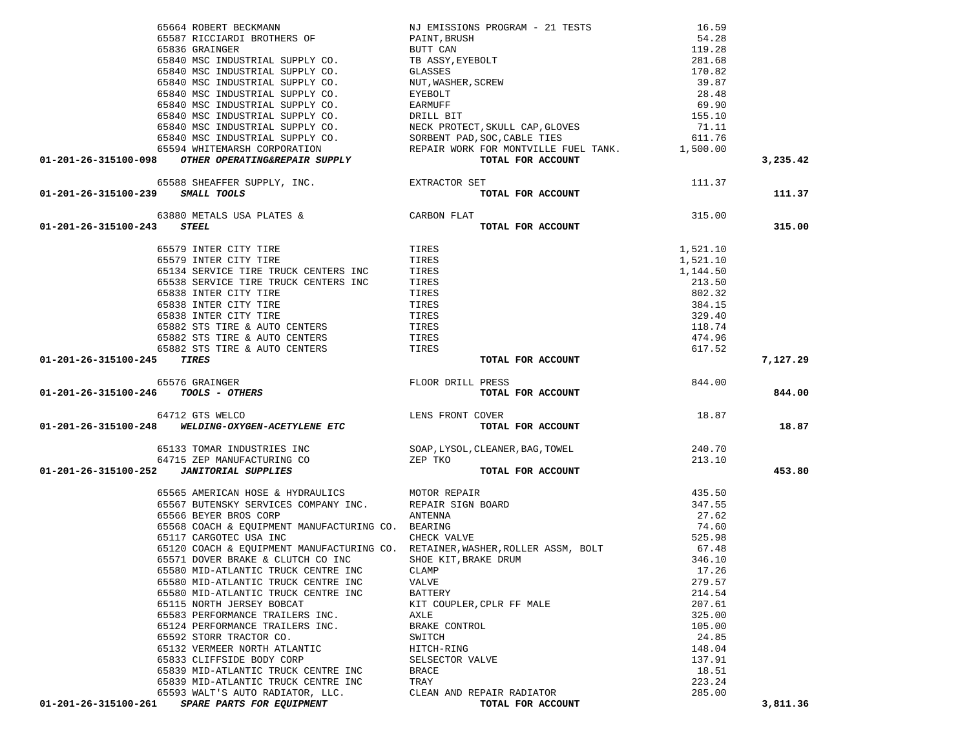|                                                                                                                                                                                                                                                                                                                                                                                  | NJ EMISSIONS PROGRAM - 21 TESTS                    | 16.59    |          |
|----------------------------------------------------------------------------------------------------------------------------------------------------------------------------------------------------------------------------------------------------------------------------------------------------------------------------------------------------------------------------------|----------------------------------------------------|----------|----------|
|                                                                                                                                                                                                                                                                                                                                                                                  |                                                    |          |          |
|                                                                                                                                                                                                                                                                                                                                                                                  |                                                    |          |          |
|                                                                                                                                                                                                                                                                                                                                                                                  |                                                    |          |          |
|                                                                                                                                                                                                                                                                                                                                                                                  |                                                    |          |          |
|                                                                                                                                                                                                                                                                                                                                                                                  |                                                    |          |          |
|                                                                                                                                                                                                                                                                                                                                                                                  |                                                    |          |          |
|                                                                                                                                                                                                                                                                                                                                                                                  |                                                    |          |          |
|                                                                                                                                                                                                                                                                                                                                                                                  |                                                    |          |          |
|                                                                                                                                                                                                                                                                                                                                                                                  |                                                    |          |          |
|                                                                                                                                                                                                                                                                                                                                                                                  |                                                    |          |          |
|                                                                                                                                                                                                                                                                                                                                                                                  |                                                    |          |          |
|                                                                                                                                                                                                                                                                                                                                                                                  |                                                    |          | 3,235.42 |
|                                                                                                                                                                                                                                                                                                                                                                                  |                                                    |          |          |
| 65588 SHEAFFER SUPPLY, INC. THE EXTRACTOR SET<br>01-201-26-315100-239 SMALL TOOLS                                                                                                                                                                                                                                                                                                | $\frac{37}{27}$ TOTAL FOR ACCOUNT $\,$ 111.37 $\,$ |          | 111.37   |
| ملابات المستمسر<br>63880 METALS USA PLATES & CARBON FLAT<br>3 STERT.                                                                                                                                                                                                                                                                                                             |                                                    | $-11.3$  |          |
|                                                                                                                                                                                                                                                                                                                                                                                  |                                                    |          |          |
| 01-201-26-315100-243 STEEL                                                                                                                                                                                                                                                                                                                                                       | TOTAL FOR ACCOUNT                                  |          | 315.00   |
| 65579 INTER CITY TIRE<br>65579 INTER CITY TIRE                                                                                                                                                                                                                                                                                                                                   |                                                    | 1,521.10 |          |
| 65579 INTER CITY TIRE                                                                                                                                                                                                                                                                                                                                                            | TIRES<br>TIRES                                     | 1,521.10 |          |
| 65134 SERVICE TIRE TRUCK CENTERS INC TIRES<br>65538 SERVICE TIRE TRUCK CENTERS INC TIRES                                                                                                                                                                                                                                                                                         |                                                    | 1,144.50 |          |
|                                                                                                                                                                                                                                                                                                                                                                                  |                                                    | 213.50   |          |
| 65838 INTER CITY TIRE                                                                                                                                                                                                                                                                                                                                                            | TIRES                                              | 802.32   |          |
| 65838 INTER CITY TIRE                                                                                                                                                                                                                                                                                                                                                            | TIRES                                              | 384.15   |          |
|                                                                                                                                                                                                                                                                                                                                                                                  |                                                    | 329.40   |          |
|                                                                                                                                                                                                                                                                                                                                                                                  |                                                    | 118.74   |          |
|                                                                                                                                                                                                                                                                                                                                                                                  |                                                    | 474.96   |          |
|                                                                                                                                                                                                                                                                                                                                                                                  |                                                    | 617.52   |          |
| TIRES<br>65882 STS TIRE & AUTO CENTERS<br>65882 STS TIRE & AUTO CENTERS<br>65882 STS TIRE & AUTO CENTERS<br>65882 STS TIRE & AUTO CENTERS<br><b>TIRES</b><br>5 TIRES<br>6582 STS TIRE & AUTO CENTERS<br>5 TIRES<br>6582 STS TIRE & AUTO CENTERS<br>5 TI<br>01-201-26-315100-245 TIRES                                                                                            | TOTAL FOR ACCOUNT                                  |          | 7,127.29 |
| FLOOR DRILL PRESS<br>TOTAL TOTAL<br>65576 GRAINGER                                                                                                                                                                                                                                                                                                                               |                                                    | 844.00   |          |
| 01-201-26-315100-246 TOOLS - OTHERS                                                                                                                                                                                                                                                                                                                                              | TOTAL FOR ACCOUNT                                  |          | 844.00   |
|                                                                                                                                                                                                                                                                                                                                                                                  |                                                    |          |          |
| $$\tt 64712~GTS$ WELCO$ \tt LENS FROM T~CIVER\\ \tt 01-201-26-315100-248$ \tt WELDING-OXYGEN-ACETYLENE ETC$ \tt TOTAL FQ$                                                                                                                                                                                                                                                        |                                                    | 18.87    |          |
|                                                                                                                                                                                                                                                                                                                                                                                  | TOTAL FOR ACCOUNT                                  |          | 18.87    |
|                                                                                                                                                                                                                                                                                                                                                                                  |                                                    |          |          |
|                                                                                                                                                                                                                                                                                                                                                                                  |                                                    |          |          |
| $\begin{array}{cccc} \texttt{65133} & \texttt{TOMAR} & \texttt{INDUSTRIES} & \texttt{INC} & \texttt{SORP, LYSOL, CLEANER, BAG, TOWEL} & \\ \texttt{64715} & \texttt{ZEP} & \texttt{MANURACTURING} & \texttt{CO} & \texttt{ZEP} & \texttt{TKO} & \texttt{70} \\ \texttt{01-201-26-315100-252} & \texttt{JANTTORIAL SUPPLIES} & & & & \texttt{TOTAL FOR ACCOUNT} & \\ \end{array}$ |                                                    |          | 453.80   |
| 65565 AMERICAN HOSE & HYDRAULICS<br>65567 BUTENSKY SERVICES COMPANY INC. REPAIR SIGN BOARD<br>65566 BEYER BROS CORP ANTENNA<br>65568 COACH & EQUIPMENT MANUFACTURING CO. BEARING<br>65117 CARGOTEC USA INC CHECK VALVE                                                                                                                                                           |                                                    | 435.50   |          |
|                                                                                                                                                                                                                                                                                                                                                                                  |                                                    | 347.55   |          |
|                                                                                                                                                                                                                                                                                                                                                                                  |                                                    | 27.62    |          |
|                                                                                                                                                                                                                                                                                                                                                                                  |                                                    | 74.60    |          |
|                                                                                                                                                                                                                                                                                                                                                                                  |                                                    | 525.98   |          |
| 65120 COACH & EQUIPMENT MANUFACTURING CO. RETAINER, WASHER, ROLLER ASSM, BOLT 65571 DOVER BRAKE & CLUTCH CO INC SHOE KIT, BRAKE DRUM                                                                                                                                                                                                                                             |                                                    | 67.48    |          |
| 65571 DOVER BRAKE & CLUTCH CO INC                                                                                                                                                                                                                                                                                                                                                | SHOE KIT, BRAKE DRUM                               | 346.10   |          |
| 65580 MID-ATLANTIC TRUCK CENTRE INC                                                                                                                                                                                                                                                                                                                                              | CLAMP                                              | 17.26    |          |
| 65580 MID-ATLANTIC TRUCK CENTRE INC                                                                                                                                                                                                                                                                                                                                              | VALVE                                              | 279.57   |          |
| 65580 MID-ATLANTIC TRUCK CENTRE INC                                                                                                                                                                                                                                                                                                                                              | <b>BATTERY</b>                                     | 214.54   |          |
| 65115 NORTH JERSEY BOBCAT                                                                                                                                                                                                                                                                                                                                                        | KIT COUPLER, CPLR FF MALE                          | 207.61   |          |
| 65583 PERFORMANCE TRAILERS INC.                                                                                                                                                                                                                                                                                                                                                  | AXLE                                               | 325.00   |          |
| 65124 PERFORMANCE TRAILERS INC.                                                                                                                                                                                                                                                                                                                                                  | BRAKE CONTROL                                      | 105.00   |          |
| 65592 STORR TRACTOR CO.                                                                                                                                                                                                                                                                                                                                                          | SWITCH                                             | 24.85    |          |
| 65132 VERMEER NORTH ATLANTIC                                                                                                                                                                                                                                                                                                                                                     | HITCH-RING                                         | 148.04   |          |
| 65833 CLIFFSIDE BODY CORP                                                                                                                                                                                                                                                                                                                                                        | SELSECTOR VALVE                                    | 137.91   |          |
| 65839 MID-ATLANTIC TRUCK CENTRE INC                                                                                                                                                                                                                                                                                                                                              | <b>BRACE</b>                                       | 18.51    |          |
| 65839 MID-ATLANTIC TRUCK CENTRE INC                                                                                                                                                                                                                                                                                                                                              |                                                    |          |          |
|                                                                                                                                                                                                                                                                                                                                                                                  | TRAY                                               | 223.24   |          |
| 65593 WALT'S AUTO RADIATOR, LLC.<br>01-201-26-315100-261<br>SPARE PARTS FOR EQUIPMENT                                                                                                                                                                                                                                                                                            | CLEAN AND REPAIR RADIATOR<br>TOTAL FOR ACCOUNT     | 285.00   | 3,811.36 |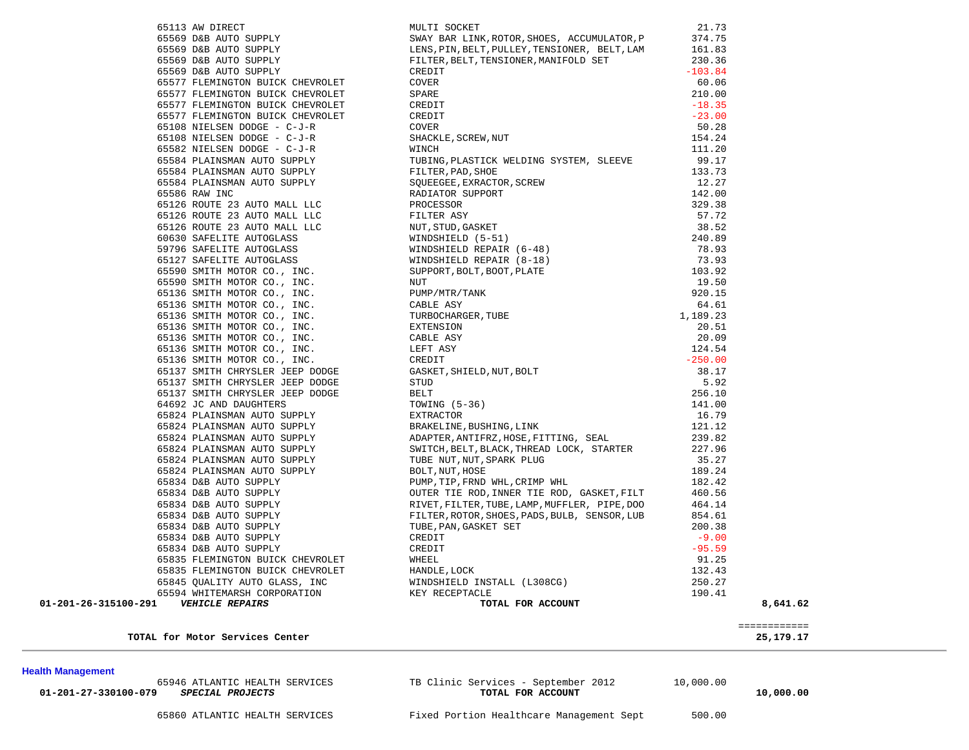| 65113 AW DIRECT                                                                                                                                         |
|---------------------------------------------------------------------------------------------------------------------------------------------------------|
| 65569 D&B AUTO SUPPLY                                                                                                                                   |
| 65569 D&B AUTO SUPPLY                                                                                                                                   |
| 65569 D&B AUTO SUPPLY                                                                                                                                   |
| 65569 D&B AUTO SUPPLY                                                                                                                                   |
| 65577 FLEMINGTON BUICK CHEVROLET                                                                                                                        |
| 65577 FLEMINGTON BUICK CHEVROLET                                                                                                                        |
| 65577 FLEMINGTON BUICK CHEVROLET                                                                                                                        |
| 65577 FLEMINGTON BUICK CHEVROLET                                                                                                                        |
| 65108 NIELSEN DODGE - C-J-R                                                                                                                             |
| 65108 NIELSEN DODGE - C-J-R                                                                                                                             |
| 65582 NIELSEN DODGE - C-J-R                                                                                                                             |
| 65584 PLAINSMAN AUTO SUPPLY                                                                                                                             |
| 65584 PLAINSMAN AUTO SUPPLY                                                                                                                             |
| 65584 PLAINSMAN AUTO SUPPLY                                                                                                                             |
| 65586 RAW INC                                                                                                                                           |
| 65126 ROUTE 23 AUTO MALL LLC                                                                                                                            |
| 65126 ROUTE 23 AUTO MALL LLC                                                                                                                            |
| 65126 ROUTE 23 AUTO MALL LLC                                                                                                                            |
| 60630 SAFELITE AUTOGLASS                                                                                                                                |
| 59796 SAFELITE AUTOGLASS                                                                                                                                |
| 65127 SAFELITE AUTOGLASS                                                                                                                                |
| 65590 SMITH MOTOR CO., INC.                                                                                                                             |
| 65590 SMITH MOTOR CO., INC.                                                                                                                             |
| 65136 SMITH MOTOR CO., INC.                                                                                                                             |
|                                                                                                                                                         |
| 65136 SMITH MOTOR CO., INC.<br>65136 SMITH MOTOR CO., INC.<br>65136 SMITH MOTOR CO., INC.<br>65136 SMITH MOTOR CO., INC.<br>65136 SMITH MOTOR CO., INC. |
|                                                                                                                                                         |
|                                                                                                                                                         |
| 65136 SMITH MOTOR CO., INC.                                                                                                                             |
| 65136 SMITH MOTOR CO., INC.                                                                                                                             |
| 65137 SMITH CHRYSLER JEEP DODGE                                                                                                                         |
| 65137 SMITH CHRYSLER JEEP DODGE                                                                                                                         |
| 65137 SMITH CHRYSLER JEEP DODGE                                                                                                                         |
| 64692 JC AND DAUGHTERS                                                                                                                                  |
| 65824 PLAINSMAN AUTO SUPPLY                                                                                                                             |
| 65824 PLAINSMAN AUTO SUPPLY                                                                                                                             |
| 65824 PLAINSMAN AUTO SUPPLY                                                                                                                             |
| 65824 PLAINSMAN AUTO SUPPLY                                                                                                                             |
| 65824 PLAINSMAN AUTO SUPPLY                                                                                                                             |
| 65824 PLAINSMAN AUTO SUPPLY                                                                                                                             |
| 65834 D&B AUTO SUPPLY                                                                                                                                   |
| 65834 D&B AUTO SUPPLY                                                                                                                                   |
| 65834 D&B AUTO SUPPLY                                                                                                                                   |
| 65834 D&B AUTO SUPPLY                                                                                                                                   |
| 65834 D&B AUTO SUPPLY                                                                                                                                   |
| 65834 D&B AUTO SUPPLY                                                                                                                                   |
| 65834 D&B AUTO SUPPLY                                                                                                                                   |
| 65835 FLEMINGTON BUICK CHEVROLET                                                                                                                        |
| 65835 FLEMINGTON BUICK CHEVROLET                                                                                                                        |
| 65845 QUALITY AUTO GLASS, INC                                                                                                                           |
| 65594 WHITEMARSH CORPORATION                                                                                                                            |
| -291 VEHTCLE PEDATPS                                                                                                                                    |

|                      | 65113 AW DIRECT<br>65569 D&B AUTO SUPPLY<br>65569 D&B AUTO SUPPLY<br>65569 D&B AUTO SUPPLY<br>65569 D&B AUTO SUPPLY<br>65569 D&B AUTO SUPPLY<br>65569 D&B AUTO SUPPLY<br>65569 D&B AUTO SUPPLY<br>FILTER, BELT, TENSIONER, MANIFOLD SET<br>65577 | 21.73     |          |
|----------------------|--------------------------------------------------------------------------------------------------------------------------------------------------------------------------------------------------------------------------------------------------|-----------|----------|
|                      |                                                                                                                                                                                                                                                  | 374.75    |          |
|                      |                                                                                                                                                                                                                                                  | 161.83    |          |
|                      |                                                                                                                                                                                                                                                  | 230.36    |          |
|                      |                                                                                                                                                                                                                                                  | $-103.84$ |          |
|                      |                                                                                                                                                                                                                                                  | 60.06     |          |
|                      |                                                                                                                                                                                                                                                  | 210.00    |          |
|                      |                                                                                                                                                                                                                                                  | $-18.35$  |          |
|                      |                                                                                                                                                                                                                                                  |           |          |
|                      |                                                                                                                                                                                                                                                  |           |          |
|                      |                                                                                                                                                                                                                                                  |           |          |
|                      |                                                                                                                                                                                                                                                  |           |          |
|                      |                                                                                                                                                                                                                                                  |           |          |
|                      |                                                                                                                                                                                                                                                  |           |          |
|                      |                                                                                                                                                                                                                                                  |           |          |
|                      |                                                                                                                                                                                                                                                  |           |          |
|                      |                                                                                                                                                                                                                                                  |           |          |
|                      |                                                                                                                                                                                                                                                  |           |          |
|                      |                                                                                                                                                                                                                                                  |           |          |
|                      |                                                                                                                                                                                                                                                  |           |          |
|                      |                                                                                                                                                                                                                                                  |           |          |
|                      |                                                                                                                                                                                                                                                  |           |          |
|                      |                                                                                                                                                                                                                                                  |           |          |
|                      |                                                                                                                                                                                                                                                  |           |          |
|                      |                                                                                                                                                                                                                                                  |           |          |
|                      |                                                                                                                                                                                                                                                  |           |          |
|                      |                                                                                                                                                                                                                                                  |           |          |
|                      |                                                                                                                                                                                                                                                  |           |          |
|                      |                                                                                                                                                                                                                                                  |           |          |
|                      |                                                                                                                                                                                                                                                  |           |          |
|                      |                                                                                                                                                                                                                                                  |           |          |
|                      |                                                                                                                                                                                                                                                  |           |          |
|                      |                                                                                                                                                                                                                                                  |           |          |
|                      |                                                                                                                                                                                                                                                  |           |          |
|                      |                                                                                                                                                                                                                                                  |           |          |
|                      |                                                                                                                                                                                                                                                  |           |          |
|                      |                                                                                                                                                                                                                                                  |           |          |
|                      |                                                                                                                                                                                                                                                  |           |          |
|                      |                                                                                                                                                                                                                                                  |           |          |
|                      |                                                                                                                                                                                                                                                  |           |          |
|                      |                                                                                                                                                                                                                                                  |           |          |
|                      |                                                                                                                                                                                                                                                  |           |          |
|                      |                                                                                                                                                                                                                                                  |           |          |
|                      |                                                                                                                                                                                                                                                  |           |          |
|                      |                                                                                                                                                                                                                                                  |           |          |
|                      |                                                                                                                                                                                                                                                  |           |          |
|                      |                                                                                                                                                                                                                                                  |           |          |
|                      |                                                                                                                                                                                                                                                  |           |          |
|                      |                                                                                                                                                                                                                                                  |           |          |
|                      |                                                                                                                                                                                                                                                  |           |          |
|                      |                                                                                                                                                                                                                                                  |           |          |
|                      |                                                                                                                                                                                                                                                  |           |          |
| 01-201-26-315100-291 | 64177 PERINTEENTS SUITS CRIMINAL CONTROL (1978)<br>64477 PERINTEENTS SUITS CRIMINAL CRIMINAL CRIMINAL SUITS (1978)<br>6477 PERINTEENTS SUITS CRIMINAL CRIMINAL CRIMINAL SUITS (1978)<br>6717 PERINTEENTS SUITS CRIMINAL CRIMINAL SU              |           | 8,641.62 |

65946 ATLANTIC HEALTH SERVICES TB Clinic Services - September 2012 10,000.00

 **01-201-27-330100-079** *SPECIAL PROJECTS* **TOTAL FOR ACCOUNT 10,000.00**

25, 179. 17

TOTAL for Motor Services Center

**Health Management** 

============

## 65860 ATLANTIC HEALTH SERVICES Fixed Portion Healthcare Management Sept 500.00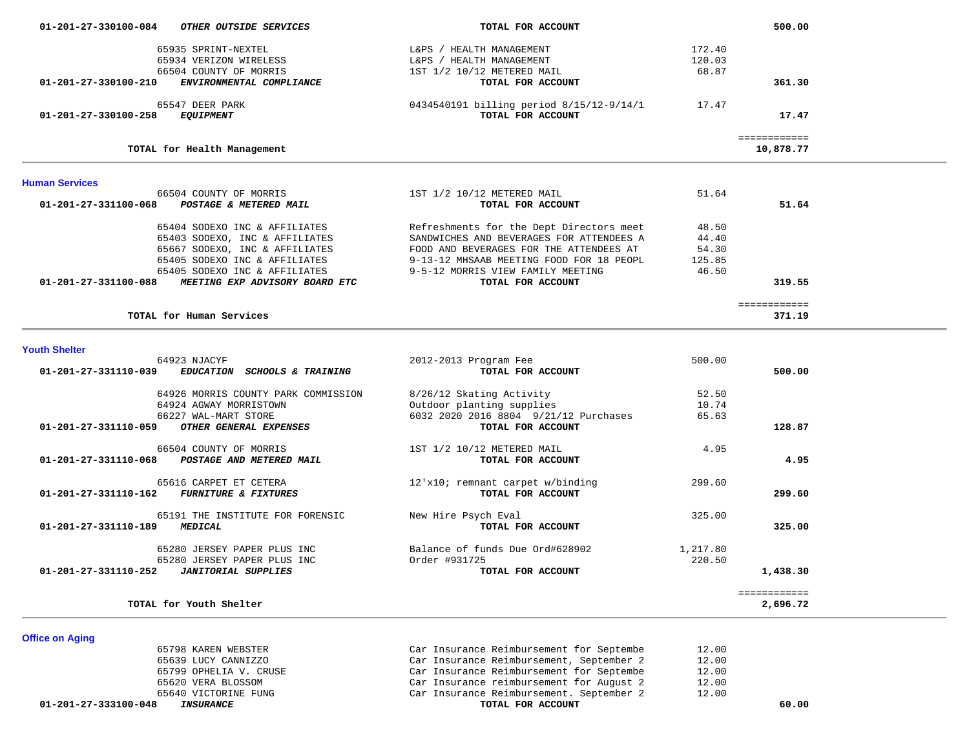| 01-201-27-330100-084<br><i>OTHER OUTSIDE SERVICES</i>            | TOTAL FOR ACCOUNT                        |        | 500.00       |  |
|------------------------------------------------------------------|------------------------------------------|--------|--------------|--|
| 65935 SPRINT-NEXTEL                                              | L&PS / HEALTH MANAGEMENT                 | 172.40 |              |  |
| 65934 VERIZON WIRELESS                                           | L&PS / HEALTH MANAGEMENT                 | 120.03 |              |  |
| 66504 COUNTY OF MORRIS                                           | 1ST 1/2 10/12 METERED MAIL               | 68.87  |              |  |
| 01-201-27-330100-210<br>ENVIRONMENTAL COMPLIANCE                 | TOTAL FOR ACCOUNT                        |        | 361.30       |  |
| 65547 DEER PARK                                                  | 0434540191 billing period 8/15/12-9/14/1 | 17.47  |              |  |
| 01-201-27-330100-258<br><i>EQUIPMENT</i>                         | TOTAL FOR ACCOUNT                        |        | 17.47        |  |
|                                                                  |                                          |        | ============ |  |
| TOTAL for Health Management                                      |                                          |        | 10,878.77    |  |
| <b>Human Services</b>                                            |                                          |        |              |  |
| 66504 COUNTY OF MORRIS                                           | 1ST 1/2 10/12 METERED MAIL               | 51.64  |              |  |
| 01-201-27-331100-068<br>POSTAGE & METERED MAIL                   | TOTAL FOR ACCOUNT                        |        | 51.64        |  |
| 65404 SODEXO INC & AFFILIATES                                    | Refreshments for the Dept Directors meet | 48.50  |              |  |
| 65403 SODEXO, INC & AFFILIATES                                   | SANDWICHES AND BEVERAGES FOR ATTENDEES A | 44.40  |              |  |
| 65667 SODEXO, INC & AFFILIATES                                   | FOOD AND BEVERAGES FOR THE ATTENDEES AT  | 54.30  |              |  |
| 65405 SODEXO INC & AFFILIATES                                    | 9-13-12 MHSAAB MEETING FOOD FOR 18 PEOPL | 125.85 |              |  |
| 65405 SODEXO INC & AFFILIATES                                    | 9-5-12 MORRIS VIEW FAMILY MEETING        | 46.50  |              |  |
| $01 - 201 - 27 - 331100 - 088$<br>MEETING EXP ADVISORY BOARD ETC | TOTAL FOR ACCOUNT                        |        | 319.55       |  |
|                                                                  |                                          |        | ============ |  |
| TOTAL for Human Services                                         |                                          |        | 371.19       |  |

#### **Youth Shelter**

| 64923 NJACYF                                                   | 2012-2013 Program Fee                 | 500.00   |              |
|----------------------------------------------------------------|---------------------------------------|----------|--------------|
| 01-201-27-331110-039<br><i>EDUCATION</i><br>SCHOOLS & TRAINING | TOTAL FOR ACCOUNT                     |          | 500.00       |
| 64926 MORRIS COUNTY PARK COMMISSION                            | 8/26/12 Skating Activity              | 52.50    |              |
| 64924 AGWAY MORRISTOWN                                         | Outdoor planting supplies             | 10.74    |              |
| 66227 WAL-MART STORE                                           | 6032 2020 2016 8804 9/21/12 Purchases | 65.63    |              |
| 01-201-27-331110-059<br>OTHER GENERAL EXPENSES                 | TOTAL FOR ACCOUNT                     |          | 128.87       |
| 66504 COUNTY OF MORRIS                                         | 1ST 1/2 10/12 METERED MAIL            | 4.95     |              |
| 01-201-27-331110-068<br>POSTAGE AND METERED MAIL               | TOTAL FOR ACCOUNT                     |          | 4.95         |
| 65616 CARPET ET CETERA                                         | 12'x10; remnant carpet w/binding      | 299.60   |              |
| 01-201-27-331110-162<br><b>FURNITURE &amp; FIXTURES</b>        | TOTAL FOR ACCOUNT                     |          | 299.60       |
| 65191 THE INSTITUTE FOR FORENSIC                               | New Hire Psych Eval                   | 325.00   |              |
| 01-201-27-331110-189<br><b>MEDICAL</b>                         | TOTAL FOR ACCOUNT                     |          | 325.00       |
| 65280 JERSEY PAPER PLUS INC                                    | Balance of funds Due Ord#628902       | 1,217.80 |              |
| 65280 JERSEY PAPER PLUS INC                                    | Order #931725                         | 220.50   |              |
| $01 - 201 - 27 - 331110 - 252$<br><b>JANITORIAL SUPPLIES</b>   | TOTAL FOR ACCOUNT                     |          | 1,438.30     |
|                                                                |                                       |          | ============ |
| TOTAL for Youth Shelter                                        |                                       |          | 2,696.72     |

| <b>Office on Aging</b> |                        |                                          |       |       |
|------------------------|------------------------|------------------------------------------|-------|-------|
|                        | 65798 KAREN WEBSTER    | Car Insurance Reimbursement for Septembe | 12.00 |       |
|                        | 65639 LUCY CANNIZZO    | Car Insurance Reimbursement, September 2 | 12.00 |       |
|                        | 65799 OPHELIA V. CRUSE | Car Insurance Reimbursement for Septembe | 12.00 |       |
|                        | 65620 VERA BLOSSOM     | Car Insurance reimbursement for August 2 | 12.00 |       |
|                        | 65640 VICTORINE FUNG   | Car Insurance Reimbursement. September 2 | 12.00 |       |
| 01-201-27-333100-048   | INSURANCE              | TOTAL FOR ACCOUNT                        |       | 60.00 |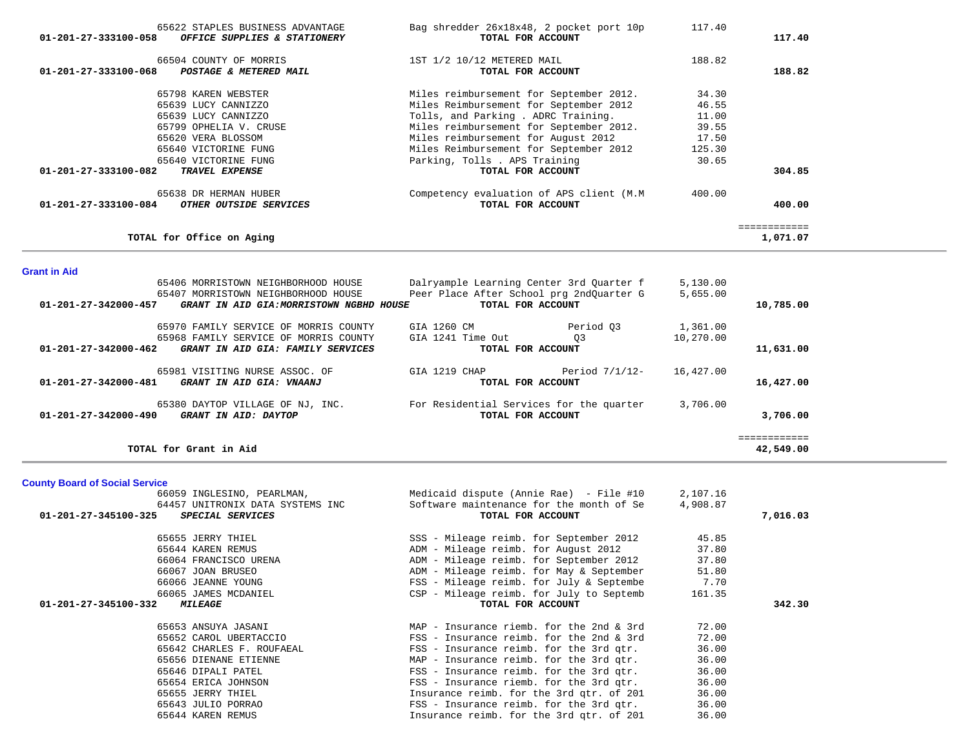| 65622 STAPLES BUSINESS ADVANTAGE<br>$01 - 201 - 27 - 333100 - 058$<br>OFFICE SUPPLIES & STATIONERY                                                                                                               | Bag shredder 26x18x48, 2 pocket port 10p<br>TOTAL FOR ACCOUNT                                                                                                                                                                                                                                                                                                                                          | 117.40                                                                        | 117.40                    |
|------------------------------------------------------------------------------------------------------------------------------------------------------------------------------------------------------------------|--------------------------------------------------------------------------------------------------------------------------------------------------------------------------------------------------------------------------------------------------------------------------------------------------------------------------------------------------------------------------------------------------------|-------------------------------------------------------------------------------|---------------------------|
| 66504 COUNTY OF MORRIS<br>01-201-27-333100-068<br>POSTAGE & METERED MAIL                                                                                                                                         | 1ST 1/2 10/12 METERED MAIL<br>TOTAL FOR ACCOUNT                                                                                                                                                                                                                                                                                                                                                        | 188.82                                                                        | 188.82                    |
| 65798 KAREN WEBSTER<br>65639 LUCY CANNIZZO<br>65639 LUCY CANNIZZO<br>65799 OPHELIA V. CRUSE<br>65620 VERA BLOSSOM<br>65640 VICTORINE FUNG<br>65640 VICTORINE FUNG<br>01-201-27-333100-082<br>TRAVEL EXPENSE      | Miles reimbursement for September 2012.<br>Miles Reimbursement for September 2012<br>Tolls, and Parking . ADRC Training.<br>Miles reimbursement for September 2012.<br>Miles reimbursement for August 2012<br>Miles Reimbursement for September 2012<br>Parking, Tolls . APS Training<br>TOTAL FOR ACCOUNT                                                                                             | 34.30<br>46.55<br>11.00<br>39.55<br>17.50<br>125.30<br>30.65                  | 304.85                    |
| 65638 DR HERMAN HUBER<br>01-201-27-333100-084<br>OTHER OUTSIDE SERVICES                                                                                                                                          | Competency evaluation of APS client (M.M<br>TOTAL FOR ACCOUNT                                                                                                                                                                                                                                                                                                                                          | 400.00                                                                        | 400.00                    |
| TOTAL for Office on Aging                                                                                                                                                                                        |                                                                                                                                                                                                                                                                                                                                                                                                        |                                                                               | ============<br>1,071.07  |
| <b>Grant in Aid</b>                                                                                                                                                                                              |                                                                                                                                                                                                                                                                                                                                                                                                        |                                                                               |                           |
| 65406 MORRISTOWN NEIGHBORHOOD HOUSE<br>65407 MORRISTOWN NEIGHBORHOOD HOUSE<br>01-201-27-342000-457<br>GRANT IN AID GIA: MORRISTOWN NGBHD HOUSE                                                                   | Dalryample Learning Center 3rd Quarter f<br>Peer Place After School prg 2ndQuarter G<br>TOTAL FOR ACCOUNT                                                                                                                                                                                                                                                                                              | 5,130.00<br>5,655.00                                                          | 10,785.00                 |
| 65970 FAMILY SERVICE OF MORRIS COUNTY<br>65968 FAMILY SERVICE OF MORRIS COUNTY<br>01-201-27-342000-462<br>GRANT IN AID GIA: FAMILY SERVICES                                                                      | Period Q3<br>GIA 1260 CM<br>03<br>GIA 1241 Time Out<br>TOTAL FOR ACCOUNT                                                                                                                                                                                                                                                                                                                               | 1,361.00<br>10,270.00                                                         | 11,631.00                 |
| 65981 VISITING NURSE ASSOC. OF<br>01-201-27-342000-481<br>GRANT IN AID GIA: VNAANJ                                                                                                                               | GIA 1219 CHAP<br>Period $7/1/12$ -<br>TOTAL FOR ACCOUNT                                                                                                                                                                                                                                                                                                                                                | 16,427.00                                                                     | 16,427.00                 |
| GRANT IN AID: DAYTOP<br>01-201-27-342000-490                                                                                                                                                                     | 65380 DAYTOP VILLAGE OF NJ, INC. For Residential Services for the quarter<br>TOTAL FOR ACCOUNT                                                                                                                                                                                                                                                                                                         | 3,706.00                                                                      | 3,706.00                  |
| TOTAL for Grant in Aid                                                                                                                                                                                           |                                                                                                                                                                                                                                                                                                                                                                                                        |                                                                               | ============<br>42,549.00 |
| <b>County Board of Social Service</b>                                                                                                                                                                            |                                                                                                                                                                                                                                                                                                                                                                                                        |                                                                               |                           |
| 66059 INGLESINO, PEARLMAN,<br>64457 UNITRONIX DATA SYSTEMS INC<br>SPECIAL SERVICES<br>01-201-27-345100-325                                                                                                       | Medicaid dispute (Annie Rae) - File #10<br>Software maintenance for the month of Se<br>TOTAL FOR ACCOUNT                                                                                                                                                                                                                                                                                               | 2,107.16<br>4,908.87                                                          | 7,016.03                  |
| 65655 JERRY THIEL<br>65644 KAREN REMUS<br>66064 FRANCISCO URENA<br>66067 JOAN BRUSEO<br>66066 JEANNE YOUNG<br>66065 JAMES MCDANIEL<br>01-201-27-345100-332<br><i><b>MILEAGE</b></i>                              | SSS - Mileage reimb. for September 2012<br>ADM - Mileage reimb. for August 2012<br>ADM - Mileage reimb. for September 2012<br>ADM - Mileage reimb. for May & September<br>FSS - Mileage reimb. for July & Septembe<br>CSP - Mileage reimb. for July to Septemb<br>TOTAL FOR ACCOUNT                                                                                                                    | 45.85<br>37.80<br>37.80<br>51.80<br>7.70<br>161.35                            | 342.30                    |
| 65653 ANSUYA JASANI<br>65652 CAROL UBERTACCIO<br>65642 CHARLES F. ROUFAEAL<br>65656 DIENANE ETIENNE<br>65646 DIPALI PATEL<br>65654 ERICA JOHNSON<br>65655 JERRY THIEL<br>65643 JULIO PORRAO<br>65644 KAREN REMUS | MAP - Insurance riemb. for the 2nd $\&$ 3rd<br>FSS - Insurance reimb. for the 2nd & 3rd<br>FSS - Insurance reimb. for the 3rd qtr.<br>MAP - Insurance reimb. for the 3rd gtr.<br>FSS - Insurance reimb. for the 3rd qtr.<br>FSS - Insurance riemb. for the 3rd gtr.<br>Insurance reimb. for the 3rd qtr. of 201<br>FSS - Insurance reimb. for the 3rd gtr.<br>Insurance reimb. for the 3rd qtr. of 201 | 72.00<br>72.00<br>36.00<br>36.00<br>36.00<br>36.00<br>36.00<br>36.00<br>36.00 |                           |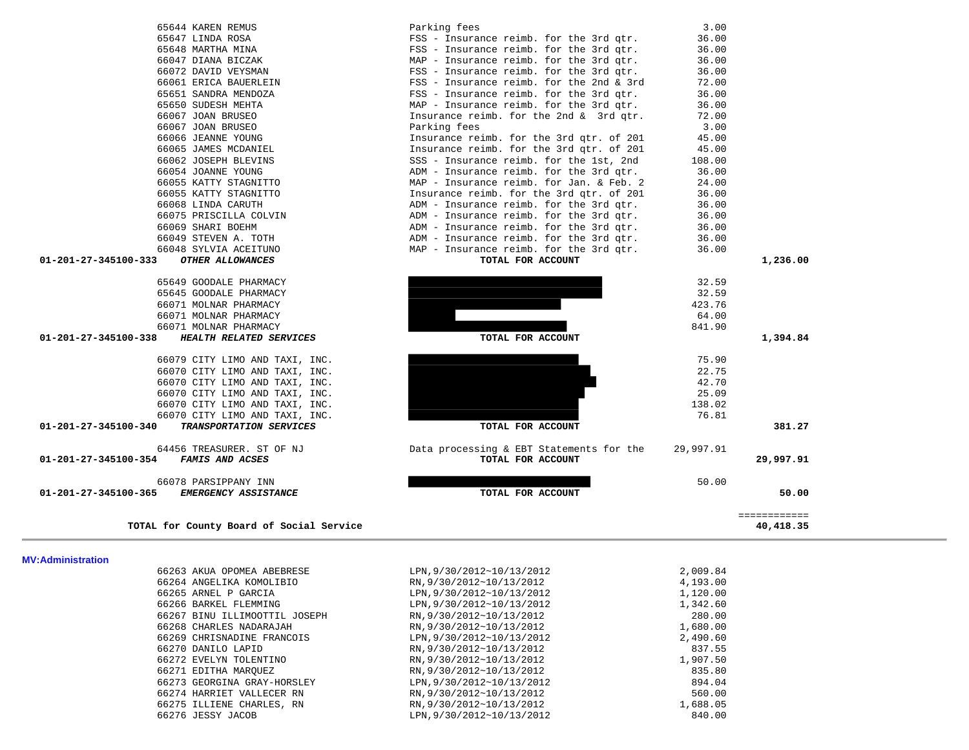| 66263 AKUA OPOMEA ABEBRESE    | LPN, 9/30/2012~10/13/2012 | 2,009.84 |
|-------------------------------|---------------------------|----------|
| 66264 ANGELIKA KOMOLIBIO      | RN, 9/30/2012~10/13/2012  | 4,193.00 |
| 66265 ARNEL P GARCIA          | LPN, 9/30/2012~10/13/2012 | 1,120.00 |
| 66266 BARKEL FLEMMING         | LPN, 9/30/2012~10/13/2012 | 1,342.60 |
| 66267 BINU ILLIMOOTTIL JOSEPH | RN, 9/30/2012~10/13/2012  | 280.00   |
| 66268 CHARLES NADARAJAH       | RN, 9/30/2012~10/13/2012  | 1,680.00 |
| 66269 CHRISNADINE FRANCOIS    | LPN, 9/30/2012~10/13/2012 | 2,490.60 |
| 66270 DANILO LAPID            | RN, 9/30/2012~10/13/2012  | 837.55   |
| 66272 EVELYN TOLENTINO        | RN, 9/30/2012~10/13/2012  | 1,907.50 |
| 66271 EDITHA MAROUEZ          | RN, 9/30/2012~10/13/2012  | 835.80   |
| 66273 GEORGINA GRAY-HORSLEY   | LPN.9/30/2012~10/13/2012  | 894.04   |
| 66274 HARRIET VALLECER RN     | RN, 9/30/2012~10/13/2012  | 560.00   |
| 66275 ILLIENE CHARLES, RN     | RN, 9/30/2012~10/13/2012  | 1,688.05 |
| 66276 JESSY JACOB             | LPN, 9/30/2012~10/13/2012 | 840.00   |
|                               |                           |          |

**MV:Administration** 

| 65645 GOODALE PHARMACY                                 |                                          | 32.59     |           |
|--------------------------------------------------------|------------------------------------------|-----------|-----------|
| 66071 MOLNAR PHARMACY                                  |                                          | 423.76    |           |
| 66071 MOLNAR PHARMACY                                  |                                          | 64.00     |           |
| 66071 MOLNAR PHARMACY                                  |                                          | 841.90    |           |
| 01-201-27-345100-338<br>HEALTH RELATED SERVICES        | TOTAL FOR ACCOUNT                        |           | 1,394.84  |
| 66079 CITY LIMO AND TAXI, INC.                         |                                          | 75.90     |           |
| 66070 CITY LIMO AND TAXI, INC.                         |                                          | 22.75     |           |
| 66070 CITY LIMO AND TAXI, INC.                         |                                          | 42.70     |           |
| 66070 CITY LIMO AND TAXI, INC.                         |                                          | 25.09     |           |
| 66070 CITY LIMO AND TAXI, INC.                         |                                          | 138.02    |           |
| 66070 CITY LIMO AND TAXI, INC.                         |                                          | 76.81     |           |
| 01-201-27-345100-340<br><b>TRANSPORTATION SERVICES</b> | TOTAL FOR ACCOUNT                        |           | 381.27    |
| 64456 TREASURER. ST OF NJ                              | Data processing & EBT Statements for the | 29,997.91 |           |
| 01-201-27-345100-354<br><b>FAMIS AND ACSES</b>         | TOTAL FOR ACCOUNT                        |           | 29,997.91 |
| 66078 PARSIPPANY INN                                   |                                          | 50.00     |           |
| 01-201-27-345100-365<br><b>EMERGENCY ASSISTANCE</b>    | TOTAL FOR ACCOUNT                        |           | 50.00     |

| 65644 KAREN REMUS                     | Parking fees                             | 3.00   |
|---------------------------------------|------------------------------------------|--------|
| 65647 LINDA ROSA                      | FSS - Insurance reimb. for the 3rd gtr.  | 36.00  |
| 65648 MARTHA MINA                     | FSS - Insurance reimb. for the 3rd qtr.  | 36.00  |
| 66047 DIANA BICZAK                    | MAP - Insurance reimb. for the 3rd gtr.  | 36.00  |
| 66072 DAVID VEYSMAN                   | FSS - Insurance reimb. for the 3rd qtr.  | 36.00  |
| 66061 ERICA BAUERLEIN                 | FSS - Insurance reimb. for the 2nd & 3rd | 72.00  |
| 65651 SANDRA MENDOZA                  | FSS - Insurance reimb. for the 3rd qtr.  | 36.00  |
| 65650 SUDESH MEHTA                    | MAP - Insurance reimb. for the 3rd qtr.  | 36.00  |
| 66067 JOAN BRUSEO                     | Insurance reimb. for the 2nd & 3rd gtr.  | 72.00  |
| 66067 JOAN BRUSEO                     | Parking fees                             | 3.00   |
| 66066 JEANNE YOUNG                    | Insurance reimb. for the 3rd qtr. of 201 | 45.00  |
| 66065 JAMES MCDANIEL                  | Insurance reimb. for the 3rd qtr. of 201 | 45.00  |
| 66062 JOSEPH BLEVINS                  | SSS - Insurance reimb. for the 1st, 2nd  | 108.00 |
| 66054 JOANNE YOUNG                    | ADM - Insurance reimb. for the 3rd qtr.  | 36.00  |
| 66055 KATTY STAGNITTO                 | MAP - Insurance reimb. for Jan. & Feb. 2 | 24.00  |
| 66055 KATTY STAGNITTO                 | Insurance reimb. for the 3rd qtr. of 201 | 36.00  |
| 66068 LINDA CARUTH                    | ADM - Insurance reimb. for the 3rd qtr.  | 36.00  |
| 66075 PRISCILLA COLVIN                | ADM - Insurance reimb. for the 3rd qtr.  | 36.00  |
| 66069 SHARI BOEHM                     | ADM - Insurance reimb. for the 3rd qtr.  | 36.00  |
| 66049 STEVEN A. TOTH                  | ADM - Insurance reimb. for the 3rd qtr.  | 36.00  |
| 66048 SYLVIA ACEITUNO                 | MAP - Insurance reimb. for the 3rd gtr.  | 36.00  |
| 01-201-27-345100-333 OTHER ALLOWANCES | TOTAL FOR ACCOUNT                        |        |
| 65649 GOODALE PHARMACY                |                                          | 32.59  |

| 66047 DIANA BICZAK                              | MAP - Insurance reimb. for the 3rd qtr.  | 36.00     |              |
|-------------------------------------------------|------------------------------------------|-----------|--------------|
| 66072 DAVID VEYSMAN                             | FSS - Insurance reimb. for the 3rd gtr.  | 36.00     |              |
| 66061 ERICA BAUERLEIN                           | FSS - Insurance reimb. for the 2nd & 3rd | 72.00     |              |
| 65651 SANDRA MENDOZA                            | FSS - Insurance reimb. for the 3rd qtr.  | 36.00     |              |
| 65650 SUDESH MEHTA                              | MAP - Insurance reimb. for the 3rd qtr.  | 36.00     |              |
| 66067 JOAN BRUSEO                               | Insurance reimb. for the 2nd & 3rd qtr.  | 72.00     |              |
| 66067 JOAN BRUSEO                               | Parking fees                             | 3.00      |              |
| 66066 JEANNE YOUNG                              | Insurance reimb. for the 3rd qtr. of 201 | 45.00     |              |
| 66065 JAMES MCDANIEL                            | Insurance reimb. for the 3rd qtr. of 201 | 45.00     |              |
| 66062 JOSEPH BLEVINS                            | SSS - Insurance reimb. for the 1st, 2nd  | 108.00    |              |
| 66054 JOANNE YOUNG                              | ADM - Insurance reimb. for the 3rd gtr.  | 36.00     |              |
| 66055 KATTY STAGNITTO                           | MAP - Insurance reimb. for Jan. & Feb. 2 | 24.00     |              |
| 66055 KATTY STAGNITTO                           | Insurance reimb. for the 3rd qtr. of 201 | 36.00     |              |
| 66068 LINDA CARUTH                              | ADM - Insurance reimb. for the 3rd qtr.  | 36.00     |              |
| 66075 PRISCILLA COLVIN                          | ADM - Insurance reimb. for the 3rd qtr.  | 36.00     |              |
| 66069 SHARI BOEHM                               | ADM - Insurance reimb. for the 3rd qtr.  | 36.00     |              |
| 66049 STEVEN A. TOTH                            | ADM - Insurance reimb. for the 3rd qtr.  | 36.00     |              |
| 66048 SYLVIA ACEITUNO                           | MAP - Insurance reimb. for the 3rd qtr.  | 36.00     |              |
| 01-201-27-345100-333<br>OTHER ALLOWANCES        | TOTAL FOR ACCOUNT                        |           | 1,236.00     |
| 65649 GOODALE PHARMACY                          |                                          | 32.59     |              |
| 65645 GOODALE PHARMACY                          |                                          | 32.59     |              |
| 66071 MOLNAR PHARMACY                           |                                          | 423.76    |              |
| 66071 MOLNAR PHARMACY                           |                                          | 64.00     |              |
| 66071 MOLNAR PHARMACY                           |                                          | 841.90    |              |
| 01-201-27-345100-338<br>HEALTH RELATED SERVICES | TOTAL FOR ACCOUNT                        |           | 1,394.84     |
| 66079 CITY LIMO AND TAXI, INC.                  |                                          | 75.90     |              |
| 66070 CITY LIMO AND TAXI, INC.                  |                                          | 22.75     |              |
| 66070 CITY LIMO AND TAXI, INC.                  |                                          | 42.70     |              |
| 66070 CITY LIMO AND TAXI, INC.                  |                                          | 25.09     |              |
| 66070 CITY LIMO AND TAXI, INC.                  |                                          | 138.02    |              |
| 66070 CITY LIMO AND TAXI, INC.                  |                                          | 76.81     |              |
| 01-201-27-345100-340<br>TRANSPORTATION SERVICES | TOTAL FOR ACCOUNT                        |           | 381.27       |
| 64456 TREASURER. ST OF NJ                       | Data processing & EBT Statements for the | 29,997.91 |              |
| 01-201-27-345100-354<br><b>FAMIS AND ACSES</b>  | TOTAL FOR ACCOUNT                        |           | 29,997.91    |
| 66078 PARSIPPANY INN                            |                                          | 50.00     |              |
| 01-201-27-345100-365<br>EMERGENCY ASSISTANCE    | TOTAL FOR ACCOUNT                        |           | 50.00        |
|                                                 |                                          |           | ============ |
| TOTAL for County Board of Social Service        |                                          |           | 40,418.35    |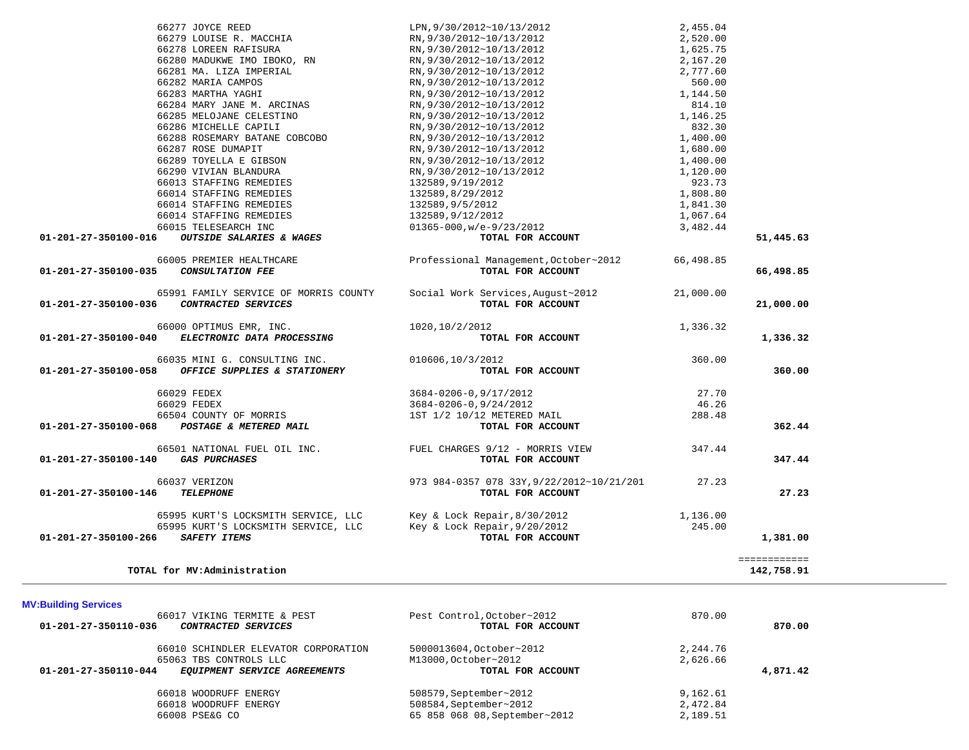| TOTAL for MV:Administration                                                                                                                                                  |                                                                |                      | ============<br>142,758.91 |
|------------------------------------------------------------------------------------------------------------------------------------------------------------------------------|----------------------------------------------------------------|----------------------|----------------------------|
| 65995 KURT'S LOCKSMITH SERVICE, LLC Key & Lock Repair, 8/30/2012<br>65995 KURT'S LOCKSMITH SERVICE, LLC Key & Lock Repair, 9/20/2012<br>SAFETY ITEMS<br>01-201-27-350100-266 | TOTAL FOR ACCOUNT                                              | 1,136.00<br>245.00   | 1,381.00                   |
| 66037 VERIZON<br><b>TELEPHONE</b><br>01-201-27-350100-146                                                                                                                    | 973 984-0357 078 33Y, 9/22/2012~10/21/201<br>TOTAL FOR ACCOUNT | 27.23                | 27.23                      |
| 66501 NATIONAL FUEL OIL INC. FUEL CHARGES 9/12 - MORRIS VIEW<br>01-201-27-350100-140 GAS PURCHASES                                                                           | TOTAL FOR ACCOUNT                                              | 347.44               | 347.44                     |
| 66504 COUNTY OF MORRIS<br>01-201-27-350100-068 POSTAGE & METERED MAIL                                                                                                        | 1ST 1/2 10/12 METERED MAIL<br>TOTAL FOR ACCOUNT                | 288.48               | 362.44                     |
| 66029 FEDEX<br>66029 FEDEX                                                                                                                                                   | 3684-0206-0,9/17/2012<br>3684-0206-0,9/24/2012                 | 27.70<br>46.26       |                            |
| 66035 MINI G. CONSULTING INC.<br>OFFICE SUPPLIES & STATIONERY<br>01-201-27-350100-058                                                                                        | 010606,10/3/2012<br>TOTAL FOR ACCOUNT                          | 360.00               | 360.00                     |
| 66000 OPTIMUS EMR, INC.<br>01-201-27-350100-040 ELECTRONIC DATA PROCESSING                                                                                                   | 1020,10/2/2012<br>TOTAL FOR ACCOUNT                            | 1,336.32             | 1,336.32                   |
| 65991 FAMILY SERVICE OF MORRIS COUNTY<br>CONTRACTED SERVICES<br>01-201-27-350100-036                                                                                         | Social Work Services, August~2012<br>TOTAL FOR ACCOUNT         | 21,000.00            | 21,000.00                  |
| 66005 PREMIER HEALTHCARE<br>01-201-27-350100-035<br><b>CONSULTATION FEE</b>                                                                                                  | Professional Management, October~2012<br>TOTAL FOR ACCOUNT     | 66,498.85            | 66,498.85                  |
| OUTSIDE SALARIES & WAGES<br>01-201-27-350100-016                                                                                                                             | TOTAL FOR ACCOUNT                                              |                      | 51,445.63                  |
| 66015 TELESEARCH INC                                                                                                                                                         | 01365-000,w/e-9/23/2012                                        | 3,482.44             |                            |
| 66014 STAFFING REMEDIES                                                                                                                                                      | 132589,9/12/2012                                               | 1,067.64             |                            |
| 66014 STAFFING REMEDIES                                                                                                                                                      | 132589,9/5/2012                                                | 1,841.30             |                            |
| 66013 STAFFING REMEDIES<br>66014 STAFFING REMEDIES                                                                                                                           | 132589,9/19/2012<br>132589,8/29/2012                           | 1,808.80             |                            |
| 66290 VIVIAN BLANDURA                                                                                                                                                        | RN, 9/30/2012~10/13/2012                                       | 1,120.00<br>923.73   |                            |
| 66289 TOYELLA E GIBSON                                                                                                                                                       | RN, 9/30/2012~10/13/2012                                       | 1,400.00             |                            |
| 66287 ROSE DUMAPIT                                                                                                                                                           | RN, 9/30/2012~10/13/2012                                       | 1,680.00             |                            |
| 66288 ROSEMARY BATANE COBCOBO                                                                                                                                                | RN, 9/30/2012~10/13/2012                                       | 1,400.00             |                            |
| 66286 MICHELLE CAPILI                                                                                                                                                        | RN, 9/30/2012~10/13/2012                                       | 832.30               |                            |
| 66285 MELOJANE CELESTINO                                                                                                                                                     | RN, 9/30/2012~10/13/2012                                       | 1,146.25             |                            |
| 66284 MARY JANE M. ARCINAS                                                                                                                                                   | RN, 9/30/2012~10/13/2012                                       | 814.10               |                            |
| 66283 MARTHA YAGHI                                                                                                                                                           | RN, 9/30/2012~10/13/2012                                       | 1,144.50             |                            |
| 66282 MARIA CAMPOS                                                                                                                                                           | RN, 9/30/2012~10/13/2012                                       | 560.00               |                            |
| 66281 MA. LIZA IMPERIAL                                                                                                                                                      | RN, 9/30/2012~10/13/2012                                       | 2,777.60             |                            |
| 66280 MADUKWE IMO IBOKO, RN                                                                                                                                                  | RN, 9/30/2012~10/13/2012                                       | 2,167.20             |                            |
| 66278 LOREEN RAFISURA                                                                                                                                                        | RN, 9/30/2012~10/13/2012                                       | 1,625.75             |                            |
| 66277 JOYCE REED<br>66279 LOUISE R. MACCHIA                                                                                                                                  | LPN, 9/30/2012~10/13/2012<br>RN, 9/30/2012~10/13/2012          | 2,455.04<br>2,520.00 |                            |

| 66017 VIKING TERMITE & PEST                          | Pest Control, October~2012    | 870.00   |          |
|------------------------------------------------------|-------------------------------|----------|----------|
| 01-201-27-350110-036<br><i>CONTRACTED SERVICES</i>   | TOTAL FOR ACCOUNT             |          | 870.00   |
| 66010 SCHINDLER ELEVATOR CORPORATION                 | 5000013604, October~2012      | 2,244.76 |          |
| 65063 TBS CONTROLS LLC                               | M13000, October~2012          | 2,626.66 |          |
| 01-201-27-350110-044<br>EOUIPMENT SERVICE AGREEMENTS | TOTAL FOR ACCOUNT             |          | 4,871.42 |
| 66018 WOODRUFF ENERGY                                | 508579, September~2012        | 9,162.61 |          |
| 66018 WOODRUFF ENERGY                                | 508584, September~2012        | 2,472.84 |          |
| 66008 PSE&G CO                                       | 65 858 068 08, September~2012 | 2,189.51 |          |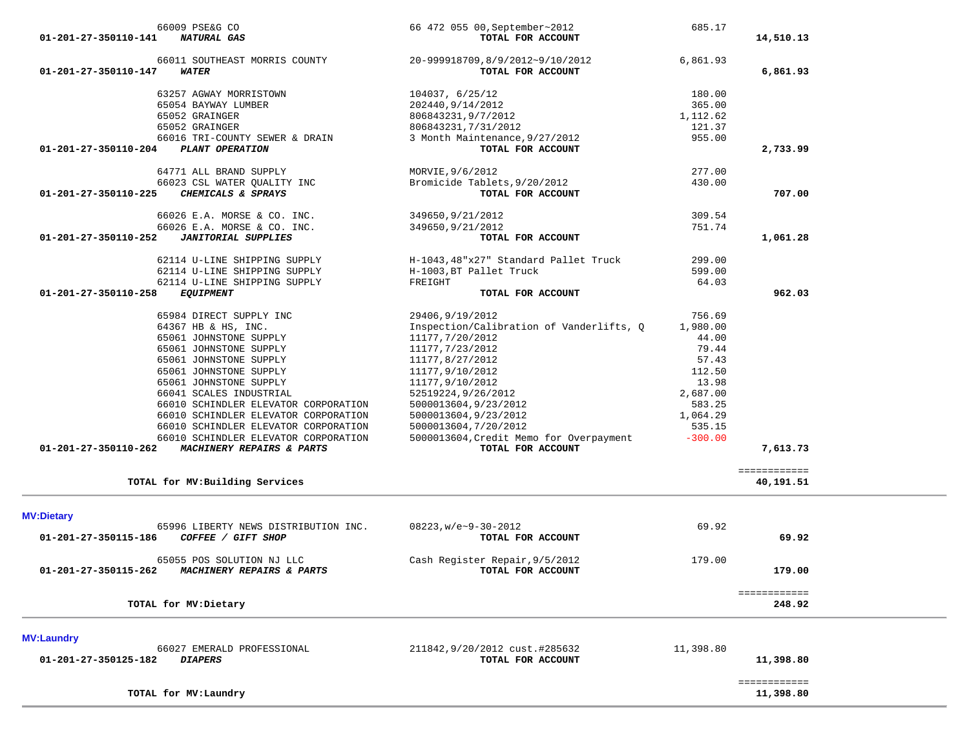| 64771 ALL BRAND SUPPLY                             | MORVIE, 9/6/2012                                    | 277.00    |                           |
|----------------------------------------------------|-----------------------------------------------------|-----------|---------------------------|
| 66023 CSL WATER QUALITY INC                        | Bromicide Tablets, 9/20/2012                        | 430.00    |                           |
| CHEMICALS & SPRAYS<br>01-201-27-350110-225         | TOTAL FOR ACCOUNT                                   |           | 707.00                    |
| 66026 E.A. MORSE & CO. INC.                        | 349650, 9/21/2012                                   | 309.54    |                           |
| 66026 E.A. MORSE & CO. INC.                        | 349650, 9/21/2012                                   | 751.74    |                           |
| <b>JANITORIAL SUPPLIES</b><br>01-201-27-350110-252 | TOTAL FOR ACCOUNT                                   |           | 1,061.28                  |
| 62114 U-LINE SHIPPING SUPPLY                       | H-1043,48"x27" Standard Pallet Truck                | 299.00    |                           |
| 62114 U-LINE SHIPPING SUPPLY                       | H-1003, BT Pallet Truck                             | 599.00    |                           |
| 62114 U-LINE SHIPPING SUPPLY                       | FREIGHT                                             | 64.03     |                           |
| 01-201-27-350110-258<br><b>EQUIPMENT</b>           | TOTAL FOR ACCOUNT                                   |           | 962.03                    |
| 65984 DIRECT SUPPLY INC                            | 29406, 9/19/2012                                    | 756.69    |                           |
| 64367 HB & HS, INC.                                | Inspection/Calibration of Vanderlifts, Q            | 1,980.00  |                           |
| 65061 JOHNSTONE SUPPLY                             | 11177,7/20/2012                                     | 44.00     |                           |
| 65061 JOHNSTONE SUPPLY                             | 11177, 7/23/2012                                    | 79.44     |                           |
| 65061 JOHNSTONE SUPPLY                             | 11177,8/27/2012                                     | 57.43     |                           |
| 65061 JOHNSTONE SUPPLY                             | 11177,9/10/2012                                     | 112.50    |                           |
| 65061 JOHNSTONE SUPPLY                             | 11177,9/10/2012                                     | 13.98     |                           |
| 66041 SCALES INDUSTRIAL                            | 52519224,9/26/2012                                  | 2,687.00  |                           |
| 66010 SCHINDLER ELEVATOR CORPORATION               | 5000013604,9/23/2012                                | 583.25    |                           |
| 66010 SCHINDLER ELEVATOR CORPORATION               | 5000013604,9/23/2012                                | 1,064.29  |                           |
| 66010 SCHINDLER ELEVATOR CORPORATION               | 5000013604, 7/20/2012                               | 535.15    |                           |
| 66010 SCHINDLER ELEVATOR CORPORATION               | 5000013604, Credit Memo for Overpayment             | $-300.00$ |                           |
| MACHINERY REPAIRS & PARTS<br>01-201-27-350110-262  | TOTAL FOR ACCOUNT                                   |           | 7,613.73                  |
|                                                    |                                                     |           | ============              |
| TOTAL for MV: Building Services                    |                                                     |           | 40,191.51                 |
| <b>MV:Dietary</b>                                  |                                                     |           |                           |
| 65996 LIBERTY NEWS DISTRIBUTION INC.               | $08223$ , w/e~9-30-2012                             | 69.92     |                           |
| COFFEE / GIFT SHOP<br>01-201-27-350115-186         | TOTAL FOR ACCOUNT                                   |           | 69.92                     |
|                                                    |                                                     |           |                           |
| 65055 POS SOLUTION NJ LLC<br>01-201-27-350115-262  | Cash Register Repair, 9/5/2012<br>TOTAL FOR ACCOUNT | 179.00    | 179.00                    |
| MACHINERY REPAIRS & PARTS                          |                                                     |           |                           |
| TOTAL for MV: Dietary                              |                                                     |           | ============<br>248.92    |
|                                                    |                                                     |           |                           |
| <b>MV:Laundry</b>                                  |                                                     |           |                           |
| 66027 EMERALD PROFESSIONAL                         | 211842, 9/20/2012 cust.#285632                      | 11,398.80 |                           |
|                                                    | TOTAL FOR ACCOUNT                                   |           | 11,398.80                 |
| <b>DIAPERS</b><br>01-201-27-350125-182             |                                                     |           |                           |
| TOTAL for MV: Laundry                              |                                                     |           | ============<br>11,398.80 |

| 66009 PSE&G CO<br>01-201-27-350110-141<br><b>NATURAL GAS</b>                 | 66 472 055 00, September~2012<br>TOTAL FOR ACCOUNT   | 685.17   | 14,510.13 |
|------------------------------------------------------------------------------|------------------------------------------------------|----------|-----------|
| 66011 SOUTHEAST MORRIS COUNTY<br>01-201-27-350110-147<br><i><b>WATER</b></i> | 20-999918709,8/9/2012~9/10/2012<br>TOTAL FOR ACCOUNT | 6,861.93 | 6,861.93  |
| 63257 AGWAY MORRISTOWN                                                       | 104037, 6/25/12                                      | 180.00   |           |
| 65054 BAYWAY LUMBER                                                          | 202440,9/14/2012                                     | 365.00   |           |
| 65052 GRAINGER                                                               | 806843231,9/7/2012                                   | 1,112.62 |           |
| 65052 GRAINGER                                                               | 806843231, 7/31/2012                                 | 121.37   |           |
| 66016 TRI-COUNTY SEWER & DRAIN                                               | 3 Month Maintenance, 9/27/2012                       | 955.00   |           |
| $01 - 201 - 27 - 350110 - 204$<br>PLANT OPERATION                            | TOTAL FOR ACCOUNT                                    |          | 2,733.99  |
| 64771 ALL BRAND SUPPLY                                                       | MORVIE, 9/6/2012                                     | 277.00   |           |
| 66023 CSL WATER OUALITY INC                                                  | Bromicide Tablets, 9/20/2012                         | 430.00   |           |
| 01-201-27-350110-225<br>CHEMICALS & SPRAYS                                   | TOTAL FOR ACCOUNT                                    |          | 707.00    |
|                                                                              |                                                      |          |           |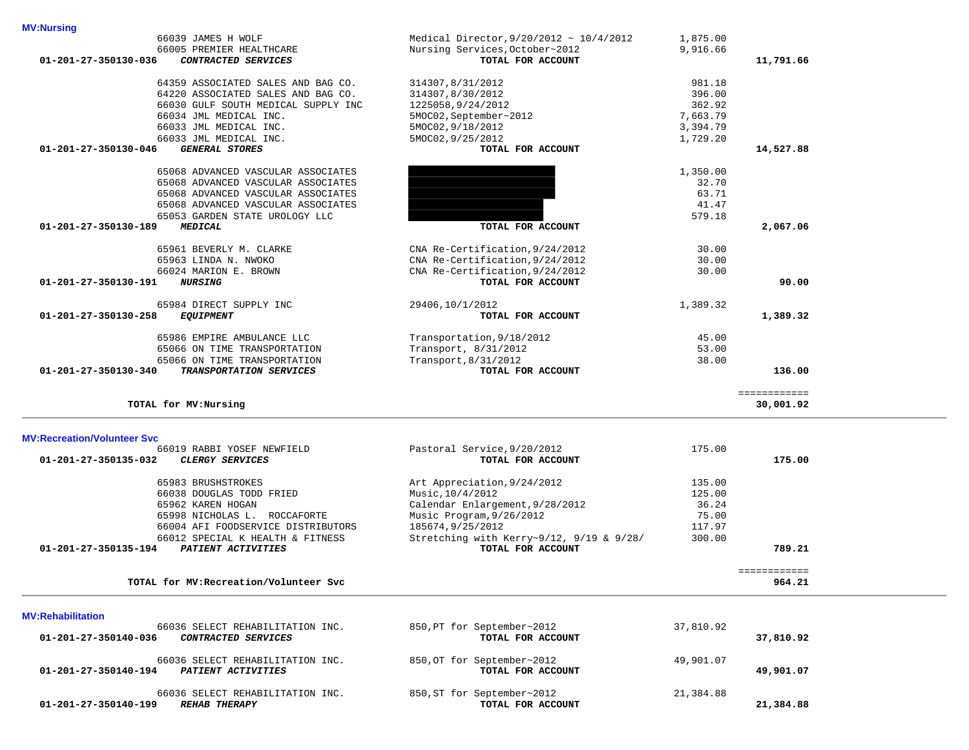| 64359 ASSOCIATED SALES AND BAG CO.                                                         | 314307,8/31/2012                                | 981.18    |              |  |
|--------------------------------------------------------------------------------------------|-------------------------------------------------|-----------|--------------|--|
|                                                                                            |                                                 | 396.00    |              |  |
| 64220 ASSOCIATED SALES AND BAG CO.                                                         | 314307,8/30/2012                                |           |              |  |
| 66030 GULF SOUTH MEDICAL SUPPLY INC                                                        | 1225058,9/24/2012                               | 362.92    |              |  |
| 66034 JML MEDICAL INC.                                                                     | 5MOC02, September~2012                          | 7,663.79  |              |  |
| 66033 JML MEDICAL INC.                                                                     | 5MOC02, 9/18/2012                               | 3,394.79  |              |  |
| 66033 JML MEDICAL INC.                                                                     | 5MOC02, 9/25/2012                               | 1,729.20  |              |  |
| <b>GENERAL STORES</b><br>01-201-27-350130-046                                              | TOTAL FOR ACCOUNT                               |           | 14,527.88    |  |
|                                                                                            |                                                 |           |              |  |
| 65068 ADVANCED VASCULAR ASSOCIATES                                                         |                                                 | 1,350.00  |              |  |
| 65068 ADVANCED VASCULAR ASSOCIATES                                                         |                                                 | 32.70     |              |  |
| 65068 ADVANCED VASCULAR ASSOCIATES                                                         |                                                 | 63.71     |              |  |
|                                                                                            |                                                 |           |              |  |
| 65068 ADVANCED VASCULAR ASSOCIATES                                                         |                                                 | 41.47     |              |  |
| 65053 GARDEN STATE UROLOGY LLC                                                             |                                                 | 579.18    |              |  |
| 01-201-27-350130-189<br>MEDICAL                                                            | TOTAL FOR ACCOUNT                               |           | 2,067.06     |  |
|                                                                                            |                                                 |           |              |  |
| 65961 BEVERLY M. CLARKE                                                                    | CNA Re-Certification, 9/24/2012                 | 30.00     |              |  |
| 65963 LINDA N. NWOKO                                                                       | CNA Re-Certification, 9/24/2012                 | 30.00     |              |  |
| 66024 MARION E. BROWN                                                                      | CNA Re-Certification, 9/24/2012                 | 30.00     |              |  |
| <b>NURSING</b><br>01-201-27-350130-191                                                     | TOTAL FOR ACCOUNT                               |           | 90.00        |  |
|                                                                                            |                                                 |           |              |  |
| 65984 DIRECT SUPPLY INC                                                                    | 29406,10/1/2012                                 | 1,389.32  |              |  |
| 01-201-27-350130-258<br><b>EQUIPMENT</b>                                                   | TOTAL FOR ACCOUNT                               |           | 1,389.32     |  |
|                                                                                            |                                                 |           |              |  |
| 65986 EMPIRE AMBULANCE LLC                                                                 | Transportation, 9/18/2012                       | 45.00     |              |  |
| 65066 ON TIME TRANSPORTATION                                                               | Transport, 8/31/2012                            | 53.00     |              |  |
|                                                                                            |                                                 |           |              |  |
| 65066 ON TIME TRANSPORTATION                                                               | Transport, 8/31/2012                            | 38.00     |              |  |
| 01-201-27-350130-340<br>TRANSPORTATION SERVICES                                            | TOTAL FOR ACCOUNT                               |           | 136.00       |  |
|                                                                                            |                                                 |           |              |  |
|                                                                                            |                                                 |           |              |  |
|                                                                                            |                                                 |           | ============ |  |
| TOTAL for MV: Nursing                                                                      |                                                 |           | 30,001.92    |  |
|                                                                                            |                                                 |           |              |  |
|                                                                                            |                                                 |           |              |  |
|                                                                                            |                                                 |           |              |  |
| 66019 RABBI YOSEF NEWFIELD                                                                 | Pastoral Service, 9/20/2012                     | 175.00    |              |  |
| 01-201-27-350135-032<br><b>CLERGY SERVICES</b>                                             | TOTAL FOR ACCOUNT                               |           | 175.00       |  |
| <b>MV:Recreation/Volunteer Svc</b>                                                         |                                                 |           |              |  |
| 65983 BRUSHSTROKES                                                                         | Art Appreciation, 9/24/2012                     | 135.00    |              |  |
| 66038 DOUGLAS TODD FRIED                                                                   | Music, 10/4/2012                                | 125.00    |              |  |
| 65962 KAREN HOGAN                                                                          | Calendar Enlargement, 9/28/2012                 | 36.24     |              |  |
| 65998 NICHOLAS L. ROCCAFORTE                                                               | Music Program, 9/26/2012                        | 75.00     |              |  |
| 66004 AFI FOODSERVICE DISTRIBUTORS                                                         | 185674, 9/25/2012                               | 117.97    |              |  |
|                                                                                            |                                                 |           |              |  |
| 66012 SPECIAL K HEALTH & FITNESS                                                           | Stretching with Kerry~9/12, 9/19 & 9/28/        | 300.00    |              |  |
| 01-201-27-350135-194<br>PATIENT ACTIVITIES                                                 | TOTAL FOR ACCOUNT                               |           | 789.21       |  |
|                                                                                            |                                                 |           | ============ |  |
| TOTAL for MV: Recreation/Volunteer Svc                                                     |                                                 |           | 964.21       |  |
|                                                                                            |                                                 |           |              |  |
|                                                                                            |                                                 |           |              |  |
| <b>MV:Rehabilitation</b>                                                                   |                                                 |           |              |  |
| 66036 SELECT REHABILITATION INC.                                                           | 850, PT for September~2012                      | 37,810.92 |              |  |
| 01-201-27-350140-036<br>CONTRACTED SERVICES                                                | TOTAL FOR ACCOUNT                               |           | 37,810.92    |  |
|                                                                                            |                                                 |           |              |  |
| 66036 SELECT REHABILITATION INC.                                                           | 850, OT for September~2012                      | 49,901.07 |              |  |
| 01-201-27-350140-194<br>PATIENT ACTIVITIES                                                 | TOTAL FOR ACCOUNT                               |           | 49,901.07    |  |
|                                                                                            |                                                 |           |              |  |
| 66036 SELECT REHABILITATION INC.<br>$01 - 201 - 27 - 350140 - 199$<br><b>REHAB THERAPY</b> | 850, ST for September~2012<br>TOTAL FOR ACCOUNT | 21,384.88 | 21,384.88    |  |

 66039 JAMES H WOLF Medical Director,9/20/2012 ~ 10/4/2012 1,875.00 66005 PREMIER HEALTHCARE **Nursing Services,October~2012** 9,916.66<br>**CONTRACTED SERVICES Nursing Services, COUNT 01-201-27-350130-036** *CONTRACTED SERVICES* **TOTAL FOR ACCOUNT 11,791.66**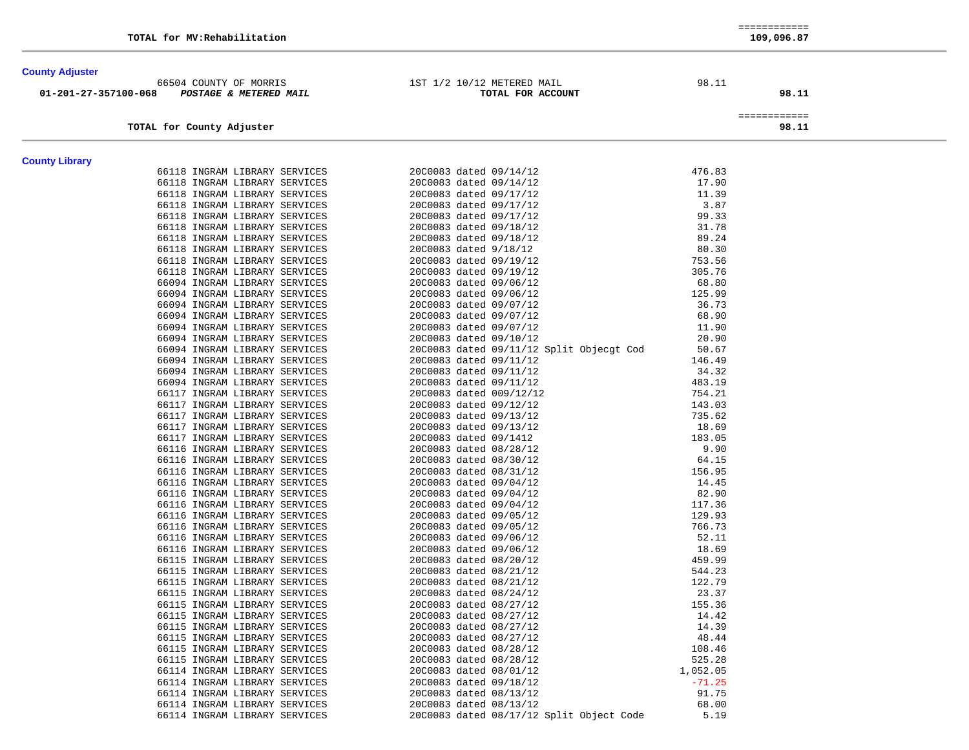| <b>County Adjuster</b> |                                                                |                                                  |                  |              |
|------------------------|----------------------------------------------------------------|--------------------------------------------------|------------------|--------------|
|                        | 66504 COUNTY OF MORRIS                                         | 1ST 1/2 10/12 METERED MAIL                       | 98.11            |              |
| 01-201-27-357100-068   | <b>POSTAGE &amp; METERED MAIL</b>                              | TOTAL FOR ACCOUNT                                |                  | 98.11        |
|                        |                                                                |                                                  |                  | ============ |
|                        | TOTAL for County Adjuster                                      |                                                  |                  | 98.11        |
|                        |                                                                |                                                  |                  |              |
| <b>County Library</b>  |                                                                |                                                  |                  |              |
|                        | 66118 INGRAM LIBRARY SERVICES                                  | 20C0083 dated 09/14/12                           | 476.83           |              |
|                        | 66118 INGRAM LIBRARY SERVICES                                  | 20C0083 dated 09/14/12                           | 17.90            |              |
|                        | 66118 INGRAM LIBRARY SERVICES                                  | 20C0083 dated 09/17/12                           | 11.39            |              |
|                        | 66118 INGRAM LIBRARY SERVICES                                  | 20C0083 dated 09/17/12                           | 3.87             |              |
|                        | 66118 INGRAM LIBRARY SERVICES                                  | 20C0083 dated 09/17/12                           | 99.33            |              |
|                        | 66118 INGRAM LIBRARY SERVICES                                  | 20C0083 dated 09/18/12                           | 31.78            |              |
|                        | 66118 INGRAM LIBRARY SERVICES                                  | 20C0083 dated 09/18/12                           | 89.24            |              |
|                        | 66118 INGRAM LIBRARY SERVICES                                  | 20C0083 dated 9/18/12                            | 80.30            |              |
|                        | 66118 INGRAM LIBRARY SERVICES                                  | 20C0083 dated 09/19/12                           | 753.56           |              |
|                        | 66118 INGRAM LIBRARY SERVICES                                  | 20C0083 dated 09/19/12                           | 305.76           |              |
|                        | 66094 INGRAM LIBRARY SERVICES                                  | 20C0083 dated 09/06/12                           | 68.80            |              |
|                        | 66094 INGRAM LIBRARY SERVICES                                  | 20C0083 dated 09/06/12                           | 125.99           |              |
|                        | 66094 INGRAM LIBRARY SERVICES                                  | 20C0083 dated 09/07/12                           | 36.73            |              |
|                        | 66094 INGRAM LIBRARY SERVICES                                  | 20C0083 dated 09/07/12                           | 68.90            |              |
|                        | 66094 INGRAM LIBRARY SERVICES                                  | 20C0083 dated 09/07/12                           | 11.90            |              |
|                        | 66094 INGRAM LIBRARY SERVICES                                  | 20C0083 dated 09/10/12                           | 20.90            |              |
|                        | 66094 INGRAM LIBRARY SERVICES                                  | 20C0083 dated 09/11/12 Split Objecgt Cod         | 50.67            |              |
|                        | 66094 INGRAM LIBRARY SERVICES                                  | 20C0083 dated 09/11/12                           | 146.49           |              |
|                        | 66094 INGRAM LIBRARY SERVICES                                  | 20C0083 dated 09/11/12                           | 34.32            |              |
|                        | 66094 INGRAM LIBRARY SERVICES                                  | 20C0083 dated 09/11/12                           | 483.19           |              |
|                        | 66117 INGRAM LIBRARY SERVICES                                  | 20C0083 dated 009/12/12                          | 754.21           |              |
|                        | 66117 INGRAM LIBRARY SERVICES                                  | 20C0083 dated 09/12/12                           | 143.03           |              |
|                        | 66117 INGRAM LIBRARY SERVICES                                  | 20C0083 dated 09/13/12                           | 735.62           |              |
|                        | 66117 INGRAM LIBRARY SERVICES                                  | 20C0083 dated 09/13/12                           | 18.69            |              |
|                        | 66117 INGRAM LIBRARY SERVICES                                  | 20C0083 dated 09/1412                            | 183.05           |              |
|                        | 66116 INGRAM LIBRARY SERVICES                                  | 20C0083 dated 08/28/12                           | 9.90             |              |
|                        | 66116 INGRAM LIBRARY SERVICES                                  | 20C0083 dated 08/30/12                           | 64.15            |              |
|                        | 66116 INGRAM LIBRARY SERVICES                                  | 20C0083 dated 08/31/12                           | 156.95           |              |
|                        | 66116 INGRAM LIBRARY SERVICES                                  | 20C0083 dated 09/04/12                           | 14.45            |              |
|                        | 66116 INGRAM LIBRARY SERVICES                                  | 20C0083 dated 09/04/12                           | 82.90            |              |
|                        | 66116 INGRAM LIBRARY SERVICES                                  | 20C0083 dated 09/04/12                           | 117.36           |              |
|                        | 66116 INGRAM LIBRARY SERVICES<br>66116 INGRAM LIBRARY SERVICES | 20C0083 dated 09/05/12                           | 129.93<br>766.73 |              |
|                        | 66116 INGRAM LIBRARY SERVICES                                  | 20C0083 dated 09/05/12<br>20C0083 dated 09/06/12 | 52.11            |              |
|                        |                                                                |                                                  |                  |              |
|                        | 66116 INGRAM LIBRARY SERVICES<br>66115 INGRAM LIBRARY SERVICES | 20C0083 dated 09/06/12<br>20C0083 dated 08/20/12 | 18.69<br>459.99  |              |
|                        | 66115 INGRAM LIBRARY SERVICES                                  | 20C0083 dated 08/21/12                           | 544.23           |              |
|                        | 66115 INGRAM LIBRARY SERVICES                                  |                                                  | 122.79           |              |
|                        | 66115 INGRAM LIBRARY SERVICES                                  | 20C0083 dated 08/21/12<br>20C0083 dated 08/24/12 | 23.37            |              |
|                        | 66115 INGRAM LIBRARY SERVICES                                  | 20C0083 dated 08/27/12                           | 155.36           |              |
|                        | 66115 INGRAM LIBRARY SERVICES                                  | 20C0083 dated 08/27/12                           | 14.42            |              |
|                        |                                                                | 20C0083 dated 08/27/12                           | 14.39            |              |
|                        | 66115 INGRAM LIBRARY SERVICES<br>66115 INGRAM LIBRARY SERVICES | 20C0083 dated 08/27/12                           | 48.44            |              |
|                        | 66115 INGRAM LIBRARY SERVICES                                  | 20C0083 dated 08/28/12                           | 108.46           |              |
|                        | 66115 INGRAM LIBRARY SERVICES                                  | 20C0083 dated 08/28/12                           | 525.28           |              |
|                        | 66114 INGRAM LIBRARY SERVICES                                  | 20C0083 dated 08/01/12                           | 1,052.05         |              |
|                        | 66114 INGRAM LIBRARY SERVICES                                  | 20C0083 dated 09/18/12                           | $-71.25$         |              |
|                        | 66114 INGRAM LIBRARY SERVICES                                  | 20C0083 dated 08/13/12                           | 91.75            |              |
|                        | 66114 INGRAM LIBRARY SERVICES                                  | 20C0083 dated 08/13/12                           | 68.00            |              |
|                        | 66114 INGRAM LIBRARY SERVICES                                  | 20C0083 dated 08/17/12 Split Object Code         | 5.19             |              |
|                        |                                                                |                                                  |                  |              |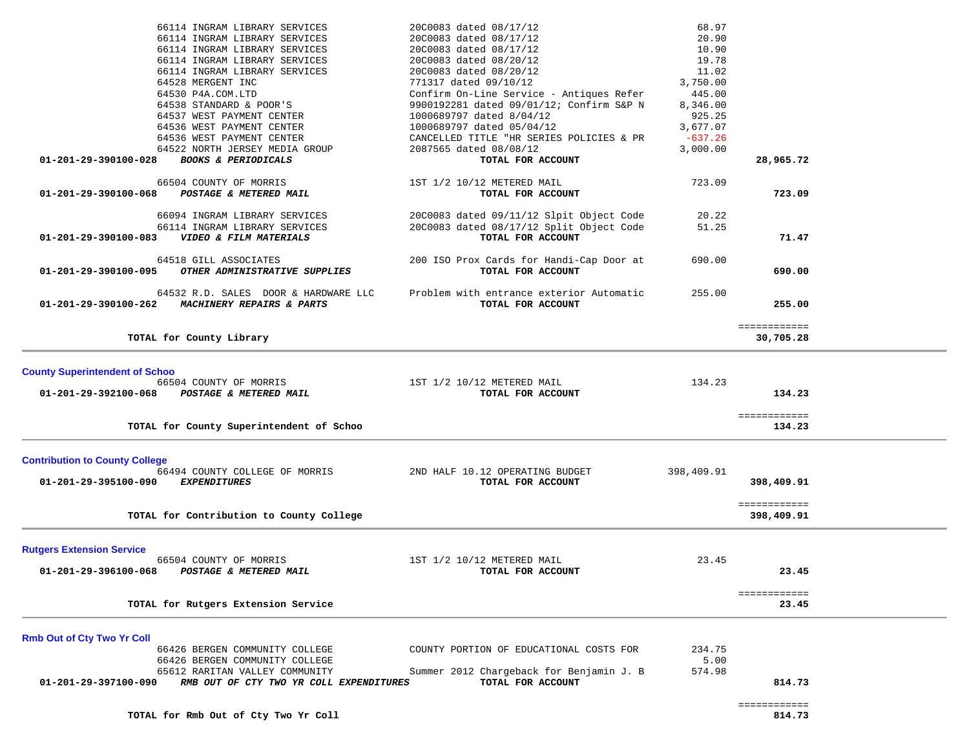| 66114 INGRAM LIBRARY SERVICES                                   | 20C0083 dated 08/17/12                   | 68.97      |              |  |
|-----------------------------------------------------------------|------------------------------------------|------------|--------------|--|
| 66114 INGRAM LIBRARY SERVICES                                   | 20C0083 dated 08/17/12                   | 20.90      |              |  |
| 66114 INGRAM LIBRARY SERVICES                                   | 20C0083 dated 08/17/12                   | 10.90      |              |  |
| 66114 INGRAM LIBRARY SERVICES                                   | 20C0083 dated 08/20/12                   | 19.78      |              |  |
|                                                                 |                                          | 11.02      |              |  |
| 66114 INGRAM LIBRARY SERVICES                                   | 20C0083 dated 08/20/12                   |            |              |  |
| 64528 MERGENT INC                                               | 771317 dated 09/10/12                    | 3,750.00   |              |  |
| 64530 P4A.COM.LTD                                               | Confirm On-Line Service - Antiques Refer | 445.00     |              |  |
| 64538 STANDARD & POOR'S                                         | 9900192281 dated 09/01/12; Confirm S&P N | 8,346.00   |              |  |
| 64537 WEST PAYMENT CENTER                                       | 1000689797 dated 8/04/12                 | 925.25     |              |  |
| 64536 WEST PAYMENT CENTER                                       | 1000689797 dated 05/04/12                | 3,677.07   |              |  |
| 64536 WEST PAYMENT CENTER                                       | CANCELLED TITLE "HR SERIES POLICIES & PR | $-637.26$  |              |  |
| 64522 NORTH JERSEY MEDIA GROUP                                  | 2087565 dated 08/08/12                   | 3,000.00   |              |  |
| 01-201-29-390100-028<br><b>BOOKS &amp; PERIODICALS</b>          | TOTAL FOR ACCOUNT                        |            | 28,965.72    |  |
|                                                                 |                                          |            |              |  |
| 66504 COUNTY OF MORRIS                                          | 1ST 1/2 10/12 METERED MAIL               | 723.09     |              |  |
| 01-201-29-390100-068<br>POSTAGE & METERED MAIL                  | TOTAL FOR ACCOUNT                        |            | 723.09       |  |
|                                                                 |                                          |            |              |  |
| 66094 INGRAM LIBRARY SERVICES                                   | 20C0083 dated 09/11/12 Slpit Object Code | 20.22      |              |  |
| 66114 INGRAM LIBRARY SERVICES                                   | 20C0083 dated 08/17/12 Split Object Code | 51.25      |              |  |
| VIDEO & FILM MATERIALS<br>01-201-29-390100-083                  | TOTAL FOR ACCOUNT                        |            | 71.47        |  |
|                                                                 |                                          |            |              |  |
| 64518 GILL ASSOCIATES                                           | 200 ISO Prox Cards for Handi-Cap Door at | 690.00     |              |  |
| 01-201-29-390100-095<br>OTHER ADMINISTRATIVE SUPPLIES           | TOTAL FOR ACCOUNT                        |            | 690.00       |  |
| 64532 R.D. SALES DOOR & HARDWARE LLC                            | Problem with entrance exterior Automatic | 255.00     |              |  |
| <b>MACHINERY REPAIRS &amp; PARTS</b><br>01-201-29-390100-262    | TOTAL FOR ACCOUNT                        |            | 255.00       |  |
|                                                                 |                                          |            |              |  |
|                                                                 |                                          |            | ============ |  |
| TOTAL for County Library                                        |                                          |            | 30,705.28    |  |
|                                                                 |                                          |            |              |  |
| <b>County Superintendent of Schoo</b>                           |                                          |            |              |  |
| 66504 COUNTY OF MORRIS                                          | 1ST 1/2 10/12 METERED MAIL               | 134.23     |              |  |
| 01-201-29-392100-068<br>POSTAGE & METERED MAIL                  | TOTAL FOR ACCOUNT                        |            | 134.23       |  |
|                                                                 |                                          |            |              |  |
|                                                                 |                                          |            | ============ |  |
| TOTAL for County Superintendent of Schoo                        |                                          |            | 134.23       |  |
|                                                                 |                                          |            |              |  |
| <b>Contribution to County College</b>                           |                                          |            |              |  |
| 66494 COUNTY COLLEGE OF MORRIS                                  | 2ND HALF 10.12 OPERATING BUDGET          | 398,409.91 |              |  |
| 01-201-29-395100-090<br><b>EXPENDITURES</b>                     | TOTAL FOR ACCOUNT                        |            | 398,409.91   |  |
|                                                                 |                                          |            |              |  |
|                                                                 |                                          |            | ============ |  |
| TOTAL for Contribution to County College                        |                                          |            | 398,409.91   |  |
|                                                                 |                                          |            |              |  |
| <b>Rutgers Extension Service</b>                                |                                          |            |              |  |
| 66504 COUNTY OF MORRIS                                          | 1ST 1/2 10/12 METERED MAIL               | 23.45      |              |  |
| 01-201-29-396100-068<br>POSTAGE & METERED MAIL                  | TOTAL FOR ACCOUNT                        |            | 23.45        |  |
|                                                                 |                                          |            |              |  |
|                                                                 |                                          |            | ============ |  |
| TOTAL for Rutgers Extension Service                             |                                          |            | 23.45        |  |
|                                                                 |                                          |            |              |  |
| <b>Rmb Out of Cty Two Yr Coll</b>                               |                                          |            |              |  |
| 66426 BERGEN COMMUNITY COLLEGE                                  | COUNTY PORTION OF EDUCATIONAL COSTS FOR  | 234.75     |              |  |
| 66426 BERGEN COMMUNITY COLLEGE                                  |                                          | 5.00       |              |  |
| 65612 RARITAN VALLEY COMMUNITY                                  | Summer 2012 Chargeback for Benjamin J. B | 574.98     |              |  |
| RMB OUT OF CTY TWO YR COLL EXPENDITURES<br>01-201-29-397100-090 | TOTAL FOR ACCOUNT                        |            | 814.73       |  |
|                                                                 |                                          |            |              |  |
|                                                                 |                                          |            | ============ |  |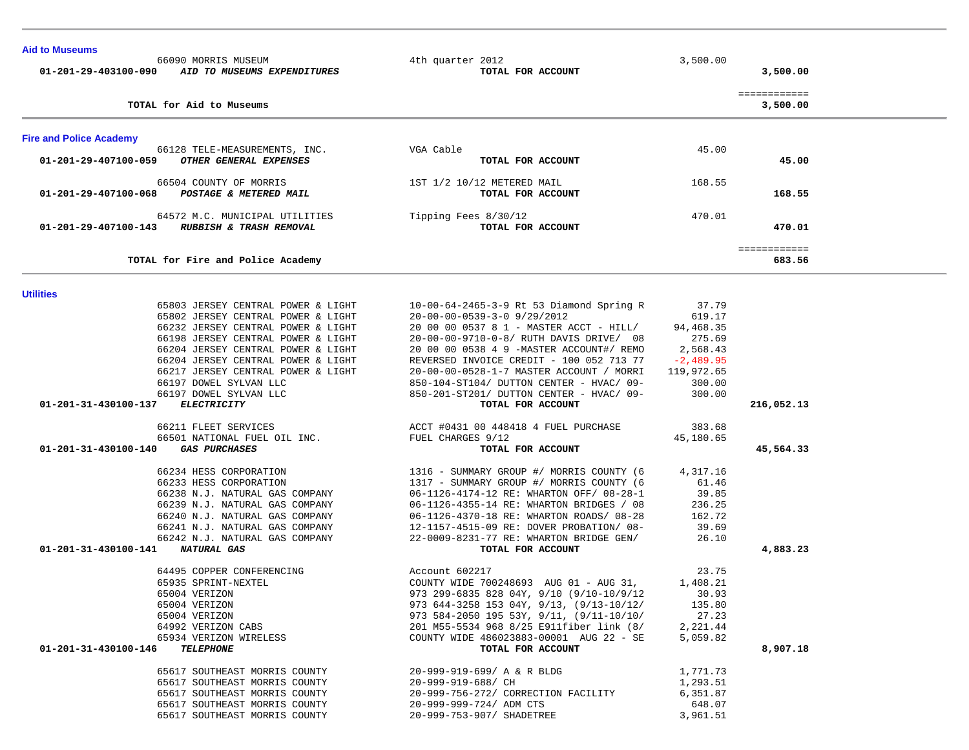| <b>Aid to Museums</b>                       | 66090 MORRIS MUSEUM<br>01-201-29-403100-090 AID TO MUSEUMS EXPENDITURES                                                                                                                                                                                                                                                    | 4th quarter 2012<br>TOTAL FOR ACCOUNT                                                                                                                                                                                                                                                                                                                                                               | 3,500.00                                                                                                  | 3,500.00                 |  |
|---------------------------------------------|----------------------------------------------------------------------------------------------------------------------------------------------------------------------------------------------------------------------------------------------------------------------------------------------------------------------------|-----------------------------------------------------------------------------------------------------------------------------------------------------------------------------------------------------------------------------------------------------------------------------------------------------------------------------------------------------------------------------------------------------|-----------------------------------------------------------------------------------------------------------|--------------------------|--|
|                                             | TOTAL for Aid to Museums                                                                                                                                                                                                                                                                                                   |                                                                                                                                                                                                                                                                                                                                                                                                     |                                                                                                           | ============<br>3,500.00 |  |
| <b>Fire and Police Academy</b>              |                                                                                                                                                                                                                                                                                                                            |                                                                                                                                                                                                                                                                                                                                                                                                     |                                                                                                           |                          |  |
| 01-201-29-407100-059                        | 66128 TELE-MEASUREMENTS, INC.<br><i>OTHER GENERAL EXPENSES</i>                                                                                                                                                                                                                                                             | VGA Cable<br>TOTAL FOR ACCOUNT                                                                                                                                                                                                                                                                                                                                                                      | 45.00                                                                                                     | 45.00                    |  |
| 01-201-29-407100-068 POSTAGE & METERED MAIL | 66504 COUNTY OF MORRIS                                                                                                                                                                                                                                                                                                     | 1ST 1/2 10/12 METERED MAIL<br>TOTAL FOR ACCOUNT                                                                                                                                                                                                                                                                                                                                                     | 168.55                                                                                                    | 168.55                   |  |
|                                             | 64572 M.C. MUNICIPAL UTILITIES<br>01-201-29-407100-143 RUBBISH & TRASH REMOVAL                                                                                                                                                                                                                                             | Tipping Fees 8/30/12<br>TOTAL FOR ACCOUNT                                                                                                                                                                                                                                                                                                                                                           | 470.01                                                                                                    | 470.01                   |  |
|                                             | TOTAL for Fire and Police Academy                                                                                                                                                                                                                                                                                          |                                                                                                                                                                                                                                                                                                                                                                                                     |                                                                                                           | ============<br>683.56   |  |
| <b>Utilities</b>                            |                                                                                                                                                                                                                                                                                                                            |                                                                                                                                                                                                                                                                                                                                                                                                     |                                                                                                           |                          |  |
|                                             | 65803 JERSEY CENTRAL POWER & LIGHT<br>65802 JERSEY CENTRAL POWER & LIGHT<br>66232 JERSEY CENTRAL POWER & LIGHT<br>66198 JERSEY CENTRAL POWER & LIGHT<br>66204 JERSEY CENTRAL POWER & LIGHT<br>66204 JERSEY CENTRAL POWER & LIGHT<br>66217 JERSEY CENTRAL POWER & LIGHT<br>66197 DOWEL SYLVAN LLC<br>66197 DOWEL SYLVAN LLC | 10-00-64-2465-3-9 Rt 53 Diamond Spring R<br>20-00-00-0539-3-0 9/29/2012<br>20 00 00 0537 8 1 - MASTER ACCT - HILL/<br>20-00-00-9710-0-8/ RUTH DAVIS DRIVE/ 08<br>20 00 00 0538 4 9 -MASTER ACCOUNT#/ REMO<br>REVERSED INVOICE CREDIT - 100 052 713 77<br>20-00-00-0528-1-7 MASTER ACCOUNT / MORRI<br>850-104-ST104/ DUTTON CENTER - HVAC/ 09-<br>850-201-ST201/ DUTTON CENTER - HVAC/ 09-           | 37.79<br>619.17<br>94,468.35<br>275.69<br>2,568.43<br>$-2,489.95$<br>119,972.65<br>300.00<br>300.00       |                          |  |
| 01-201-31-430100-137                        | <b>ELECTRICITY</b>                                                                                                                                                                                                                                                                                                         | TOTAL FOR ACCOUNT                                                                                                                                                                                                                                                                                                                                                                                   |                                                                                                           | 216,052.13               |  |
| 01-201-31-430100-140                        | 66211 FLEET SERVICES<br>66501 NATIONAL FUEL OIL INC.<br><i><b>GAS PURCHASES</b></i>                                                                                                                                                                                                                                        | ACCT #0431 00 448418 4 FUEL PURCHASE<br>FUEL CHARGES 9/12<br>TOTAL FOR ACCOUNT                                                                                                                                                                                                                                                                                                                      | 383.68<br>45,180.65                                                                                       | 45,564.33                |  |
| 01-201-31-430100-141                        | 66234 HESS CORPORATION<br>66233 HESS CORPORATION<br>66238 N.J. NATURAL GAS COMPANY<br>66239 N.J. NATURAL GAS COMPANY<br>66240 N.J. NATURAL GAS COMPANY<br>66241 N.J. NATURAL GAS COMPANY<br>66242 N.J. NATURAL GAS COMPANY<br><b>NATURAL GAS</b>                                                                           | 1316 - SUMMARY GROUP #/ MORRIS COUNTY (6<br>1317 - SUMMARY GROUP #/ MORRIS COUNTY (6<br>06-1126-4174-12 RE: WHARTON OFF/ 08-28-1<br>06-1126-4355-14 RE: WHARTON BRIDGES / 08<br>06-1126-4370-18 RE: WHARTON ROADS/ 08-28<br>12-1157-4515-09 RE: DOVER PROBATION/ 08-<br>22-0009-8231-77 RE: WHARTON BRIDGE GEN/<br>TOTAL FOR ACCOUNT                                                                | 4,317.16<br>61.46<br>39.85<br>236.25<br>162.72<br>39.69<br>26.10                                          | 4,883.23                 |  |
| 01-201-31-430100-146                        | 64495 COPPER CONFERENCING<br>65935 SPRINT-NEXTEL<br>65004 VERIZON<br>65004 VERIZON<br>65004 VERIZON<br>64992 VERIZON CABS<br>65934 VERIZON WIRELESS<br><b>TELEPHONE</b><br>65617 SOUTHEAST MORRIS COUNTY<br>65617 SOUTHEAST MORRIS COUNTY<br>65617 SOUTHEAST MORRIS COUNTY                                                 | Account 602217<br>COUNTY WIDE 700248693 AUG 01 - AUG 31,<br>973 299-6835 828 04Y, 9/10 (9/10-10/9/12<br>973 644-3258 153 04Y, 9/13, (9/13-10/12/<br>973 584-2050 195 53Y, 9/11, (9/11-10/10/<br>201 M55-5534 968 8/25 E911fiber link (8/<br>COUNTY WIDE 486023883-00001 AUG 22 - SE<br>TOTAL FOR ACCOUNT<br>20-999-919-699/ A & R BLDG<br>20-999-919-688/ CH<br>20-999-756-272/ CORRECTION FACILITY | 23.75<br>1,408.21<br>30.93<br>135.80<br>27.23<br>2,221.44<br>5,059.82<br>1,771.73<br>1,293.51<br>6,351.87 | 8,907.18                 |  |
|                                             | 65617 SOUTHEAST MORRIS COUNTY<br>65617 SOUTHEAST MORRIS COUNTY                                                                                                                                                                                                                                                             | 20-999-999-724/ ADM CTS<br>20-999-753-907/ SHADETREE                                                                                                                                                                                                                                                                                                                                                | 648.07<br>3,961.51                                                                                        |                          |  |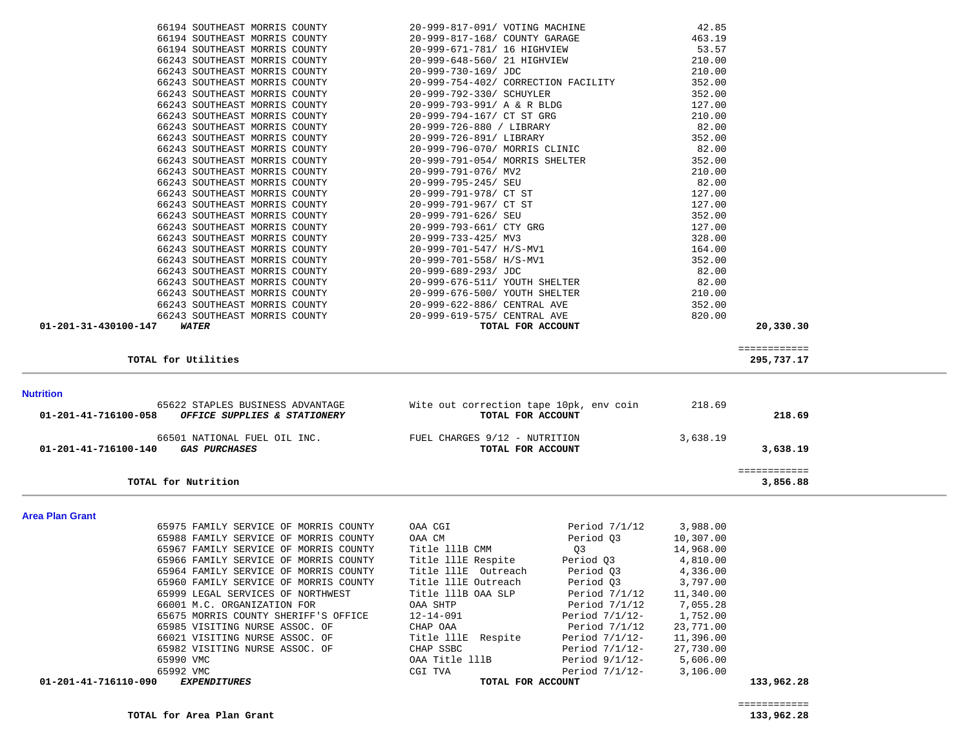| 01-201-41-716100-140   | 66501 NATIONAL FUEL OIL INC.<br><b>GAS PURCHASES</b> | FUEL CHARGES 9/12 - NUTRITION<br>TOTAL FOR ACCOUNT |                   | 3,638.19  | 3,638.19                 |
|------------------------|------------------------------------------------------|----------------------------------------------------|-------------------|-----------|--------------------------|
|                        | TOTAL for Nutrition                                  |                                                    |                   |           | ============<br>3,856.88 |
| <b>Area Plan Grant</b> |                                                      |                                                    |                   |           |                          |
|                        | 65975 FAMILY SERVICE OF MORRIS COUNTY                | OAA CGI                                            | Period $7/1/12$   | 3,988.00  |                          |
|                        | 65988 FAMILY SERVICE OF MORRIS COUNTY                | OAA CM                                             | Period 03         | 10,307.00 |                          |
|                        | 65967 FAMILY SERVICE OF MORRIS COUNTY                | Title 111B CMM                                     | Q3                | 14,968.00 |                          |
|                        | 65966 FAMILY SERVICE OF MORRIS COUNTY                | Title 111E Respite                                 | Period Q3         | 4,810.00  |                          |
|                        | 65964 FAMILY SERVICE OF MORRIS COUNTY                | Title 111E Outreach                                | Period Q3         | 4,336.00  |                          |
|                        | 65960 FAMILY SERVICE OF MORRIS COUNTY                | Title 111E Outreach                                | Period 03         | 3,797.00  |                          |
|                        | 65999 LEGAL SERVICES OF NORTHWEST                    | Title 111B OAA SLP                                 | Period 7/1/12     | 11,340.00 |                          |
|                        | 66001 M.C. ORGANIZATION FOR                          | OAA SHTP                                           | Period $7/1/12$   | 7,055.28  |                          |
|                        | 65675 MORRIS COUNTY SHERIFF'S OFFICE                 | 12-14-091                                          | Period $7/1/12$ - | 1,752.00  |                          |
|                        | 65985 VISITING NURSE ASSOC. OF                       | CHAP OAA                                           | Period $7/1/12$   | 23,771.00 |                          |
|                        | 66021 VISITING NURSE ASSOC. OF                       | Title 111E Respite                                 | Period $7/1/12$ - | 11,396.00 |                          |
|                        | 65982 VISITING NURSE ASSOC. OF                       | CHAP SSBC                                          | Period $7/1/12$ - | 27,730.00 |                          |
|                        | 65990 VMC                                            | OAA Title lllB                                     | Period 9/1/12-    | 5,606.00  |                          |
|                        | 65992 VMC                                            | CGI TVA                                            | Period $7/1/12$ - | 3,106.00  |                          |
| 01-201-41-716110-090   | <b>EXPENDITURES</b>                                  | TOTAL FOR ACCOUNT                                  |                   |           | 133,962.28               |

 65622 STAPLES BUSINESS ADVANTAGE Wite out correction tape 10pk, env coin 218.69  **01-201-41-716100-058** *OFFICE SUPPLIES & STATIONERY* **TOTAL FOR ACCOUNT 218.69**

| 01-201-31-430100-147 | WATER                         |                               | TOTAL FOR ACCOUNT |        | 20,330.30 |
|----------------------|-------------------------------|-------------------------------|-------------------|--------|-----------|
|                      | 66243 SOUTHEAST MORRIS COUNTY | 20-999-619-575/ CENTRAL AVE   |                   | 820.00 |           |
|                      | 66243 SOUTHEAST MORRIS COUNTY | 20-999-622-886/ CENTRAL AVE   |                   | 352.00 |           |
|                      | 66243 SOUTHEAST MORRIS COUNTY | 20-999-676-500/ YOUTH SHELTER |                   | 210.00 |           |
|                      | 66243 SOUTHEAST MORRIS COUNTY | 20-999-676-511/ YOUTH SHELTER |                   | 82.00  |           |
|                      | 66243 SOUTHEAST MORRIS COUNTY | 20-999-689-293/ JDC           |                   | 82.00  |           |
|                      |                               |                               |                   |        |           |

|                                | 66194 SOUTHEAST MORRIS COUNTY 20-999-817-091/ VOTING MACHINE   | 42.85   |
|--------------------------------|----------------------------------------------------------------|---------|
|                                | 66194 SOUTHEAST MORRIS COUNTY 20-999-817-168/ COUNTY GARAGE    | 463.19  |
| 66194 SOUTHEAST MORRIS COUNTY  | 20-999-671-781/ 16 HIGHVIEW                                    | 53.57   |
| 66243 SOUTHEAST MORRIS COUNTY  | 20-999-648-560/ 21 HIGHVIEW                                    | 210.00  |
| 66243 SOUTHEAST MORRIS COUNTY  | 20-999-730-169/ JDC                                            | 210.00  |
| 66243 SOUTHEAST MORRIS COUNTY  | 20-999-754-402/ CORRECTION FACILITY                            | 352.00  |
| 66243 SOUTHEAST MORRIS COUNTY  | 20-999-792-330/ SCHUYLER                                       | 352.00  |
| 66243 SOUTHEAST MORRIS COUNTY  | 20-999-793-991/ A & R BLDG                                     | 127.00  |
| 66243 SOUTHEAST MORRIS COUNTY  | 20-999-794-167/ CT ST GRG                                      | 210.00  |
| 66243 SOUTHEAST MORRIS COUNTY  | 20-999-726-880 / LIBRARY                                       | 82.00   |
| 66243 SOUTHEAST MORRIS COUNTY  | 20-999-726-891/ LIBRARY                                        | 352.00  |
| 66243 SOUTHEAST MORRIS COUNTY  | 20-999-796-070/ MORRIS CLINIC                                  | 82.00   |
| 66243 SOUTHEAST MORRIS COUNTY  | 20-999-791-054/ MORRIS SHELTER                                 | 352.00  |
| 66243 SOUTHEAST MORRIS COUNTY  | 20-999-791-076/ MV2                                            | 210.00  |
| 66243 SOUTHEAST MORRIS COUNTY  | 20-999-795-245/ SEU                                            | 82.00   |
| 66243 SOUTHEAST MORRIS COUNTY  | 20-999-791-978/ CT ST                                          | 127.00  |
| 66243 SOUTHEAST MORRIS COUNTY  | 20-999-791-967/ CT ST                                          | 127.00  |
| 66243 SOUTHEAST MORRIS COUNTY  | 20-999-791-626/ SEU                                            | 352.00  |
| 66243 SOUTHEAST MORRIS COUNTY  | 20-999-793-661/ CTY GRG                                        | 127.00  |
| 66243 SOUTHEAST MORRIS COUNTY  | 20-999-733-425/ MV3                                            | 328.00  |
| 66243 SOUTHEAST MORRIS COUNTY  | 20-999-701-547/ H/S-MV1                                        | 164.00  |
| 66243 SOUTHEAST MORRIS COUNTY  | 20-999-701-558/ H/S-MV1                                        | 352.00  |
| 66243 SOUTHEAST MORRIS COUNTY  | 20-999-689-293/ JDC                                            | 82.00   |
| 66243 SOUTHEAST MORRIS COUNTY  | 20-999-676-511/ YOUTH SHELTER                                  | 82.00   |
| 66243 SOUTHEAST MORRIS COUNTY  | 20-999-676-500/ YOUTH SHELTER                                  | 210.00  |
| 66243 SOUTHEAST MORRIS COUNTY  | 20-999-622-886/ CENTRAL AVE                                    | 352.00  |
| CCO12 COUTURN OT MODDIC COUNTY | $20.000$ $\epsilon$ 10 $\epsilon$ 75 / $\epsilon$ ENTED 1 1115 | 0.20000 |

**TOTAL for Utilities 295,737.17**

**Nutrition** 

295,737.17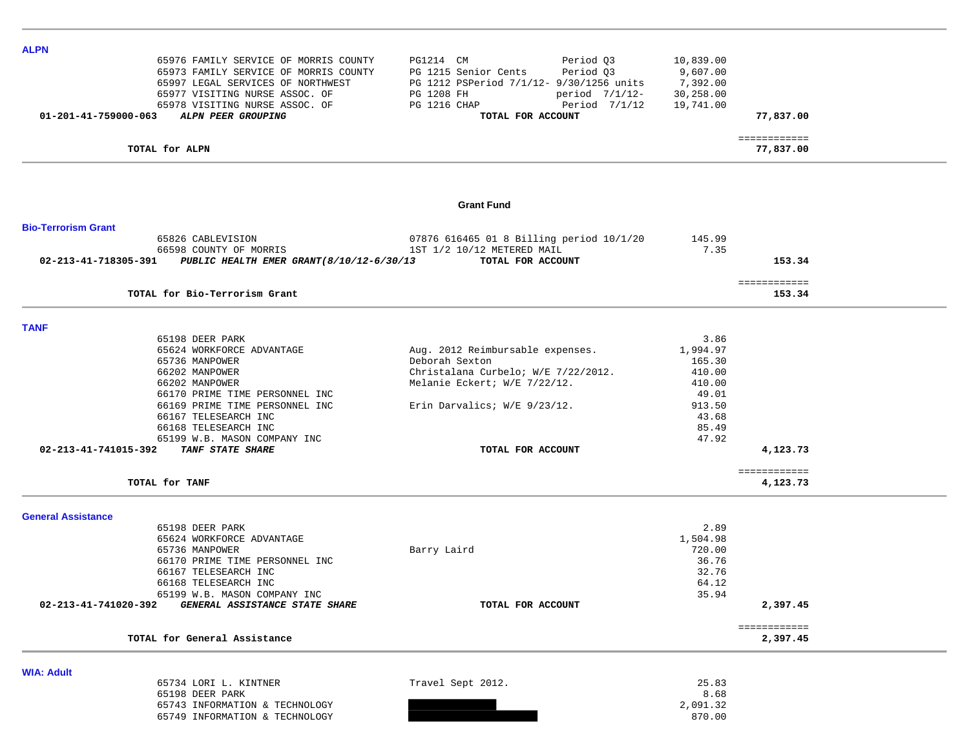| <b>ALPN</b>                |                                                               |                                          |           |                          |  |
|----------------------------|---------------------------------------------------------------|------------------------------------------|-----------|--------------------------|--|
|                            | 65976 FAMILY SERVICE OF MORRIS COUNTY                         | Period Q3<br>PG1214 CM                   | 10,839.00 |                          |  |
|                            | 65973 FAMILY SERVICE OF MORRIS COUNTY                         | Period Q3<br>PG 1215 Senior Cents        | 9,607.00  |                          |  |
|                            |                                                               |                                          |           |                          |  |
|                            | 65997 LEGAL SERVICES OF NORTHWEST                             | PG 1212 PSPeriod 7/1/12- 9/30/1256 units | 7,392.00  |                          |  |
|                            | 65977 VISITING NURSE ASSOC. OF                                | period 7/1/12-<br>PG 1208 FH             | 30,258.00 |                          |  |
|                            | 65978 VISITING NURSE ASSOC. OF                                | PG 1216 CHAP<br>Period 7/1/12            | 19,741.00 |                          |  |
|                            | 01-201-41-759000-063 ALPN PEER GROUPING                       | TOTAL FOR ACCOUNT                        |           | 77,837.00                |  |
|                            |                                                               |                                          |           | ============             |  |
|                            | TOTAL for ALPN                                                |                                          |           | 77,837.00                |  |
|                            |                                                               |                                          |           |                          |  |
|                            |                                                               | <b>Grant Fund</b>                        |           |                          |  |
| <b>Bio-Terrorism Grant</b> |                                                               |                                          |           |                          |  |
|                            | 65826 CABLEVISION                                             | 07876 616465 01 8 Billing period 10/1/20 | 145.99    |                          |  |
|                            | 66598 COUNTY OF MORRIS                                        | 1ST 1/2 10/12 METERED MAIL               | 7.35      |                          |  |
|                            | 02-213-41-718305-391 PUBLIC HEALTH EMER GRANT(8/10/12-6/30/13 | TOTAL FOR ACCOUNT                        |           | 153.34                   |  |
|                            |                                                               |                                          |           |                          |  |
|                            |                                                               |                                          |           | ============             |  |
|                            | TOTAL for Bio-Terrorism Grant                                 |                                          |           | 153.34                   |  |
|                            |                                                               |                                          |           |                          |  |
| <b>TANF</b>                | 65198 DEER PARK                                               |                                          | 3.86      |                          |  |
|                            | 65624 WORKFORCE ADVANTAGE                                     |                                          | 1,994.97  |                          |  |
|                            |                                                               | Aug. 2012 Reimbursable expenses.         |           |                          |  |
|                            | 65736 MANPOWER                                                | Deborah Sexton                           | 165.30    |                          |  |
|                            | 66202 MANPOWER                                                | Christalana Curbelo; W/E 7/22/2012.      | 410.00    |                          |  |
|                            | 66202 MANPOWER                                                | Melanie Eckert; W/E 7/22/12.             | 410.00    |                          |  |
|                            | 66170 PRIME TIME PERSONNEL INC                                |                                          | 49.01     |                          |  |
|                            | 66169 PRIME TIME PERSONNEL INC                                | Erin Darvalics; W/E 9/23/12.             | 913.50    |                          |  |
|                            | 66167 TELESEARCH INC                                          |                                          | 43.68     |                          |  |
|                            | 66168 TELESEARCH INC                                          |                                          | 85.49     |                          |  |
|                            | 65199 W.B. MASON COMPANY INC                                  |                                          | 47.92     |                          |  |
|                            | 02-213-41-741015-392 TANF STATE SHARE                         | TOTAL FOR ACCOUNT                        |           | 4,123.73                 |  |
|                            |                                                               |                                          |           | ============             |  |
|                            | TOTAL for TANF                                                |                                          |           | 4,123.73                 |  |
| <b>General Assistance</b>  |                                                               |                                          |           |                          |  |
|                            | 65198 DEER PARK                                               |                                          | 2.89      |                          |  |
|                            | 65624 WORKFORCE ADVANTAGE                                     |                                          | 1,504.98  |                          |  |
|                            | 65736 MANPOWER                                                | Barry Laird                              | 720.00    |                          |  |
|                            | 66170 PRIME TIME PERSONNEL INC                                |                                          | 36.76     |                          |  |
|                            |                                                               |                                          |           |                          |  |
|                            | 66167 TELESEARCH INC                                          |                                          | 32.76     |                          |  |
|                            | 66168 TELESEARCH INC                                          |                                          | 64.12     |                          |  |
|                            | 65199 W.B. MASON COMPANY INC                                  |                                          | 35.94     |                          |  |
| 02-213-41-741020-392       | GENERAL ASSISTANCE STATE SHARE                                | TOTAL FOR ACCOUNT                        |           | 2,397.45                 |  |
|                            | TOTAL for General Assistance                                  |                                          |           | ============<br>2,397.45 |  |
|                            |                                                               |                                          |           |                          |  |
| <b>WIA: Adult</b>          |                                                               |                                          |           |                          |  |
|                            | 65734 LORI L. KINTNER                                         | Travel Sept 2012.                        | 25.83     |                          |  |
|                            | 65198 DEER PARK                                               |                                          | 8.68      |                          |  |
|                            | 65743 INFORMATION & TECHNOLOGY                                |                                          | 2,091.32  |                          |  |
|                            | 65749 INFORMATION & TECHNOLOGY                                |                                          | 870.00    |                          |  |
|                            |                                                               |                                          |           |                          |  |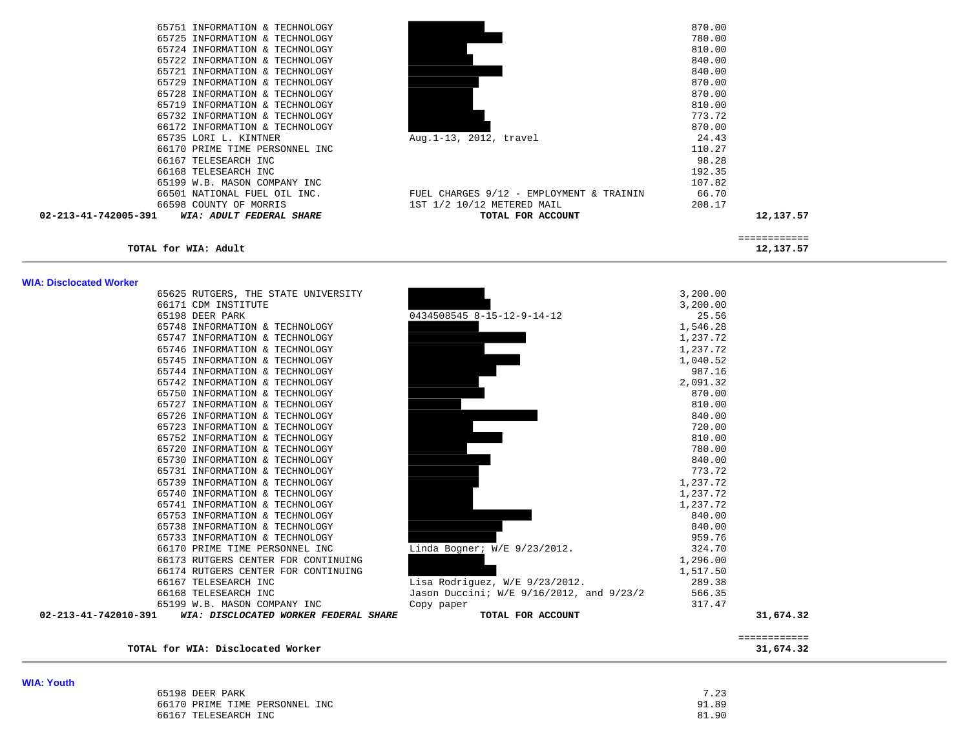| 65751 INFORMATION & TECHNOLOGY                   |                                          | 870.00 |
|--------------------------------------------------|------------------------------------------|--------|
| 65725 INFORMATION & TECHNOLOGY                   |                                          | 780.00 |
| 65724 INFORMATION & TECHNOLOGY                   |                                          | 810.00 |
| 65722 INFORMATION & TECHNOLOGY                   |                                          | 840.00 |
| 65721 INFORMATION & TECHNOLOGY                   |                                          | 840.00 |
| 65729 INFORMATION & TECHNOLOGY                   |                                          | 870.00 |
| 65728 INFORMATION & TECHNOLOGY                   |                                          | 870.00 |
| 65719 INFORMATION & TECHNOLOGY                   |                                          | 810.00 |
| 65732 INFORMATION & TECHNOLOGY                   |                                          | 773.72 |
| 66172 INFORMATION & TECHNOLOGY                   |                                          | 870.00 |
| 65735 LORI L. KINTNER                            | Aug. 1-13, 2012, travel                  | 24.43  |
| 66170 PRIME TIME PERSONNEL INC                   |                                          | 110.27 |
| 66167 TELESEARCH INC                             |                                          | 98.28  |
| 66168 TELESEARCH INC                             |                                          | 192.35 |
| 65199 W.B. MASON COMPANY INC                     |                                          | 107.82 |
| 66501 NATIONAL FUEL OIL INC.                     | FUEL CHARGES 9/12 - EMPLOYMENT & TRAININ | 66.70  |
| 66598 COUNTY OF MORRIS                           | 1ST 1/2 10/12 METERED MAIL               | 208.17 |
| 02-213-41-742005-391<br>WIA: ADULT FEDERAL SHARE | TOTAL FOR ACCOUNT                        |        |
|                                                  |                                          |        |

| 65751 INFORMATION & TECHNOLOGY                             |                                          | 870.00    |
|------------------------------------------------------------|------------------------------------------|-----------|
|                                                            |                                          |           |
| 65725 INFORMATION & TECHNOLOGY                             |                                          | 780.00    |
| 65724 INFORMATION & TECHNOLOGY                             |                                          | 810.00    |
| 65722 INFORMATION & TECHNOLOGY                             |                                          | 840.00    |
| 65721 INFORMATION & TECHNOLOGY                             |                                          | 840.00    |
| 65729 INFORMATION & TECHNOLOGY                             |                                          | 870.00    |
| 65728 INFORMATION & TECHNOLOGY                             |                                          | 870.00    |
| 65719 INFORMATION & TECHNOLOGY                             |                                          | 810.00    |
| 65732 INFORMATION & TECHNOLOGY                             |                                          | 773.72    |
| 66172 INFORMATION & TECHNOLOGY                             |                                          | 870.00    |
| 65735 LORI L. KINTNER                                      | Aug. 1-13, 2012, travel                  | 24.43     |
| 66170 PRIME TIME PERSONNEL INC                             |                                          | 110.27    |
| 66167 TELESEARCH INC                                       |                                          | 98.28     |
| 66168 TELESEARCH INC                                       |                                          | 192.35    |
| 65199 W.B. MASON COMPANY INC                               |                                          | 107.82    |
| 66501 NATIONAL FUEL OIL INC.                               | FUEL CHARGES 9/12 - EMPLOYMENT & TRAININ | 66.70     |
| 66598 COUNTY OF MORRIS                                     | 1ST 1/2 10/12 METERED MAIL               | 208.17    |
| $02 - 213 - 41 - 742005 - 391$<br>WIA: ADULT FEDERAL SHARE | TOTAL FOR ACCOUNT                        | 12,137.57 |
|                                                            |                                          |           |

 $\begin{array}{r} \texttt{-----} \texttt{-----} \\ \texttt{12,137.57} \end{array}$ 

**TOTAL for WIA: Adult 12,137.57**

| WIA: Disclocated Worker |                                       |                                          |          |              |
|-------------------------|---------------------------------------|------------------------------------------|----------|--------------|
|                         | 65625 RUTGERS, THE STATE UNIVERSITY   |                                          | 3,200.00 |              |
|                         | 66171 CDM INSTITUTE                   |                                          | 3,200.00 |              |
|                         | 65198 DEER PARK                       | 0434508545 8-15-12-9-14-12               | 25.56    |              |
|                         | 65748 INFORMATION & TECHNOLOGY        |                                          | 1,546.28 |              |
|                         | 65747 INFORMATION & TECHNOLOGY        |                                          | 1,237.72 |              |
|                         | 65746 INFORMATION & TECHNOLOGY        |                                          | 1,237.72 |              |
|                         | 65745 INFORMATION & TECHNOLOGY        |                                          | 1,040.52 |              |
|                         | 65744 INFORMATION & TECHNOLOGY        |                                          | 987.16   |              |
|                         | 65742 INFORMATION & TECHNOLOGY        |                                          | 2,091.32 |              |
|                         | 65750 INFORMATION & TECHNOLOGY        |                                          | 870.00   |              |
|                         | 65727 INFORMATION & TECHNOLOGY        |                                          | 810.00   |              |
|                         | 65726 INFORMATION & TECHNOLOGY        |                                          | 840.00   |              |
|                         | 65723 INFORMATION & TECHNOLOGY        |                                          | 720.00   |              |
|                         | 65752 INFORMATION & TECHNOLOGY        |                                          | 810.00   |              |
|                         | 65720 INFORMATION & TECHNOLOGY        |                                          | 780.00   |              |
|                         | 65730 INFORMATION & TECHNOLOGY        |                                          | 840.00   |              |
|                         | 65731 INFORMATION & TECHNOLOGY        |                                          | 773.72   |              |
|                         | 65739 INFORMATION & TECHNOLOGY        |                                          | 1,237.72 |              |
|                         | 65740 INFORMATION & TECHNOLOGY        |                                          | 1,237.72 |              |
|                         | 65741 INFORMATION & TECHNOLOGY        |                                          | 1,237.72 |              |
|                         | 65753 INFORMATION & TECHNOLOGY        |                                          | 840.00   |              |
|                         | 65738 INFORMATION & TECHNOLOGY        |                                          | 840.00   |              |
|                         | 65733 INFORMATION & TECHNOLOGY        |                                          | 959.76   |              |
|                         | 66170 PRIME TIME PERSONNEL INC        | Linda Bogner; W/E 9/23/2012.             | 324.70   |              |
|                         | 66173 RUTGERS CENTER FOR CONTINUING   |                                          | 1,296.00 |              |
|                         | 66174 RUTGERS CENTER FOR CONTINUING   |                                          | 1,517.50 |              |
|                         | 66167 TELESEARCH INC                  | Lisa Rodriquez, W/E 9/23/2012.           | 289.38   |              |
|                         | 66168 TELESEARCH INC                  | Jason Duccini; W/E 9/16/2012, and 9/23/2 | 566.35   |              |
|                         | 65199 W.B. MASON COMPANY INC          | Copy paper                               | 317.47   |              |
| 02-213-41-742010-391    | WIA: DISCLOCATED WORKER FEDERAL SHARE | TOTAL FOR ACCOUNT                        |          | 31,674.32    |
|                         |                                       |                                          |          | ============ |
|                         | TOTAL for WIA: Disclocated Worker     |                                          |          | 31,674.32    |

**WIA: Disclocated Worker** 

|       |                              |                          |      |     |              | 65625 RUTGERS, THE STATE UNIVERSIT |
|-------|------------------------------|--------------------------|------|-----|--------------|------------------------------------|
|       | 66171 CDM INSTITUTE          |                          |      |     |              |                                    |
|       | 65198                        | DEER PARK                |      |     |              |                                    |
|       | 65748                        | INFORMATION & TECHNOLOGY |      |     |              |                                    |
|       | 65747                        | INFORMATION              |      | δr. | TECHNOLOGY   |                                    |
|       | 65746                        | INFORMATION              |      | &.  | TECHNOLOGY   |                                    |
|       | 65745                        | INFORMATION              |      | Ŷ.  | TECHNOLOGY   |                                    |
|       | 65744                        | INFORMATION              |      | s.  | TECHNOLOGY   |                                    |
|       | 65742                        | INFORMATION              |      | Ŷ.  | TECHNOLOGY   |                                    |
|       | 65750                        | INFORMATION              |      | &.  | TECHNOLOGY   |                                    |
|       | 65727                        | INFORMATION              |      | &.  | TECHNOLOGY   |                                    |
|       | 65726                        | INFORMATION              |      | s.  | TECHNOLOGY   |                                    |
|       | 65723                        | INFORMATION              |      | Ŷ.  | TECHNOLOGY   |                                    |
|       | 65752                        | INFORMATION              |      | &.  | TECHNOLOGY   |                                    |
|       | 65720                        | INFORMATION              |      | &.  | TECHNOLOGY   |                                    |
|       | 65730                        | INFORMATION              |      | δr. | TECHNOLOGY   |                                    |
|       | 65731                        | INFORMATION              |      | &.  | TECHNOLOGY   |                                    |
|       | 65739                        | INFORMATION              |      | &.  | TECHNOLOGY   |                                    |
|       | 65740                        | INFORMATION              |      | &.  | TECHNOLOGY   |                                    |
|       | 65741                        | INFORMATION              |      | s.  | TECHNOLOGY   |                                    |
|       | 65753                        | INFORMATION              |      |     | & TECHNOLOGY |                                    |
|       | 65738                        | INFORMATION              |      | &.  | TECHNOLOGY   |                                    |
|       | 65733                        | INFORMATION              |      |     | & TECHNOLOGY |                                    |
|       | 66170                        | PRIME TIME PERSONNEL INC |      |     |              |                                    |
|       | 66173                        |                          |      |     |              | RUTGERS CENTER FOR CONTINUIN       |
|       | 66174                        |                          |      |     |              | RUTGERS CENTER FOR CONTINUIN       |
|       | 66167 TELESEARCH INC         |                          |      |     |              |                                    |
|       | 66168 TELESEARCH             |                          | INC. |     |              |                                    |
|       | 65199 W.B. MASON COMPANY INC |                          |      |     |              |                                    |
| 1-391 |                              |                          |      |     |              | WIA: DISCLOCATED WORKER FEDERA     |
|       |                              |                          |      |     |              |                                    |

| 65198 DEER PARK                | 7 22<br>د ۲۰ . |
|--------------------------------|----------------|
| 66170 PRIME TIME PERSONNEL INC | 91.89          |
| 66167 TELESEARCH INC           | 81.90          |

============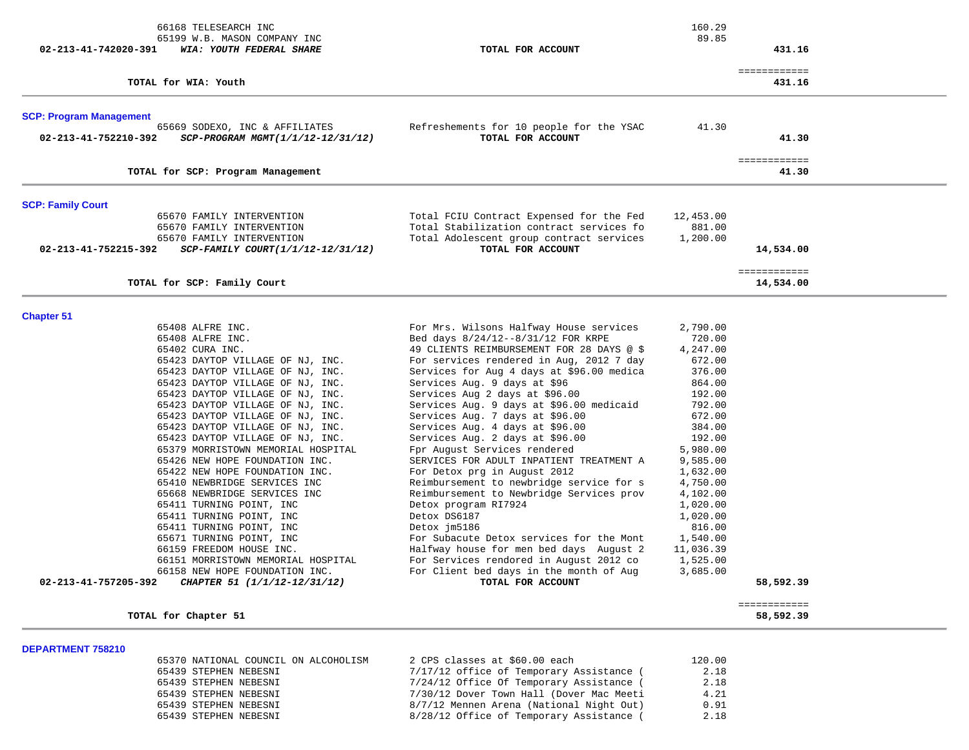| 66168 TELESEARCH INC<br>65199 W.B. MASON COMPANY INC                                        |                                                                                      | 160.29<br>89.85      |                           |  |
|---------------------------------------------------------------------------------------------|--------------------------------------------------------------------------------------|----------------------|---------------------------|--|
| 02-213-41-742020-391<br>WIA: YOUTH FEDERAL SHARE                                            | TOTAL FOR ACCOUNT                                                                    |                      | 431.16                    |  |
| TOTAL for WIA: Youth                                                                        |                                                                                      |                      | ============<br>431.16    |  |
| <b>SCP: Program Management</b>                                                              |                                                                                      |                      |                           |  |
| 65669 SODEXO, INC & AFFILIATES<br>02-213-41-752210-392<br>SCP-PROGRAM MGMT(1/1/12-12/31/12) | Refreshements for 10 people for the YSAC<br>TOTAL FOR ACCOUNT                        | 41.30                | 41.30                     |  |
| TOTAL for SCP: Program Management                                                           |                                                                                      |                      | ============<br>41.30     |  |
| <b>SCP: Family Court</b>                                                                    |                                                                                      |                      |                           |  |
| 65670 FAMILY INTERVENTION                                                                   | Total FCIU Contract Expensed for the Fed                                             | 12,453.00            |                           |  |
| 65670 FAMILY INTERVENTION                                                                   | Total Stabilization contract services fo                                             | 881.00               |                           |  |
| 65670 FAMILY INTERVENTION                                                                   | Total Adolescent group contract services                                             | 1,200.00             |                           |  |
| 02-213-41-752215-392<br>SCP-FAMILY COURT(1/1/12-12/31/12)                                   | TOTAL FOR ACCOUNT                                                                    |                      | 14,534.00                 |  |
|                                                                                             |                                                                                      |                      | ============              |  |
| TOTAL for SCP: Family Court                                                                 |                                                                                      |                      | 14,534.00                 |  |
| <b>Chapter 51</b>                                                                           |                                                                                      |                      |                           |  |
| 65408 ALFRE INC.                                                                            | For Mrs. Wilsons Halfway House services                                              | 2,790.00             |                           |  |
| 65408 ALFRE INC.                                                                            | Bed days 8/24/12--8/31/12 FOR KRPE                                                   | 720.00               |                           |  |
| 65402 CURA INC.                                                                             | 49 CLIENTS REIMBURSEMENT FOR 28 DAYS @ \$                                            | 4,247.00             |                           |  |
| 65423 DAYTOP VILLAGE OF NJ, INC.                                                            | For services rendered in Aug, 2012 7 day                                             | 672.00               |                           |  |
| 65423 DAYTOP VILLAGE OF NJ, INC.<br>65423 DAYTOP VILLAGE OF NJ, INC.                        | Services for Aug 4 days at \$96.00 medica<br>Services Aug. 9 days at \$96            | 376.00<br>864.00     |                           |  |
| 65423 DAYTOP VILLAGE OF NJ, INC.                                                            | Services Aug 2 days at \$96.00                                                       | 192.00               |                           |  |
| 65423 DAYTOP VILLAGE OF NJ, INC.                                                            | Services Aug. 9 days at \$96.00 medicaid                                             | 792.00               |                           |  |
| 65423 DAYTOP VILLAGE OF NJ, INC.                                                            | Services Aug. 7 days at \$96.00                                                      | 672.00               |                           |  |
| 65423 DAYTOP VILLAGE OF NJ, INC.                                                            | Services Aug. 4 days at \$96.00                                                      | 384.00               |                           |  |
| 65423 DAYTOP VILLAGE OF NJ, INC.                                                            | Services Aug. 2 days at \$96.00                                                      | 192.00               |                           |  |
| 65379 MORRISTOWN MEMORIAL HOSPITAL                                                          | Fpr August Services rendered                                                         | 5,980.00             |                           |  |
| 65426 NEW HOPE FOUNDATION INC.                                                              | SERVICES FOR ADULT INPATIENT TREATMENT A                                             | 9,585.00             |                           |  |
| 65422 NEW HOPE FOUNDATION INC.                                                              | For Detox prg in August 2012                                                         | 1,632.00             |                           |  |
| 65410 NEWBRIDGE SERVICES INC<br>65668 NEWBRIDGE SERVICES INC                                | Reimbursement to newbridge service for s<br>Reimbursement to Newbridge Services prov | 4,750.00<br>4,102.00 |                           |  |
| 65411 TURNING POINT, INC                                                                    | Detox program RI7924                                                                 | 1,020.00             |                           |  |
| 65411 TURNING POINT, INC                                                                    | Detox DS6187                                                                         | 1,020.00             |                           |  |
| 65411 TURNING POINT, INC                                                                    | Detox jm5186                                                                         | 816.00               |                           |  |
| 65671 TURNING POINT, INC                                                                    | For Subacute Detox services for the Mont                                             | 1,540.00             |                           |  |
| 66159 FREEDOM HOUSE INC.                                                                    | Halfway house for men bed days August 2                                              | 11,036.39            |                           |  |
| 66151 MORRISTOWN MEMORIAL HOSPITAL                                                          | For Services rendored in August 2012 co                                              | 1,525.00             |                           |  |
| 66158 NEW HOPE FOUNDATION INC.<br>02-213-41-757205-392<br>CHAPTER 51 (1/1/12-12/31/12)      | For Client bed days in the month of Aug<br>TOTAL FOR ACCOUNT                         | 3,685.00             | 58,592.39                 |  |
| TOTAL for Chapter 51                                                                        |                                                                                      |                      | ============<br>58,592.39 |  |
|                                                                                             |                                                                                      |                      |                           |  |
| DEPARTMENT 758210<br>65370 NATIONAL COUNCIL ON ALCOHOLISM                                   | 2 CPS classes at \$60.00 each                                                        | 120.00               |                           |  |
|                                                                                             |                                                                                      |                      |                           |  |

| A DISTRIBUTION ALLOHOLID COUNCIL UN ALLOHOLISM | Z CPS CIASSES AL 200.00 EACH             | TZU. UU |
|------------------------------------------------|------------------------------------------|---------|
| 65439 STEPHEN NEBESNI                          | 7/17/12 office of Temporary Assistance ( | 2.18    |
| 65439 STEPHEN NEBESNI                          | 7/24/12 Office Of Temporary Assistance ( | 2.18    |
| 65439 STEPHEN NEBESNI                          | 7/30/12 Dover Town Hall (Dover Mac Meeti | 4.21    |
| 65439 STEPHEN NEBESNI                          | 8/7/12 Mennen Arena (National Night Out) | 0.91    |
| 65439 STEPHEN NEBESNI                          | 8/28/12 Office of Temporary Assistance ( | 2.18    |
|                                                |                                          |         |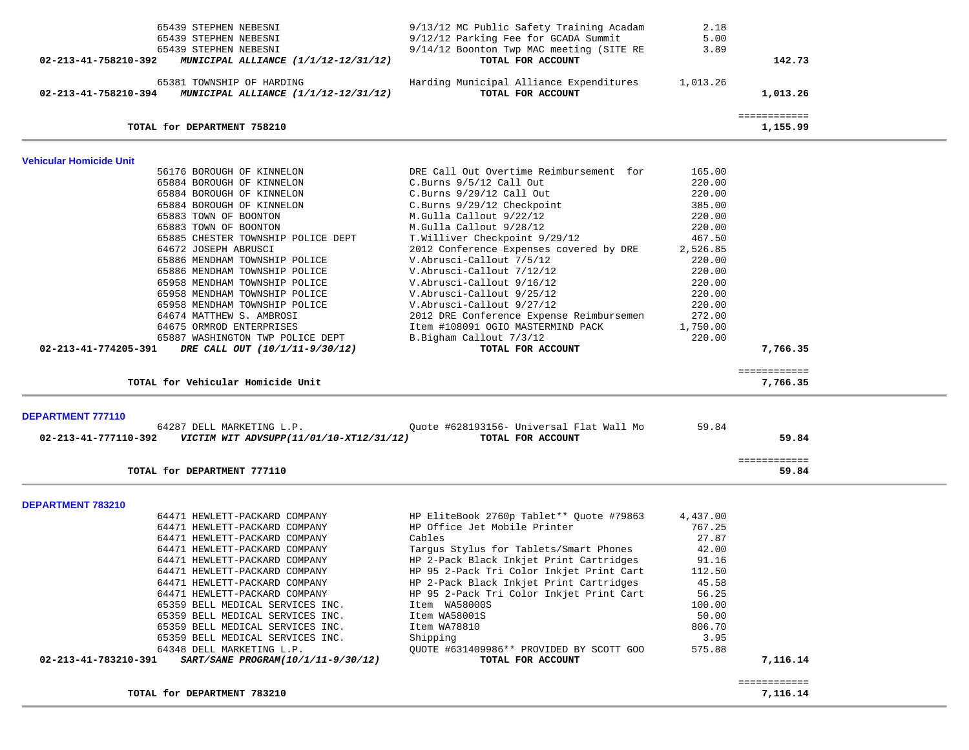| 65439 STEPHEN NEBESNI                                                                   | 9/13/12 MC Public Safety Training Acadam | 2.18     |                          |  |
|-----------------------------------------------------------------------------------------|------------------------------------------|----------|--------------------------|--|
| 65439 STEPHEN NEBESNI                                                                   | 9/12/12 Parking Fee for GCADA Summit     | 5.00     |                          |  |
| 65439 STEPHEN NEBESNI                                                                   | 9/14/12 Boonton Twp MAC meeting (SITE RE | 3.89     |                          |  |
| 02-213-41-758210-392<br>MUNICIPAL ALLIANCE (1/1/12-12/31/12)                            | TOTAL FOR ACCOUNT                        |          | 142.73                   |  |
| 65381 TOWNSHIP OF HARDING                                                               | Harding Municipal Alliance Expenditures  | 1,013.26 |                          |  |
| 02-213-41-758210-394 MUNICIPAL ALLIANCE (1/1/12-12/31/12)                               | TOTAL FOR ACCOUNT                        |          | 1,013.26                 |  |
|                                                                                         |                                          |          |                          |  |
| TOTAL for DEPARTMENT 758210                                                             |                                          |          | ============<br>1,155.99 |  |
|                                                                                         |                                          |          |                          |  |
| Vehicular Homicide Unit                                                                 |                                          |          |                          |  |
| 56176 BOROUGH OF KINNELON                                                               | DRE Call Out Overtime Reimbursement for  | 165.00   |                          |  |
| 65884 BOROUGH OF KINNELON                                                               | $C.Burns$ 9/5/12 Call Out                | 220.00   |                          |  |
| 65884 BOROUGH OF KINNELON                                                               | $C.Burns$ 9/29/12 Call Out               | 220.00   |                          |  |
| 65884 BOROUGH OF KINNELON                                                               | C.Burns 9/29/12 Checkpoint               | 385.00   |                          |  |
| 65883 TOWN OF BOONTON                                                                   | M.Gulla Callout 9/22/12                  | 220.00   |                          |  |
| 65883 TOWN OF BOONTON                                                                   | M.Gulla Callout 9/28/12                  | 220.00   |                          |  |
| 65885 CHESTER TOWNSHIP POLICE DEPT                                                      | T.Williver Checkpoint 9/29/12            | 467.50   |                          |  |
| 64672 JOSEPH ABRUSCI                                                                    | 2012 Conference Expenses covered by DRE  | 2,526.85 |                          |  |
| 65886 MENDHAM TOWNSHIP POLICE                                                           | V.Abrusci-Callout 7/5/12                 | 220.00   |                          |  |
| 65886 MENDHAM TOWNSHIP POLICE                                                           | V.Abrusci-Callout 7/12/12                | 220.00   |                          |  |
| 65958 MENDHAM TOWNSHIP POLICE                                                           | V.Abrusci-Callout 9/16/12                | 220.00   |                          |  |
| 65958 MENDHAM TOWNSHIP POLICE                                                           | V.Abrusci-Callout 9/25/12                | 220.00   |                          |  |
| 65958 MENDHAM TOWNSHIP POLICE                                                           | V.Abrusci-Callout 9/27/12                | 220.00   |                          |  |
| 64674 MATTHEW S. AMBROSI                                                                | 2012 DRE Conference Expense Reimbursemen | 272.00   |                          |  |
| 64675 ORMROD ENTERPRISES                                                                | Item #108091 OGIO MASTERMIND PACK        | 1,750.00 |                          |  |
| 65887 WASHINGTON TWP POLICE DEPT                                                        | B.Bigham Callout 7/3/12                  | 220.00   |                          |  |
| 02-213-41-774205-391<br>DRE CALL OUT (10/1/11-9/30/12)                                  | TOTAL FOR ACCOUNT                        |          | 7,766.35                 |  |
|                                                                                         |                                          |          |                          |  |
|                                                                                         |                                          |          | ============             |  |
| TOTAL for Vehicular Homicide Unit                                                       |                                          |          | 7,766.35                 |  |
|                                                                                         |                                          |          |                          |  |
| <b>DEPARTMENT 777110</b><br>64287 DELL MARKETING L.P.                                   | Quote #628193156- Universal Flat Wall Mo | 59.84    |                          |  |
|                                                                                         | TOTAL FOR ACCOUNT                        |          | 59.84                    |  |
|                                                                                         |                                          |          |                          |  |
| TOTAL for DEPARTMENT 777110                                                             |                                          |          | ============<br>59.84    |  |
|                                                                                         |                                          |          |                          |  |
| DEPARTMENT 783210                                                                       |                                          |          |                          |  |
| 64471 HEWLETT-PACKARD COMPANY                                                           | HP EliteBook 2760p Tablet** Quote #79863 | 4,437.00 |                          |  |
| 64471 HEWLETT-PACKARD COMPANY                                                           | HP Office Jet Mobile Printer             | 767.25   |                          |  |
| 64471 HEWLETT-PACKARD COMPANY                                                           | Cables                                   | 27.87    |                          |  |
| 64471 HEWLETT-PACKARD COMPANY                                                           | Targus Stylus for Tablets/Smart Phones   | 42.00    |                          |  |
| 64471 HEWLETT-PACKARD COMPANY                                                           | HP 2-Pack Black Inkjet Print Cartridges  | 91.16    |                          |  |
| 64471 HEWLETT-PACKARD COMPANY                                                           | HP 95 2-Pack Tri Color Inkjet Print Cart | 112.50   |                          |  |
| 64471 HEWLETT-PACKARD COMPANY                                                           | HP 2-Pack Black Inkjet Print Cartridges  | 45.58    |                          |  |
| 64471 HEWLETT-PACKARD COMPANY                                                           | HP 95 2-Pack Tri Color Inkjet Print Cart | 56.25    |                          |  |
| 65359 BELL MEDICAL SERVICES INC.                                                        | Item WA58000S                            | 100.00   |                          |  |
| 65359 BELL MEDICAL SERVICES INC.                                                        | Item WA58001S                            | 50.00    |                          |  |
| 65359 BELL MEDICAL SERVICES INC.                                                        | Item WA78810                             | 806.70   |                          |  |
| 65359 BELL MEDICAL SERVICES INC.                                                        | Shipping                                 | 3.95     |                          |  |
|                                                                                         | QUOTE #631409986** PROVIDED BY SCOTT GOO | 575.88   |                          |  |
| 64348 DELL MARKETING L.P.<br>02-213-41-783210-391<br>SART/SANE PROGRAM(10/1/11-9/30/12) | TOTAL FOR ACCOUNT                        |          | 7,116.14                 |  |
|                                                                                         |                                          |          |                          |  |
|                                                                                         |                                          |          |                          |  |
|                                                                                         |                                          |          | ============             |  |
| TOTAL for DEPARTMENT 783210                                                             |                                          |          | 7,116.14                 |  |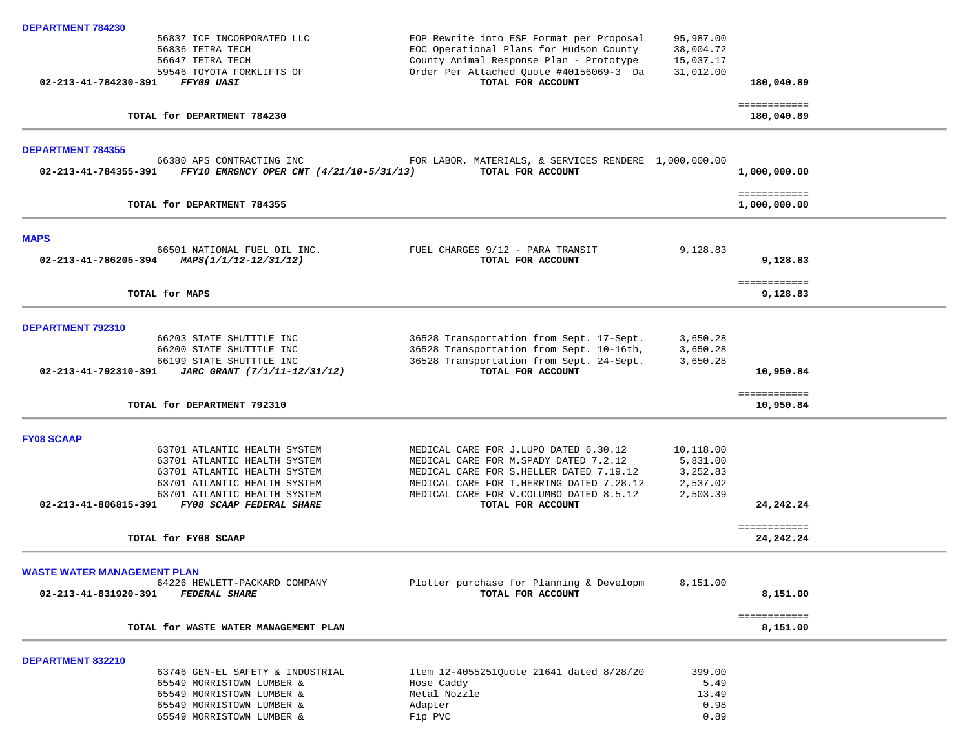| DEPARTMENT 784230                  |                                                                                                                                                              |                                                                                                                                                                                                                    |                                                           |                                   |  |
|------------------------------------|--------------------------------------------------------------------------------------------------------------------------------------------------------------|--------------------------------------------------------------------------------------------------------------------------------------------------------------------------------------------------------------------|-----------------------------------------------------------|-----------------------------------|--|
|                                    | 56837 ICF INCORPORATED LLC<br>56836 TETRA TECH<br>56647 TETRA TECH<br>59546 TOYOTA FORKLIFTS OF                                                              | EOP Rewrite into ESF Format per Proposal<br>EOC Operational Plans for Hudson County<br>County Animal Response Plan - Prototype<br>Order Per Attached Quote #40156069-3 Da                                          | 95,987.00<br>38,004.72<br>15,037.17<br>31,012.00          |                                   |  |
| 02-213-41-784230-391               | FFY09 UASI                                                                                                                                                   | TOTAL FOR ACCOUNT                                                                                                                                                                                                  |                                                           | 180,040.89                        |  |
|                                    | TOTAL for DEPARTMENT 784230                                                                                                                                  |                                                                                                                                                                                                                    |                                                           | ============<br>180,040.89        |  |
| <b>DEPARTMENT 784355</b>           |                                                                                                                                                              |                                                                                                                                                                                                                    |                                                           |                                   |  |
| 02-213-41-784355-391               | 66380 APS CONTRACTING INC<br>FFY10 EMRGNCY OPER CNT (4/21/10-5/31/13)                                                                                        | FOR LABOR, MATERIALS, & SERVICES RENDERE 1,000,000.00<br>TOTAL FOR ACCOUNT                                                                                                                                         |                                                           | 1,000,000.00                      |  |
|                                    | TOTAL for DEPARTMENT 784355                                                                                                                                  |                                                                                                                                                                                                                    |                                                           | ============<br>1,000,000.00      |  |
| <b>MAPS</b>                        |                                                                                                                                                              |                                                                                                                                                                                                                    |                                                           |                                   |  |
| 02-213-41-786205-394               | 66501 NATIONAL FUEL OIL INC.<br>MAPS(1/1/12-12/31/12)                                                                                                        | FUEL CHARGES 9/12 - PARA TRANSIT<br>TOTAL FOR ACCOUNT                                                                                                                                                              | 9,128.83                                                  | 9,128.83                          |  |
| TOTAL for MAPS                     |                                                                                                                                                              |                                                                                                                                                                                                                    |                                                           | ============<br>9,128.83          |  |
| <b>DEPARTMENT 792310</b>           |                                                                                                                                                              |                                                                                                                                                                                                                    |                                                           |                                   |  |
| 02-213-41-792310-391               | 66203 STATE SHUTTTLE INC<br>66200 STATE SHUTTTLE INC<br>66199 STATE SHUTTTLE INC<br>JARC GRANT (7/1/11-12/31/12)                                             | 36528 Transportation from Sept. 17-Sept.<br>36528 Transportation from Sept. 10-16th,<br>36528 Transportation from Sept. 24-Sept.<br>TOTAL FOR ACCOUNT                                                              | 3,650.28<br>3,650.28<br>3,650.28                          | 10,950.84                         |  |
|                                    | TOTAL for DEPARTMENT 792310                                                                                                                                  |                                                                                                                                                                                                                    |                                                           | ============<br>10,950.84         |  |
| <b>FY08 SCAAP</b>                  |                                                                                                                                                              |                                                                                                                                                                                                                    |                                                           |                                   |  |
|                                    | 63701 ATLANTIC HEALTH SYSTEM<br>63701 ATLANTIC HEALTH SYSTEM<br>63701 ATLANTIC HEALTH SYSTEM<br>63701 ATLANTIC HEALTH SYSTEM<br>63701 ATLANTIC HEALTH SYSTEM | MEDICAL CARE FOR J.LUPO DATED 6.30.12<br>MEDICAL CARE FOR M. SPADY DATED 7.2.12<br>MEDICAL CARE FOR S. HELLER DATED 7.19.12<br>MEDICAL CARE FOR T.HERRING DATED 7.28.12<br>MEDICAL CARE FOR V.COLUMBO DATED 8.5.12 | 10,118.00<br>5,831.00<br>3,252.83<br>2,537.02<br>2,503.39 |                                   |  |
| $02 - 213 - 41 - 806815 - 391$     | FY08 SCAAP FEDERAL SHARE                                                                                                                                     | TOTAL FOR ACCOUNT                                                                                                                                                                                                  |                                                           | 24, 242, 24                       |  |
|                                    | TOTAL for FY08 SCAAP                                                                                                                                         |                                                                                                                                                                                                                    |                                                           | <b>EEEEEEEEEEE</b><br>24, 242. 24 |  |
| <b>WASTE WATER MANAGEMENT PLAN</b> |                                                                                                                                                              |                                                                                                                                                                                                                    |                                                           |                                   |  |
| 02-213-41-831920-391               | 64226 HEWLETT-PACKARD COMPANY<br><b>FEDERAL SHARE</b>                                                                                                        | Plotter purchase for Planning & Developm<br>TOTAL FOR ACCOUNT                                                                                                                                                      | 8,151.00                                                  | 8,151.00                          |  |
|                                    | TOTAL for WASTE WATER MANAGEMENT PLAN                                                                                                                        |                                                                                                                                                                                                                    |                                                           | ============<br>8,151.00          |  |
| DEPARTMENT 832210                  |                                                                                                                                                              |                                                                                                                                                                                                                    |                                                           |                                   |  |
|                                    | 63746 GEN-EL SAFETY & INDUSTRIAL<br>65549 MORRISTOWN LUMBER &<br>65549 MORRISTOWN LUMBER &<br>65549 MORRISTOWN LUMBER &<br>65549 MORRISTOWN LUMBER &         | Item 12-4055251Quote 21641 dated 8/28/20<br>Hose Caddy<br>Metal Nozzle<br>Adapter<br>Fip PVC                                                                                                                       | 399.00<br>5.49<br>13.49<br>0.98<br>0.89                   |                                   |  |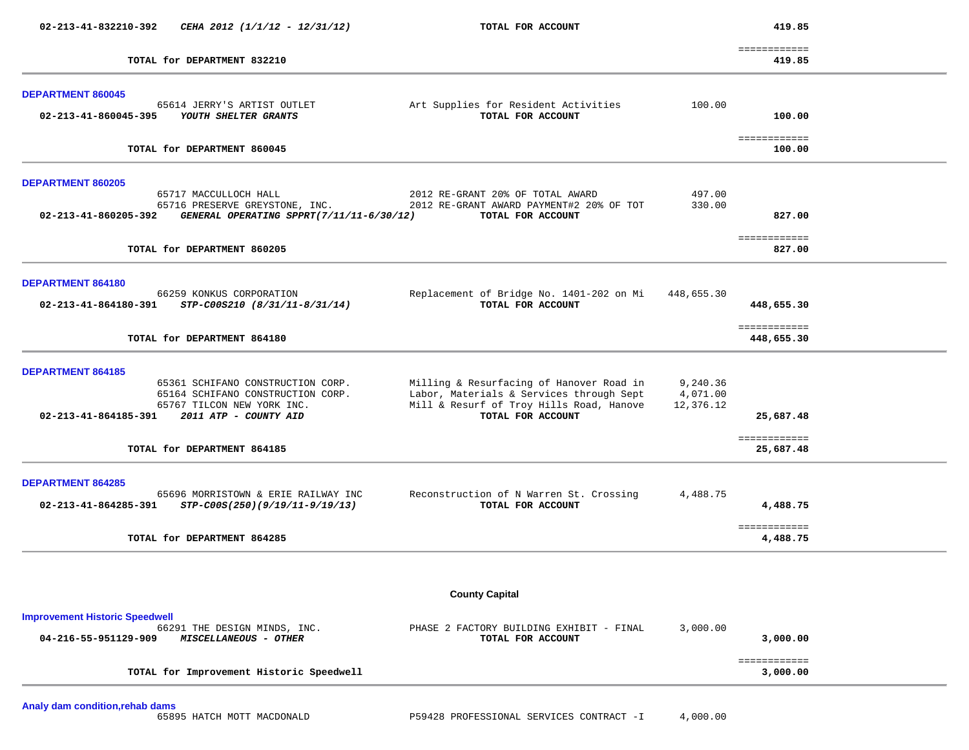| 02-213-41-832210-392                  | CEHA 2012 (1/1/12 - 12/31/12)                                              | TOTAL FOR ACCOUNT                                                                    |                       | 419.85                     |  |
|---------------------------------------|----------------------------------------------------------------------------|--------------------------------------------------------------------------------------|-----------------------|----------------------------|--|
|                                       | TOTAL for DEPARTMENT 832210                                                |                                                                                      |                       | ============<br>419.85     |  |
|                                       |                                                                            |                                                                                      |                       |                            |  |
| <b>DEPARTMENT 860045</b>              |                                                                            |                                                                                      |                       |                            |  |
| 02-213-41-860045-395                  | 65614 JERRY'S ARTIST OUTLET<br>YOUTH SHELTER GRANTS                        | Art Supplies for Resident Activities<br>TOTAL FOR ACCOUNT                            | 100.00                | 100.00                     |  |
|                                       | TOTAL for DEPARTMENT 860045                                                |                                                                                      |                       | ============<br>100.00     |  |
|                                       |                                                                            |                                                                                      |                       |                            |  |
| DEPARTMENT 860205                     | 65717 MACCULLOCH HALL                                                      | 2012 RE-GRANT 20% OF TOTAL AWARD                                                     | 497.00                |                            |  |
| 02-213-41-860205-392                  | 65716 PRESERVE GREYSTONE, INC.<br>GENERAL OPERATING SPPRT(7/11/11-6/30/12) | 2012 RE-GRANT AWARD PAYMENT#2 20% OF TOT<br>TOTAL FOR ACCOUNT                        | 330.00                | 827.00                     |  |
|                                       |                                                                            |                                                                                      |                       |                            |  |
|                                       | TOTAL for DEPARTMENT 860205                                                |                                                                                      |                       | ============<br>827.00     |  |
| DEPARTMENT 864180                     |                                                                            |                                                                                      |                       |                            |  |
|                                       | 66259 KONKUS CORPORATION                                                   | Replacement of Bridge No. 1401-202 on Mi                                             | 448,655.30            |                            |  |
| 02-213-41-864180-391                  | STP-C00S210 (8/31/11-8/31/14)                                              | TOTAL FOR ACCOUNT                                                                    |                       | 448,655.30                 |  |
|                                       | TOTAL for DEPARTMENT 864180                                                |                                                                                      |                       | ============<br>448,655.30 |  |
| <b>DEPARTMENT 864185</b>              |                                                                            |                                                                                      |                       |                            |  |
|                                       | 65361 SCHIFANO CONSTRUCTION CORP.                                          | Milling & Resurfacing of Hanover Road in                                             | 9,240.36              |                            |  |
|                                       | 65164 SCHIFANO CONSTRUCTION CORP.<br>65767 TILCON NEW YORK INC.            | Labor, Materials & Services through Sept<br>Mill & Resurf of Troy Hills Road, Hanove | 4,071.00<br>12,376.12 |                            |  |
| 02-213-41-864185-391                  | 2011 ATP - COUNTY AID                                                      | TOTAL FOR ACCOUNT                                                                    |                       | 25,687.48                  |  |
|                                       | TOTAL for DEPARTMENT 864185                                                |                                                                                      |                       | ============<br>25,687.48  |  |
| <b>DEPARTMENT 864285</b>              |                                                                            |                                                                                      |                       |                            |  |
| 02-213-41-864285-391                  | 65696 MORRISTOWN & ERIE RAILWAY INC<br>STP-C00S(250)(9/19/11-9/19/13)      | Reconstruction of N Warren St. Crossing<br>TOTAL FOR ACCOUNT                         | 4,488.75              | 4,488.75                   |  |
|                                       | TOTAL for DEPARTMENT 864285                                                |                                                                                      |                       | ============<br>4,488.75   |  |
|                                       |                                                                            |                                                                                      |                       |                            |  |
|                                       |                                                                            | <b>County Capital</b>                                                                |                       |                            |  |
| <b>Improvement Historic Speedwell</b> |                                                                            |                                                                                      |                       |                            |  |
|                                       | 66291 THE DESIGN MINDS, INC.<br>MISCELLANEOUS - OTHER                      | PHASE 2 FACTORY BUILDING EXHIBIT - FINAL<br>TOTAL FOR ACCOUNT                        | 3,000.00              | 3,000.00                   |  |
| 04-216-55-951129-909                  |                                                                            |                                                                                      |                       |                            |  |

**Analy dam condition,rehab dams**

P59428 PROFESSIONAL SERVICES CONTRACT -I 4,000.00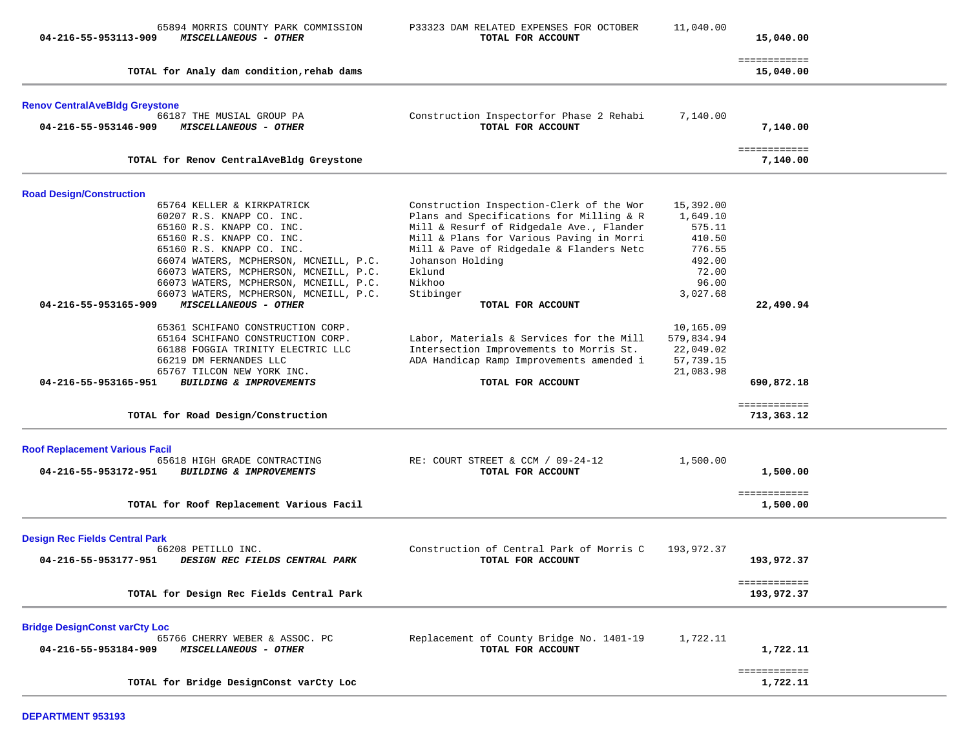| 04-216-55-953113-909                                          | 65894 MORRIS COUNTY PARK COMMISSION<br>MISCELLANEOUS - OTHER                                                                                                                                                                                                                                                                                    | P33323 DAM RELATED EXPENSES FOR OCTOBER<br>TOTAL FOR ACCOUNT                                                                                                                                                                                                                  | 11,040.00                                                                                   | 15,040.00                  |  |
|---------------------------------------------------------------|-------------------------------------------------------------------------------------------------------------------------------------------------------------------------------------------------------------------------------------------------------------------------------------------------------------------------------------------------|-------------------------------------------------------------------------------------------------------------------------------------------------------------------------------------------------------------------------------------------------------------------------------|---------------------------------------------------------------------------------------------|----------------------------|--|
|                                                               | TOTAL for Analy dam condition, rehab dams                                                                                                                                                                                                                                                                                                       |                                                                                                                                                                                                                                                                               |                                                                                             | ============<br>15,040.00  |  |
| <b>Renov CentralAveBldg Greystone</b>                         |                                                                                                                                                                                                                                                                                                                                                 |                                                                                                                                                                                                                                                                               |                                                                                             |                            |  |
| 04-216-55-953146-909                                          | 66187 THE MUSIAL GROUP PA<br>MISCELLANEOUS - OTHER                                                                                                                                                                                                                                                                                              | Construction Inspectorfor Phase 2 Rehabi<br>TOTAL FOR ACCOUNT                                                                                                                                                                                                                 | 7,140.00                                                                                    | 7,140.00                   |  |
|                                                               | TOTAL for Renov CentralAveBldg Greystone                                                                                                                                                                                                                                                                                                        |                                                                                                                                                                                                                                                                               |                                                                                             | ============<br>7,140.00   |  |
| <b>Road Design/Construction</b>                               |                                                                                                                                                                                                                                                                                                                                                 |                                                                                                                                                                                                                                                                               |                                                                                             |                            |  |
| 04-216-55-953165-909                                          | 65764 KELLER & KIRKPATRICK<br>60207 R.S. KNAPP CO. INC.<br>65160 R.S. KNAPP CO. INC.<br>65160 R.S. KNAPP CO. INC.<br>65160 R.S. KNAPP CO. INC.<br>66074 WATERS, MCPHERSON, MCNEILL, P.C.<br>66073 WATERS, MCPHERSON, MCNEILL, P.C.<br>66073 WATERS, MCPHERSON, MCNEILL, P.C.<br>66073 WATERS, MCPHERSON, MCNEILL, P.C.<br>MISCELLANEOUS - OTHER | Construction Inspection-Clerk of the Wor<br>Plans and Specifications for Milling & R<br>Mill & Resurf of Ridgedale Ave., Flander<br>Mill & Plans for Various Paving in Morri<br>Mill & Pave of Ridgedale & Flanders Netc<br>Johanson Holding<br>Eklund<br>Nikhoo<br>Stibinger | 15,392.00<br>1,649.10<br>575.11<br>410.50<br>776.55<br>492.00<br>72.00<br>96.00<br>3,027.68 |                            |  |
|                                                               |                                                                                                                                                                                                                                                                                                                                                 | TOTAL FOR ACCOUNT                                                                                                                                                                                                                                                             |                                                                                             | 22,490.94                  |  |
| 04-216-55-953165-951                                          | 65361 SCHIFANO CONSTRUCTION CORP.<br>65164 SCHIFANO CONSTRUCTION CORP.<br>66188 FOGGIA TRINITY ELECTRIC LLC<br>66219 DM FERNANDES LLC<br>65767 TILCON NEW YORK INC.<br><b>BUILDING &amp; IMPROVEMENTS</b>                                                                                                                                       | Labor, Materials & Services for the Mill<br>Intersection Improvements to Morris St.<br>ADA Handicap Ramp Improvements amended i<br>TOTAL FOR ACCOUNT                                                                                                                          | 10,165.09<br>579,834.94<br>22,049.02<br>57,739.15<br>21,083.98                              | 690,872.18                 |  |
|                                                               | TOTAL for Road Design/Construction                                                                                                                                                                                                                                                                                                              |                                                                                                                                                                                                                                                                               |                                                                                             | ============<br>713,363.12 |  |
| <b>Roof Replacement Various Facil</b>                         |                                                                                                                                                                                                                                                                                                                                                 |                                                                                                                                                                                                                                                                               |                                                                                             |                            |  |
| 04-216-55-953172-951                                          | 65618 HIGH GRADE CONTRACTING<br><b>BUILDING &amp; IMPROVEMENTS</b>                                                                                                                                                                                                                                                                              | RE: COURT STREET & CCM / 09-24-12<br>TOTAL FOR ACCOUNT                                                                                                                                                                                                                        | 1,500.00                                                                                    | 1,500.00                   |  |
|                                                               | TOTAL for Roof Replacement Various Facil                                                                                                                                                                                                                                                                                                        |                                                                                                                                                                                                                                                                               |                                                                                             | ============<br>1,500.00   |  |
| <b>Design Rec Fields Central Park</b><br>04-216-55-953177-951 | 66208 PETILLO INC.<br>DESIGN REC FIELDS CENTRAL PARK                                                                                                                                                                                                                                                                                            | Construction of Central Park of Morris C<br>TOTAL FOR ACCOUNT                                                                                                                                                                                                                 | 193,972.37                                                                                  | 193,972.37                 |  |
|                                                               | TOTAL for Design Rec Fields Central Park                                                                                                                                                                                                                                                                                                        |                                                                                                                                                                                                                                                                               |                                                                                             | ============<br>193,972.37 |  |
| <b>Bridge DesignConst varCty Loc</b><br>04-216-55-953184-909  | 65766 CHERRY WEBER & ASSOC. PC<br>MISCELLANEOUS - OTHER                                                                                                                                                                                                                                                                                         | Replacement of County Bridge No. 1401-19<br>TOTAL FOR ACCOUNT                                                                                                                                                                                                                 | 1,722.11                                                                                    | 1,722.11                   |  |
|                                                               | TOTAL for Bridge DesignConst varCty Loc                                                                                                                                                                                                                                                                                                         |                                                                                                                                                                                                                                                                               |                                                                                             | ============<br>1,722.11   |  |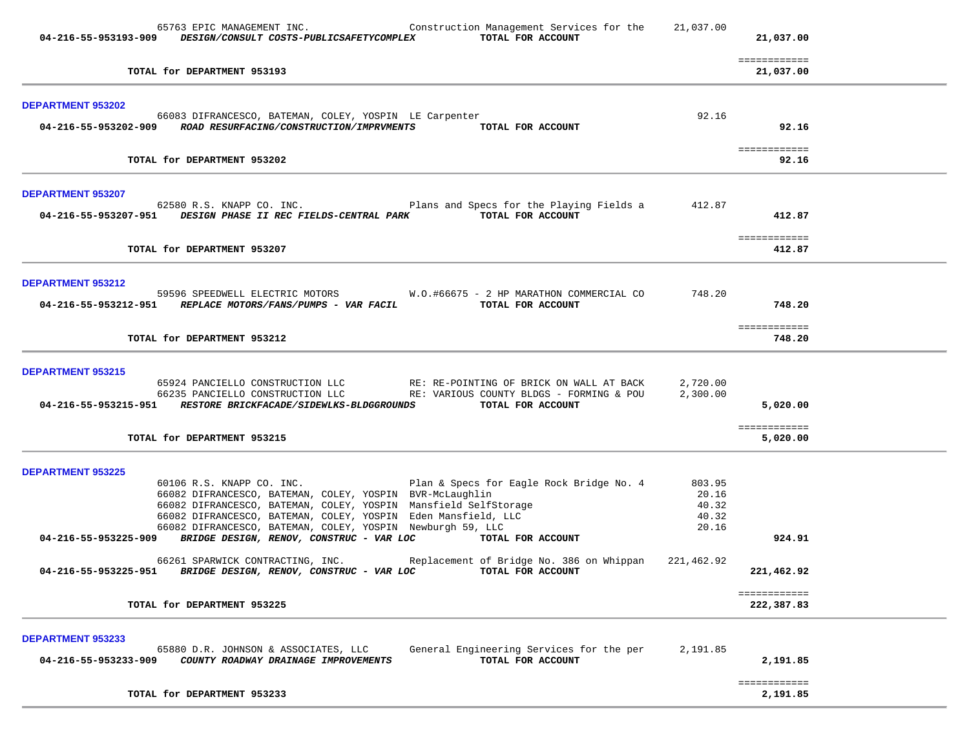| 65763 EPIC MANAGEMENT INC. Construction Management Services for the 21,037.00<br>04-216-55-953193-909 DESIGN/CONSULT COSTS-PUBLICSAFETYCOMPLEX<br>TOTAL FOR ACCOUNT                                                                                                                                    |                                  | 21,037.00                  |  |
|--------------------------------------------------------------------------------------------------------------------------------------------------------------------------------------------------------------------------------------------------------------------------------------------------------|----------------------------------|----------------------------|--|
| TOTAL for DEPARTMENT 953193                                                                                                                                                                                                                                                                            |                                  | ============<br>21,037.00  |  |
| DEPARTMENT 953202                                                                                                                                                                                                                                                                                      |                                  |                            |  |
| 66083 DIFRANCESCO, BATEMAN, COLEY, YOSPIN LE Carpenter<br>04-216-55-953202-909 ROAD RESURFACING/CONSTRUCTION/IMPRVMENTS TOTAL FOR ACCOUNT                                                                                                                                                              | 92.16                            | 92.16                      |  |
| TOTAL for DEPARTMENT 953202                                                                                                                                                                                                                                                                            |                                  | ============<br>92.16      |  |
| <b>DEPARTMENT 953207</b>                                                                                                                                                                                                                                                                               |                                  |                            |  |
| 62580 R.S. KNAPP CO. INC. The Plans and Specs for the Playing Fields a 412.87<br>04-216-55-953207-951 DESIGN PHASE II REC FIELDS-CENTRAL PARK TOTAL FOR ACCOUNT                                                                                                                                        |                                  | 412.87                     |  |
| TOTAL for DEPARTMENT 953207                                                                                                                                                                                                                                                                            |                                  | ============<br>412.87     |  |
| <b>DEPARTMENT 953212</b>                                                                                                                                                                                                                                                                               |                                  |                            |  |
| 59596 SPEEDWELL ELECTRIC MOTORS W.O.#66675 - 2 HP MARATHON COMMERCIAL CO<br>04-216-55-953212-951 REPLACE MOTORS/FANS/PUMPS - VAR FACIL TOTAL FOR ACCOUNT                                                                                                                                               | 748.20                           | 748.20                     |  |
| TOTAL for DEPARTMENT 953212                                                                                                                                                                                                                                                                            |                                  | ============<br>748.20     |  |
| <b>DEPARTMENT 953215</b>                                                                                                                                                                                                                                                                               |                                  |                            |  |
| 65924 PANCIELLO CONSTRUCTION LLC                RE: RE-POINTING OF BRICK ON WALL AT BACK        2,720.00<br>66235 PANCIELLO CONSTRUCTION LLC               RE: VARIOUS COUNTY BLDGS - FORMING & POU        2,300.00<br>04-216-55-953215-951 RESTORE BRICKFACADE/SIDEWLKS-BLDGGROUNDS TOTAL FOR ACCOUNT |                                  | 5,020.00                   |  |
| TOTAL for DEPARTMENT 953215                                                                                                                                                                                                                                                                            |                                  | ============<br>5,020.00   |  |
| <b>DEPARTMENT 953225</b>                                                                                                                                                                                                                                                                               |                                  |                            |  |
| 60106 R.S. KNAPP CO. INC. Plan & Specs for Eagle Rock Bridge No. 4 803.95<br>66082 DIFRANCESCO, BATEMAN, COLEY, YOSPIN BVR-McLaughlin<br>66082 DIFRANCESCO, BATEMAN, COLEY, YUSPIN FORDING ALLO COLEY, SOCIET, Eden Mansfield, LLC<br>66082 DIFRANCESCO, BATEMAN, COLEY, YOSPIN Newburgh 59, LLC       | 20.16<br>40.32<br>40.32<br>20.16 |                            |  |
| 04-216-55-953225-909 BRIDGE DESIGN, RENOV, CONSTRUC - VAR LOC TOTAL FOR ACCOUNT                                                                                                                                                                                                                        |                                  | 924.91                     |  |
| 66261 SPARWICK CONTRACTING, INC.<br>Replacement of Bridge No. 386 on Whippan 221,462.92<br>$04-216-55-953225-951$ BRIDGE DESIGN, RENOV, CONSTRUC - VAR LOC TOTAL FOR ACCOUNT                                                                                                                           |                                  | 221,462.92                 |  |
| TOTAL for DEPARTMENT 953225                                                                                                                                                                                                                                                                            |                                  | ============<br>222,387.83 |  |
| <b>DEPARTMENT 953233</b><br>General Engineering Services for the per<br>65880 D.R. JOHNSON & ASSOCIATES, LLC<br>04-216-55-953233-909<br>COUNTY ROADWAY DRAINAGE IMPROVEMENTS<br>TOTAL FOR ACCOUNT                                                                                                      | 2,191.85                         | 2,191.85                   |  |
| TOTAL for DEPARTMENT 953233                                                                                                                                                                                                                                                                            |                                  | ============<br>2,191.85   |  |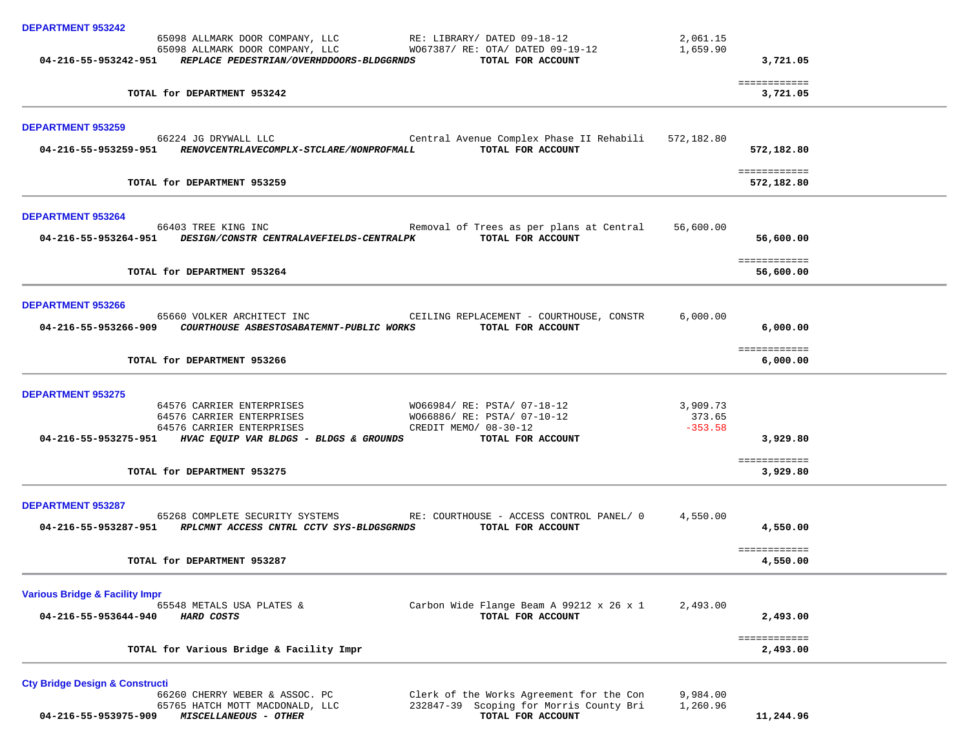| <b>DEPARTMENT 953242</b>                                                                                                                                                                                                      |                                                              |           |                            |
|-------------------------------------------------------------------------------------------------------------------------------------------------------------------------------------------------------------------------------|--------------------------------------------------------------|-----------|----------------------------|
| 65098 ALLMARK DOOR COMPANY, LLC RE: LIBRARY/ DATED 09-18-12                                                                                                                                                                   |                                                              | 2,061.15  |                            |
| 65098 ALLMARK DOOR COMPANY, LLC WO67387/ RE: OTA/ DATED 09-19-12                                                                                                                                                              |                                                              | 1,659.90  |                            |
| 04-216-55-953242-951 REPLACE PEDESTRIAN/OVERHDDOORS-BLDGGRNDS TOTAL FOR ACCOUNT                                                                                                                                               |                                                              |           | 3,721.05                   |
| TOTAL for DEPARTMENT 953242                                                                                                                                                                                                   |                                                              |           | ============<br>3,721.05   |
| <b>DEPARTMENT 953259</b>                                                                                                                                                                                                      |                                                              |           |                            |
| 66224 JG DRYWALL LLC                                                                                                                                                                                                          | Central Avenue Complex Phase II Rehabili 572,182.80          |           |                            |
| 04-216-55-953259-951 RENOVCENTRLAVECOMPLX-STCLARE/NONPROFMALL                                                                                                                                                                 | TOTAL FOR ACCOUNT                                            |           | 572,182.80                 |
| TOTAL for DEPARTMENT 953259                                                                                                                                                                                                   |                                                              |           | ============<br>572,182.80 |
| <b>DEPARTMENT 953264</b>                                                                                                                                                                                                      |                                                              |           |                            |
| 66403 TREE KING INC <b>Example 20 FREE Removal of Trees as per plans at Central</b>                                                                                                                                           |                                                              | 56,600.00 |                            |
| 04-216-55-953264-951 DESIGN/CONSTR CENTRALAVEFIELDS-CENTRALPK TOTAL FOR ACCOUNT                                                                                                                                               |                                                              |           | 56,600.00                  |
| TOTAL for DEPARTMENT 953264                                                                                                                                                                                                   |                                                              |           | ============<br>56,600.00  |
|                                                                                                                                                                                                                               |                                                              |           |                            |
| <b>DEPARTMENT 953266</b>                                                                                                                                                                                                      |                                                              |           |                            |
| 65660 VOLKER ARCHITECT INC<br>CEILING REPLACEMENT - COURTHOUSE, CONSTR<br>04-216-55-953266-909 COURTHOUSE ASBESTOSABATEMNT-PUBLIC WORKS TOTAL FOR ACCOUNT                                                                     |                                                              | 6,000.00  | 6,000.00                   |
|                                                                                                                                                                                                                               |                                                              |           |                            |
| TOTAL for DEPARTMENT 953266                                                                                                                                                                                                   |                                                              |           | ============<br>6,000.00   |
| <b>DEPARTMENT 953275</b>                                                                                                                                                                                                      |                                                              |           |                            |
|                                                                                                                                                                                                                               |                                                              |           |                            |
| 64576 CARRIER ENTERPRISES 64576 CARRIER ENTERPRISES 64576 CARRIER ENTERPRISES 64576 CARRIER ENTERPRISES 64576 CARRIER ENTERPRISES 64576 CARRIER ENTERPRISES 64576 CARRIER ENTERPRISES 64576 CARRIER ENTERPRISES 64576 CARRIER |                                                              |           |                            |
|                                                                                                                                                                                                                               |                                                              |           |                            |
| 04-216-55-953275-951 HVAC EQUIP VAR BLDGS - BLDGS & GROUNDS TOTAL FOR ACCOUNT                                                                                                                                                 |                                                              |           | 3,929.80                   |
| TOTAL for DEPARTMENT 953275                                                                                                                                                                                                   |                                                              |           | ============<br>3,929.80   |
|                                                                                                                                                                                                                               |                                                              |           |                            |
| DEPARTMENT 953287                                                                                                                                                                                                             |                                                              |           |                            |
| 65268 COMPLETE SECURITY SYSTEMS RE: COURTHOUSE - ACCESS CONTROL PANEL/ 0<br>04-216-55-953287-951 RPLCMNT ACCESS CNTRL CCTV SYS-BLDGSGRNDS TOTAL FOR ACCOUNT                                                                   |                                                              | 4,550.00  | 4,550.00                   |
|                                                                                                                                                                                                                               |                                                              |           |                            |
| TOTAL for DEPARTMENT 953287                                                                                                                                                                                                   |                                                              |           | ============<br>4,550.00   |
|                                                                                                                                                                                                                               |                                                              |           |                            |
| <b>Various Bridge &amp; Facility Impr</b>                                                                                                                                                                                     |                                                              |           |                            |
| 65548 METALS USA PLATES &                                                                                                                                                                                                     | Carbon Wide Flange Beam A 99212 x 26 x 1                     | 2,493.00  |                            |
| 04-216-55-953644-940<br>HARD COSTS                                                                                                                                                                                            | TOTAL FOR ACCOUNT                                            |           | 2,493.00                   |
| TOTAL for Various Bridge & Facility Impr                                                                                                                                                                                      |                                                              |           | ============<br>2,493.00   |
| <b>Cty Bridge Design &amp; Constructi</b>                                                                                                                                                                                     |                                                              |           |                            |
| 66260 CHERRY WEBER & ASSOC. PC                                                                                                                                                                                                | Clerk of the Works Agreement for the Con                     | 9,984.00  |                            |
| 65765 HATCH MOTT MACDONALD, LLC<br>04-216-55-953975-909<br>MISCELLANEOUS - OTHER                                                                                                                                              | 232847-39 Scoping for Morris County Bri<br>TOTAL FOR ACCOUNT | 1,260.96  | 11,244.96                  |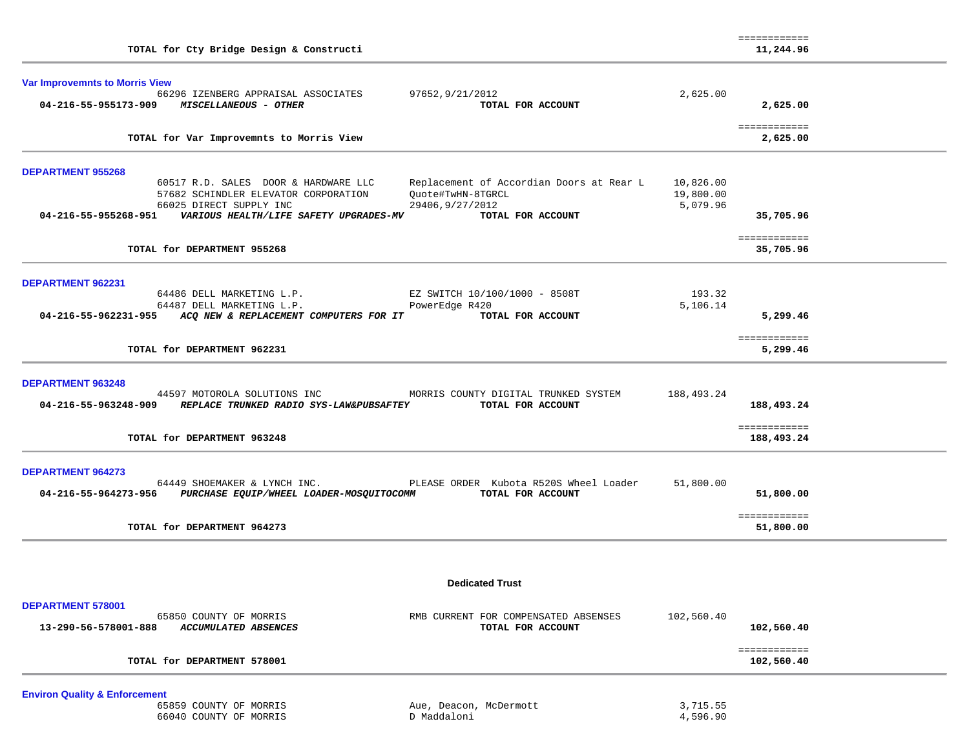| TOTAL for Cty Bridge Design & Constructi                                                                                                                                                                                  |                        | ============<br>11,244.96  |  |
|---------------------------------------------------------------------------------------------------------------------------------------------------------------------------------------------------------------------------|------------------------|----------------------------|--|
| <b>Var Improvemnts to Morris View</b><br>66296 IZENBERG APPRAISAL ASSOCIATES<br>97652,9/21/2012<br>04-216-55-955173-909 MISCELLANEOUS - OTHER<br>TOTAL FOR ACCOUNT                                                        | 2,625.00               | 2,625.00                   |  |
| TOTAL for Var Improvemnts to Morris View                                                                                                                                                                                  |                        | ============<br>2,625.00   |  |
| <b>DEPARTMENT 955268</b><br>60517 R.D. SALES DOOR & HARDWARE LLC<br>Replacement of Accordian Doors at Rear L<br>57682 SCHINDLER ELEVATOR CORPORATION<br>Ouote#TwHN-8TGRCL                                                 | 10,826.00<br>19,800.00 |                            |  |
| 66025 DIRECT SUPPLY INC<br>29406, 9/27/2012<br>04-216-55-955268-951<br>VARIOUS HEALTH/LIFE SAFETY UPGRADES-MV<br>TOTAL FOR ACCOUNT                                                                                        | 5,079.96               | 35,705.96                  |  |
| TOTAL for DEPARTMENT 955268                                                                                                                                                                                               |                        | ============<br>35,705.96  |  |
| <b>DEPARTMENT 962231</b><br>64486 DELL MARKETING L.P.<br>EZ SWITCH 10/100/1000 - 8508T<br>64487 DELL MARKETING L.P.<br>PowerEdge R420<br>04-216-55-962231-955 ACQ NEW & REPLACEMENT COMPUTERS FOR IT<br>TOTAL FOR ACCOUNT | 193.32<br>5,106.14     | 5,299.46                   |  |
| TOTAL for DEPARTMENT 962231                                                                                                                                                                                               |                        | ============<br>5,299.46   |  |
| <b>DEPARTMENT 963248</b><br>44597 MOTOROLA SOLUTIONS INC<br>MORRIS COUNTY DIGITAL TRUNKED SYSTEM<br>04-216-55-963248-909<br>REPLACE TRUNKED RADIO SYS-LAW&PUBSAFTEY<br>TOTAL FOR ACCOUNT                                  | 188,493.24             | 188,493.24                 |  |
| TOTAL for DEPARTMENT 963248                                                                                                                                                                                               |                        | ============<br>188,493.24 |  |
| <b>DEPARTMENT 964273</b><br>PLEASE ORDER Kubota R520S Wheel Loader<br>64449 SHOEMAKER & LYNCH INC.<br>TOTAL FOR ACCOUNT<br>04-216-55-964273-956<br>PURCHASE EQUIP/WHEEL LOADER-MOSQUITOCOMM                               | 51,800.00              | 51,800.00                  |  |
| TOTAL for DEPARTMENT 964273                                                                                                                                                                                               |                        | ============<br>51,800.00  |  |
| <b>Dedicated Trust</b>                                                                                                                                                                                                    |                        |                            |  |
| DEPARTMENT 578001                                                                                                                                                                                                         |                        |                            |  |
| 65850 COUNTY OF MORRIS<br>RMB CURRENT FOR COMPENSATED ABSENSES<br>13-290-56-578001-888<br><b>ACCUMULATED ABSENCES</b><br>TOTAL FOR ACCOUNT                                                                                | 102,560.40             | 102,560.40                 |  |
| TOTAL for DEPARTMENT 578001                                                                                                                                                                                               |                        | ============<br>102,560.40 |  |

**Environ Quality & Enforcement** 65859 COUNTY OF MORRIS

66040 COUNTY OF MORRIS

Aue, Deacon, McDermott 3,715.55<br>D Maddaloni 4,596.90